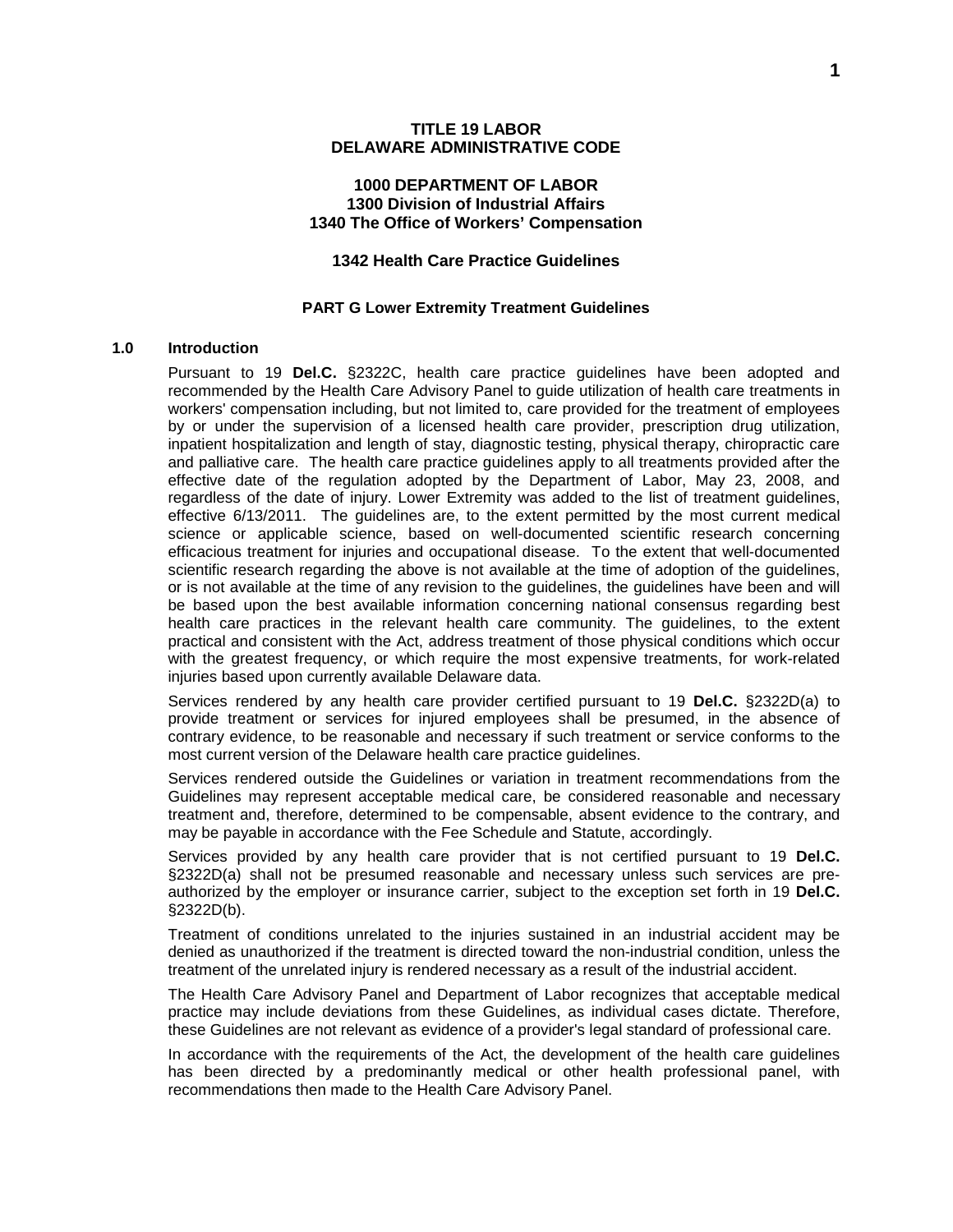### **1000 DEPARTMENT OF LABOR 1300 Division of Industrial Affairs 1340 The Office of Workers' Compensation**

### **1342 Health Care Practice Guidelines**

#### **PART G Lower Extremity Treatment Guidelines**

#### **1.0 Introduction**

Pursuant to 19 **Del.C.** §2322C, health care practice guidelines have been adopted and recommended by the Health Care Advisory Panel to guide utilization of health care treatments in workers' compensation including, but not limited to, care provided for the treatment of employees by or under the supervision of a licensed health care provider, prescription drug utilization, inpatient hospitalization and length of stay, diagnostic testing, physical therapy, chiropractic care and palliative care. The health care practice guidelines apply to all treatments provided after the effective date of the regulation adopted by the Department of Labor, May 23, 2008, and regardless of the date of injury. Lower Extremity was added to the list of treatment guidelines, effective 6/13/2011. The guidelines are, to the extent permitted by the most current medical science or applicable science, based on well-documented scientific research concerning efficacious treatment for injuries and occupational disease. To the extent that well-documented scientific research regarding the above is not available at the time of adoption of the guidelines, or is not available at the time of any revision to the guidelines, the guidelines have been and will be based upon the best available information concerning national consensus regarding best health care practices in the relevant health care community. The guidelines, to the extent practical and consistent with the Act, address treatment of those physical conditions which occur with the greatest frequency, or which require the most expensive treatments, for work-related injuries based upon currently available Delaware data.

Services rendered by any health care provider certified pursuant to 19 **Del.C.** §2322D(a) to provide treatment or services for injured employees shall be presumed, in the absence of contrary evidence, to be reasonable and necessary if such treatment or service conforms to the most current version of the Delaware health care practice guidelines.

Services rendered outside the Guidelines or variation in treatment recommendations from the Guidelines may represent acceptable medical care, be considered reasonable and necessary treatment and, therefore, determined to be compensable, absent evidence to the contrary, and may be payable in accordance with the Fee Schedule and Statute, accordingly.

Services provided by any health care provider that is not certified pursuant to 19 **Del.C.** §2322D(a) shall not be presumed reasonable and necessary unless such services are preauthorized by the employer or insurance carrier, subject to the exception set forth in 19 **Del.C.** §2322D(b).

Treatment of conditions unrelated to the injuries sustained in an industrial accident may be denied as unauthorized if the treatment is directed toward the non-industrial condition, unless the treatment of the unrelated injury is rendered necessary as a result of the industrial accident.

The Health Care Advisory Panel and Department of Labor recognizes that acceptable medical practice may include deviations from these Guidelines, as individual cases dictate. Therefore, these Guidelines are not relevant as evidence of a provider's legal standard of professional care.

In accordance with the requirements of the Act, the development of the health care guidelines has been directed by a predominantly medical or other health professional panel, with recommendations then made to the Health Care Advisory Panel.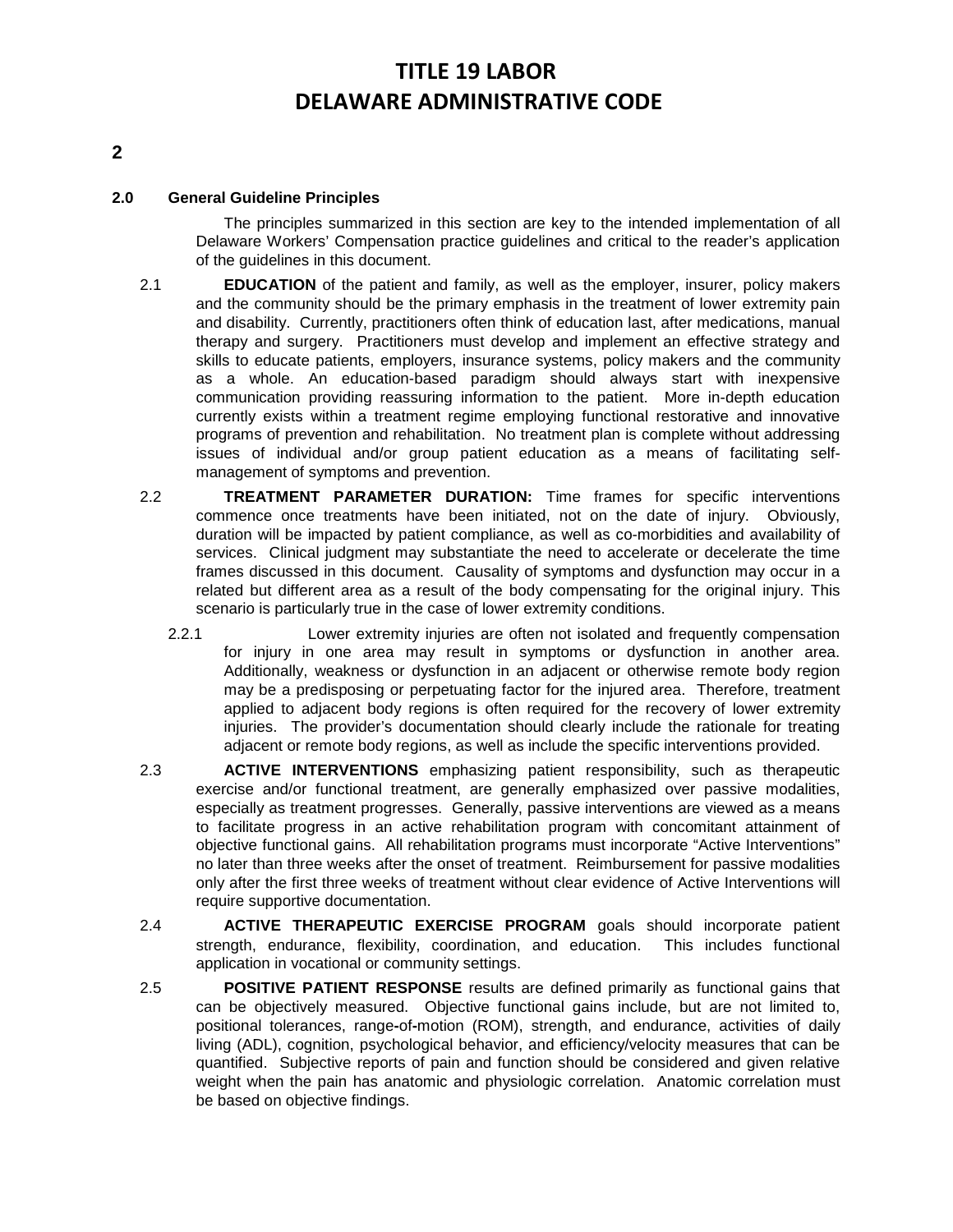### **2.0 General Guideline Principles**

The principles summarized in this section are key to the intended implementation of all Delaware Workers' Compensation practice guidelines and critical to the reader's application of the guidelines in this document.

- 2.1 **EDUCATION** of the patient and family, as well as the employer, insurer, policy makers and the community should be the primary emphasis in the treatment of lower extremity pain and disability. Currently, practitioners often think of education last, after medications, manual therapy and surgery. Practitioners must develop and implement an effective strategy and skills to educate patients, employers, insurance systems, policy makers and the community as a whole. An education-based paradigm should always start with inexpensive communication providing reassuring information to the patient. More in-depth education currently exists within a treatment regime employing functional restorative and innovative programs of prevention and rehabilitation. No treatment plan is complete without addressing issues of individual and/or group patient education as a means of facilitating selfmanagement of symptoms and prevention.
- 2.2 **TREATMENT PARAMETER DURATION:** Time frames for specific interventions commence once treatments have been initiated, not on the date of injury. Obviously, duration will be impacted by patient compliance, as well as co-morbidities and availability of services. Clinical judgment may substantiate the need to accelerate or decelerate the time frames discussed in this document. Causality of symptoms and dysfunction may occur in a related but different area as a result of the body compensating for the original injury. This scenario is particularly true in the case of lower extremity conditions.
	- 2.2.1 Lower extremity injuries are often not isolated and frequently compensation for injury in one area may result in symptoms or dysfunction in another area. Additionally, weakness or dysfunction in an adjacent or otherwise remote body region may be a predisposing or perpetuating factor for the injured area. Therefore, treatment applied to adjacent body regions is often required for the recovery of lower extremity injuries. The provider's documentation should clearly include the rationale for treating adjacent or remote body regions, as well as include the specific interventions provided.
- 2.3 **ACTIVE INTERVENTIONS** emphasizing patient responsibility, such as therapeutic exercise and/or functional treatment, are generally emphasized over passive modalities, especially as treatment progresses. Generally, passive interventions are viewed as a means to facilitate progress in an active rehabilitation program with concomitant attainment of objective functional gains. All rehabilitation programs must incorporate "Active Interventions" no later than three weeks after the onset of treatment. Reimbursement for passive modalities only after the first three weeks of treatment without clear evidence of Active Interventions will require supportive documentation.
- 2.4 **ACTIVE THERAPEUTIC EXERCISE PROGRAM** goals should incorporate patient strength, endurance, flexibility, coordination, and education. This includes functional application in vocational or community settings.
- 2.5 **POSITIVE PATIENT RESPONSE** results are defined primarily as functional gains that can be objectively measured. Objective functional gains include, but are not limited to, positional tolerances, range**-**of**-**motion (ROM), strength, and endurance, activities of daily living (ADL), cognition, psychological behavior, and efficiency/velocity measures that can be quantified. Subjective reports of pain and function should be considered and given relative weight when the pain has anatomic and physiologic correlation. Anatomic correlation must be based on objective findings.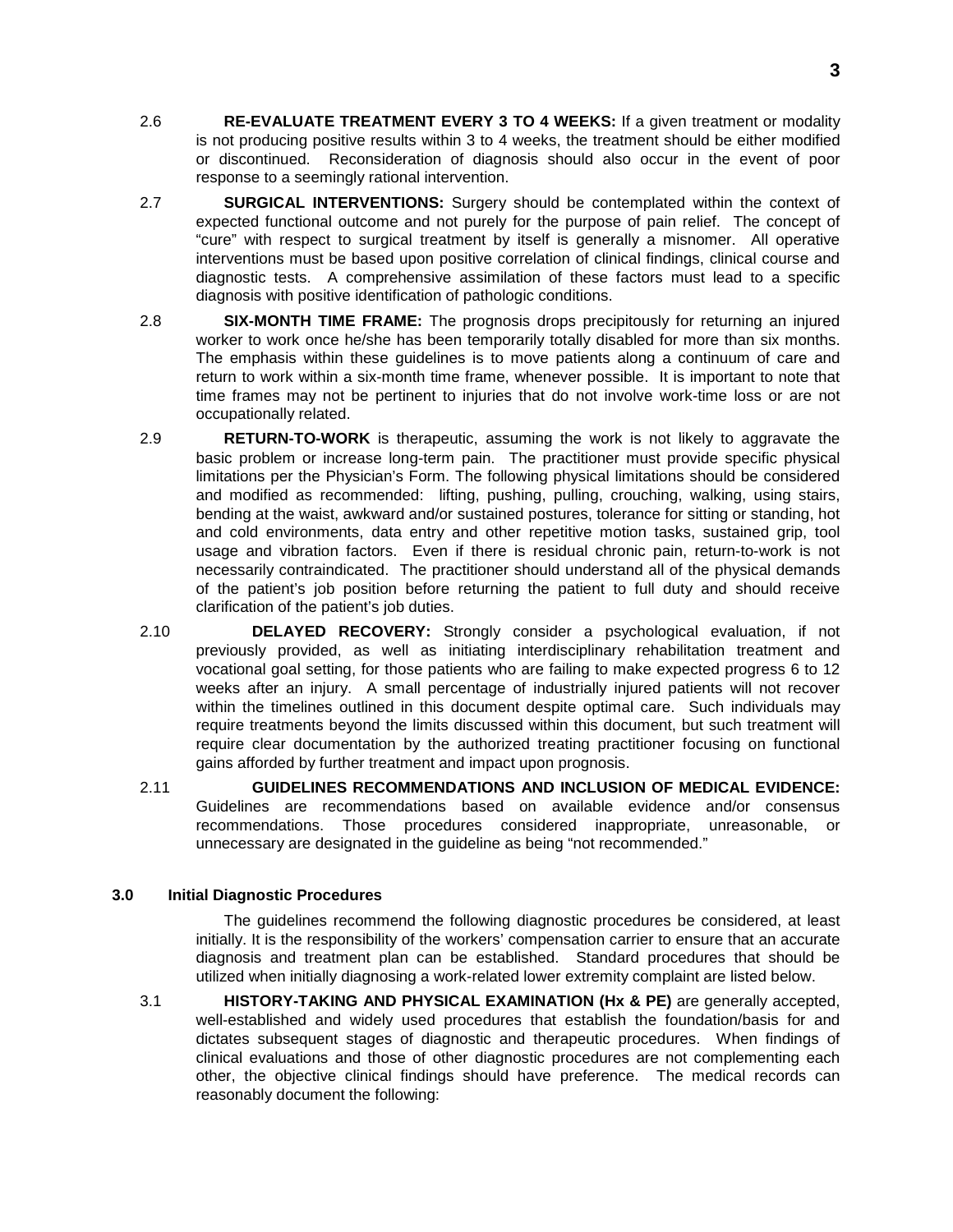- 2.6 **RE-EVALUATE TREATMENT EVERY 3 TO 4 WEEKS:** If a given treatment or modality is not producing positive results within 3 to 4 weeks, the treatment should be either modified or discontinued. Reconsideration of diagnosis should also occur in the event of poor response to a seemingly rational intervention.
- 2.7 **SURGICAL INTERVENTIONS:** Surgery should be contemplated within the context of expected functional outcome and not purely for the purpose of pain relief. The concept of "cure" with respect to surgical treatment by itself is generally a misnomer. All operative interventions must be based upon positive correlation of clinical findings, clinical course and diagnostic tests. A comprehensive assimilation of these factors must lead to a specific diagnosis with positive identification of pathologic conditions.
- 2.8 **SIX-MONTH TIME FRAME:** The prognosis drops precipitously for returning an injured worker to work once he/she has been temporarily totally disabled for more than six months. The emphasis within these guidelines is to move patients along a continuum of care and return to work within a six-month time frame, whenever possible. It is important to note that time frames may not be pertinent to injuries that do not involve work-time loss or are not occupationally related.
- 2.9 **RETURN-TO-WORK** is therapeutic, assuming the work is not likely to aggravate the basic problem or increase long-term pain. The practitioner must provide specific physical limitations per the Physician's Form. The following physical limitations should be considered and modified as recommended: lifting, pushing, pulling, crouching, walking, using stairs, bending at the waist, awkward and/or sustained postures, tolerance for sitting or standing, hot and cold environments, data entry and other repetitive motion tasks, sustained grip, tool usage and vibration factors. Even if there is residual chronic pain, return-to-work is not necessarily contraindicated. The practitioner should understand all of the physical demands of the patient's job position before returning the patient to full duty and should receive clarification of the patient's job duties.
- 2.10 **DELAYED RECOVERY:** Strongly consider a psychological evaluation, if not previously provided, as well as initiating interdisciplinary rehabilitation treatment and vocational goal setting, for those patients who are failing to make expected progress 6 to 12 weeks after an injury. A small percentage of industrially injured patients will not recover within the timelines outlined in this document despite optimal care. Such individuals may require treatments beyond the limits discussed within this document, but such treatment will require clear documentation by the authorized treating practitioner focusing on functional gains afforded by further treatment and impact upon prognosis.
- 2.11 **GUIDELINES RECOMMENDATIONS AND INCLUSION OF MEDICAL EVIDENCE:** Guidelines are recommendations based on available evidence and/or consensus recommendations. Those procedures considered inappropriate, unreasonable, or unnecessary are designated in the guideline as being "not recommended."

### **3.0 Initial Diagnostic Procedures**

The guidelines recommend the following diagnostic procedures be considered, at least initially. It is the responsibility of the workers' compensation carrier to ensure that an accurate diagnosis and treatment plan can be established. Standard procedures that should be utilized when initially diagnosing a work-related lower extremity complaint are listed below.

3.1 **HISTORY-TAKING AND PHYSICAL EXAMINATION (Hx & PE)** are generally accepted, well-established and widely used procedures that establish the foundation/basis for and dictates subsequent stages of diagnostic and therapeutic procedures. When findings of clinical evaluations and those of other diagnostic procedures are not complementing each other, the objective clinical findings should have preference. The medical records can reasonably document the following: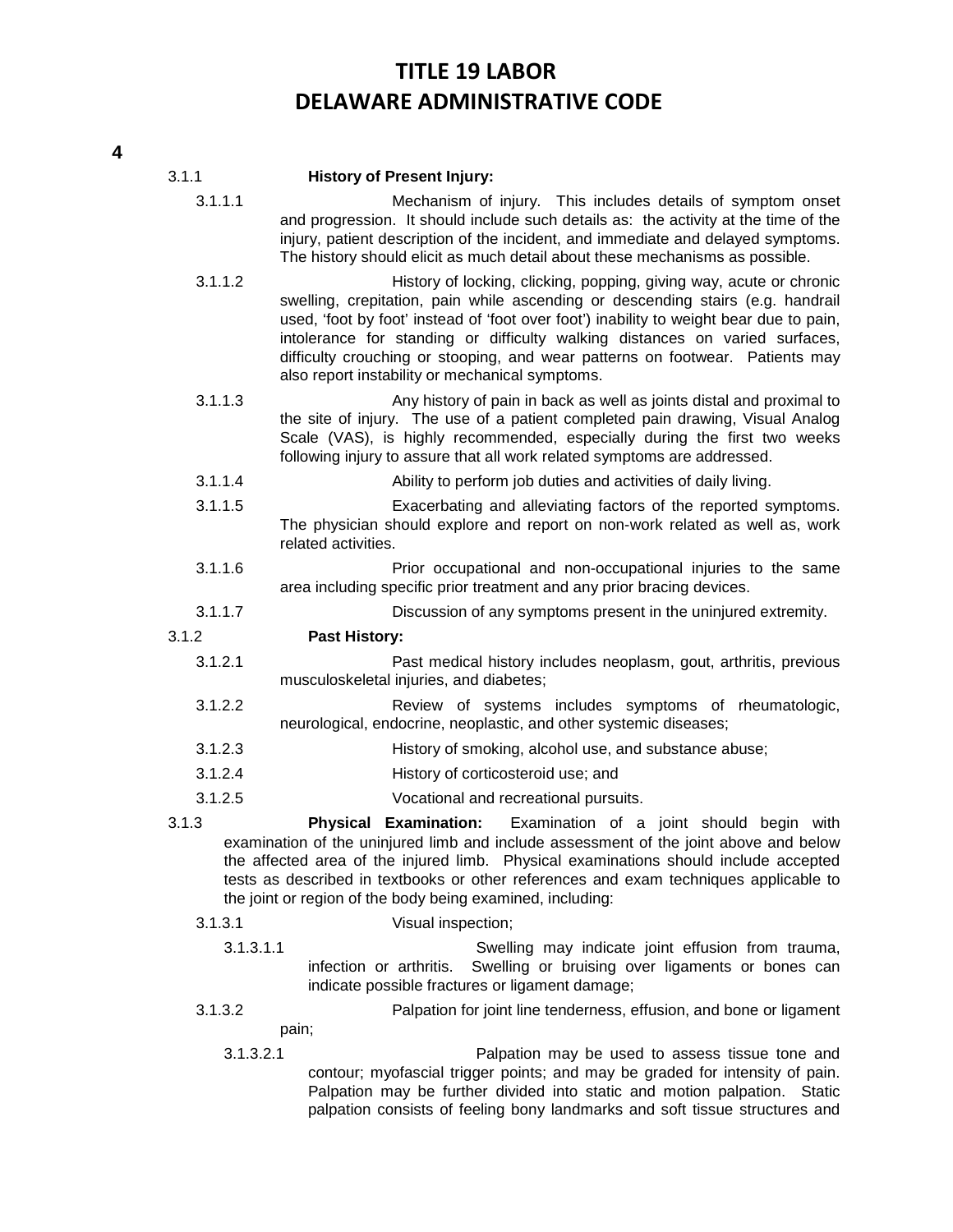| 3.1.1     | <b>History of Present Injury:</b>                                                                                                                                                                                                                                                                                                                                                                                                                                     |
|-----------|-----------------------------------------------------------------------------------------------------------------------------------------------------------------------------------------------------------------------------------------------------------------------------------------------------------------------------------------------------------------------------------------------------------------------------------------------------------------------|
| 3.1.1.1   | Mechanism of injury. This includes details of symptom onset<br>and progression. It should include such details as: the activity at the time of the<br>injury, patient description of the incident, and immediate and delayed symptoms.<br>The history should elicit as much detail about these mechanisms as possible.                                                                                                                                                |
| 3.1.1.2   | History of locking, clicking, popping, giving way, acute or chronic<br>swelling, crepitation, pain while ascending or descending stairs (e.g. handrail<br>used, 'foot by foot' instead of 'foot over foot') inability to weight bear due to pain,<br>intolerance for standing or difficulty walking distances on varied surfaces,<br>difficulty crouching or stooping, and wear patterns on footwear. Patients may<br>also report instability or mechanical symptoms. |
| 3.1.1.3   | Any history of pain in back as well as joints distal and proximal to<br>the site of injury. The use of a patient completed pain drawing, Visual Analog<br>Scale (VAS), is highly recommended, especially during the first two weeks<br>following injury to assure that all work related symptoms are addressed.                                                                                                                                                       |
| 3.1.1.4   | Ability to perform job duties and activities of daily living.                                                                                                                                                                                                                                                                                                                                                                                                         |
| 3.1.1.5   | Exacerbating and alleviating factors of the reported symptoms.<br>The physician should explore and report on non-work related as well as, work<br>related activities.                                                                                                                                                                                                                                                                                                 |
| 3.1.1.6   | Prior occupational and non-occupational injuries to the same<br>area including specific prior treatment and any prior bracing devices.                                                                                                                                                                                                                                                                                                                                |
| 3.1.1.7   | Discussion of any symptoms present in the uninjured extremity.                                                                                                                                                                                                                                                                                                                                                                                                        |
| 3.1.2     | <b>Past History:</b>                                                                                                                                                                                                                                                                                                                                                                                                                                                  |
| 3.1.2.1   | Past medical history includes neoplasm, gout, arthritis, previous<br>musculoskeletal injuries, and diabetes;                                                                                                                                                                                                                                                                                                                                                          |
| 3.1.2.2   | Review of systems includes symptoms of rheumatologic,<br>neurological, endocrine, neoplastic, and other systemic diseases;                                                                                                                                                                                                                                                                                                                                            |
| 3.1.2.3   | History of smoking, alcohol use, and substance abuse;                                                                                                                                                                                                                                                                                                                                                                                                                 |
| 3.1.2.4   | History of corticosteroid use; and                                                                                                                                                                                                                                                                                                                                                                                                                                    |
| 3.1.2.5   | Vocational and recreational pursuits.                                                                                                                                                                                                                                                                                                                                                                                                                                 |
| 3.1.3     | <b>Physical Examination:</b><br>Examination of a joint should begin with<br>examination of the uninjured limb and include assessment of the joint above and below<br>the affected area of the injured limb. Physical examinations should include accepted<br>tests as described in textbooks or other references and exam techniques applicable to<br>the joint or region of the body being examined, including:                                                      |
| 3.1.3.1   | Visual inspection;                                                                                                                                                                                                                                                                                                                                                                                                                                                    |
| 3.1.3.1.1 | Swelling may indicate joint effusion from trauma,<br>Swelling or bruising over ligaments or bones can<br>infection or arthritis.<br>indicate possible fractures or ligament damage;                                                                                                                                                                                                                                                                                   |
| 3.1.3.2   | Palpation for joint line tenderness, effusion, and bone or ligament                                                                                                                                                                                                                                                                                                                                                                                                   |
|           | pain;                                                                                                                                                                                                                                                                                                                                                                                                                                                                 |

3.1.3.2.1 Palpation may be used to assess tissue tone and contour; myofascial trigger points; and may be graded for intensity of pain. Palpation may be further divided into static and motion palpation. Static palpation consists of feeling bony landmarks and soft tissue structures and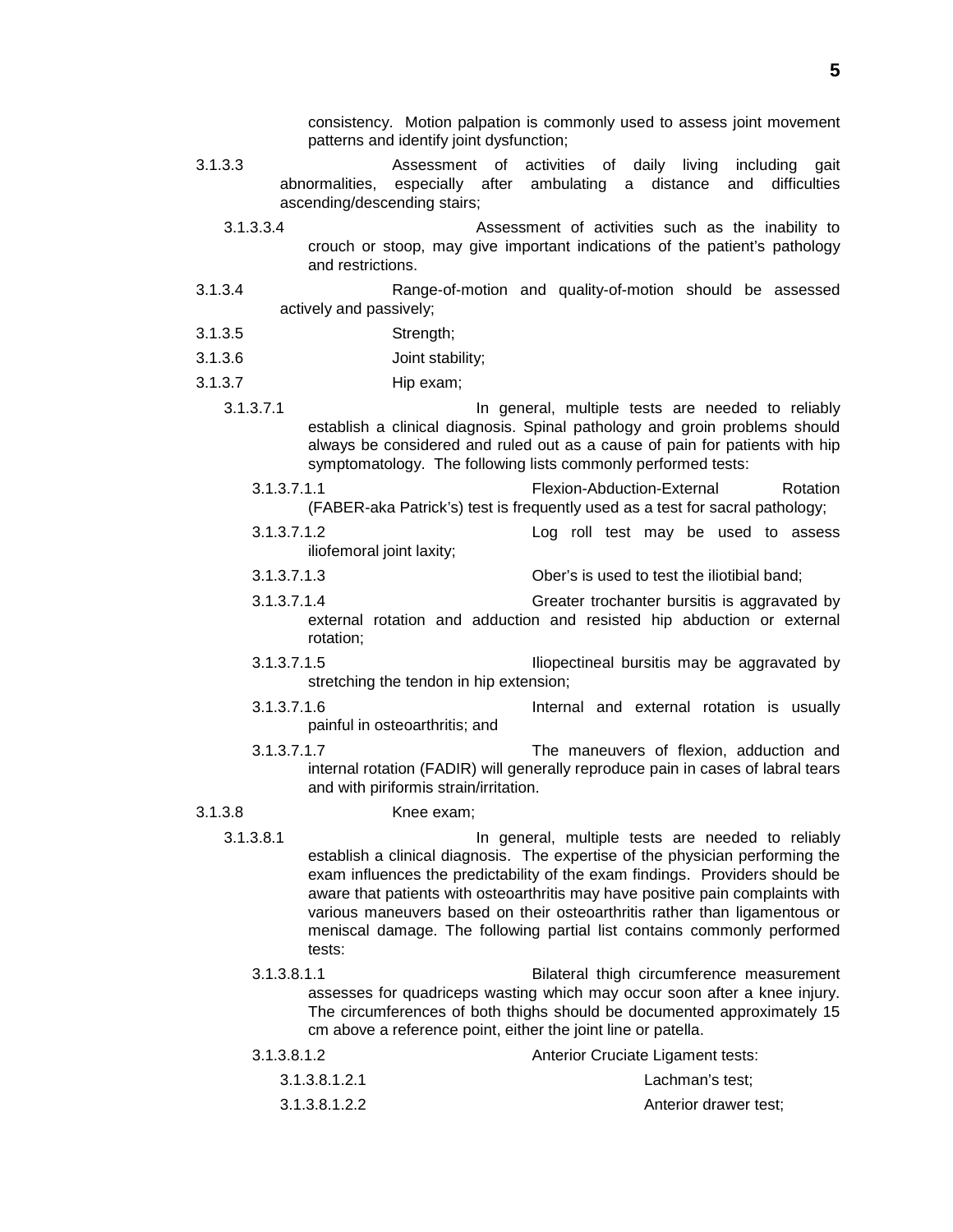consistency. Motion palpation is commonly used to assess joint movement patterns and identify joint dysfunction;

- 3.1.3.3 Assessment of activities of daily living including gait abnormalities, especially after ambulating a distance and difficulties ascending/descending stairs;
	- 3.1.3.3.4 Assessment of activities such as the inability to crouch or stoop, may give important indications of the patient's pathology and restrictions.
- 3.1.3.4 Range-of-motion and quality-of-motion should be assessed actively and passively;
- 3.1.3.5 Strength;
- 3.1.3.6 Joint stability;
- 3.1.3.7 Hip exam;
	- 3.1.3.7.1 In general, multiple tests are needed to reliably establish a clinical diagnosis. Spinal pathology and groin problems should always be considered and ruled out as a cause of pain for patients with hip symptomatology. The following lists commonly performed tests:
		- 3.1.3.7.1.1 Flexion-Abduction-External Rotation (FABER-aka Patrick's) test is frequently used as a test for sacral pathology;
		- 3.1.3.7.1.2 Log roll test may be used to assess iliofemoral joint laxity;
		- 3.1.3.7.1.3 Ober's is used to test the iliotibial band;
			- 3.1.3.7.1.4 Greater trochanter bursitis is aggravated by external rotation and adduction and resisted hip abduction or external rotation;
			- 3.1.3.7.1.5 Iliopectineal bursitis may be aggravated by stretching the tendon in hip extension;
			- 3.1.3.7.1.6 Internal and external rotation is usually painful in osteoarthritis; and
		- 3.1.3.7.1.7 The maneuvers of flexion, adduction and internal rotation (FADIR) will generally reproduce pain in cases of labral tears and with piriformis strain/irritation.

- 3.1.3.8 Knee exam;
	- 3.1.3.8.1 In general, multiple tests are needed to reliably establish a clinical diagnosis. The expertise of the physician performing the exam influences the predictability of the exam findings. Providers should be aware that patients with osteoarthritis may have positive pain complaints with various maneuvers based on their osteoarthritis rather than ligamentous or meniscal damage. The following partial list contains commonly performed tests:
		- 3.1.3.8.1.1 Bilateral thigh circumference measurement assesses for quadriceps wasting which may occur soon after a knee injury. The circumferences of both thighs should be documented approximately 15 cm above a reference point, either the joint line or patella.

| 3.1.3.8.1.2   | <b>Anterior Cruciate Ligament tests:</b> |
|---------------|------------------------------------------|
| 3.1.3.8.1.2.1 | Lachman's test:                          |
| 3.1.3.8.1.2.2 | Anterior drawer test;                    |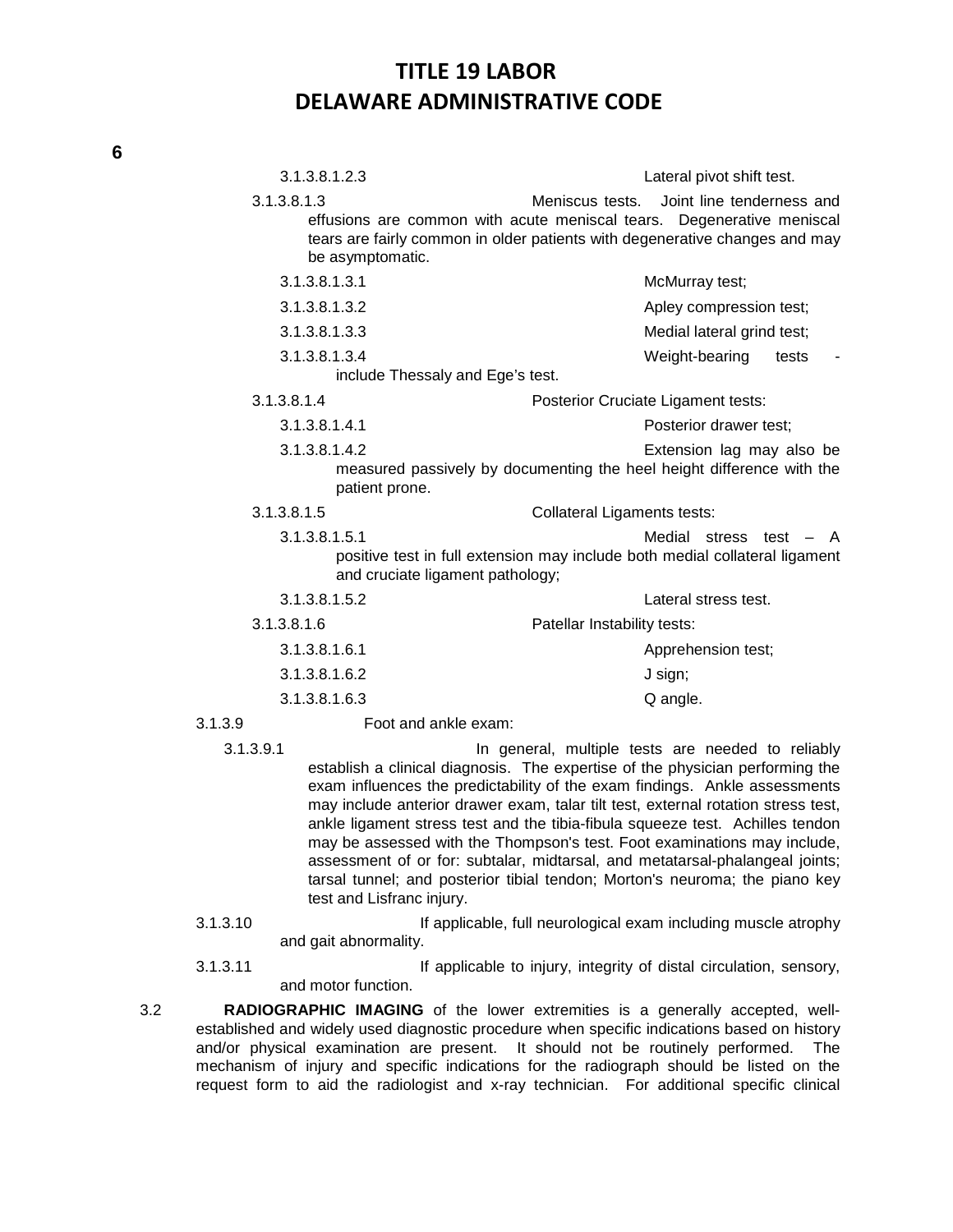|         | 3.1.3.8.1.2.3                   |                                                                                                                                                                         | Lateral pivot shift test.  |
|---------|---------------------------------|-------------------------------------------------------------------------------------------------------------------------------------------------------------------------|----------------------------|
|         | 3.1.3.8.1.3<br>be asymptomatic. | Meniscus tests.<br>effusions are common with acute meniscal tears. Degenerative meniscal<br>tears are fairly common in older patients with degenerative changes and may | Joint line tenderness and  |
|         | 3.1.3.8.1.3.1                   |                                                                                                                                                                         | McMurray test;             |
|         | 3.1.3.8.1.3.2                   |                                                                                                                                                                         | Apley compression test;    |
|         | 3.1.3.8.1.3.3                   |                                                                                                                                                                         | Medial lateral grind test; |
|         | 3.1.3.8.1.3.4                   |                                                                                                                                                                         | Weight-bearing<br>tests    |
|         |                                 | include Thessaly and Ege's test.                                                                                                                                        |                            |
|         | 3.1.3.8.1.4                     | Posterior Cruciate Ligament tests:                                                                                                                                      |                            |
|         | 3.1.3.8.1.4.1                   |                                                                                                                                                                         | Posterior drawer test;     |
|         | 3.1.3.8.1.4.2                   | measured passively by documenting the heel height difference with the<br>patient prone.                                                                                 | Extension lag may also be  |
|         | 3.1.3.8.1.5                     | <b>Collateral Ligaments tests:</b>                                                                                                                                      |                            |
|         | 3.1.3.8.1.5.1                   | positive test in full extension may include both medial collateral ligament<br>and cruciate ligament pathology;                                                         | Medial stress test $-$ A   |
|         | 3.1.3.8.1.5.2                   |                                                                                                                                                                         | Lateral stress test.       |
|         | 3.1.3.8.1.6                     | Patellar Instability tests:                                                                                                                                             |                            |
|         | 3.1.3.8.1.6.1                   |                                                                                                                                                                         | Apprehension test;         |
|         | 3.1.3.8.1.6.2                   |                                                                                                                                                                         | J sign;                    |
|         | 3.1.3.8.1.6.3                   |                                                                                                                                                                         | Q angle.                   |
| 3.1.3.9 |                                 | Foot and ankle exam:                                                                                                                                                    |                            |
|         |                                 |                                                                                                                                                                         |                            |

- 3.1.3.9.1 In general, multiple tests are needed to reliably establish a clinical diagnosis. The expertise of the physician performing the exam influences the predictability of the exam findings. Ankle assessments may include anterior drawer exam, talar tilt test, external rotation stress test, ankle ligament stress test and the tibia-fibula squeeze test. Achilles tendon may be assessed with the Thompson's test. Foot examinations may include, assessment of or for: subtalar, midtarsal, and metatarsal-phalangeal joints; tarsal tunnel; and posterior tibial tendon; Morton's neuroma; the piano key test and Lisfranc injury.
- 3.1.3.10 If applicable, full neurological exam including muscle atrophy and gait abnormality.

3.1.3.11 If applicable to injury, integrity of distal circulation, sensory, and motor function.

3.2 **RADIOGRAPHIC IMAGING** of the lower extremities is a generally accepted, wellestablished and widely used diagnostic procedure when specific indications based on history and/or physical examination are present. It should not be routinely performed. The mechanism of injury and specific indications for the radiograph should be listed on the request form to aid the radiologist and x-ray technician. For additional specific clinical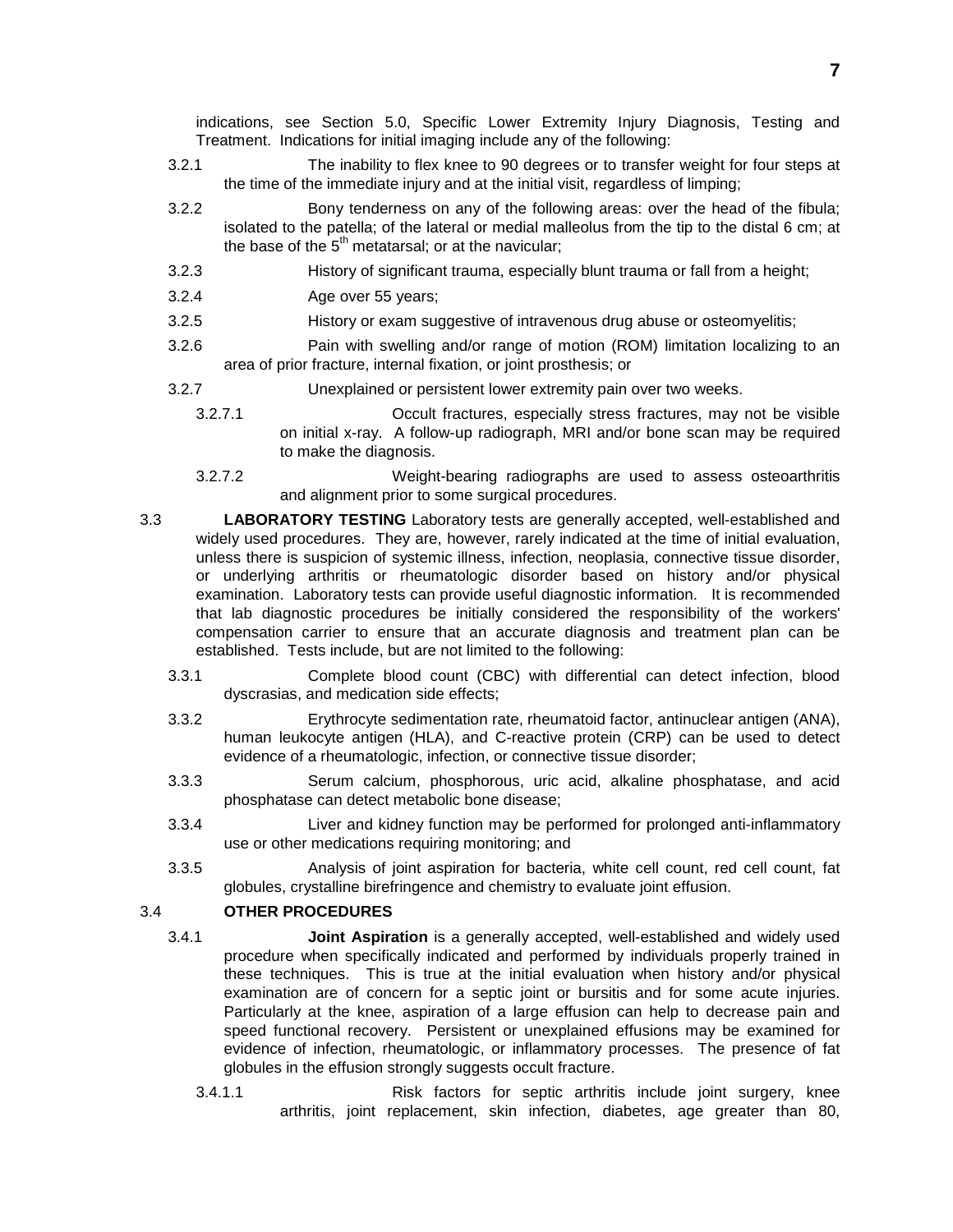indications, see Section 5.0, Specific Lower Extremity Injury Diagnosis, Testing and Treatment. Indications for initial imaging include any of the following:

- 3.2.1 The inability to flex knee to 90 degrees or to transfer weight for four steps at the time of the immediate injury and at the initial visit, regardless of limping;
- 3.2.2 Bony tenderness on any of the following areas: over the head of the fibula; isolated to the patella; of the lateral or medial malleolus from the tip to the distal 6 cm; at the base of the  $5<sup>th</sup>$  metatarsal; or at the navicular;
- 3.2.3 History of significant trauma, especially blunt trauma or fall from a height;
- 3.2.4 Age over 55 years;
- 3.2.5 History or exam suggestive of intravenous drug abuse or osteomyelitis;
- 3.2.6 Pain with swelling and/or range of motion (ROM) limitation localizing to an area of prior fracture, internal fixation, or joint prosthesis; or
- 3.2.7 Unexplained or persistent lower extremity pain over two weeks.
	- 3.2.7.1 Occult fractures, especially stress fractures, may not be visible on initial x-ray. A follow-up radiograph, MRI and/or bone scan may be required to make the diagnosis.
	- 3.2.7.2 Weight-bearing radiographs are used to assess osteoarthritis and alignment prior to some surgical procedures.
- 3.3 **LABORATORY TESTING** Laboratory tests are generally accepted, well-established and widely used procedures. They are, however, rarely indicated at the time of initial evaluation, unless there is suspicion of systemic illness, infection, neoplasia, connective tissue disorder, or underlying arthritis or rheumatologic disorder based on history and/or physical examination. Laboratory tests can provide useful diagnostic information. It is recommended that lab diagnostic procedures be initially considered the responsibility of the workers' compensation carrier to ensure that an accurate diagnosis and treatment plan can be established. Tests include, but are not limited to the following:
	- 3.3.1 Complete blood count (CBC) with differential can detect infection, blood dyscrasias, and medication side effects;
	- 3.3.2 Erythrocyte sedimentation rate, rheumatoid factor, antinuclear antigen (ANA), human leukocyte antigen (HLA), and C-reactive protein (CRP) can be used to detect evidence of a rheumatologic, infection, or connective tissue disorder;
	- 3.3.3 Serum calcium, phosphorous, uric acid, alkaline phosphatase, and acid phosphatase can detect metabolic bone disease;
	- 3.3.4 Liver and kidney function may be performed for prolonged anti-inflammatory use or other medications requiring monitoring; and
	- 3.3.5 Analysis of joint aspiration for bacteria, white cell count, red cell count, fat globules, crystalline birefringence and chemistry to evaluate joint effusion.

### 3.4 **OTHER PROCEDURES**

- 3.4.1 **Joint Aspiration** is a generally accepted, well-established and widely used procedure when specifically indicated and performed by individuals properly trained in these techniques. This is true at the initial evaluation when history and/or physical examination are of concern for a septic joint or bursitis and for some acute injuries. Particularly at the knee, aspiration of a large effusion can help to decrease pain and speed functional recovery. Persistent or unexplained effusions may be examined for evidence of infection, rheumatologic, or inflammatory processes. The presence of fat globules in the effusion strongly suggests occult fracture.
	- 3.4.1.1 Risk factors for septic arthritis include joint surgery, knee arthritis, joint replacement, skin infection, diabetes, age greater than 80,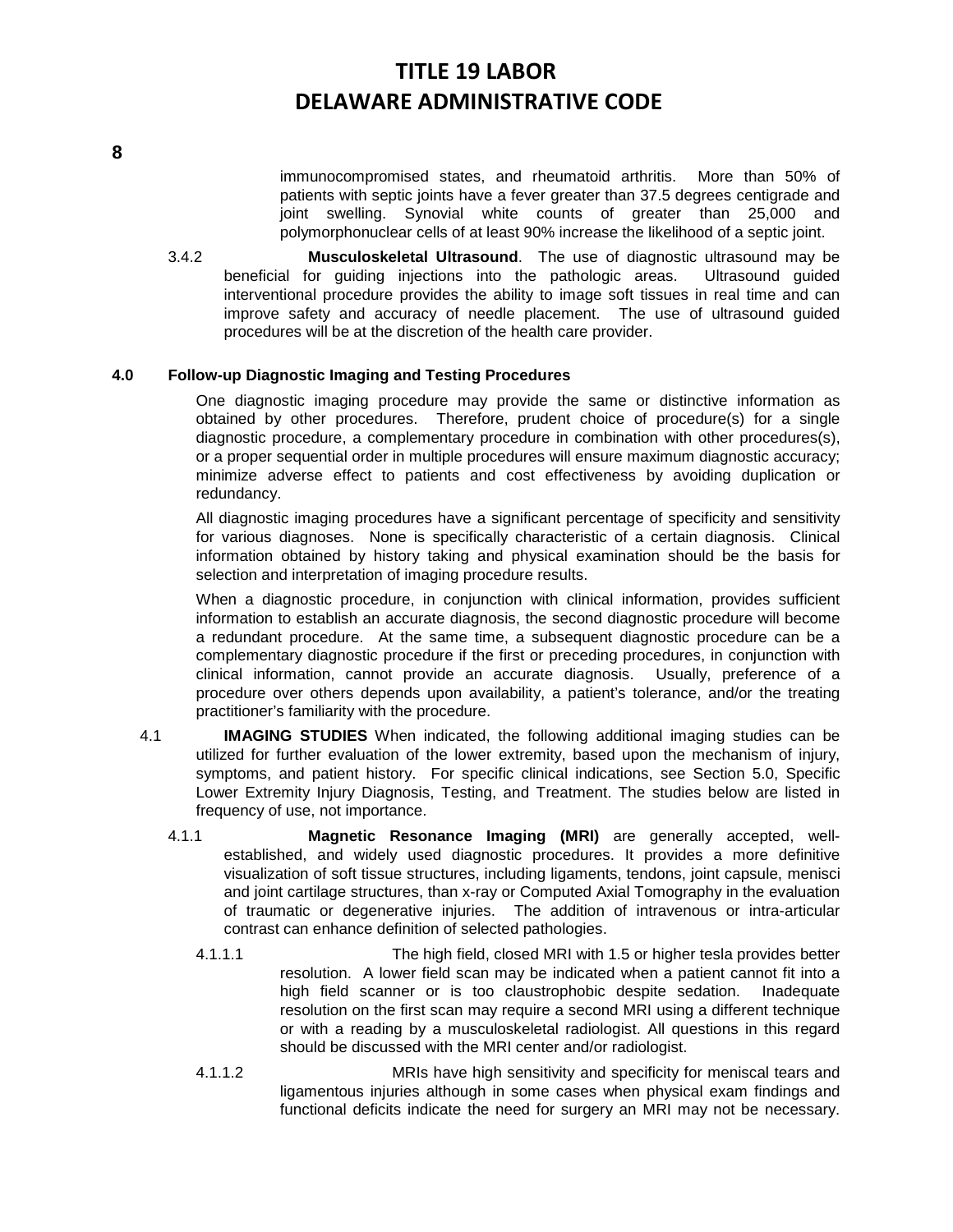immunocompromised states, and rheumatoid arthritis. More than 50% of patients with septic joints have a fever greater than 37.5 degrees centigrade and joint swelling. Synovial white counts of greater than 25,000 and polymorphonuclear cells of at least 90% increase the likelihood of a septic joint.

3.4.2 **Musculoskeletal Ultrasound**. The use of diagnostic ultrasound may be beneficial for guiding injections into the pathologic areas. Ultrasound guided interventional procedure provides the ability to image soft tissues in real time and can improve safety and accuracy of needle placement. The use of ultrasound guided procedures will be at the discretion of the health care provider.

#### **4.0 Follow-up Diagnostic Imaging and Testing Procedures**

One diagnostic imaging procedure may provide the same or distinctive information as obtained by other procedures. Therefore, prudent choice of procedure(s) for a single diagnostic procedure, a complementary procedure in combination with other procedures(s), or a proper sequential order in multiple procedures will ensure maximum diagnostic accuracy; minimize adverse effect to patients and cost effectiveness by avoiding duplication or redundancy.

All diagnostic imaging procedures have a significant percentage of specificity and sensitivity for various diagnoses. None is specifically characteristic of a certain diagnosis. Clinical information obtained by history taking and physical examination should be the basis for selection and interpretation of imaging procedure results.

When a diagnostic procedure, in conjunction with clinical information, provides sufficient information to establish an accurate diagnosis, the second diagnostic procedure will become a redundant procedure. At the same time, a subsequent diagnostic procedure can be a complementary diagnostic procedure if the first or preceding procedures, in conjunction with clinical information, cannot provide an accurate diagnosis. Usually, preference of a procedure over others depends upon availability, a patient's tolerance, and/or the treating practitioner's familiarity with the procedure.

- 4.1 **IMAGING STUDIES** When indicated, the following additional imaging studies can be utilized for further evaluation of the lower extremity, based upon the mechanism of injury, symptoms, and patient history. For specific clinical indications, see Section 5.0, Specific Lower Extremity Injury Diagnosis, Testing, and Treatment. The studies below are listed in frequency of use, not importance.
	- 4.1.1 **Magnetic Resonance Imaging (MRI)** are generally accepted, wellestablished, and widely used diagnostic procedures. It provides a more definitive visualization of soft tissue structures, including ligaments, tendons, joint capsule, menisci and joint cartilage structures, than x-ray or Computed Axial Tomography in the evaluation of traumatic or degenerative injuries. The addition of intravenous or intra-articular contrast can enhance definition of selected pathologies.
		- 4.1.1.1 The high field, closed MRI with 1.5 or higher tesla provides better resolution. A lower field scan may be indicated when a patient cannot fit into a high field scanner or is too claustrophobic despite sedation. Inadequate resolution on the first scan may require a second MRI using a different technique or with a reading by a musculoskeletal radiologist. All questions in this regard should be discussed with the MRI center and/or radiologist.
		- 4.1.1.2 MRIs have high sensitivity and specificity for meniscal tears and ligamentous injuries although in some cases when physical exam findings and functional deficits indicate the need for surgery an MRI may not be necessary.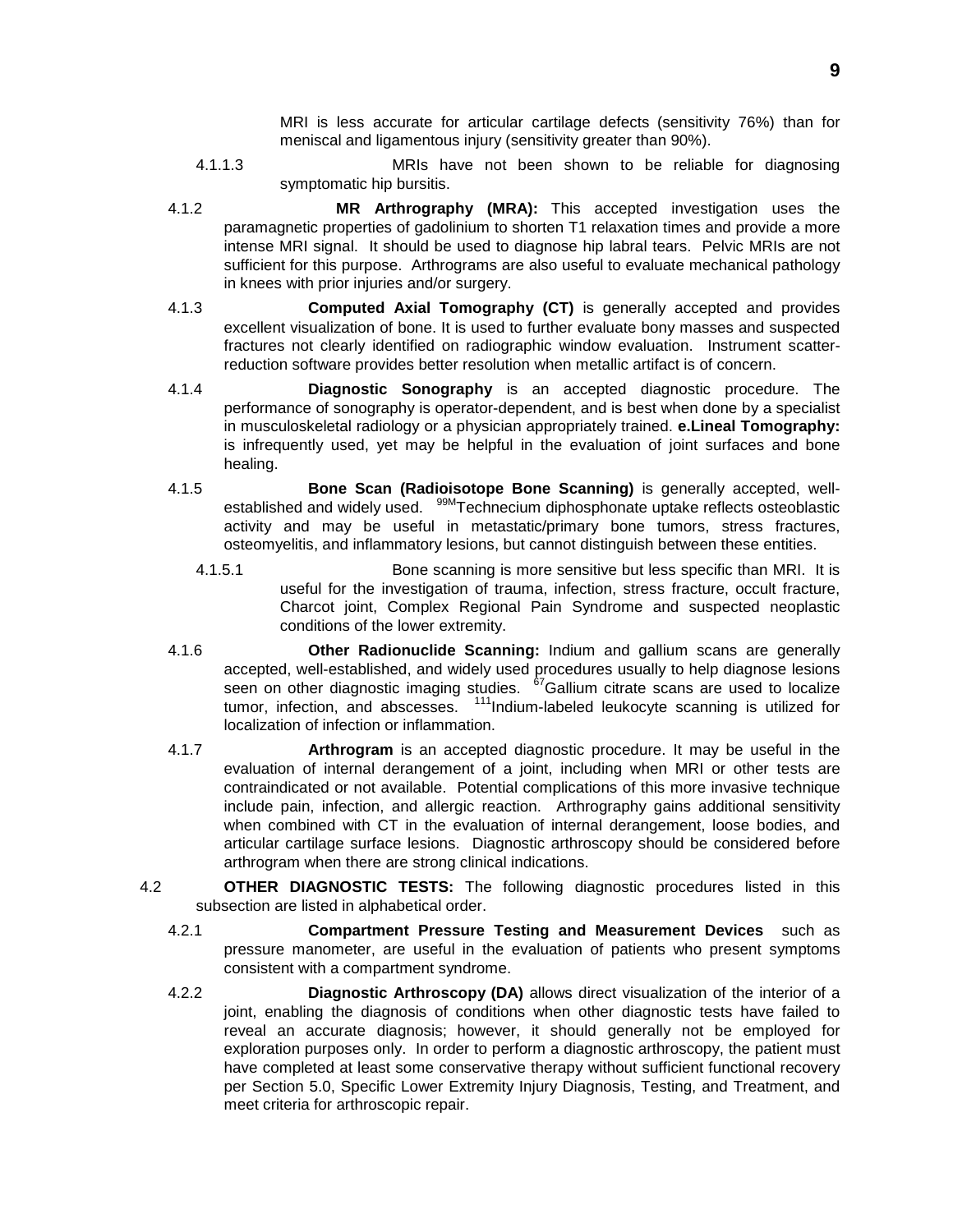MRI is less accurate for articular cartilage defects (sensitivity 76%) than for meniscal and ligamentous injury (sensitivity greater than 90%).

- 4.1.1.3 MRIs have not been shown to be reliable for diagnosing symptomatic hip bursitis.
- 4.1.2 **MR Arthrography (MRA):** This accepted investigation uses the paramagnetic properties of gadolinium to shorten T1 relaxation times and provide a more intense MRI signal. It should be used to diagnose hip labral tears. Pelvic MRIs are not sufficient for this purpose. Arthrograms are also useful to evaluate mechanical pathology in knees with prior injuries and/or surgery.
- 4.1.3 **Computed Axial Tomography (CT)** is generally accepted and provides excellent visualization of bone. It is used to further evaluate bony masses and suspected fractures not clearly identified on radiographic window evaluation. Instrument scatterreduction software provides better resolution when metallic artifact is of concern.
- 4.1.4 **Diagnostic Sonography** is an accepted diagnostic procedure. The performance of sonography is operator-dependent, and is best when done by a specialist in musculoskeletal radiology or a physician appropriately trained. **e.Lineal Tomography:** is infrequently used, yet may be helpful in the evaluation of joint surfaces and bone healing.
- 4.1.5 **Bone Scan (Radioisotope Bone Scanning)** is generally accepted, wellestablished and widely used. <sup>99M</sup>Technecium diphosphonate uptake reflects osteoblastic activity and may be useful in metastatic/primary bone tumors, stress fractures, osteomyelitis, and inflammatory lesions, but cannot distinguish between these entities.
	- 4.1.5.1 Bone scanning is more sensitive but less specific than MRI. It is useful for the investigation of trauma, infection, stress fracture, occult fracture, Charcot joint, Complex Regional Pain Syndrome and suspected neoplastic conditions of the lower extremity.
- 4.1.6 **Other Radionuclide Scanning:** Indium and gallium scans are generally accepted, well-established, and widely used procedures usually to help diagnose lesions seen on other diagnostic imaging studies. <sup>67</sup>Gallium citrate scans are used to localize tumor, infection, and abscesses. <sup>111</sup>Indium-labeled leukocyte scanning is utilized for localization of infection or inflammation.
- 4.1.7 **Arthrogram** is an accepted diagnostic procedure. It may be useful in the evaluation of internal derangement of a joint, including when MRI or other tests are contraindicated or not available. Potential complications of this more invasive technique include pain, infection, and allergic reaction. Arthrography gains additional sensitivity when combined with CT in the evaluation of internal derangement, loose bodies, and articular cartilage surface lesions. Diagnostic arthroscopy should be considered before arthrogram when there are strong clinical indications.
- 4.2 **OTHER DIAGNOSTIC TESTS:** The following diagnostic procedures listed in this subsection are listed in alphabetical order.
	- 4.2.1 **Compartment Pressure Testing and Measurement Devices** such as pressure manometer, are useful in the evaluation of patients who present symptoms consistent with a compartment syndrome.
	- 4.2.2 **Diagnostic Arthroscopy (DA)** allows direct visualization of the interior of a joint, enabling the diagnosis of conditions when other diagnostic tests have failed to reveal an accurate diagnosis; however, it should generally not be employed for exploration purposes only. In order to perform a diagnostic arthroscopy, the patient must have completed at least some conservative therapy without sufficient functional recovery per Section 5.0, Specific Lower Extremity Injury Diagnosis, Testing, and Treatment, and meet criteria for arthroscopic repair.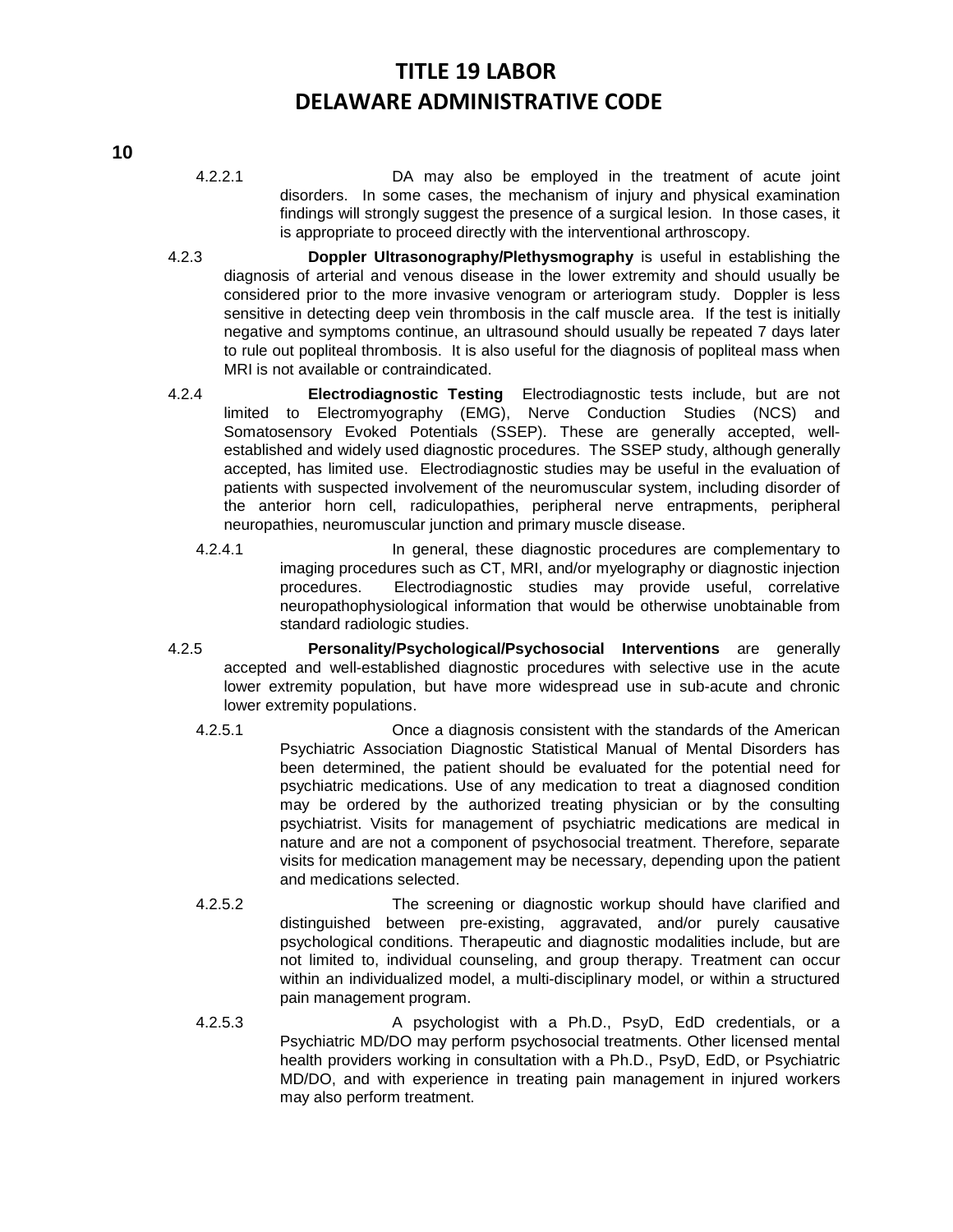- 4.2.2.1 DA may also be employed in the treatment of acute joint disorders. In some cases, the mechanism of injury and physical examination findings will strongly suggest the presence of a surgical lesion. In those cases, it is appropriate to proceed directly with the interventional arthroscopy.
- 4.2.3 **Doppler Ultrasonography/Plethysmography** is useful in establishing the diagnosis of arterial and venous disease in the lower extremity and should usually be considered prior to the more invasive venogram or arteriogram study. Doppler is less sensitive in detecting deep vein thrombosis in the calf muscle area. If the test is initially negative and symptoms continue, an ultrasound should usually be repeated 7 days later to rule out popliteal thrombosis. It is also useful for the diagnosis of popliteal mass when MRI is not available or contraindicated.
- 4.2.4 **Electrodiagnostic Testing** Electrodiagnostic tests include, but are not limited to Electromyography (EMG), Nerve Conduction Studies (NCS) and Somatosensory Evoked Potentials (SSEP). These are generally accepted, wellestablished and widely used diagnostic procedures. The SSEP study, although generally accepted, has limited use. Electrodiagnostic studies may be useful in the evaluation of patients with suspected involvement of the neuromuscular system, including disorder of the anterior horn cell, radiculopathies, peripheral nerve entrapments, peripheral neuropathies, neuromuscular junction and primary muscle disease.
	- 4.2.4.1 **In general, these diagnostic procedures are complementary to** imaging procedures such as CT, MRI, and/or myelography or diagnostic injection procedures. Electrodiagnostic studies may provide useful, correlative neuropathophysiological information that would be otherwise unobtainable from standard radiologic studies.
- 4.2.5 **Personality/Psychological/Psychosocial Interventions** are generally accepted and well-established diagnostic procedures with selective use in the acute lower extremity population, but have more widespread use in sub-acute and chronic lower extremity populations.
	- 4.2.5.1 Once a diagnosis consistent with the standards of the American Psychiatric Association Diagnostic Statistical Manual of Mental Disorders has been determined, the patient should be evaluated for the potential need for psychiatric medications. Use of any medication to treat a diagnosed condition may be ordered by the authorized treating physician or by the consulting psychiatrist. Visits for management of psychiatric medications are medical in nature and are not a component of psychosocial treatment. Therefore, separate visits for medication management may be necessary, depending upon the patient and medications selected.
	- 4.2.5.2 The screening or diagnostic workup should have clarified and distinguished between pre-existing, aggravated, and/or purely causative psychological conditions. Therapeutic and diagnostic modalities include, but are not limited to, individual counseling, and group therapy. Treatment can occur within an individualized model, a multi-disciplinary model, or within a structured pain management program.
	- 4.2.5.3 A psychologist with a Ph.D., PsyD, EdD credentials, or a Psychiatric MD/DO may perform psychosocial treatments. Other licensed mental health providers working in consultation with a Ph.D., PsyD, EdD, or Psychiatric MD/DO, and with experience in treating pain management in injured workers may also perform treatment.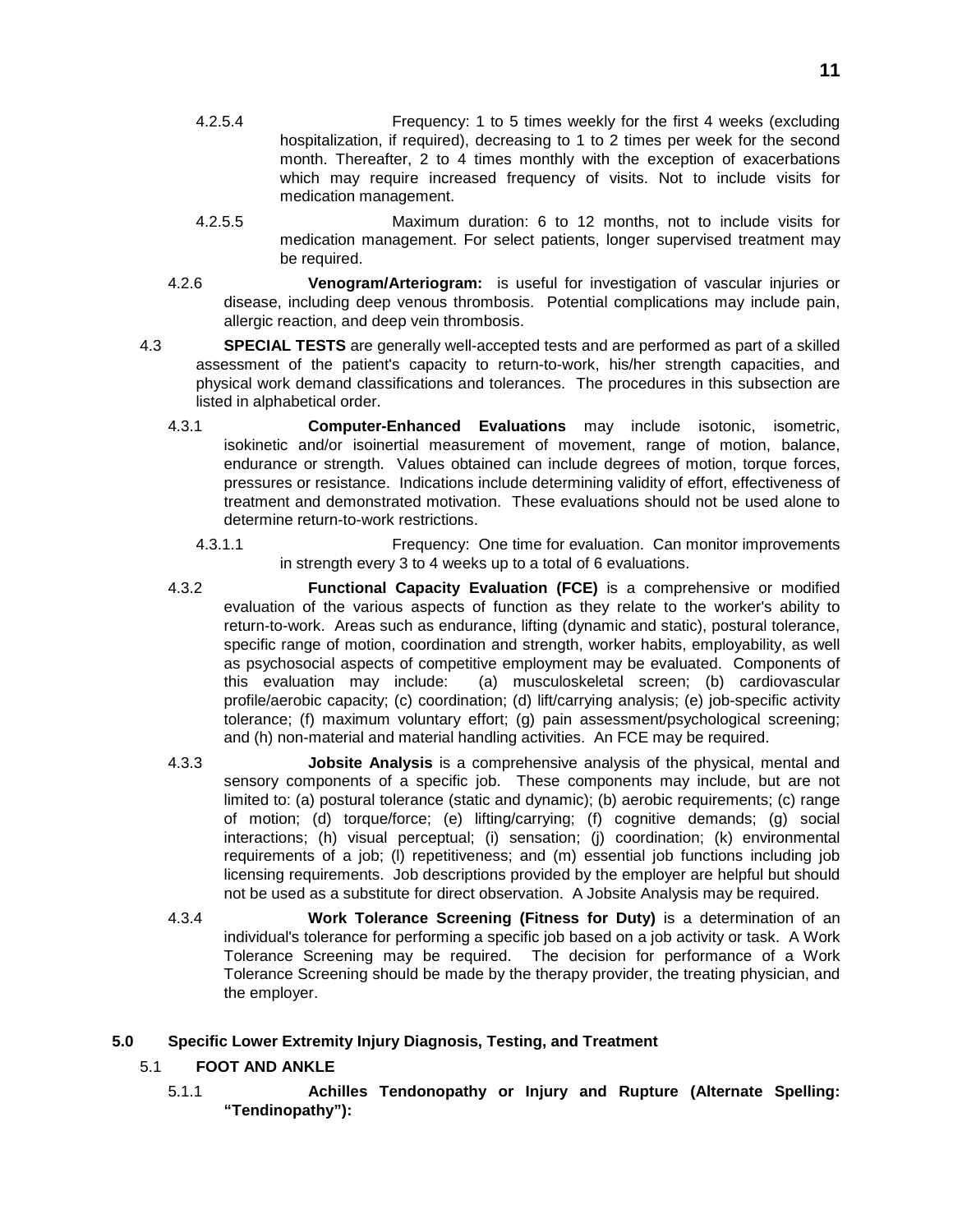- 4.2.5.4 Frequency: 1 to 5 times weekly for the first 4 weeks (excluding hospitalization, if required), decreasing to 1 to 2 times per week for the second month. Thereafter, 2 to 4 times monthly with the exception of exacerbations which may require increased frequency of visits. Not to include visits for medication management.
- 4.2.5.5 Maximum duration: 6 to 12 months, not to include visits for medication management. For select patients, longer supervised treatment may be required.
- 4.2.6 **Venogram/Arteriogram:** is useful for investigation of vascular injuries or disease, including deep venous thrombosis. Potential complications may include pain, allergic reaction, and deep vein thrombosis.
- 4.3 **SPECIAL TESTS** are generally well-accepted tests and are performed as part of a skilled assessment of the patient's capacity to return-to-work, his/her strength capacities, and physical work demand classifications and tolerances. The procedures in this subsection are listed in alphabetical order.
	- 4.3.1 **Computer-Enhanced Evaluations** may include isotonic, isometric, isokinetic and/or isoinertial measurement of movement, range of motion, balance, endurance or strength. Values obtained can include degrees of motion, torque forces, pressures or resistance. Indications include determining validity of effort, effectiveness of treatment and demonstrated motivation. These evaluations should not be used alone to determine return-to-work restrictions.
		- 4.3.1.1 Frequency: One time for evaluation. Can monitor improvements in strength every 3 to 4 weeks up to a total of 6 evaluations.
	- 4.3.2 **Functional Capacity Evaluation (FCE)** is a comprehensive or modified evaluation of the various aspects of function as they relate to the worker's ability to return-to-work. Areas such as endurance, lifting (dynamic and static), postural tolerance, specific range of motion, coordination and strength, worker habits, employability, as well as psychosocial aspects of competitive employment may be evaluated. Components of this evaluation may include: (a) musculoskeletal screen; (b) cardiovascular profile/aerobic capacity; (c) coordination; (d) lift/carrying analysis; (e) job-specific activity tolerance; (f) maximum voluntary effort; (g) pain assessment/psychological screening; and (h) non-material and material handling activities. An FCE may be required.
	- 4.3.3 **Jobsite Analysis** is a comprehensive analysis of the physical, mental and sensory components of a specific job. These components may include, but are not limited to: (a) postural tolerance (static and dynamic); (b) aerobic requirements; (c) range of motion; (d) torque/force; (e) lifting/carrying; (f) cognitive demands; (g) social interactions; (h) visual perceptual; (i) sensation; (j) coordination; (k) environmental requirements of a job; (l) repetitiveness; and (m) essential job functions including job licensing requirements. Job descriptions provided by the employer are helpful but should not be used as a substitute for direct observation. A Jobsite Analysis may be required.
	- 4.3.4 **Work Tolerance Screening (Fitness for Duty)** is a determination of an individual's tolerance for performing a specific job based on a job activity or task. A Work Tolerance Screening may be required. The decision for performance of a Work Tolerance Screening should be made by the therapy provider, the treating physician, and the employer.

# **5.0 Specific Lower Extremity Injury Diagnosis, Testing, and Treatment**

# 5.1 **FOOT AND ANKLE**

5.1.1 **Achilles Tendonopathy or Injury and Rupture (Alternate Spelling: "Tendinopathy"):**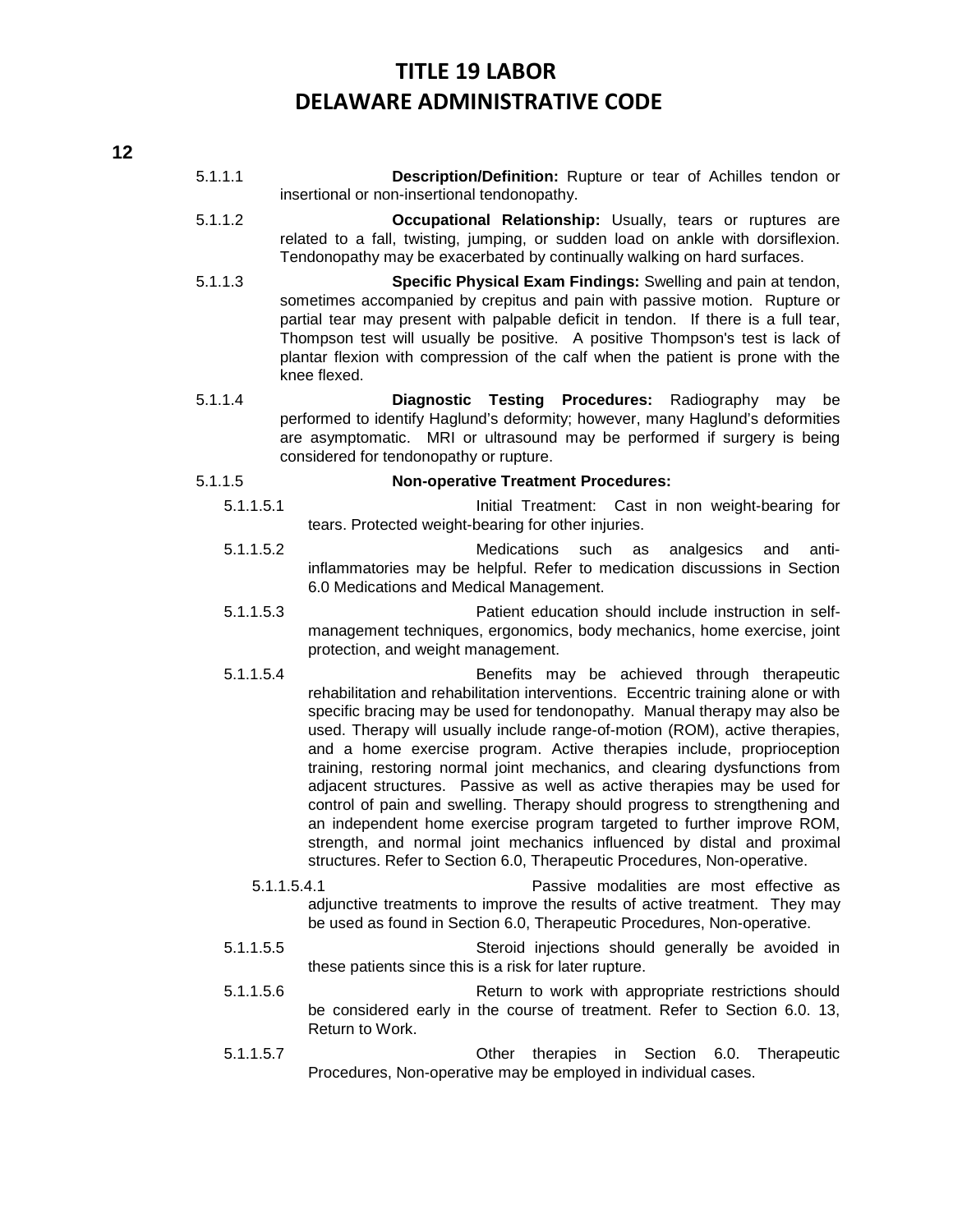- 5.1.1.1 **Description/Definition:** Rupture or tear of Achilles tendon or insertional or non-insertional tendonopathy.
- 5.1.1.2 **Occupational Relationship:** Usually, tears or ruptures are related to a fall, twisting, jumping, or sudden load on ankle with dorsiflexion. Tendonopathy may be exacerbated by continually walking on hard surfaces.
- 5.1.1.3 **Specific Physical Exam Findings:** Swelling and pain at tendon, sometimes accompanied by crepitus and pain with passive motion. Rupture or partial tear may present with palpable deficit in tendon. If there is a full tear, Thompson test will usually be positive. A positive Thompson's test is lack of plantar flexion with compression of the calf when the patient is prone with the knee flexed.
- 5.1.1.4 **Diagnostic Testing Procedures:** Radiography may be performed to identify Haglund's deformity; however, many Haglund's deformities are asymptomatic. MRI or ultrasound may be performed if surgery is being considered for tendonopathy or rupture.

#### 5.1.1.5 **Non-operative Treatment Procedures:**

- 5.1.1.5.1 Initial Treatment: Cast in non weight-bearing for tears. Protected weight-bearing for other injuries.
- 5.1.1.5.2 Medications such as analgesics and antiinflammatories may be helpful. Refer to medication discussions in Section 6.0 Medications and Medical Management.
- 5.1.1.5.3 Patient education should include instruction in selfmanagement techniques, ergonomics, body mechanics, home exercise, joint protection, and weight management.
- 5.1.1.5.4 Benefits may be achieved through therapeutic rehabilitation and rehabilitation interventions. Eccentric training alone or with specific bracing may be used for tendonopathy. Manual therapy may also be used. Therapy will usually include range-of-motion (ROM), active therapies, and a home exercise program. Active therapies include, proprioception training, restoring normal joint mechanics, and clearing dysfunctions from adjacent structures. Passive as well as active therapies may be used for control of pain and swelling. Therapy should progress to strengthening and an independent home exercise program targeted to further improve ROM, strength, and normal joint mechanics influenced by distal and proximal structures. Refer to Section 6.0, Therapeutic Procedures, Non-operative.
	- 5.1.1.5.4.1 Passive modalities are most effective as adjunctive treatments to improve the results of active treatment. They may be used as found in Section 6.0, Therapeutic Procedures, Non-operative.
- 5.1.1.5.5 Steroid injections should generally be avoided in these patients since this is a risk for later rupture.
- 5.1.1.5.6 Return to work with appropriate restrictions should be considered early in the course of treatment. Refer to Section 6.0. 13, Return to Work.
- 5.1.1.5.7 Other therapies in Section 6.0. Therapeutic Procedures, Non-operative may be employed in individual cases.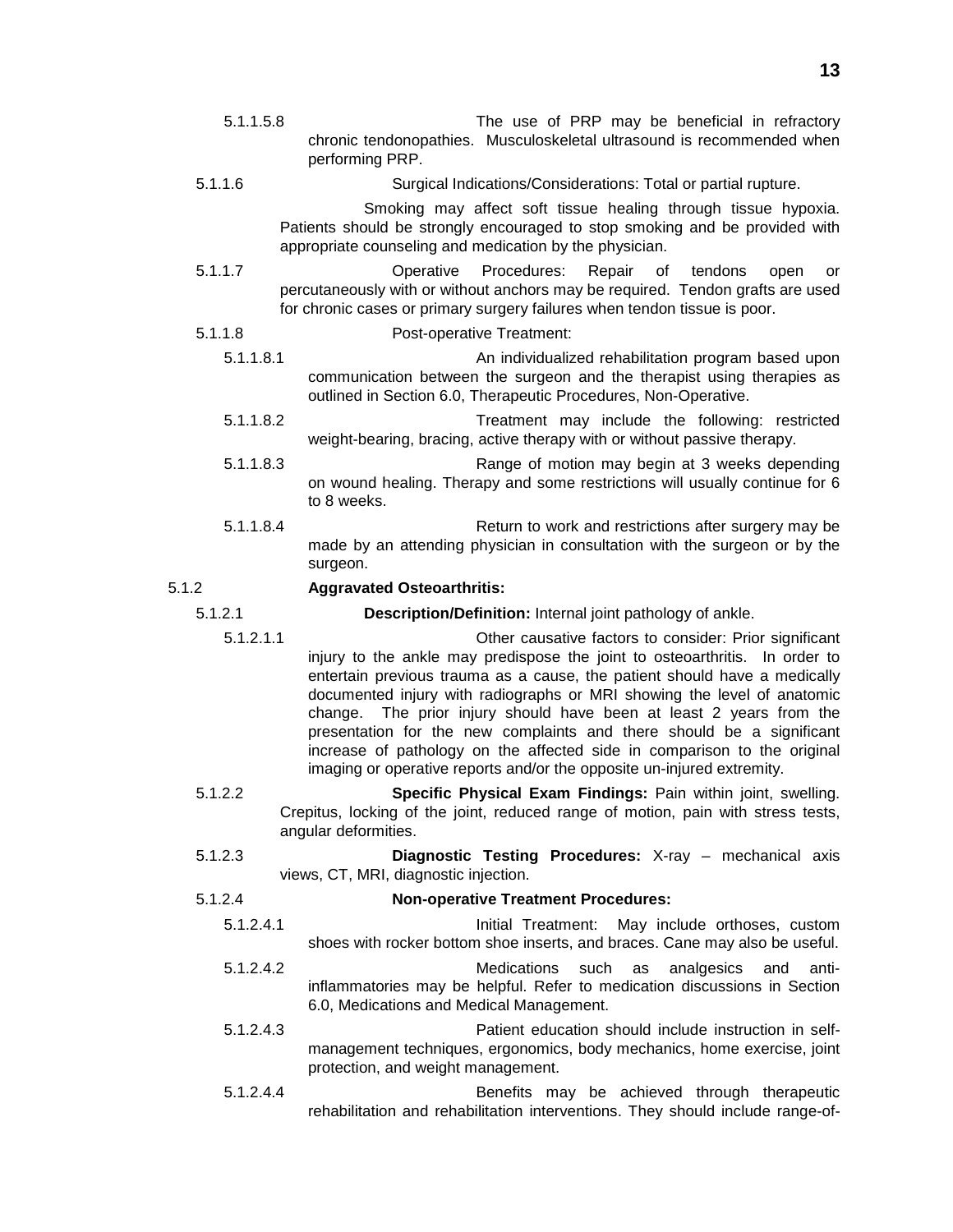- 5.1.1.5.8 The use of PRP may be beneficial in refractory chronic tendonopathies. Musculoskeletal ultrasound is recommended when performing PRP.
- 5.1.1.6 Surgical Indications/Considerations: Total or partial rupture.

Smoking may affect soft tissue healing through tissue hypoxia. Patients should be strongly encouraged to stop smoking and be provided with appropriate counseling and medication by the physician.

- 5.1.1.7 Operative Procedures: Repair of tendons open or percutaneously with or without anchors may be required. Tendon grafts are used for chronic cases or primary surgery failures when tendon tissue is poor.
- 5.1.1.8 Post-operative Treatment:
	- 5.1.1.8.1 An individualized rehabilitation program based upon communication between the surgeon and the therapist using therapies as outlined in Section 6.0, Therapeutic Procedures, Non-Operative.
	- 5.1.1.8.2 Treatment may include the following: restricted weight-bearing, bracing, active therapy with or without passive therapy.
	- 5.1.1.8.3 Range of motion may begin at 3 weeks depending on wound healing. Therapy and some restrictions will usually continue for 6 to 8 weeks.
	- 5.1.1.8.4 Return to work and restrictions after surgery may be made by an attending physician in consultation with the surgeon or by the surgeon.

### 5.1.2 **Aggravated Osteoarthritis:**

- 5.1.2.1 **Description/Definition:** Internal joint pathology of ankle.
	- 5.1.2.1.1 Other causative factors to consider: Prior significant injury to the ankle may predispose the joint to osteoarthritis. In order to entertain previous trauma as a cause, the patient should have a medically documented injury with radiographs or MRI showing the level of anatomic change. The prior injury should have been at least 2 years from the presentation for the new complaints and there should be a significant increase of pathology on the affected side in comparison to the original imaging or operative reports and/or the opposite un-injured extremity.
	- 5.1.2.2 **Specific Physical Exam Findings:** Pain within joint, swelling. Crepitus, locking of the joint, reduced range of motion, pain with stress tests, angular deformities.
	- 5.1.2.3 **Diagnostic Testing Procedures:** X-ray mechanical axis views, CT, MRI, diagnostic injection.

### 5.1.2.4 **Non-operative Treatment Procedures:**

- 5.1.2.4.1 Initial Treatment: May include orthoses, custom shoes with rocker bottom shoe inserts, and braces. Cane may also be useful.
- 5.1.2.4.2 Medications such as analgesics and antiinflammatories may be helpful. Refer to medication discussions in Section 6.0, Medications and Medical Management.
- 5.1.2.4.3 Patient education should include instruction in selfmanagement techniques, ergonomics, body mechanics, home exercise, joint protection, and weight management.
- 5.1.2.4.4 Benefits may be achieved through therapeutic rehabilitation and rehabilitation interventions. They should include range-of-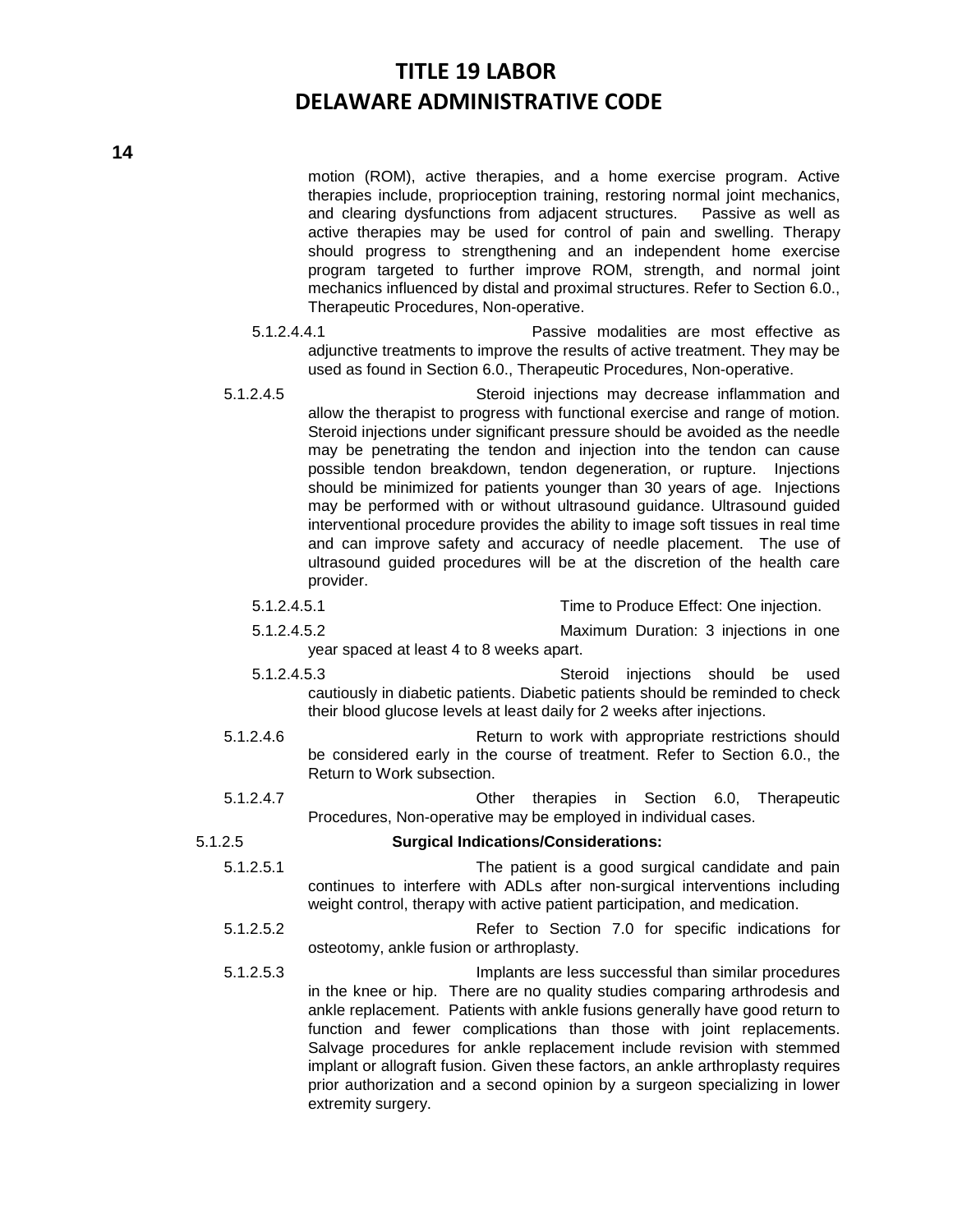motion (ROM), active therapies, and a home exercise program. Active therapies include, proprioception training, restoring normal joint mechanics, and clearing dysfunctions from adjacent structures. Passive as well as active therapies may be used for control of pain and swelling. Therapy should progress to strengthening and an independent home exercise program targeted to further improve ROM, strength, and normal joint mechanics influenced by distal and proximal structures. Refer to Section 6.0., Therapeutic Procedures, Non-operative.

- 5.1.2.4.4.1 Passive modalities are most effective as adjunctive treatments to improve the results of active treatment. They may be used as found in Section 6.0., Therapeutic Procedures, Non-operative.
- 5.1.2.4.5 Steroid injections may decrease inflammation and allow the therapist to progress with functional exercise and range of motion. Steroid injections under significant pressure should be avoided as the needle may be penetrating the tendon and injection into the tendon can cause possible tendon breakdown, tendon degeneration, or rupture. Injections should be minimized for patients younger than 30 years of age. Injections may be performed with or without ultrasound guidance. Ultrasound guided interventional procedure provides the ability to image soft tissues in real time and can improve safety and accuracy of needle placement. The use of ultrasound guided procedures will be at the discretion of the health care provider.
	- 5.1.2.4.5.1 Time to Produce Effect: One injection.
	- 5.1.2.4.5.2 Maximum Duration: 3 injections in one year spaced at least 4 to 8 weeks apart.
	- 5.1.2.4.5.3 Steroid injections should be used cautiously in diabetic patients. Diabetic patients should be reminded to check their blood glucose levels at least daily for 2 weeks after injections.
- 5.1.2.4.6 Return to work with appropriate restrictions should be considered early in the course of treatment. Refer to Section 6.0., the Return to Work subsection.
- 5.1.2.4.7 Other therapies in Section 6.0, Therapeutic Procedures, Non-operative may be employed in individual cases.
- 5.1.2.5 **Surgical Indications/Considerations:**
	- 5.1.2.5.1 The patient is a good surgical candidate and pain continues to interfere with ADLs after non-surgical interventions including weight control, therapy with active patient participation, and medication.
	- 5.1.2.5.2 Refer to Section 7.0 for specific indications for osteotomy, ankle fusion or arthroplasty.
	- 5.1.2.5.3 Implants are less successful than similar procedures in the knee or hip. There are no quality studies comparing arthrodesis and ankle replacement. Patients with ankle fusions generally have good return to function and fewer complications than those with joint replacements. Salvage procedures for ankle replacement include revision with stemmed implant or allograft fusion. Given these factors, an ankle arthroplasty requires prior authorization and a second opinion by a surgeon specializing in lower extremity surgery.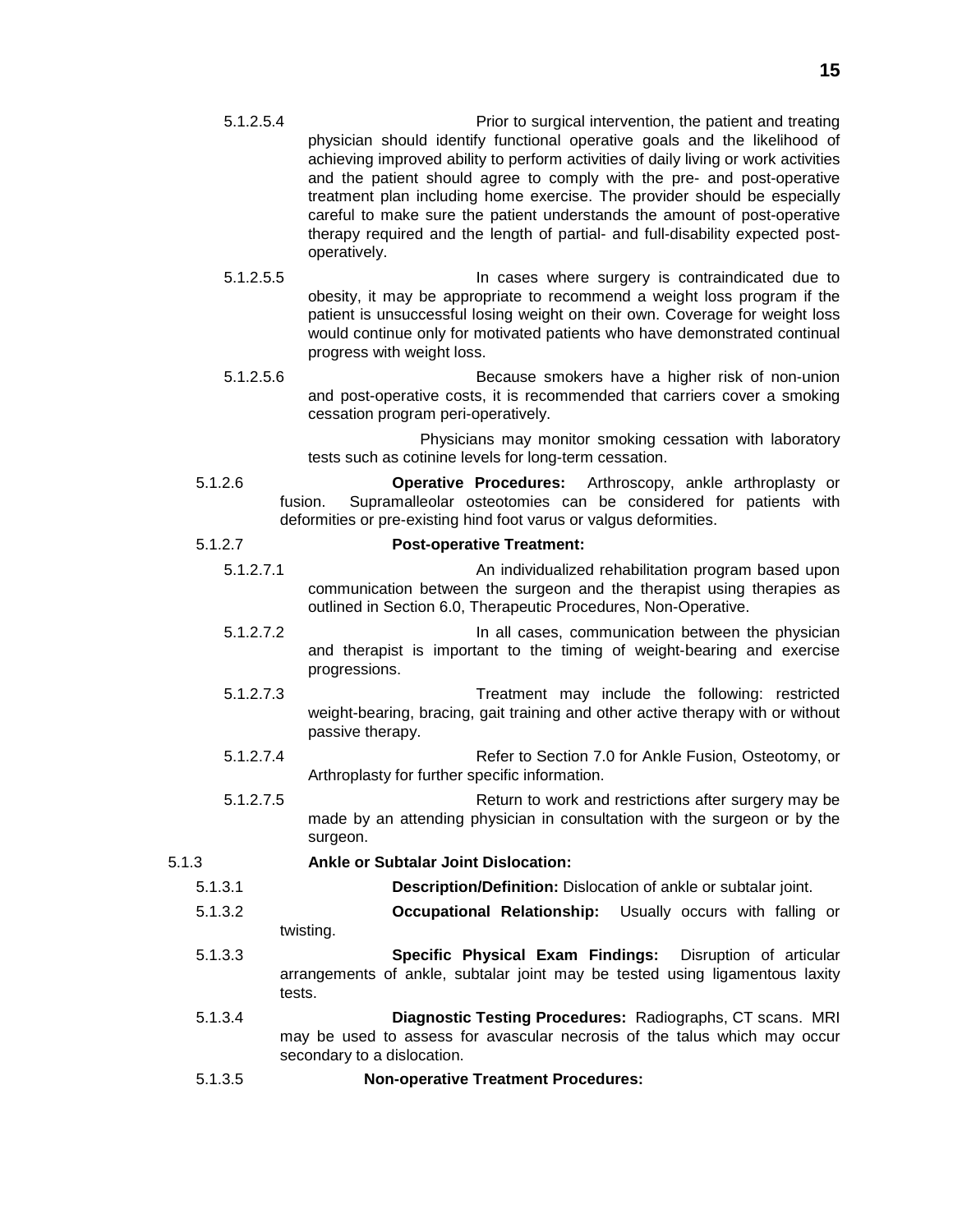- 5.1.2.5.4 Prior to surgical intervention, the patient and treating physician should identify functional operative goals and the likelihood of achieving improved ability to perform activities of daily living or work activities and the patient should agree to comply with the pre- and post-operative treatment plan including home exercise. The provider should be especially careful to make sure the patient understands the amount of post-operative therapy required and the length of partial- and full-disability expected postoperatively.
- 5.1.2.5.5 In cases where surgery is contraindicated due to obesity, it may be appropriate to recommend a weight loss program if the patient is unsuccessful losing weight on their own. Coverage for weight loss would continue only for motivated patients who have demonstrated continual progress with weight loss.
- 5.1.2.5.6 Because smokers have a higher risk of non-union and post-operative costs, it is recommended that carriers cover a smoking cessation program peri-operatively.

Physicians may monitor smoking cessation with laboratory tests such as cotinine levels for long-term cessation.

5.1.2.6 **Operative Procedures:** Arthroscopy, ankle arthroplasty or fusion. Supramalleolar osteotomies can be considered for patients with deformities or pre-existing hind foot varus or valgus deformities.

### 5.1.2.7 **Post-operative Treatment:**

- 5.1.2.7.1 An individualized rehabilitation program based upon communication between the surgeon and the therapist using therapies as outlined in Section 6.0, Therapeutic Procedures, Non-Operative.
- 5.1.2.7.2 In all cases, communication between the physician and therapist is important to the timing of weight-bearing and exercise progressions.
- 5.1.2.7.3 Treatment may include the following: restricted weight-bearing, bracing, gait training and other active therapy with or without passive therapy.
- 5.1.2.7.4 Refer to Section 7.0 for Ankle Fusion, Osteotomy, or Arthroplasty for further specific information.
- 5.1.2.7.5 Return to work and restrictions after surgery may be made by an attending physician in consultation with the surgeon or by the surgeon.

# 5.1.3 **Ankle or Subtalar Joint Dislocation:**

- 5.1.3.1 **Description/Definition:** Dislocation of ankle or subtalar joint.
- 5.1.3.2 **Occupational Relationship:** Usually occurs with falling or twisting.
- 5.1.3.3 **Specific Physical Exam Findings:** Disruption of articular arrangements of ankle, subtalar joint may be tested using ligamentous laxity tests.
- 5.1.3.4 **Diagnostic Testing Procedures:** Radiographs, CT scans. MRI may be used to assess for avascular necrosis of the talus which may occur secondary to a dislocation.
- 5.1.3.5 **Non-operative Treatment Procedures:**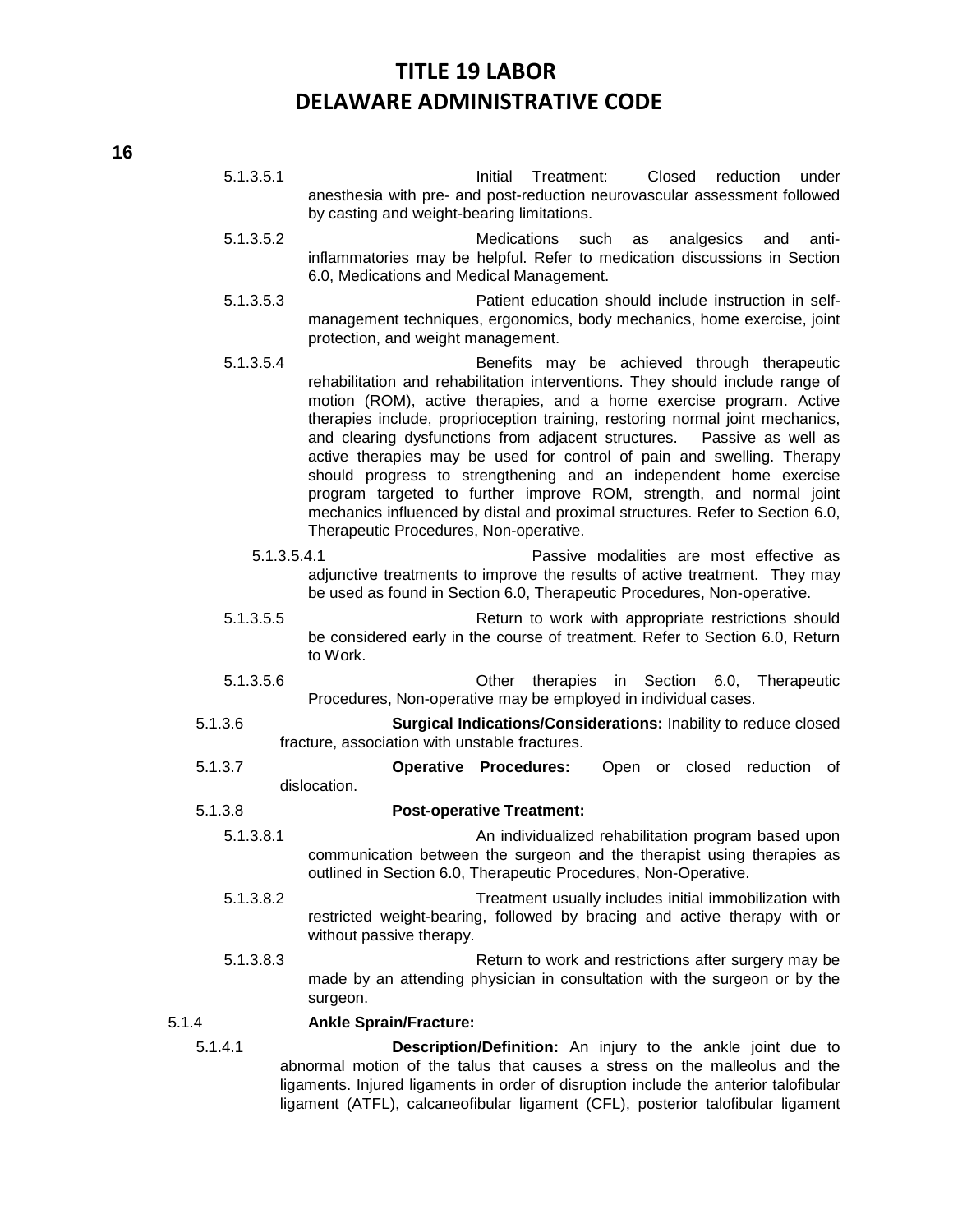5.1.3.5.1 Initial Treatment: Closed reduction under anesthesia with pre- and post-reduction neurovascular assessment followed by casting and weight-bearing limitations.

- 5.1.3.5.2 Medications such as analgesics and antiinflammatories may be helpful. Refer to medication discussions in Section 6.0, Medications and Medical Management.
- 5.1.3.5.3 Patient education should include instruction in selfmanagement techniques, ergonomics, body mechanics, home exercise, joint protection, and weight management.
- 5.1.3.5.4 Benefits may be achieved through therapeutic rehabilitation and rehabilitation interventions. They should include range of motion (ROM), active therapies, and a home exercise program. Active therapies include, proprioception training, restoring normal joint mechanics, and clearing dysfunctions from adjacent structures. Passive as well as active therapies may be used for control of pain and swelling. Therapy should progress to strengthening and an independent home exercise program targeted to further improve ROM, strength, and normal joint mechanics influenced by distal and proximal structures. Refer to Section 6.0, Therapeutic Procedures, Non-operative.
	- 5.1.3.5.4.1 Passive modalities are most effective as adjunctive treatments to improve the results of active treatment. They may be used as found in Section 6.0, Therapeutic Procedures, Non-operative.
- 5.1.3.5.5 Return to work with appropriate restrictions should be considered early in the course of treatment. Refer to Section 6.0, Return to Work.
- 5.1.3.5.6 Other therapies in Section 6.0, Therapeutic Procedures, Non-operative may be employed in individual cases.
- 5.1.3.6 **Surgical Indications/Considerations:** Inability to reduce closed fracture, association with unstable fractures.
- 5.1.3.7 **Operative Procedures:** Open or closed reduction of dislocation.
- 5.1.3.8 **Post-operative Treatment:**
	- 5.1.3.8.1 An individualized rehabilitation program based upon communication between the surgeon and the therapist using therapies as outlined in Section 6.0, Therapeutic Procedures, Non-Operative.
	- 5.1.3.8.2 Treatment usually includes initial immobilization with restricted weight-bearing, followed by bracing and active therapy with or without passive therapy.
	- 5.1.3.8.3 Return to work and restrictions after surgery may be made by an attending physician in consultation with the surgeon or by the surgeon.

#### 5.1.4 **Ankle Sprain/Fracture:**

5.1.4.1 **Description/Definition:** An injury to the ankle joint due to abnormal motion of the talus that causes a stress on the malleolus and the ligaments. Injured ligaments in order of disruption include the anterior talofibular ligament (ATFL), calcaneofibular ligament (CFL), posterior talofibular ligament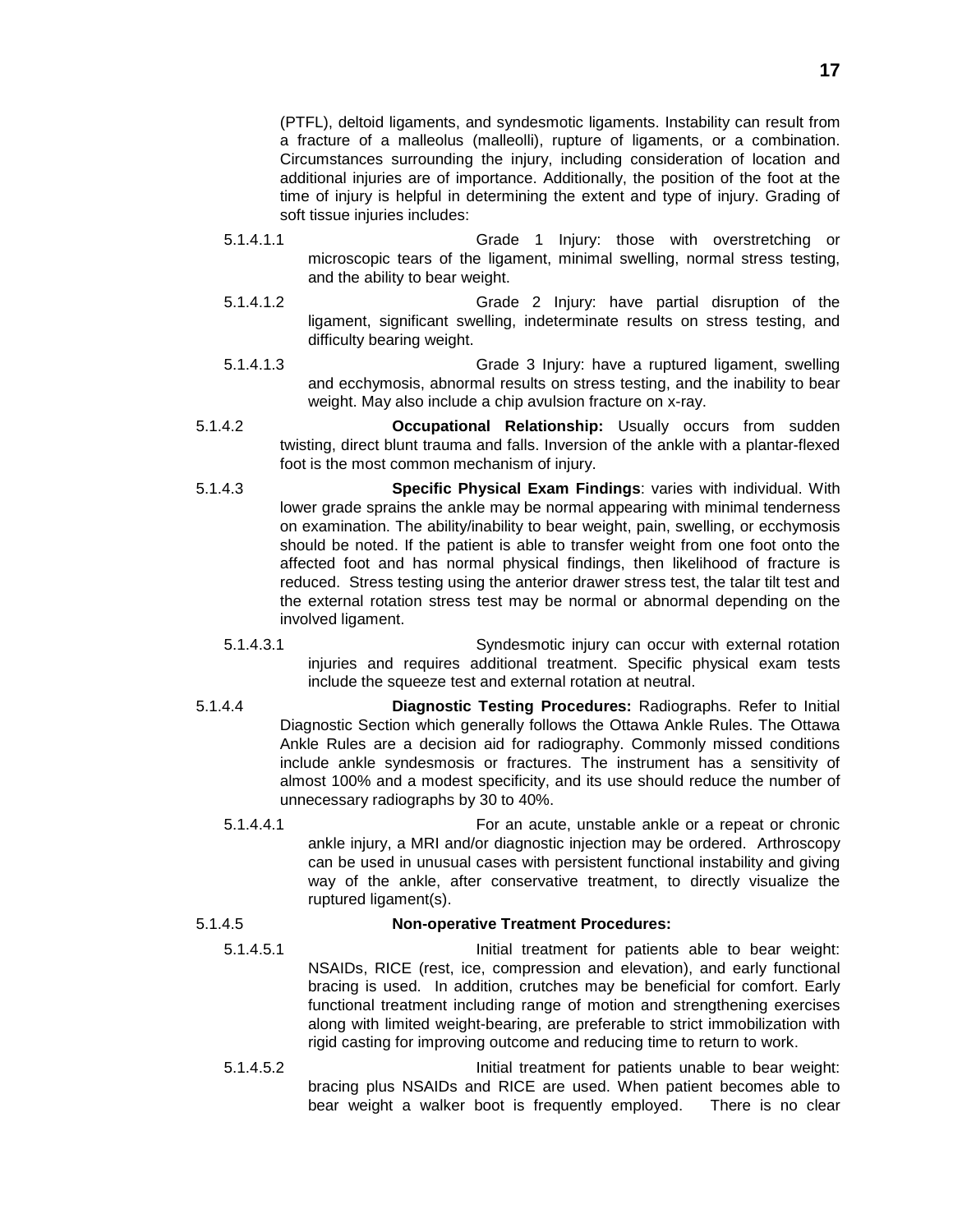(PTFL), deltoid ligaments, and syndesmotic ligaments. Instability can result from a fracture of a malleolus (malleolli), rupture of ligaments, or a combination. Circumstances surrounding the injury, including consideration of location and additional injuries are of importance. Additionally, the position of the foot at the time of injury is helpful in determining the extent and type of injury. Grading of soft tissue injuries includes:

- 5.1.4.1.1 Grade 1 Injury: those with overstretching or microscopic tears of the ligament, minimal swelling, normal stress testing, and the ability to bear weight.
- 5.1.4.1.2 Grade 2 Injury: have partial disruption of the ligament, significant swelling, indeterminate results on stress testing, and difficulty bearing weight.
- 5.1.4.1.3 Grade 3 Injury: have a ruptured ligament, swelling and ecchymosis, abnormal results on stress testing, and the inability to bear weight. May also include a chip avulsion fracture on x-ray.
- 5.1.4.2 **Occupational Relationship:** Usually occurs from sudden twisting, direct blunt trauma and falls. Inversion of the ankle with a plantar-flexed foot is the most common mechanism of injury.
- 5.1.4.3 **Specific Physical Exam Findings**: varies with individual. With lower grade sprains the ankle may be normal appearing with minimal tenderness on examination. The ability/inability to bear weight, pain, swelling, or ecchymosis should be noted. If the patient is able to transfer weight from one foot onto the affected foot and has normal physical findings, then likelihood of fracture is reduced. Stress testing using the anterior drawer stress test, the talar tilt test and the external rotation stress test may be normal or abnormal depending on the involved ligament.
	- 5.1.4.3.1 Syndesmotic injury can occur with external rotation injuries and requires additional treatment. Specific physical exam tests include the squeeze test and external rotation at neutral.
- 5.1.4.4 **Diagnostic Testing Procedures:** Radiographs. Refer to Initial Diagnostic Section which generally follows the Ottawa Ankle Rules. The Ottawa Ankle Rules are a decision aid for radiography. Commonly missed conditions include ankle syndesmosis or fractures. The instrument has a sensitivity of almost 100% and a modest specificity, and its use should reduce the number of unnecessary radiographs by 30 to 40%.
	- 5.1.4.4.1 For an acute, unstable ankle or a repeat or chronic ankle injury, a MRI and/or diagnostic injection may be ordered. Arthroscopy can be used in unusual cases with persistent functional instability and giving way of the ankle, after conservative treatment, to directly visualize the ruptured ligament(s).

### 5.1.4.5 **Non-operative Treatment Procedures:**

- 
- 5.1.4.5.1 Initial treatment for patients able to bear weight: NSAIDs, RICE (rest, ice, compression and elevation), and early functional bracing is used. In addition, crutches may be beneficial for comfort. Early functional treatment including range of motion and strengthening exercises along with limited weight-bearing, are preferable to strict immobilization with rigid casting for improving outcome and reducing time to return to work.
- 5.1.4.5.2 Initial treatment for patients unable to bear weight: bracing plus NSAIDs and RICE are used. When patient becomes able to bear weight a walker boot is frequently employed. There is no clear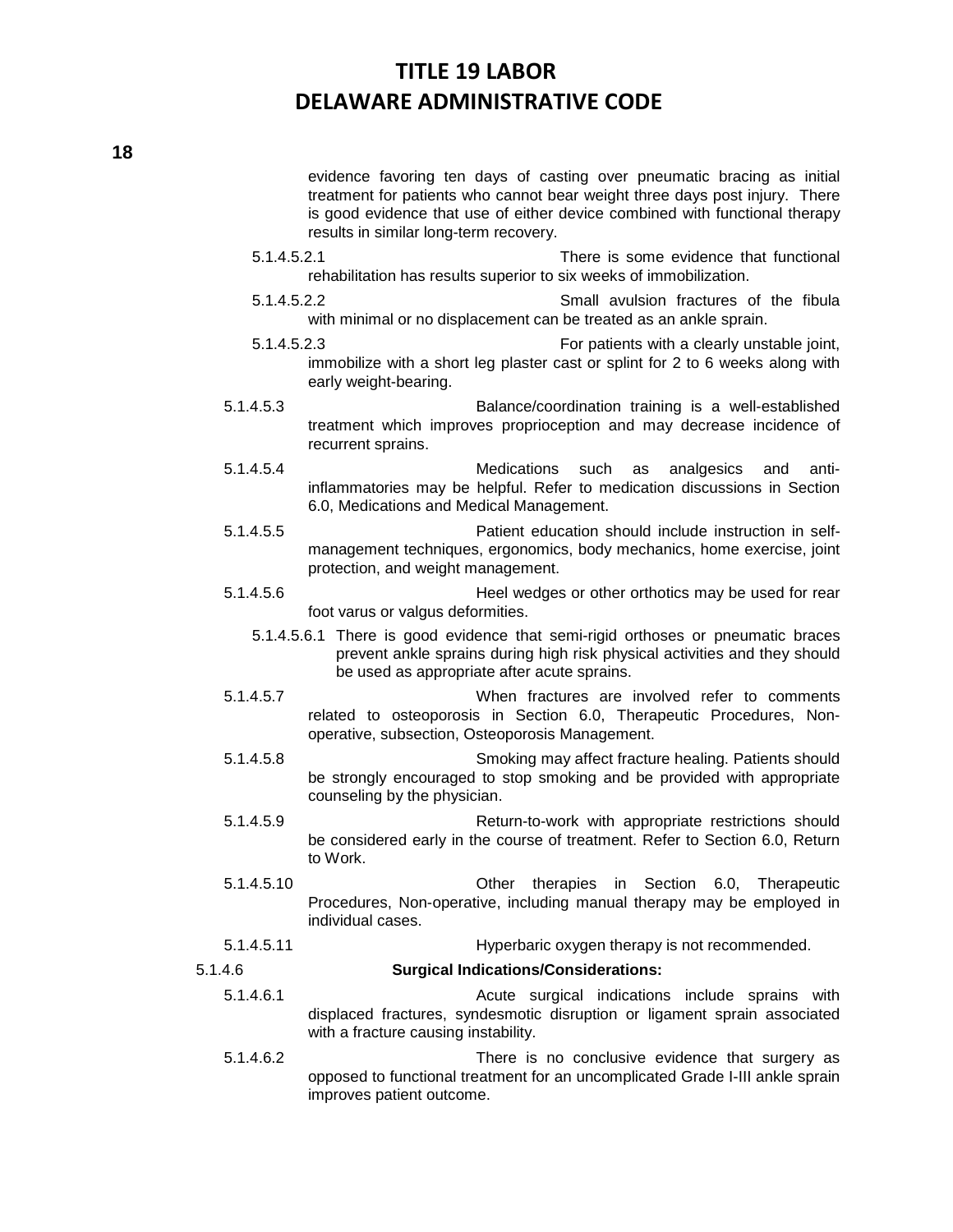evidence favoring ten days of casting over pneumatic bracing as initial treatment for patients who cannot bear weight three days post injury. There is good evidence that use of either device combined with functional therapy results in similar long-term recovery.

- 5.1.4.5.2.1 There is some evidence that functional rehabilitation has results superior to six weeks of immobilization.
- 5.1.4.5.2.2 Small avulsion fractures of the fibula with minimal or no displacement can be treated as an ankle sprain.
- 5.1.4.5.2.3 For patients with a clearly unstable joint, immobilize with a short leg plaster cast or splint for 2 to 6 weeks along with early weight-bearing.
- 5.1.4.5.3 Balance/coordination training is a well-established treatment which improves proprioception and may decrease incidence of recurrent sprains.
- 5.1.4.5.4 Medications such as analgesics and antiinflammatories may be helpful. Refer to medication discussions in Section 6.0, Medications and Medical Management.
- 5.1.4.5.5 Patient education should include instruction in selfmanagement techniques, ergonomics, body mechanics, home exercise, joint protection, and weight management.
- 5.1.4.5.6 Heel wedges or other orthotics may be used for rear foot varus or valgus deformities.
	- 5.1.4.5.6.1 There is good evidence that semi-rigid orthoses or pneumatic braces prevent ankle sprains during high risk physical activities and they should be used as appropriate after acute sprains.
- 5.1.4.5.7 When fractures are involved refer to comments related to osteoporosis in Section 6.0, Therapeutic Procedures, Nonoperative, subsection, Osteoporosis Management.
- 5.1.4.5.8 Smoking may affect fracture healing. Patients should be strongly encouraged to stop smoking and be provided with appropriate counseling by the physician.
- 5.1.4.5.9 Return-to-work with appropriate restrictions should be considered early in the course of treatment. Refer to Section 6.0, Return to Work.
- 5.1.4.5.10 Other therapies in Section 6.0, Therapeutic Procedures, Non-operative, including manual therapy may be employed in individual cases.

### 5.1.4.5.11 Hyperbaric oxygen therapy is not recommended.

### 5.1.4.6 **Surgical Indications/Considerations:**

- 5.1.4.6.1 Acute surgical indications include sprains with displaced fractures, syndesmotic disruption or ligament sprain associated with a fracture causing instability.
- 5.1.4.6.2 There is no conclusive evidence that surgery as opposed to functional treatment for an uncomplicated Grade I-III ankle sprain improves patient outcome.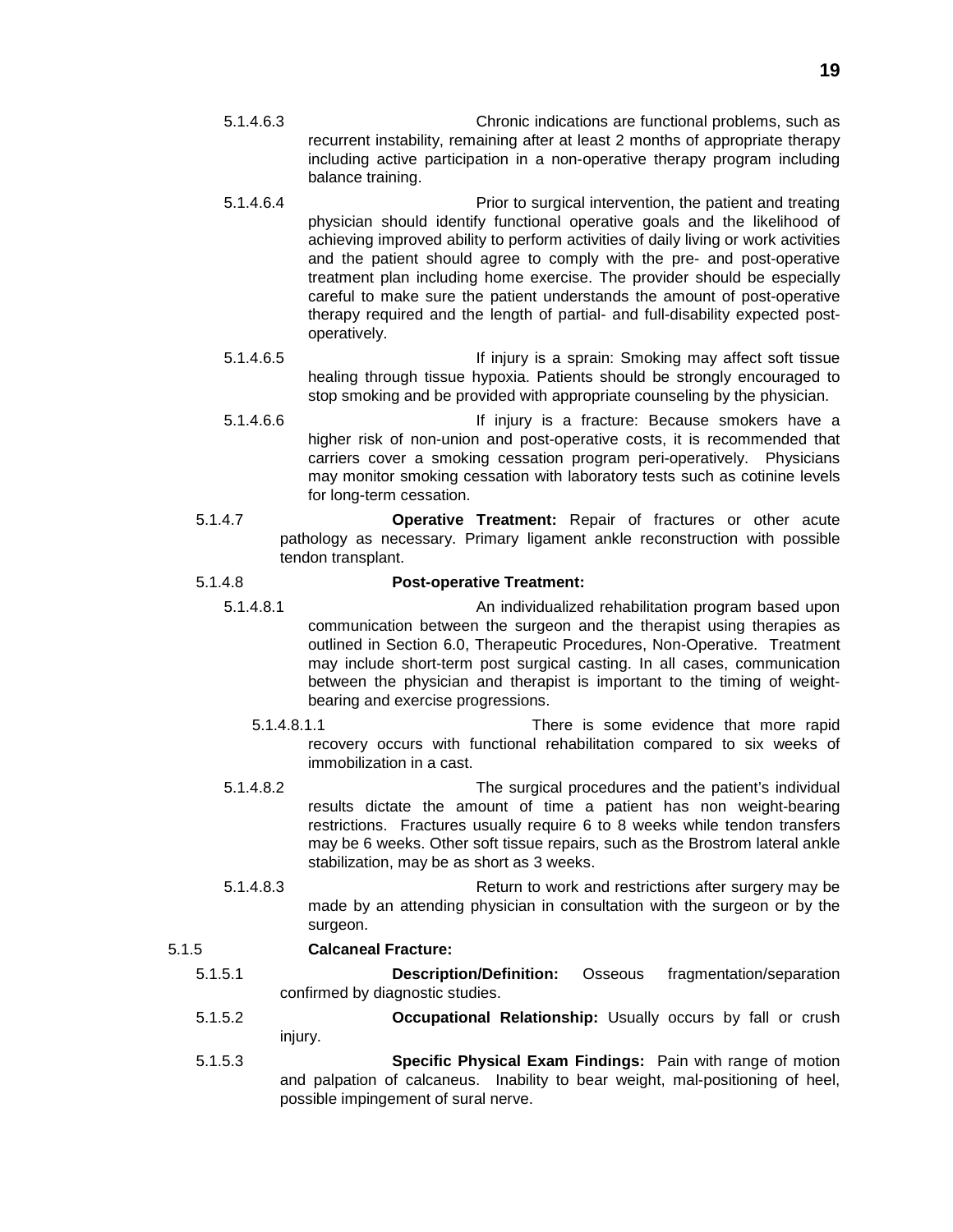- 5.1.4.6.3 Chronic indications are functional problems, such as recurrent instability, remaining after at least 2 months of appropriate therapy including active participation in a non-operative therapy program including balance training.
- 5.1.4.6.4 Prior to surgical intervention, the patient and treating physician should identify functional operative goals and the likelihood of achieving improved ability to perform activities of daily living or work activities and the patient should agree to comply with the pre- and post-operative treatment plan including home exercise. The provider should be especially careful to make sure the patient understands the amount of post-operative therapy required and the length of partial- and full-disability expected postoperatively.
- 5.1.4.6.5 **If injury is a sprain: Smoking may affect soft tissue** healing through tissue hypoxia. Patients should be strongly encouraged to stop smoking and be provided with appropriate counseling by the physician.
- 5.1.4.6.6 If injury is a fracture: Because smokers have a higher risk of non-union and post-operative costs, it is recommended that carriers cover a smoking cessation program peri-operatively. Physicians may monitor smoking cessation with laboratory tests such as cotinine levels for long-term cessation.
- 5.1.4.7 **Operative Treatment:** Repair of fractures or other acute pathology as necessary. Primary ligament ankle reconstruction with possible tendon transplant.

### 5.1.4.8 **Post-operative Treatment:**

- 5.1.4.8.1 An individualized rehabilitation program based upon communication between the surgeon and the therapist using therapies as outlined in Section 6.0, Therapeutic Procedures, Non-Operative. Treatment may include short-term post surgical casting. In all cases, communication between the physician and therapist is important to the timing of weightbearing and exercise progressions.
	- 5.1.4.8.1.1 There is some evidence that more rapid recovery occurs with functional rehabilitation compared to six weeks of immobilization in a cast.
	- 5.1.4.8.2 The surgical procedures and the patient's individual results dictate the amount of time a patient has non weight-bearing restrictions. Fractures usually require 6 to 8 weeks while tendon transfers may be 6 weeks. Other soft tissue repairs, such as the Brostrom lateral ankle stabilization, may be as short as 3 weeks.
	- 5.1.4.8.3 Return to work and restrictions after surgery may be made by an attending physician in consultation with the surgeon or by the surgeon.

# 5.1.5 **Calcaneal Fracture:**

- 5.1.5.1 **Description/Definition:** Osseous fragmentation/separation confirmed by diagnostic studies.
- 5.1.5.2 **Occupational Relationship:** Usually occurs by fall or crush injury.
- 5.1.5.3 **Specific Physical Exam Findings:** Pain with range of motion and palpation of calcaneus. Inability to bear weight, mal-positioning of heel, possible impingement of sural nerve.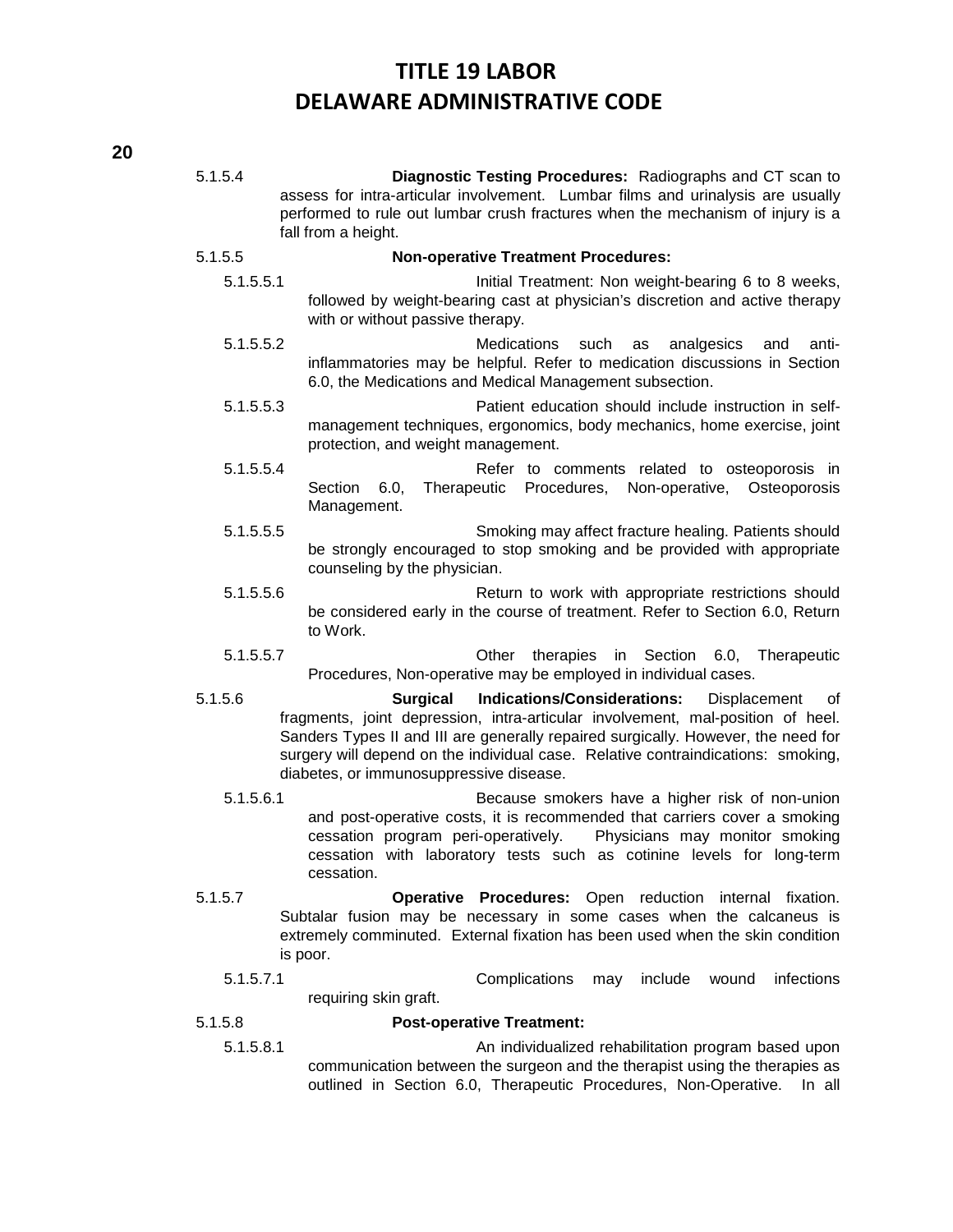| 5.1.5.4   | Diagnostic Testing Procedures: Radiographs and CT scan to<br>assess for intra-articular involvement. Lumbar films and urinalysis are usually                                                                                                                                                                                                                                       |
|-----------|------------------------------------------------------------------------------------------------------------------------------------------------------------------------------------------------------------------------------------------------------------------------------------------------------------------------------------------------------------------------------------|
|           | performed to rule out lumbar crush fractures when the mechanism of injury is a<br>fall from a height.                                                                                                                                                                                                                                                                              |
| 5.1.5.5   | <b>Non-operative Treatment Procedures:</b>                                                                                                                                                                                                                                                                                                                                         |
| 5.1.5.5.1 | Initial Treatment: Non weight-bearing 6 to 8 weeks,<br>followed by weight-bearing cast at physician's discretion and active therapy<br>with or without passive therapy.                                                                                                                                                                                                            |
| 5.1.5.5.2 | Medications<br>such<br>analgesics<br>anti-<br>and<br>as<br>inflammatories may be helpful. Refer to medication discussions in Section<br>6.0, the Medications and Medical Management subsection.                                                                                                                                                                                    |
| 5.1.5.5.3 | Patient education should include instruction in self-<br>management techniques, ergonomics, body mechanics, home exercise, joint<br>protection, and weight management.                                                                                                                                                                                                             |
| 5.1.5.5.4 | Refer to comments related to osteoporosis in<br>Procedures,<br>Section<br>6.0,<br>Therapeutic<br>Non-operative,<br>Osteoporosis<br>Management.                                                                                                                                                                                                                                     |
| 5.1.5.5.5 | Smoking may affect fracture healing. Patients should<br>be strongly encouraged to stop smoking and be provided with appropriate<br>counseling by the physician.                                                                                                                                                                                                                    |
| 5.1.5.5.6 | Return to work with appropriate restrictions should<br>be considered early in the course of treatment. Refer to Section 6.0, Return<br>to Work.                                                                                                                                                                                                                                    |
| 5.1.5.5.7 | in Section<br>Other<br>therapies<br>6.0,<br>Therapeutic<br>Procedures, Non-operative may be employed in individual cases.                                                                                                                                                                                                                                                          |
| 5.1.5.6   | <b>Surgical</b><br><b>Indications/Considerations:</b><br>Displacement<br>0f<br>fragments, joint depression, intra-articular involvement, mal-position of heel.<br>Sanders Types II and III are generally repaired surgically. However, the need for<br>surgery will depend on the individual case. Relative contraindications: smoking,<br>diabetes, or immunosuppressive disease. |
| 5.1.5.6.1 | Because smokers have a higher risk of non-union<br>and post-operative costs, it is recommended that carriers cover a smoking<br>cessation program peri-operatively.<br>Physicians may monitor smoking<br>cessation with laboratory tests such as cotinine levels for long-term<br>cessation.                                                                                       |
| 5.1.5.7   | Operative Procedures: Open reduction internal fixation.<br>Subtalar fusion may be necessary in some cases when the calcaneus is<br>extremely comminuted. External fixation has been used when the skin condition<br>is poor.                                                                                                                                                       |
| 5.1.5.7.1 | Complications<br>infections<br>include<br>may<br>wound<br>requiring skin graft.                                                                                                                                                                                                                                                                                                    |
| 5.1.5.8   | <b>Post-operative Treatment:</b>                                                                                                                                                                                                                                                                                                                                                   |

5.1.5.8.1 An individualized rehabilitation program based upon communication between the surgeon and the therapist using the therapies as outlined in Section 6.0, Therapeutic Procedures, Non-Operative. In all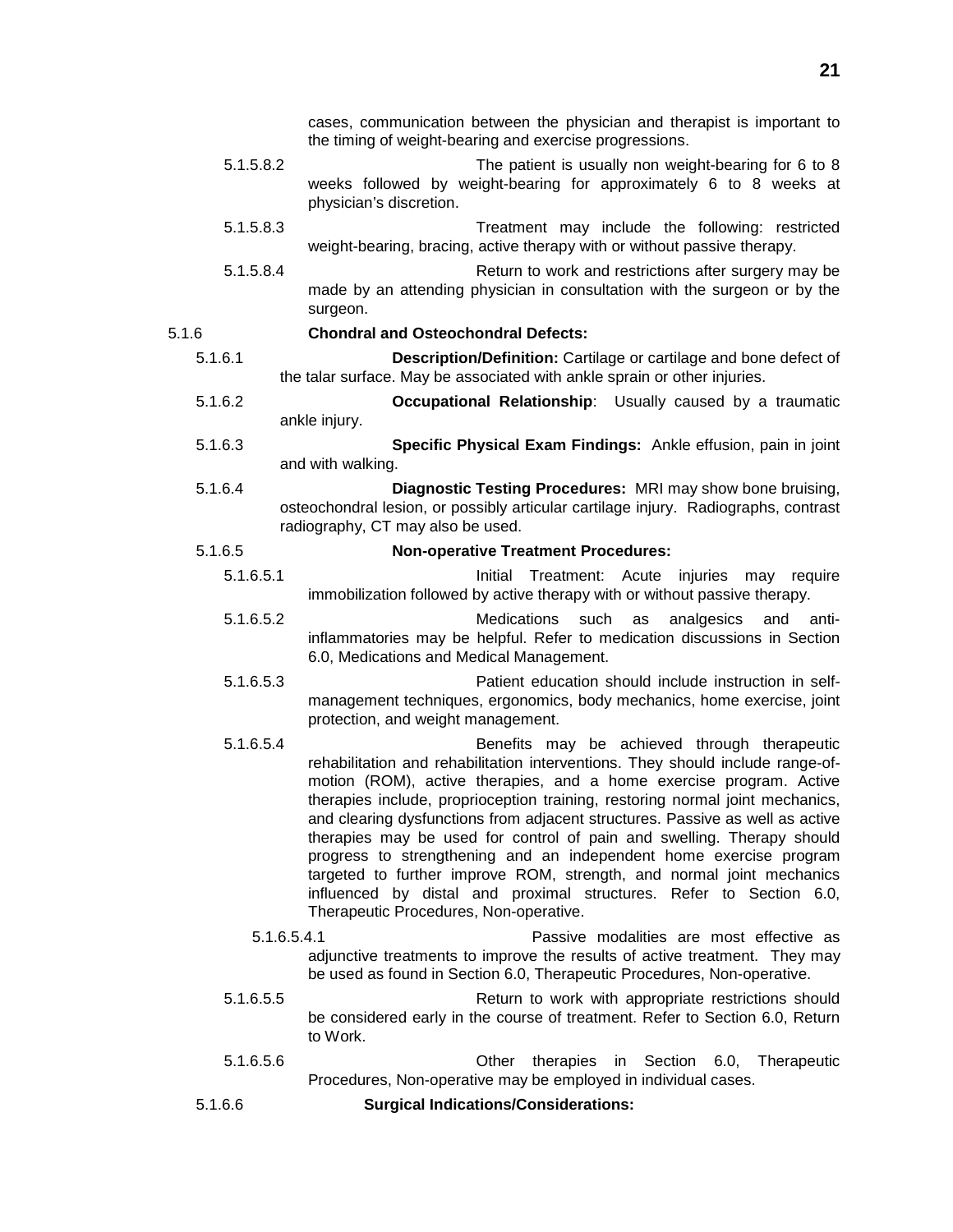cases, communication between the physician and therapist is important to the timing of weight-bearing and exercise progressions.

- 5.1.5.8.2 The patient is usually non weight-bearing for 6 to 8 weeks followed by weight-bearing for approximately 6 to 8 weeks at physician's discretion.
- 5.1.5.8.3 Treatment may include the following: restricted weight-bearing, bracing, active therapy with or without passive therapy.
- 5.1.5.8.4 Return to work and restrictions after surgery may be made by an attending physician in consultation with the surgeon or by the surgeon.

### 5.1.6 **Chondral and Osteochondral Defects:**

- 5.1.6.1 **Description/Definition:** Cartilage or cartilage and bone defect of the talar surface. May be associated with ankle sprain or other injuries.
- 5.1.6.2 **Occupational Relationship**: Usually caused by a traumatic ankle injury.
- 5.1.6.3 **Specific Physical Exam Findings:** Ankle effusion, pain in joint and with walking.
- 5.1.6.4 **Diagnostic Testing Procedures:** MRI may show bone bruising, osteochondral lesion, or possibly articular cartilage injury. Radiographs, contrast radiography, CT may also be used.

### 5.1.6.5 **Non-operative Treatment Procedures:**

- 5.1.6.5.1 Initial Treatment: Acute injuries may require immobilization followed by active therapy with or without passive therapy.
- 5.1.6.5.2 Medications such as analgesics and antiinflammatories may be helpful. Refer to medication discussions in Section 6.0, Medications and Medical Management.
- 5.1.6.5.3 Patient education should include instruction in selfmanagement techniques, ergonomics, body mechanics, home exercise, joint protection, and weight management.
- 5.1.6.5.4 Benefits may be achieved through therapeutic rehabilitation and rehabilitation interventions. They should include range-ofmotion (ROM), active therapies, and a home exercise program. Active therapies include, proprioception training, restoring normal joint mechanics, and clearing dysfunctions from adjacent structures. Passive as well as active therapies may be used for control of pain and swelling. Therapy should progress to strengthening and an independent home exercise program targeted to further improve ROM, strength, and normal joint mechanics influenced by distal and proximal structures. Refer to Section 6.0, Therapeutic Procedures, Non-operative.
	- 5.1.6.5.4.1 Passive modalities are most effective as adjunctive treatments to improve the results of active treatment. They may be used as found in Section 6.0, Therapeutic Procedures, Non-operative.
- 5.1.6.5.5 Return to work with appropriate restrictions should be considered early in the course of treatment. Refer to Section 6.0, Return to Work.
- 5.1.6.5.6 Other therapies in Section 6.0, Therapeutic Procedures, Non-operative may be employed in individual cases.

5.1.6.6 **Surgical Indications/Considerations:**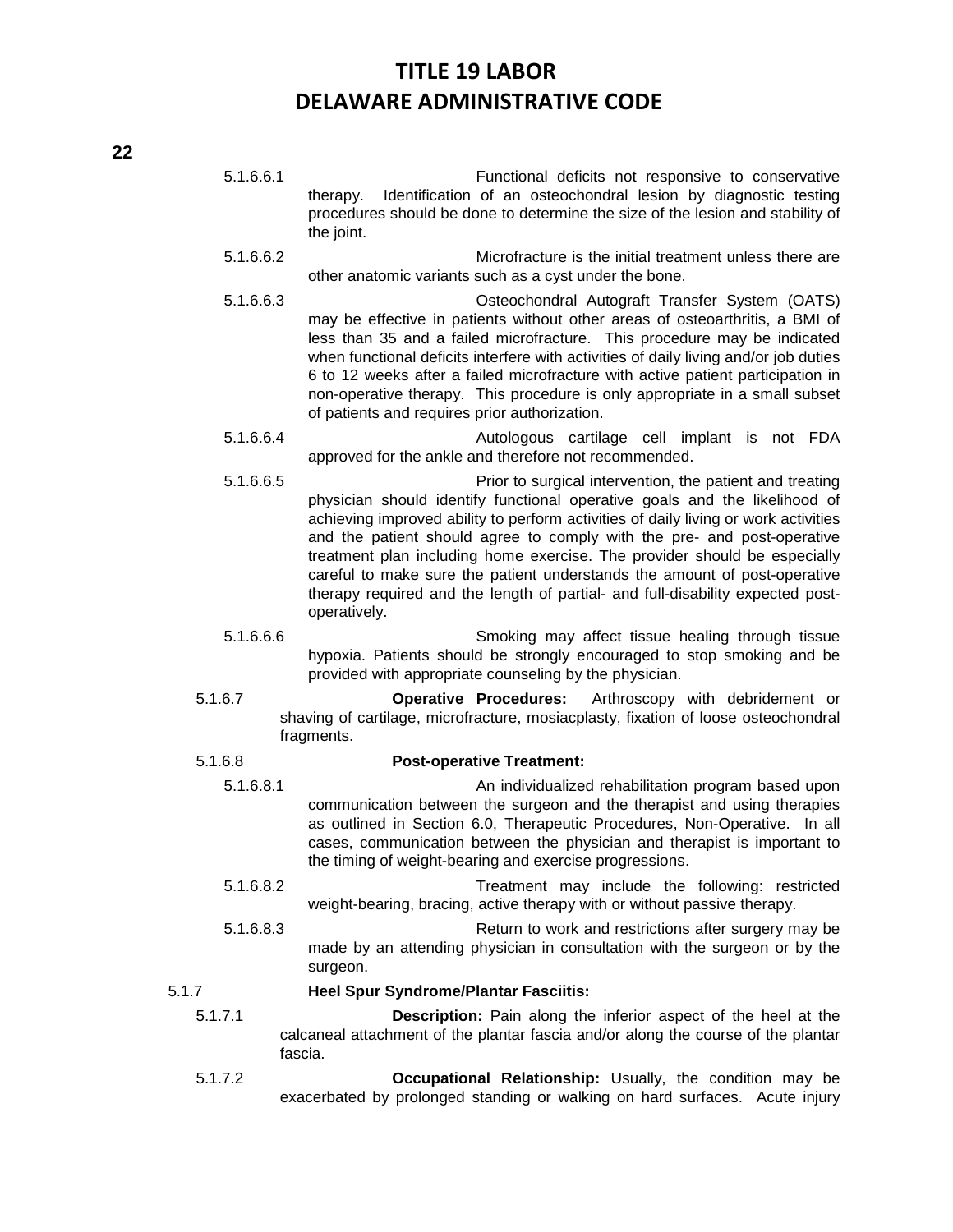- 5.1.6.6.1 Functional deficits not responsive to conservative therapy. Identification of an osteochondral lesion by diagnostic testing procedures should be done to determine the size of the lesion and stability of the joint.
- 5.1.6.6.2 Microfracture is the initial treatment unless there are other anatomic variants such as a cyst under the bone.
- 5.1.6.6.3 Osteochondral Autograft Transfer System (OATS) may be effective in patients without other areas of osteoarthritis, a BMI of less than 35 and a failed microfracture. This procedure may be indicated when functional deficits interfere with activities of daily living and/or job duties 6 to 12 weeks after a failed microfracture with active patient participation in non-operative therapy. This procedure is only appropriate in a small subset of patients and requires prior authorization.
- 5.1.6.6.4 Autologous cartilage cell implant is not FDA approved for the ankle and therefore not recommended.
- 5.1.6.6.5 Prior to surgical intervention, the patient and treating physician should identify functional operative goals and the likelihood of achieving improved ability to perform activities of daily living or work activities and the patient should agree to comply with the pre- and post-operative treatment plan including home exercise. The provider should be especially careful to make sure the patient understands the amount of post-operative therapy required and the length of partial- and full-disability expected postoperatively.
- 5.1.6.6.6 Smoking may affect tissue healing through tissue hypoxia. Patients should be strongly encouraged to stop smoking and be provided with appropriate counseling by the physician.
- 5.1.6.7 **Operative Procedures:** Arthroscopy with debridement or shaving of cartilage, microfracture, mosiacplasty, fixation of loose osteochondral fragments.

### 5.1.6.8 **Post-operative Treatment:**

- 5.1.6.8.1 An individualized rehabilitation program based upon communication between the surgeon and the therapist and using therapies as outlined in Section 6.0, Therapeutic Procedures, Non-Operative. In all cases, communication between the physician and therapist is important to the timing of weight-bearing and exercise progressions.
- 5.1.6.8.2 Treatment may include the following: restricted weight-bearing, bracing, active therapy with or without passive therapy.
- 5.1.6.8.3 Return to work and restrictions after surgery may be made by an attending physician in consultation with the surgeon or by the surgeon.

### 5.1.7 **Heel Spur Syndrome/Plantar Fasciitis:**

- 5.1.7.1 **Description:** Pain along the inferior aspect of the heel at the calcaneal attachment of the plantar fascia and/or along the course of the plantar fascia.
- 5.1.7.2 **Occupational Relationship:** Usually, the condition may be exacerbated by prolonged standing or walking on hard surfaces. Acute injury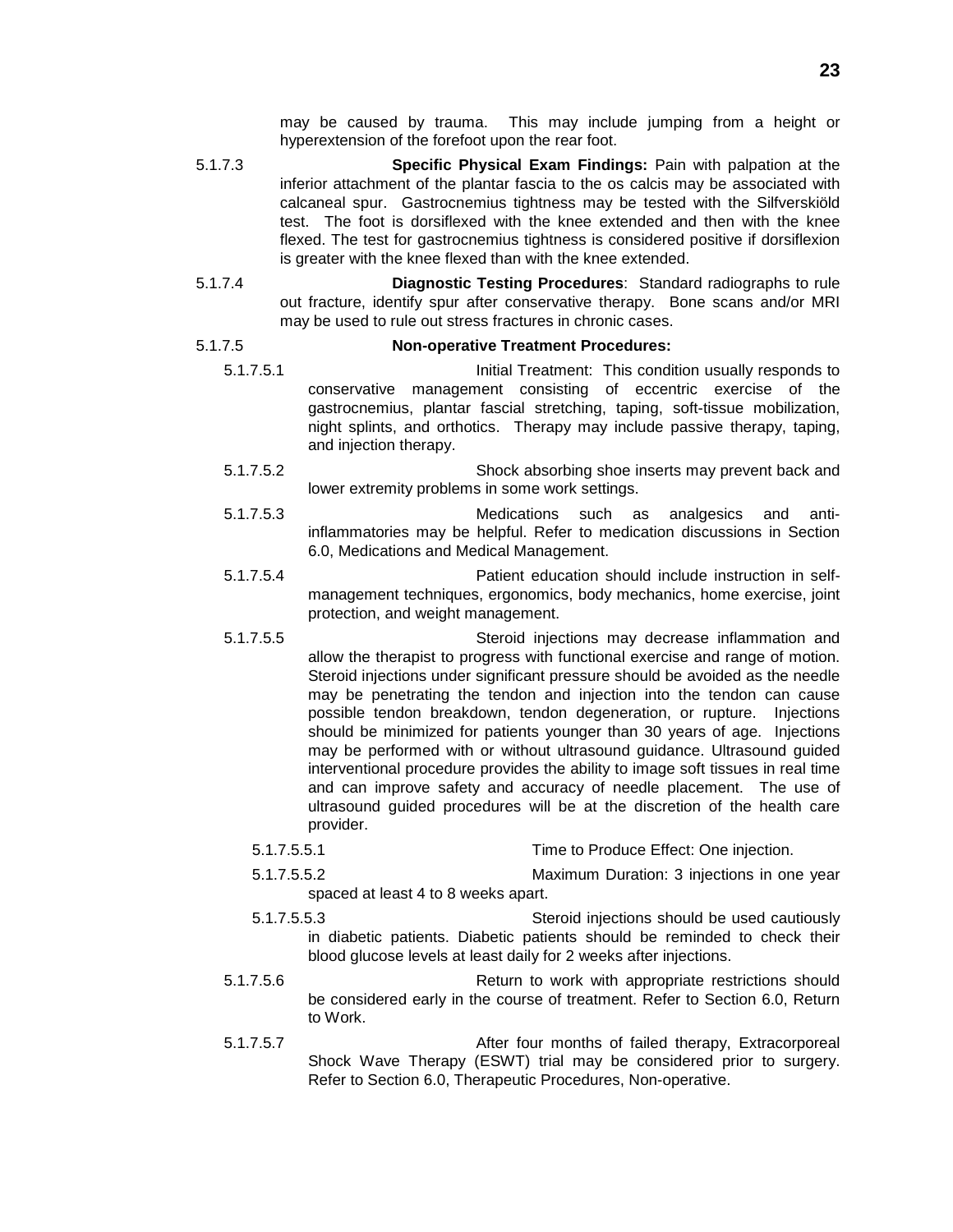- 5.1.7.3 **Specific Physical Exam Findings:** Pain with palpation at the inferior attachment of the plantar fascia to the os calcis may be associated with calcaneal spur. Gastrocnemius tightness may be tested with the Silfverskiöld test. The foot is dorsiflexed with the knee extended and then with the knee flexed. The test for gastrocnemius tightness is considered positive if dorsiflexion is greater with the knee flexed than with the knee extended.
- 5.1.7.4 **Diagnostic Testing Procedures**: Standard radiographs to rule out fracture, identify spur after conservative therapy. Bone scans and/or MRI may be used to rule out stress fractures in chronic cases.

### 5.1.7.5 **Non-operative Treatment Procedures:**

- 5.1.7.5.1 Initial Treatment: This condition usually responds to conservative management consisting of eccentric exercise of the gastrocnemius, plantar fascial stretching, taping, soft-tissue mobilization, night splints, and orthotics. Therapy may include passive therapy, taping, and injection therapy.
- 5.1.7.5.2 Shock absorbing shoe inserts may prevent back and lower extremity problems in some work settings.
- 5.1.7.5.3 Medications such as analgesics and antiinflammatories may be helpful. Refer to medication discussions in Section 6.0, Medications and Medical Management.
- 5.1.7.5.4 Patient education should include instruction in selfmanagement techniques, ergonomics, body mechanics, home exercise, joint protection, and weight management.
- 5.1.7.5.5 Steroid injections may decrease inflammation and allow the therapist to progress with functional exercise and range of motion. Steroid injections under significant pressure should be avoided as the needle may be penetrating the tendon and injection into the tendon can cause possible tendon breakdown, tendon degeneration, or rupture. Injections should be minimized for patients younger than 30 years of age. Injections may be performed with or without ultrasound guidance. Ultrasound guided interventional procedure provides the ability to image soft tissues in real time and can improve safety and accuracy of needle placement. The use of ultrasound guided procedures will be at the discretion of the health care provider.
	- 5.1.7.5.5.1 Time to Produce Effect: One injection.
	- 5.1.7.5.5.2 Maximum Duration: 3 injections in one year spaced at least 4 to 8 weeks apart.
	- 5.1.7.5.5.3 Steroid injections should be used cautiously in diabetic patients. Diabetic patients should be reminded to check their blood glucose levels at least daily for 2 weeks after injections.
- 5.1.7.5.6 Return to work with appropriate restrictions should be considered early in the course of treatment. Refer to Section 6.0, Return to Work.
- 5.1.7.5.7 After four months of failed therapy, Extracorporeal Shock Wave Therapy (ESWT) trial may be considered prior to surgery. Refer to Section 6.0, Therapeutic Procedures, Non-operative.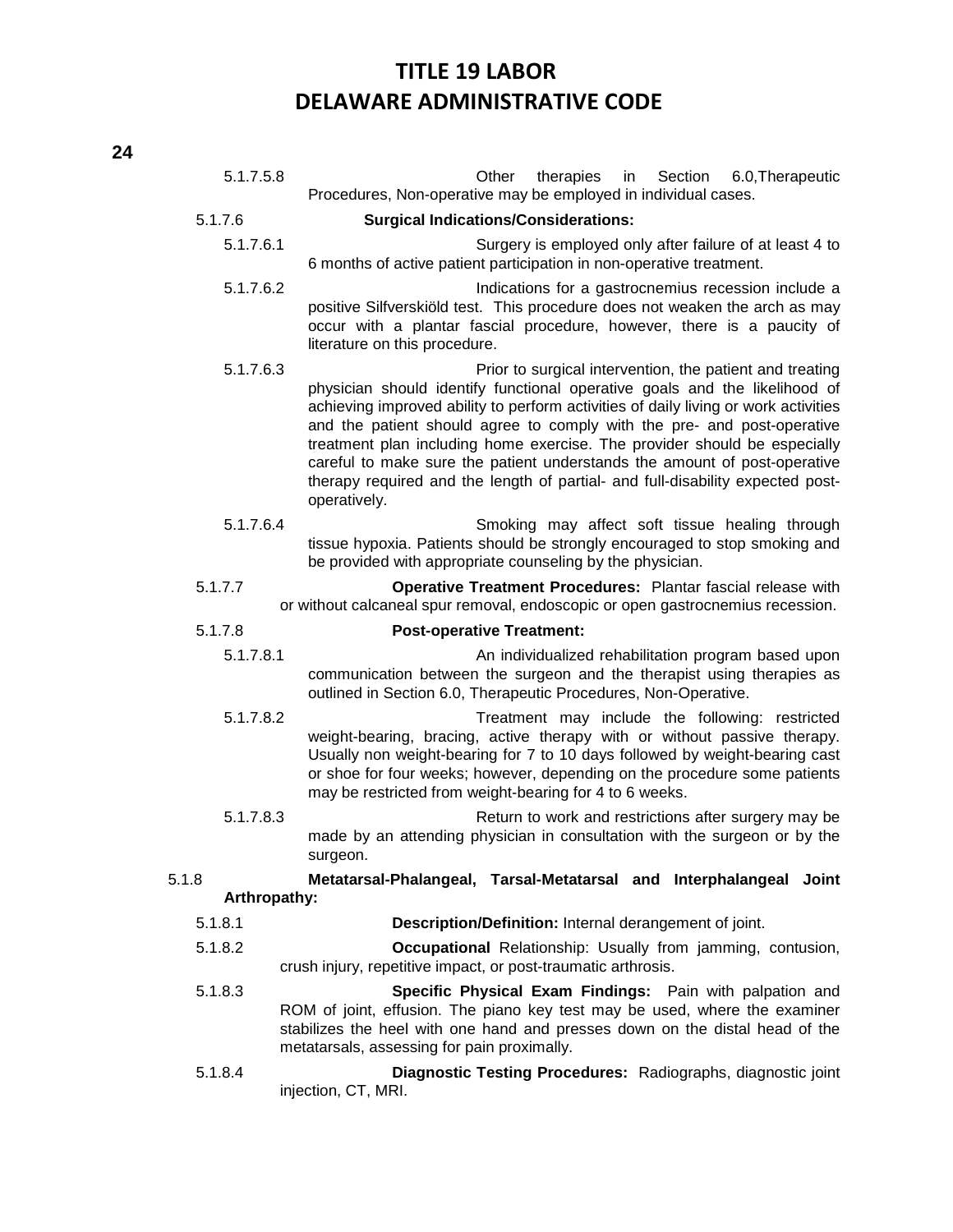| 5.1.7.5.8    | Other<br>therapies<br>Section<br>6.0, Therapeutic<br>in<br>Procedures, Non-operative may be employed in individual cases.                                                                                                                                                                                                                                                                                                                                                                                                                                            |
|--------------|----------------------------------------------------------------------------------------------------------------------------------------------------------------------------------------------------------------------------------------------------------------------------------------------------------------------------------------------------------------------------------------------------------------------------------------------------------------------------------------------------------------------------------------------------------------------|
| 5.1.7.6      | <b>Surgical Indications/Considerations:</b>                                                                                                                                                                                                                                                                                                                                                                                                                                                                                                                          |
| 5.1.7.6.1    | Surgery is employed only after failure of at least 4 to<br>6 months of active patient participation in non-operative treatment.                                                                                                                                                                                                                                                                                                                                                                                                                                      |
| 5.1.7.6.2    | Indications for a gastrocnemius recession include a<br>positive Silfverskiöld test. This procedure does not weaken the arch as may<br>occur with a plantar fascial procedure, however, there is a paucity of<br>literature on this procedure.                                                                                                                                                                                                                                                                                                                        |
| 5.1.7.6.3    | Prior to surgical intervention, the patient and treating<br>physician should identify functional operative goals and the likelihood of<br>achieving improved ability to perform activities of daily living or work activities<br>and the patient should agree to comply with the pre- and post-operative<br>treatment plan including home exercise. The provider should be especially<br>careful to make sure the patient understands the amount of post-operative<br>therapy required and the length of partial- and full-disability expected post-<br>operatively. |
| 5.1.7.6.4    | Smoking may affect soft tissue healing through<br>tissue hypoxia. Patients should be strongly encouraged to stop smoking and<br>be provided with appropriate counseling by the physician.                                                                                                                                                                                                                                                                                                                                                                            |
| 5.1.7.7      | Operative Treatment Procedures: Plantar fascial release with<br>or without calcaneal spur removal, endoscopic or open gastrocnemius recession.                                                                                                                                                                                                                                                                                                                                                                                                                       |
| 5.1.7.8      | <b>Post-operative Treatment:</b>                                                                                                                                                                                                                                                                                                                                                                                                                                                                                                                                     |
| 5.1.7.8.1    | An individualized rehabilitation program based upon<br>communication between the surgeon and the therapist using therapies as<br>outlined in Section 6.0, Therapeutic Procedures, Non-Operative.                                                                                                                                                                                                                                                                                                                                                                     |
| 5.1.7.8.2    | Treatment may include the following: restricted<br>weight-bearing, bracing, active therapy with or without passive therapy.<br>Usually non weight-bearing for 7 to 10 days followed by weight-bearing cast<br>or shoe for four weeks; however, depending on the procedure some patients<br>may be restricted from weight-bearing for 4 to 6 weeks.                                                                                                                                                                                                                   |
| 5.1.7.8.3    | Return to work and restrictions after surgery may be<br>made by an attending physician in consultation with the surgeon or by the<br>surgeon.                                                                                                                                                                                                                                                                                                                                                                                                                        |
| 5.1.8        | Metatarsal-Phalangeal, Tarsal-Metatarsal and Interphalangeal Joint                                                                                                                                                                                                                                                                                                                                                                                                                                                                                                   |
| Arthropathy: |                                                                                                                                                                                                                                                                                                                                                                                                                                                                                                                                                                      |
| 5.1.8.1      | Description/Definition: Internal derangement of joint.                                                                                                                                                                                                                                                                                                                                                                                                                                                                                                               |
| 5.1.8.2      | Occupational Relationship: Usually from jamming, contusion,<br>crush injury, repetitive impact, or post-traumatic arthrosis.                                                                                                                                                                                                                                                                                                                                                                                                                                         |
| 5.1.8.3      | Specific Physical Exam Findings: Pain with palpation and<br>ROM of joint, effusion. The piano key test may be used, where the examiner<br>stabilizes the heel with one hand and presses down on the distal head of the<br>metatarsals, assessing for pain proximally.                                                                                                                                                                                                                                                                                                |

5.1.8.4 **Diagnostic Testing Procedures:** Radiographs, diagnostic joint injection, CT, MRI.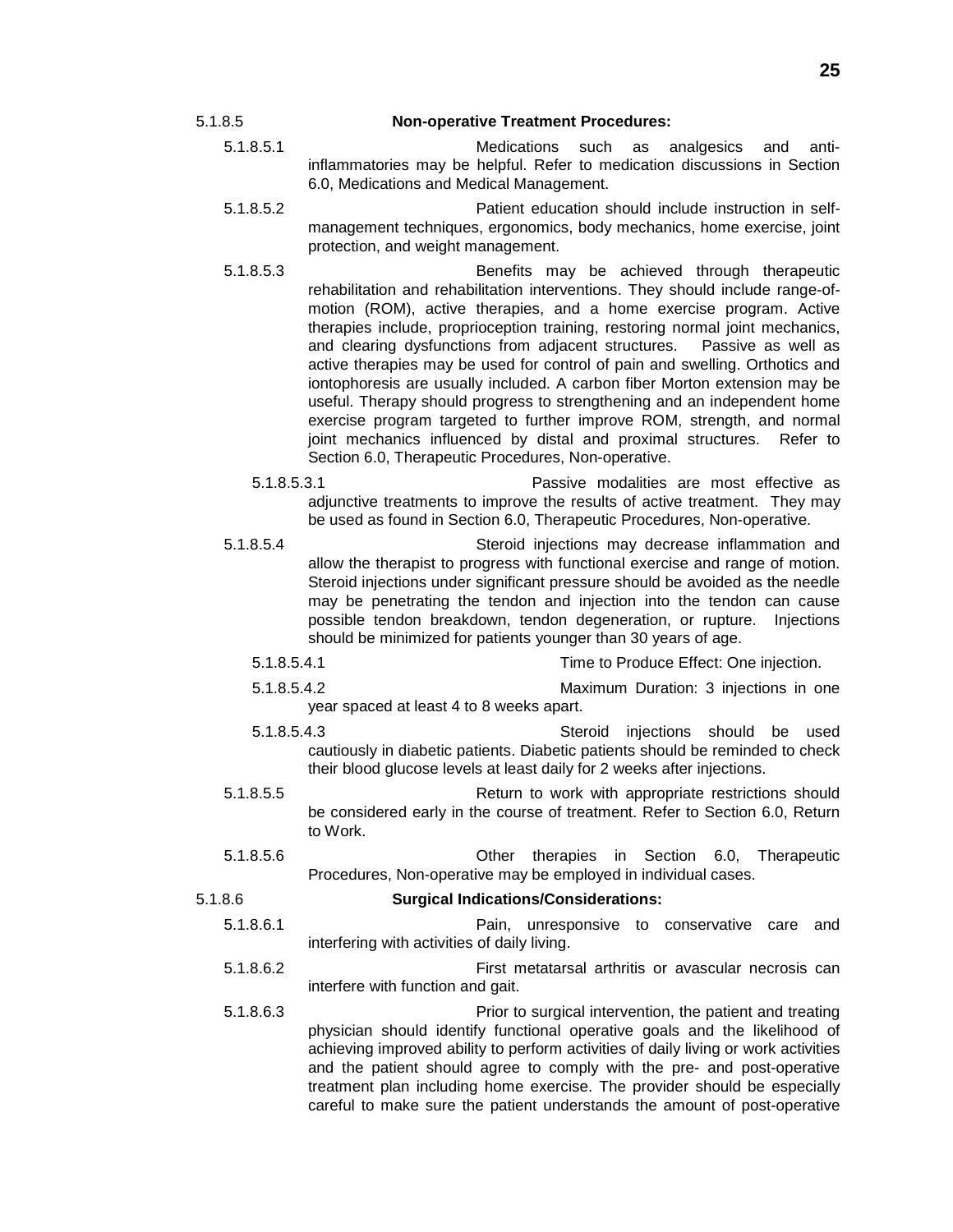#### 5.1.8.5 **Non-operative Treatment Procedures:**

- 5.1.8.5.1 Medications such as analgesics and antiinflammatories may be helpful. Refer to medication discussions in Section 6.0, Medications and Medical Management.
- 5.1.8.5.2 Patient education should include instruction in selfmanagement techniques, ergonomics, body mechanics, home exercise, joint protection, and weight management.
- 5.1.8.5.3 Benefits may be achieved through therapeutic rehabilitation and rehabilitation interventions. They should include range-ofmotion (ROM), active therapies, and a home exercise program. Active therapies include, proprioception training, restoring normal joint mechanics, and clearing dysfunctions from adjacent structures. Passive as well as active therapies may be used for control of pain and swelling. Orthotics and iontophoresis are usually included. A carbon fiber Morton extension may be useful. Therapy should progress to strengthening and an independent home exercise program targeted to further improve ROM, strength, and normal joint mechanics influenced by distal and proximal structures. Refer to Section 6.0, Therapeutic Procedures, Non-operative.
	- 5.1.8.5.3.1 Passive modalities are most effective as adjunctive treatments to improve the results of active treatment. They may be used as found in Section 6.0, Therapeutic Procedures, Non-operative.
- 5.1.8.5.4 Steroid injections may decrease inflammation and allow the therapist to progress with functional exercise and range of motion. Steroid injections under significant pressure should be avoided as the needle may be penetrating the tendon and injection into the tendon can cause possible tendon breakdown, tendon degeneration, or rupture. Injections should be minimized for patients younger than 30 years of age.
	- 5.1.8.5.4.1 Time to Produce Effect: One injection.
	- 5.1.8.5.4.2 Maximum Duration: 3 injections in one year spaced at least 4 to 8 weeks apart.
	- 5.1.8.5.4.3 Steroid injections should be used cautiously in diabetic patients. Diabetic patients should be reminded to check their blood glucose levels at least daily for 2 weeks after injections.
- 5.1.8.5.5 Return to work with appropriate restrictions should be considered early in the course of treatment. Refer to Section 6.0, Return to Work.
- 5.1.8.5.6 Other therapies in Section 6.0, Therapeutic Procedures, Non-operative may be employed in individual cases.

5.1.8.6 **Surgical Indications/Considerations:**

- 5.1.8.6.1 Pain, unresponsive to conservative care and interfering with activities of daily living.
- 5.1.8.6.2 First metatarsal arthritis or avascular necrosis can interfere with function and gait.
- 5.1.8.6.3 Prior to surgical intervention, the patient and treating physician should identify functional operative goals and the likelihood of achieving improved ability to perform activities of daily living or work activities and the patient should agree to comply with the pre- and post-operative treatment plan including home exercise. The provider should be especially careful to make sure the patient understands the amount of post-operative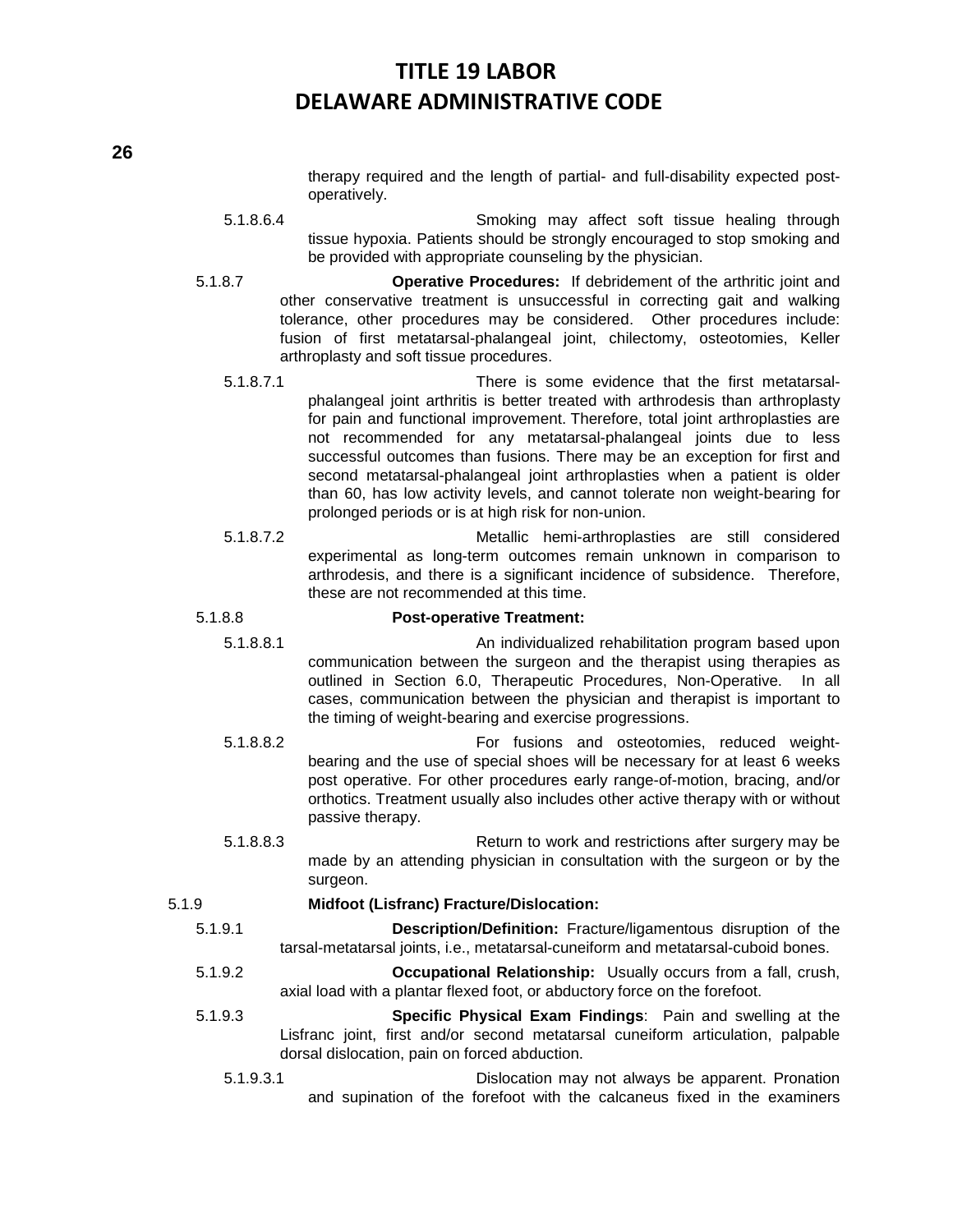therapy required and the length of partial- and full-disability expected postoperatively.

5.1.8.6.4 Smoking may affect soft tissue healing through tissue hypoxia. Patients should be strongly encouraged to stop smoking and be provided with appropriate counseling by the physician.

- 5.1.8.7 **Operative Procedures:** If debridement of the arthritic joint and other conservative treatment is unsuccessful in correcting gait and walking tolerance, other procedures may be considered. Other procedures include: fusion of first metatarsal-phalangeal joint, chilectomy, osteotomies, Keller arthroplasty and soft tissue procedures.
	- 5.1.8.7.1 There is some evidence that the first metatarsalphalangeal joint arthritis is better treated with arthrodesis than arthroplasty for pain and functional improvement. Therefore, total joint arthroplasties are not recommended for any metatarsal-phalangeal joints due to less successful outcomes than fusions. There may be an exception for first and second metatarsal-phalangeal joint arthroplasties when a patient is older than 60, has low activity levels, and cannot tolerate non weight-bearing for prolonged periods or is at high risk for non-union.
	- 5.1.8.7.2 Metallic hemi-arthroplasties are still considered experimental as long-term outcomes remain unknown in comparison to arthrodesis, and there is a significant incidence of subsidence. Therefore, these are not recommended at this time.

### 5.1.8.8 **Post-operative Treatment:**

- 5.1.8.8.1 An individualized rehabilitation program based upon communication between the surgeon and the therapist using therapies as outlined in Section 6.0, Therapeutic Procedures, Non-Operative. In all cases, communication between the physician and therapist is important to the timing of weight-bearing and exercise progressions.
- 5.1.8.8.2 For fusions and osteotomies, reduced weightbearing and the use of special shoes will be necessary for at least 6 weeks post operative. For other procedures early range-of-motion, bracing, and/or orthotics. Treatment usually also includes other active therapy with or without passive therapy.
- 5.1.8.8.3 Return to work and restrictions after surgery may be made by an attending physician in consultation with the surgeon or by the surgeon.

# 5.1.9 **Midfoot (Lisfranc) Fracture/Dislocation:**

- 5.1.9.1 **Description/Definition:** Fracture/ligamentous disruption of the tarsal-metatarsal joints, i.e., metatarsal-cuneiform and metatarsal-cuboid bones.
- 5.1.9.2 **Occupational Relationship:** Usually occurs from a fall, crush, axial load with a plantar flexed foot, or abductory force on the forefoot.
- 5.1.9.3 **Specific Physical Exam Findings**: Pain and swelling at the Lisfranc joint, first and/or second metatarsal cuneiform articulation, palpable dorsal dislocation, pain on forced abduction.
	- 5.1.9.3.1 Dislocation may not always be apparent. Pronation and supination of the forefoot with the calcaneus fixed in the examiners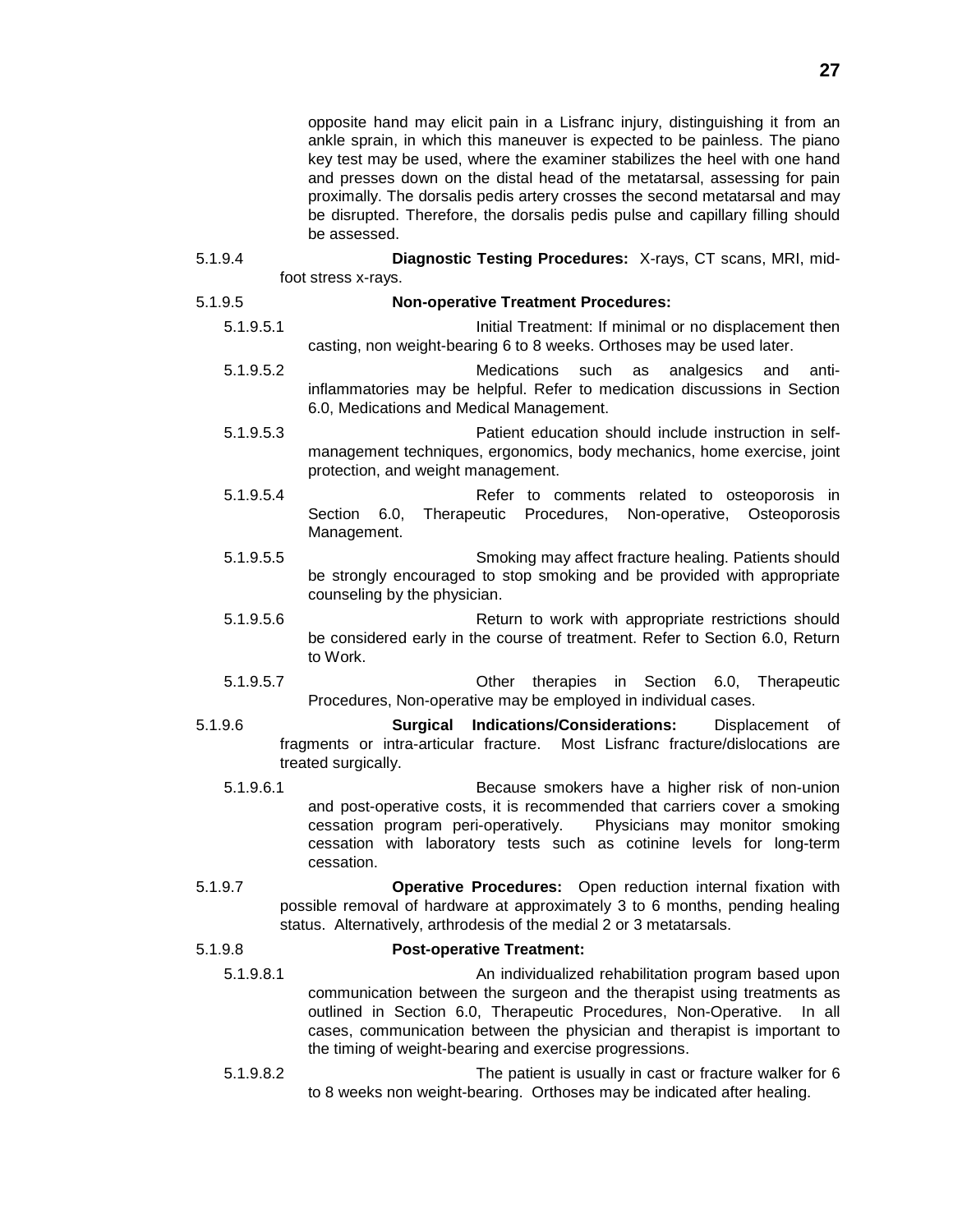opposite hand may elicit pain in a Lisfranc injury, distinguishing it from an ankle sprain, in which this maneuver is expected to be painless. The piano key test may be used, where the examiner stabilizes the heel with one hand and presses down on the distal head of the metatarsal, assessing for pain proximally. The dorsalis pedis artery crosses the second metatarsal and may be disrupted. Therefore, the dorsalis pedis pulse and capillary filling should be assessed.

5.1.9.4 **Diagnostic Testing Procedures:** X-rays, CT scans, MRI, midfoot stress x-rays.

# 5.1.9.5 **Non-operative Treatment Procedures:**

- 5.1.9.5.1 Initial Treatment: If minimal or no displacement then casting, non weight-bearing 6 to 8 weeks. Orthoses may be used later.
- 5.1.9.5.2 Medications such as analgesics and antiinflammatories may be helpful. Refer to medication discussions in Section 6.0, Medications and Medical Management.
- 5.1.9.5.3 Patient education should include instruction in selfmanagement techniques, ergonomics, body mechanics, home exercise, joint protection, and weight management.
- 5.1.9.5.4 Refer to comments related to osteoporosis in Section 6.0, Therapeutic Procedures, Non-operative, Osteoporosis Management.
- 5.1.9.5.5 Smoking may affect fracture healing. Patients should be strongly encouraged to stop smoking and be provided with appropriate counseling by the physician.
- 5.1.9.5.6 Return to work with appropriate restrictions should be considered early in the course of treatment. Refer to Section 6.0, Return to Work.
- 5.1.9.5.7 Other therapies in Section 6.0, Therapeutic Procedures, Non-operative may be employed in individual cases.
- 5.1.9.6 **Surgical Indications/Considerations:** Displacement of fragments or intra-articular fracture. Most Lisfranc fracture/dislocations are treated surgically.
	- 5.1.9.6.1 Because smokers have a higher risk of non-union and post-operative costs, it is recommended that carriers cover a smoking cessation program peri-operatively. Physicians may monitor smoking cessation with laboratory tests such as cotinine levels for long-term cessation.
- 5.1.9.7 **Operative Procedures:** Open reduction internal fixation with possible removal of hardware at approximately 3 to 6 months, pending healing status. Alternatively, arthrodesis of the medial 2 or 3 metatarsals.

### 5.1.9.8 **Post-operative Treatment:**

- 5.1.9.8.1 An individualized rehabilitation program based upon communication between the surgeon and the therapist using treatments as outlined in Section 6.0, Therapeutic Procedures, Non-Operative. In all cases, communication between the physician and therapist is important to the timing of weight-bearing and exercise progressions.
- 5.1.9.8.2 The patient is usually in cast or fracture walker for 6 to 8 weeks non weight-bearing. Orthoses may be indicated after healing.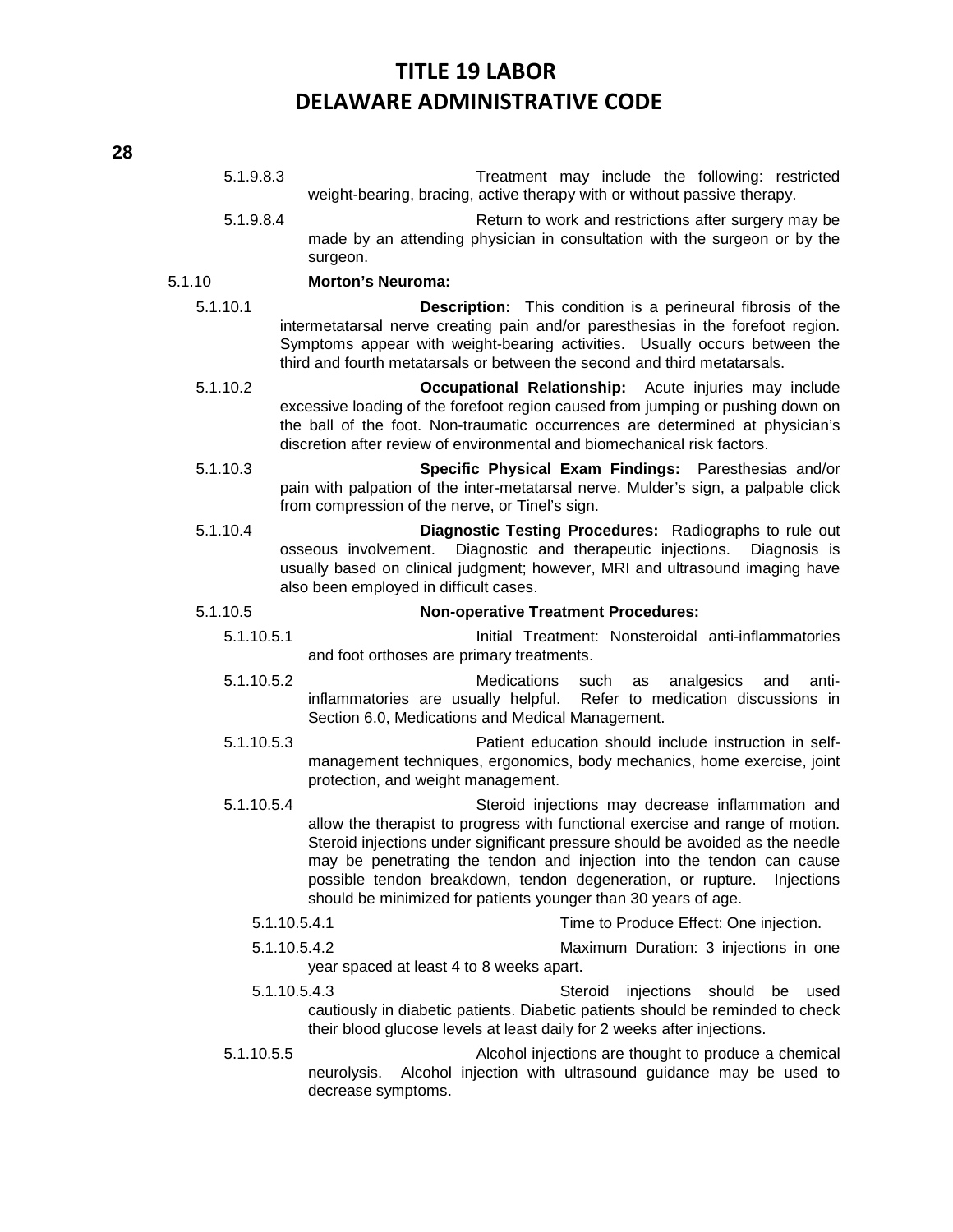- 5.1.9.8.3 Treatment may include the following: restricted weight-bearing, bracing, active therapy with or without passive therapy. 5.1.9.8.4 Return to work and restrictions after surgery may be made by an attending physician in consultation with the surgeon or by the surgeon. 5.1.10 **Morton's Neuroma:** 5.1.10.1 **Description:** This condition is a perineural fibrosis of the intermetatarsal nerve creating pain and/or paresthesias in the forefoot region. Symptoms appear with weight-bearing activities. Usually occurs between the third and fourth metatarsals or between the second and third metatarsals. 5.1.10.2 **Occupational Relationship:** Acute injuries may include excessive loading of the forefoot region caused from jumping or pushing down on the ball of the foot. Non-traumatic occurrences are determined at physician's discretion after review of environmental and biomechanical risk factors. 5.1.10.3 **Specific Physical Exam Findings:** Paresthesias and/or pain with palpation of the inter-metatarsal nerve. Mulder's sign, a palpable click from compression of the nerve, or Tinel's sign. 5.1.10.4 **Diagnostic Testing Procedures:** Radiographs to rule out osseous involvement. Diagnostic and therapeutic injections. Diagnosis is usually based on clinical judgment; however, MRI and ultrasound imaging have also been employed in difficult cases. 5.1.10.5 **Non-operative Treatment Procedures:** 5.1.10.5.1 Initial Treatment: Nonsteroidal anti-inflammatories and foot orthoses are primary treatments. 5.1.10.5.2 Medications such as analgesics and antiinflammatories are usually helpful. Refer to medication discussions in Section 6.0, Medications and Medical Management. 5.1.10.5.3 Patient education should include instruction in selfmanagement techniques, ergonomics, body mechanics, home exercise, joint protection, and weight management. 5.1.10.5.4 Steroid injections may decrease inflammation and allow the therapist to progress with functional exercise and range of motion. Steroid injections under significant pressure should be avoided as the needle may be penetrating the tendon and injection into the tendon can cause possible tendon breakdown, tendon degeneration, or rupture. Injections should be minimized for patients younger than 30 years of age. 5.1.10.5.4.1 Time to Produce Effect: One injection. 5.1.10.5.4.2 Maximum Duration: 3 injections in one year spaced at least 4 to 8 weeks apart. 5.1.10.5.4.3 Steroid injections should be used cautiously in diabetic patients. Diabetic patients should be reminded to check their blood glucose levels at least daily for 2 weeks after injections. 5.1.10.5.5 Alcohol injections are thought to produce a chemical neurolysis. Alcohol injection with ultrasound guidance may be used to decrease symptoms.
- **28**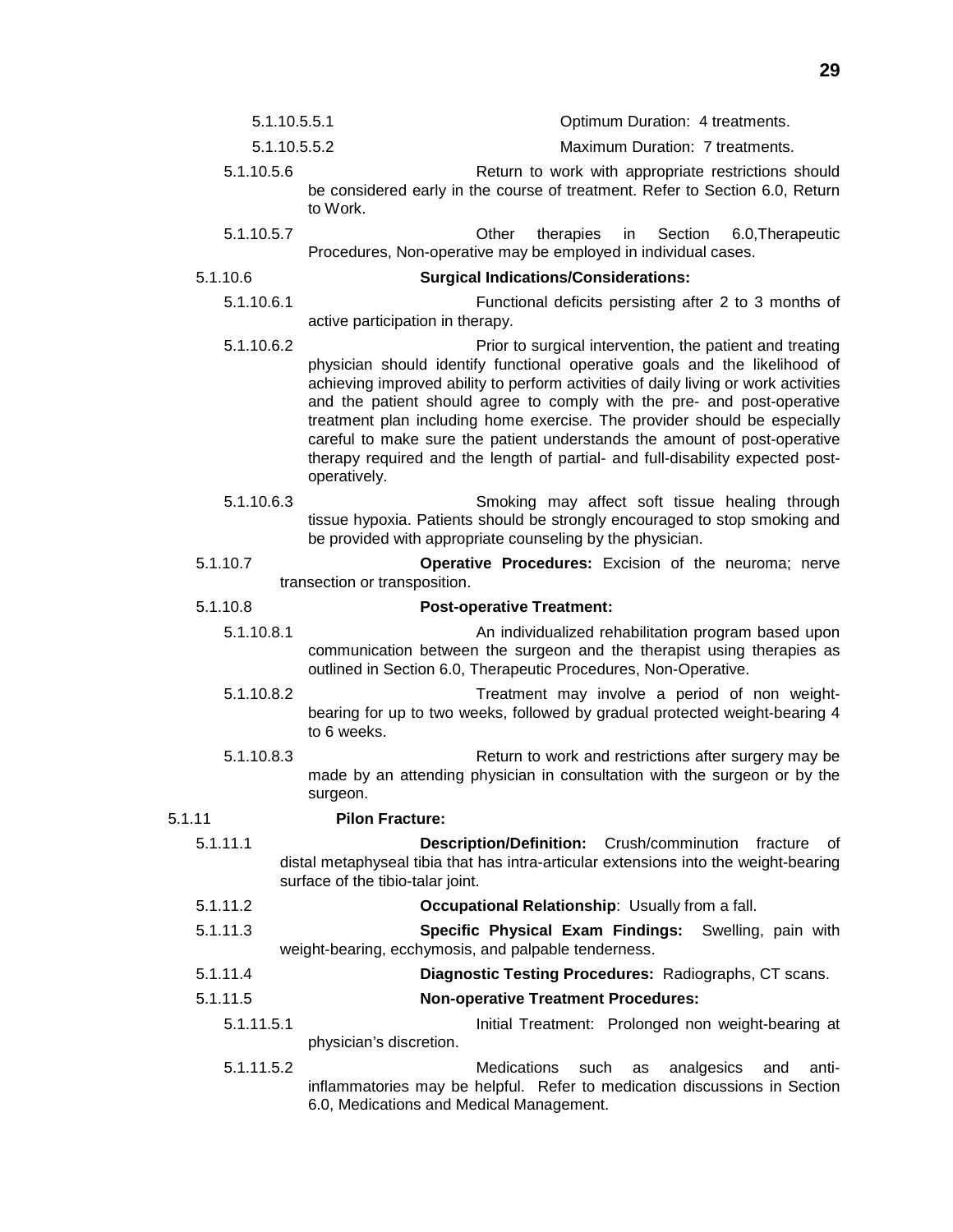| 5.1.10.5.5.1 | Optimum Duration: 4 treatments.                     |
|--------------|-----------------------------------------------------|
| 5.1.10.5.5.2 | Maximum Duration: 7 treatments.                     |
| 5.1.10.5.6   | Return to work with appropriate restrictions should |

- be considered early in the course of treatment. Refer to Section 6.0, Return to Work.
- 5.1.10.5.7 Other therapies in Section 6.0,Therapeutic Procedures, Non-operative may be employed in individual cases.

- 5.1.10.6 **Surgical Indications/Considerations:**
	- 5.1.10.6.1 Functional deficits persisting after 2 to 3 months of active participation in therapy.
	- 5.1.10.6.2 Prior to surgical intervention, the patient and treating physician should identify functional operative goals and the likelihood of achieving improved ability to perform activities of daily living or work activities and the patient should agree to comply with the pre- and post-operative treatment plan including home exercise. The provider should be especially careful to make sure the patient understands the amount of post-operative therapy required and the length of partial- and full-disability expected postoperatively.
	- 5.1.10.6.3 Smoking may affect soft tissue healing through tissue hypoxia. Patients should be strongly encouraged to stop smoking and be provided with appropriate counseling by the physician.
- 5.1.10.7 **Operative Procedures:** Excision of the neuroma; nerve transection or transposition.

#### 5.1.10.8 **Post-operative Treatment:**

- 5.1.10.8.1 An individualized rehabilitation program based upon communication between the surgeon and the therapist using therapies as outlined in Section 6.0, Therapeutic Procedures, Non-Operative.
	- 5.1.10.8.2 Treatment may involve a period of non weightbearing for up to two weeks, followed by gradual protected weight-bearing 4 to 6 weeks.
	- 5.1.10.8.3 Return to work and restrictions after surgery may be made by an attending physician in consultation with the surgeon or by the surgeon.

### 5.1.11 **Pilon Fracture:**

- 5.1.11.1 **Description/Definition:** Crush/comminution fracture of distal metaphyseal tibia that has intra-articular extensions into the weight-bearing surface of the tibio-talar joint.
- 5.1.11.2 **Occupational Relationship**: Usually from a fall.
- 5.1.11.3 **Specific Physical Exam Findings:** Swelling, pain with weight-bearing, ecchymosis, and palpable tenderness.
- 5.1.11.4 **Diagnostic Testing Procedures:** Radiographs, CT scans.
- 5.1.11.5 **Non-operative Treatment Procedures:**
	- 5.1.11.5.1 Initial Treatment: Prolonged non weight-bearing at physician's discretion.
	- 5.1.11.5.2 Medications such as analgesics and antiinflammatories may be helpful. Refer to medication discussions in Section 6.0, Medications and Medical Management.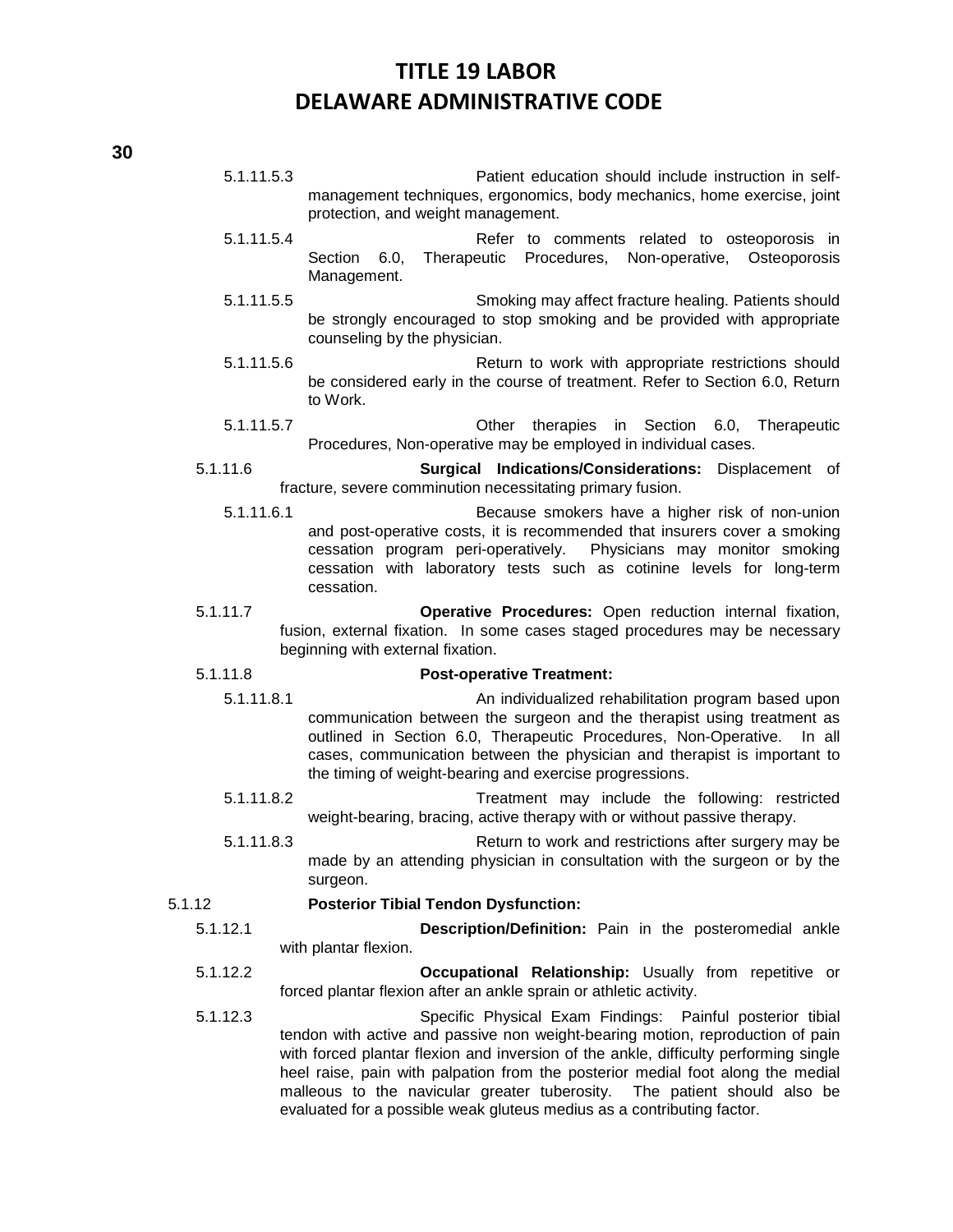5.1.11.5.3 Patient education should include instruction in selfmanagement techniques, ergonomics, body mechanics, home exercise, joint protection, and weight management.

- 5.1.11.5.4 Refer to comments related to osteoporosis in Section 6.0, Therapeutic Procedures, Non-operative, Osteoporosis Management.
- 5.1.11.5.5 Smoking may affect fracture healing. Patients should be strongly encouraged to stop smoking and be provided with appropriate counseling by the physician.
- 5.1.11.5.6 Return to work with appropriate restrictions should be considered early in the course of treatment. Refer to Section 6.0, Return to Work.
- 5.1.11.5.7 Other therapies in Section 6.0, Therapeutic Procedures, Non-operative may be employed in individual cases.
- 5.1.11.6 **Surgical Indications/Considerations:** Displacement of fracture, severe comminution necessitating primary fusion.
	- 5.1.11.6.1 Because smokers have a higher risk of non-union and post-operative costs, it is recommended that insurers cover a smoking cessation program peri-operatively. Physicians may monitor smoking cessation with laboratory tests such as cotinine levels for long-term cessation.
- 5.1.11.7 **Operative Procedures:** Open reduction internal fixation, fusion, external fixation. In some cases staged procedures may be necessary beginning with external fixation.

#### 5.1.11.8 **Post-operative Treatment:**

- 5.1.11.8.1 An individualized rehabilitation program based upon communication between the surgeon and the therapist using treatment as outlined in Section 6.0, Therapeutic Procedures, Non-Operative. In all cases, communication between the physician and therapist is important to the timing of weight-bearing and exercise progressions.
- 5.1.11.8.2 Treatment may include the following: restricted weight-bearing, bracing, active therapy with or without passive therapy.
- 5.1.11.8.3 Return to work and restrictions after surgery may be made by an attending physician in consultation with the surgeon or by the surgeon.

#### 5.1.12 **Posterior Tibial Tendon Dysfunction:**

- 5.1.12.1 **Description/Definition:** Pain in the posteromedial ankle with plantar flexion.
- 5.1.12.2 **Occupational Relationship:** Usually from repetitive or forced plantar flexion after an ankle sprain or athletic activity.
- 5.1.12.3 Specific Physical Exam Findings: Painful posterior tibial tendon with active and passive non weight-bearing motion, reproduction of pain with forced plantar flexion and inversion of the ankle, difficulty performing single heel raise, pain with palpation from the posterior medial foot along the medial malleous to the navicular greater tuberosity. The patient should also be evaluated for a possible weak gluteus medius as a contributing factor.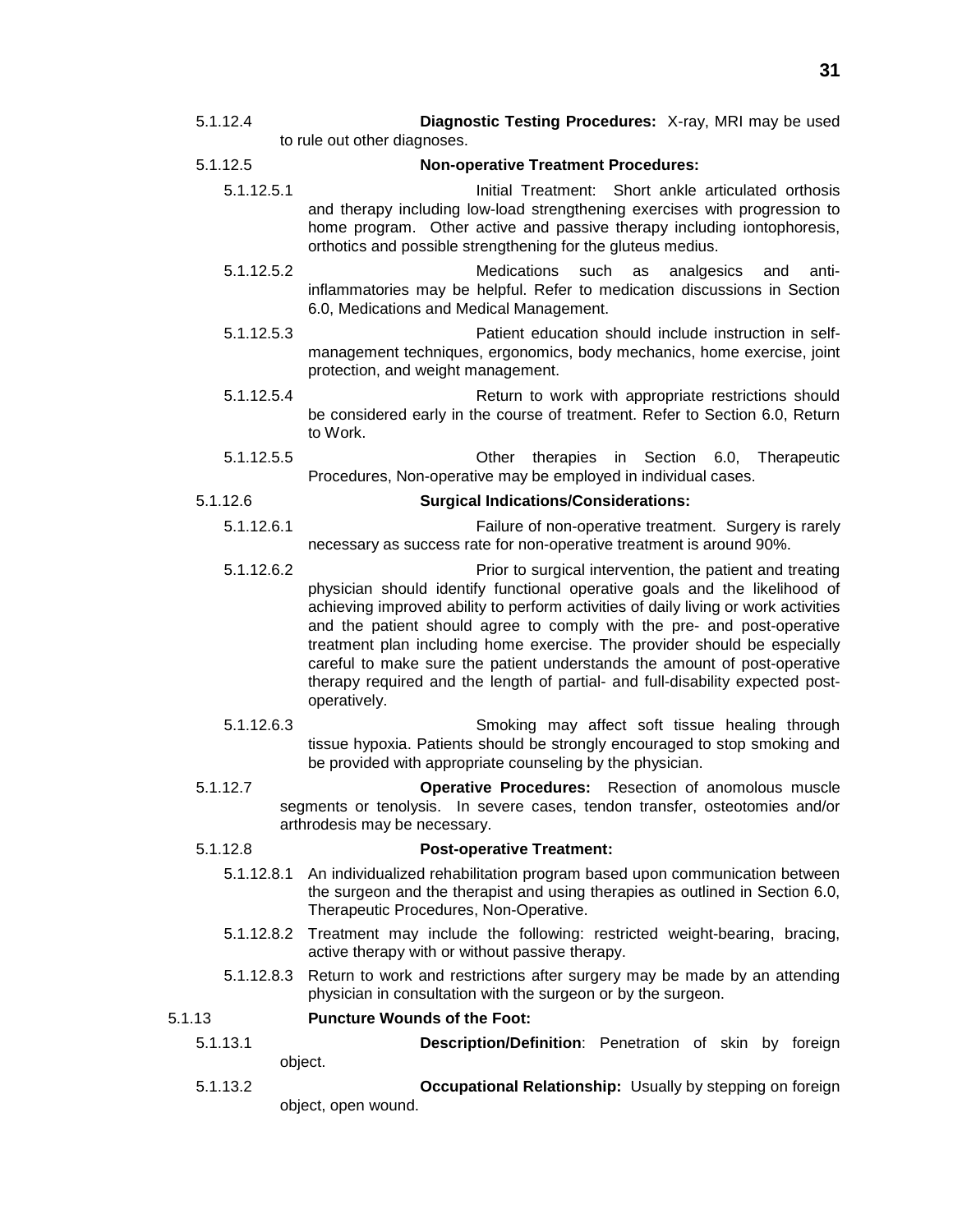5.1.12.4 **Diagnostic Testing Procedures:** X-ray, MRI may be used to rule out other diagnoses.

#### 5.1.12.5 **Non-operative Treatment Procedures:**

- 5.1.12.5.1 Initial Treatment: Short ankle articulated orthosis and therapy including low-load strengthening exercises with progression to home program. Other active and passive therapy including iontophoresis, orthotics and possible strengthening for the gluteus medius.
- 5.1.12.5.2 Medications such as analgesics and antiinflammatories may be helpful. Refer to medication discussions in Section 6.0, Medications and Medical Management.
- 5.1.12.5.3 Patient education should include instruction in selfmanagement techniques, ergonomics, body mechanics, home exercise, joint protection, and weight management.
- 5.1.12.5.4 Return to work with appropriate restrictions should be considered early in the course of treatment. Refer to Section 6.0, Return to Work.
- 5.1.12.5.5 Other therapies in Section 6.0, Therapeutic Procedures, Non-operative may be employed in individual cases.

#### 5.1.12.6 **Surgical Indications/Considerations:**

- 5.1.12.6.1 Failure of non-operative treatment. Surgery is rarely necessary as success rate for non-operative treatment is around 90%.
- 5.1.12.6.2 Prior to surgical intervention, the patient and treating physician should identify functional operative goals and the likelihood of achieving improved ability to perform activities of daily living or work activities and the patient should agree to comply with the pre- and post-operative treatment plan including home exercise. The provider should be especially careful to make sure the patient understands the amount of post-operative therapy required and the length of partial- and full-disability expected postoperatively.
- 5.1.12.6.3 Smoking may affect soft tissue healing through tissue hypoxia. Patients should be strongly encouraged to stop smoking and be provided with appropriate counseling by the physician.
- 5.1.12.7 **Operative Procedures:** Resection of anomolous muscle segments or tenolysis. In severe cases, tendon transfer, osteotomies and/or arthrodesis may be necessary.

### 5.1.12.8 **Post-operative Treatment:**

- 5.1.12.8.1 An individualized rehabilitation program based upon communication between the surgeon and the therapist and using therapies as outlined in Section 6.0, Therapeutic Procedures, Non-Operative.
- 5.1.12.8.2 Treatment may include the following: restricted weight-bearing, bracing, active therapy with or without passive therapy.
- 5.1.12.8.3 Return to work and restrictions after surgery may be made by an attending physician in consultation with the surgeon or by the surgeon.

### 5.1.13 **Puncture Wounds of the Foot:**

5.1.13.1 **Description/Definition**: Penetration of skin by foreign object.

5.1.13.2 **Occupational Relationship:** Usually by stepping on foreign object, open wound.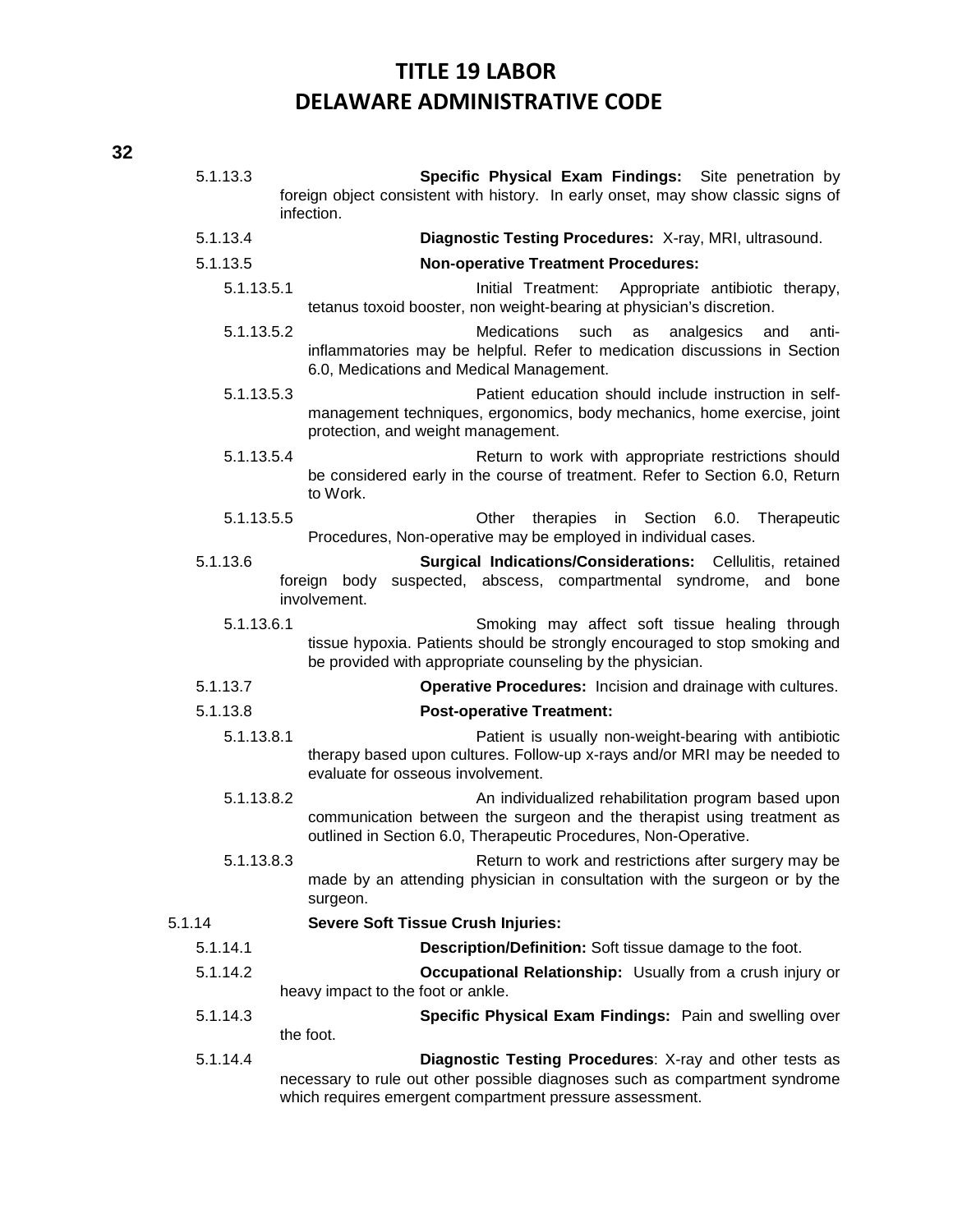| 5.1.13.3                                                                                                                                                             | Specific Physical Exam Findings: Site penetration by<br>foreign object consistent with history. In early onset, may show classic signs of<br>infection.                                            |
|----------------------------------------------------------------------------------------------------------------------------------------------------------------------|----------------------------------------------------------------------------------------------------------------------------------------------------------------------------------------------------|
| 5.1.13.4                                                                                                                                                             | Diagnostic Testing Procedures: X-ray, MRI, ultrasound.                                                                                                                                             |
| 5.1.13.5                                                                                                                                                             | <b>Non-operative Treatment Procedures:</b>                                                                                                                                                         |
| 5.1.13.5.1                                                                                                                                                           | Initial Treatment:<br>Appropriate antibiotic therapy,<br>tetanus toxoid booster, non weight-bearing at physician's discretion.                                                                     |
| 5.1.13.5.2                                                                                                                                                           | <b>Medications</b><br>such<br>analgesics<br>as<br>and<br>anti-<br>inflammatories may be helpful. Refer to medication discussions in Section<br>6.0, Medications and Medical Management.            |
| 5.1.13.5.3                                                                                                                                                           | Patient education should include instruction in self-<br>management techniques, ergonomics, body mechanics, home exercise, joint<br>protection, and weight management.                             |
| 5.1.13.5.4                                                                                                                                                           | Return to work with appropriate restrictions should<br>be considered early in the course of treatment. Refer to Section 6.0, Return<br>to Work.                                                    |
| 5.1.13.5.5                                                                                                                                                           | therapies<br>in Section 6.0.<br>Other<br>Therapeutic<br>Procedures, Non-operative may be employed in individual cases.                                                                             |
| 5.1.13.6<br><b>Surgical Indications/Considerations:</b> Cellulitis, retained<br>foreign body<br>suspected, abscess, compartmental syndrome, and bone<br>involvement. |                                                                                                                                                                                                    |
| 5.1.13.6.1                                                                                                                                                           | Smoking may affect soft tissue healing through<br>tissue hypoxia. Patients should be strongly encouraged to stop smoking and<br>be provided with appropriate counseling by the physician.          |
| 5.1.13.7                                                                                                                                                             | Operative Procedures: Incision and drainage with cultures.                                                                                                                                         |
| 5.1.13.8                                                                                                                                                             | <b>Post-operative Treatment:</b>                                                                                                                                                                   |
| 5.1.13.8.1                                                                                                                                                           | Patient is usually non-weight-bearing with antibiotic<br>therapy based upon cultures. Follow-up x-rays and/or MRI may be needed to<br>evaluate for osseous involvement.                            |
| 5.1.13.8.2                                                                                                                                                           | An individualized rehabilitation program based upon<br>communication between the surgeon and the therapist using treatment as<br>outlined in Section 6.0, Therapeutic Procedures, Non-Operative.   |
| 5.1.13.8.3                                                                                                                                                           | Return to work and restrictions after surgery may be<br>made by an attending physician in consultation with the surgeon or by the<br>surgeon.                                                      |
| 5.1.14                                                                                                                                                               | <b>Severe Soft Tissue Crush Injuries:</b>                                                                                                                                                          |
| 5.1.14.1                                                                                                                                                             | Description/Definition: Soft tissue damage to the foot.                                                                                                                                            |
| 5.1.14.2                                                                                                                                                             | <b>Occupational Relationship:</b> Usually from a crush injury or<br>heavy impact to the foot or ankle.                                                                                             |
| 5.1.14.3                                                                                                                                                             | Specific Physical Exam Findings: Pain and swelling over<br>the foot.                                                                                                                               |
| 5.1.14.4                                                                                                                                                             | Diagnostic Testing Procedures: X-ray and other tests as<br>necessary to rule out other possible diagnoses such as compartment syndrome<br>which requires emergent compartment pressure assessment. |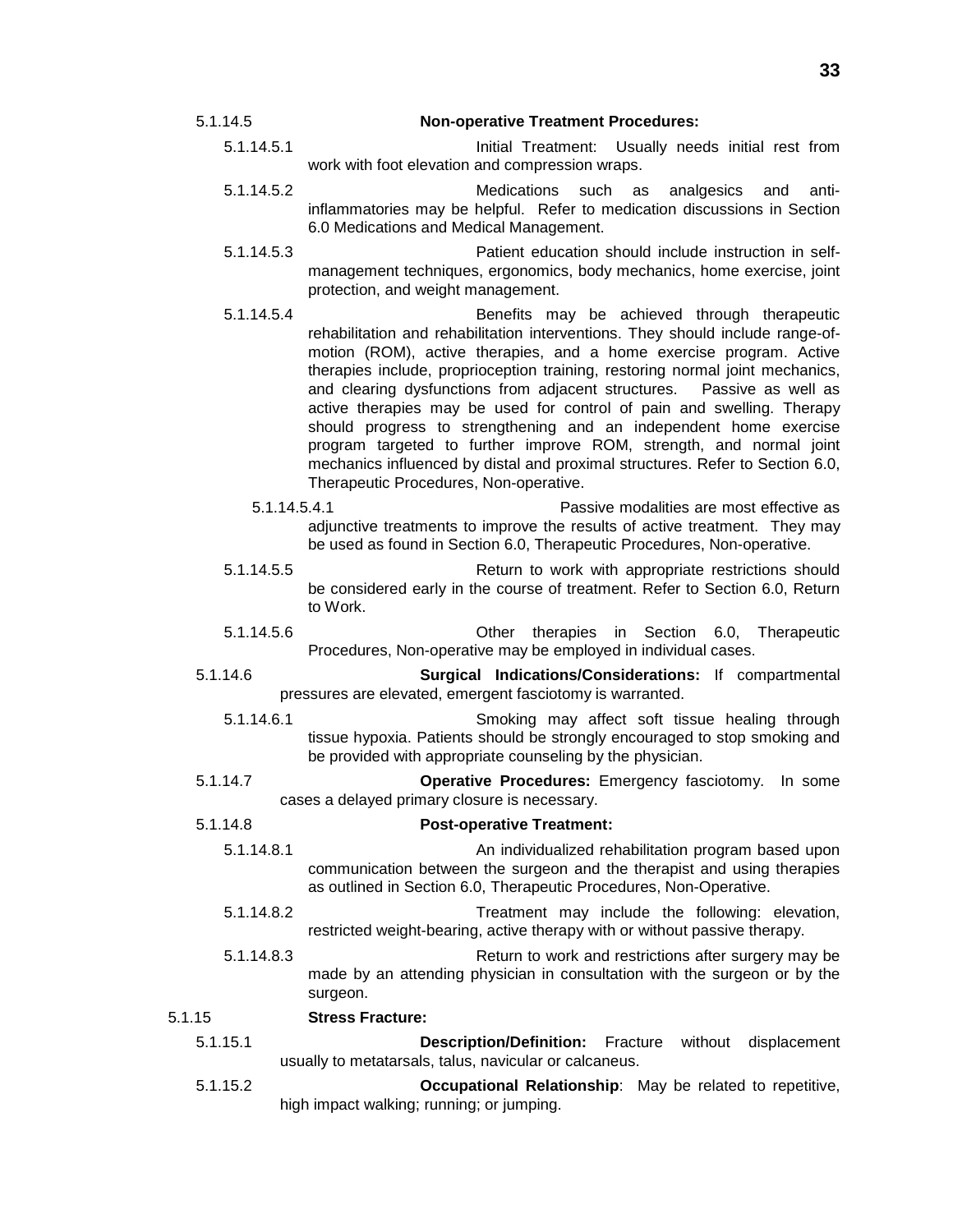- 5.1.14.5 **Non-operative Treatment Procedures:** 5.1.14.5.1 Initial Treatment: Usually needs initial rest from
	- work with foot elevation and compression wraps.
	- 5.1.14.5.2 Medications such as analgesics and antiinflammatories may be helpful. Refer to medication discussions in Section 6.0 Medications and Medical Management.
	- 5.1.14.5.3 Patient education should include instruction in selfmanagement techniques, ergonomics, body mechanics, home exercise, joint protection, and weight management.
	- 5.1.14.5.4 Benefits may be achieved through therapeutic rehabilitation and rehabilitation interventions. They should include range-ofmotion (ROM), active therapies, and a home exercise program. Active therapies include, proprioception training, restoring normal joint mechanics, and clearing dysfunctions from adjacent structures. Passive as well as active therapies may be used for control of pain and swelling. Therapy should progress to strengthening and an independent home exercise program targeted to further improve ROM, strength, and normal joint mechanics influenced by distal and proximal structures. Refer to Section 6.0, Therapeutic Procedures, Non-operative.
		- 5.1.14.5.4.1 Passive modalities are most effective as adjunctive treatments to improve the results of active treatment. They may be used as found in Section 6.0, Therapeutic Procedures, Non-operative.
	- 5.1.14.5.5 Return to work with appropriate restrictions should be considered early in the course of treatment. Refer to Section 6.0, Return to Work.
	- 5.1.14.5.6 Other therapies in Section 6.0, Therapeutic Procedures, Non-operative may be employed in individual cases.
- 5.1.14.6 **Surgical Indications/Considerations:** If compartmental pressures are elevated, emergent fasciotomy is warranted.
	- 5.1.14.6.1 Smoking may affect soft tissue healing through tissue hypoxia. Patients should be strongly encouraged to stop smoking and be provided with appropriate counseling by the physician.
- 5.1.14.7 **Operative Procedures:** Emergency fasciotomy. In some cases a delayed primary closure is necessary.

### 5.1.14.8 **Post-operative Treatment:**

- 5.1.14.8.1 An individualized rehabilitation program based upon communication between the surgeon and the therapist and using therapies as outlined in Section 6.0, Therapeutic Procedures, Non-Operative.
- 5.1.14.8.2 Treatment may include the following: elevation, restricted weight-bearing, active therapy with or without passive therapy.
- 5.1.14.8.3 Return to work and restrictions after surgery may be made by an attending physician in consultation with the surgeon or by the surgeon.

#### 5.1.15 **Stress Fracture:**

- 5.1.15.1 **Description/Definition:** Fracture without displacement usually to metatarsals, talus, navicular or calcaneus.
- 5.1.15.2 **Occupational Relationship**: May be related to repetitive, high impact walking; running; or jumping.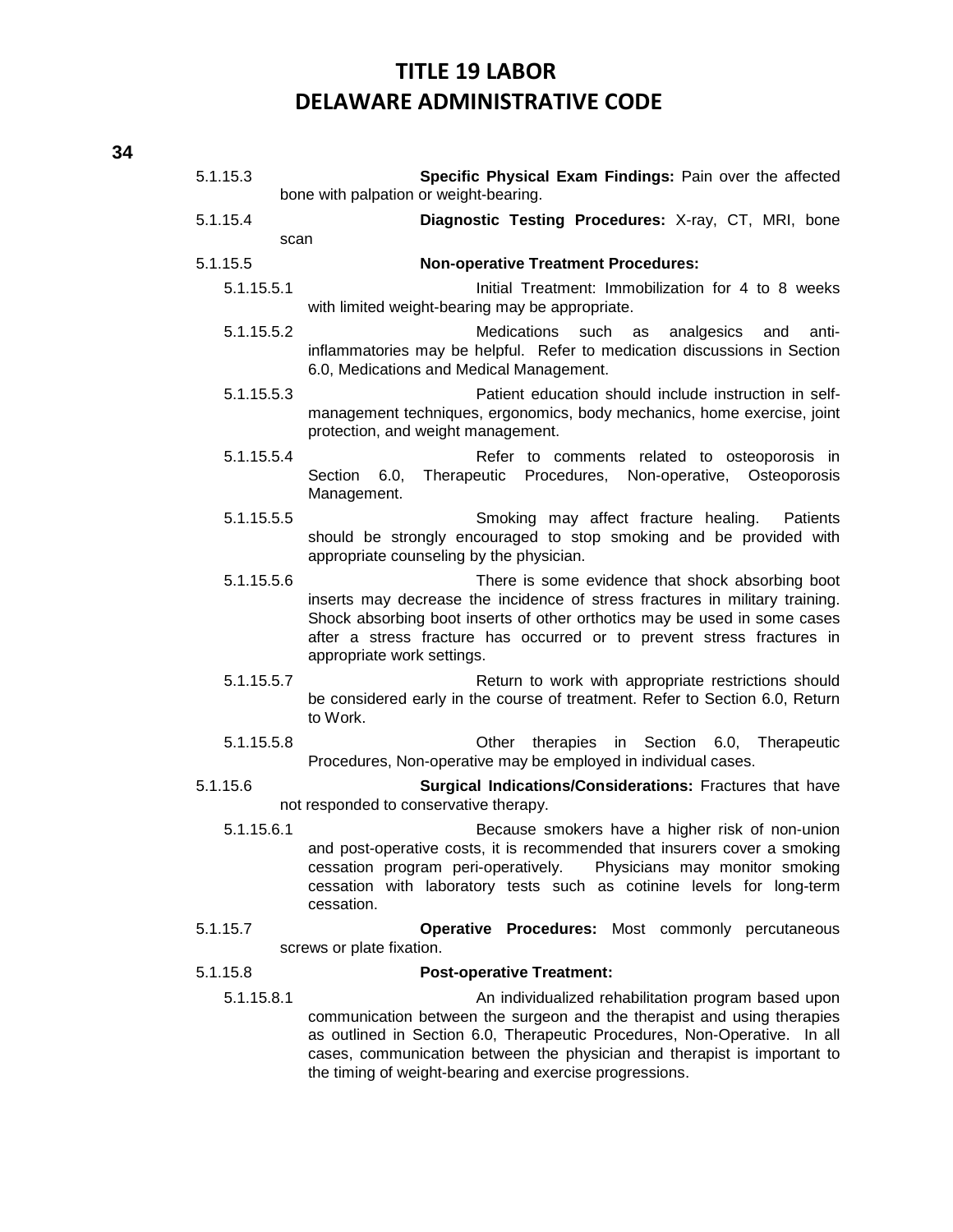| 5.1.15.3   | Specific Physical Exam Findings: Pain over the affected<br>bone with palpation or weight-bearing.                                                                                                                                                                                                                                                  |
|------------|----------------------------------------------------------------------------------------------------------------------------------------------------------------------------------------------------------------------------------------------------------------------------------------------------------------------------------------------------|
| 5.1.15.4   | Diagnostic Testing Procedures: X-ray, CT, MRI, bone                                                                                                                                                                                                                                                                                                |
| scan       |                                                                                                                                                                                                                                                                                                                                                    |
| 5.1.15.5   | <b>Non-operative Treatment Procedures:</b>                                                                                                                                                                                                                                                                                                         |
| 5.1.15.5.1 | Initial Treatment: Immobilization for 4 to 8 weeks<br>with limited weight-bearing may be appropriate.                                                                                                                                                                                                                                              |
| 5.1.15.5.2 | <b>Medications</b><br>such<br>analgesics<br>anti-<br>as<br>and<br>inflammatories may be helpful. Refer to medication discussions in Section<br>6.0, Medications and Medical Management.                                                                                                                                                            |
| 5.1.15.5.3 | Patient education should include instruction in self-<br>management techniques, ergonomics, body mechanics, home exercise, joint<br>protection, and weight management.                                                                                                                                                                             |
| 5.1.15.5.4 | Refer to comments related to osteoporosis in<br>Therapeutic Procedures, Non-operative, Osteoporosis<br>Section<br>6.0,<br>Management.                                                                                                                                                                                                              |
| 5.1.15.5.5 | Smoking may affect fracture healing.<br>Patients<br>should be strongly encouraged to stop smoking and be provided with<br>appropriate counseling by the physician.                                                                                                                                                                                 |
| 5.1.15.5.6 | There is some evidence that shock absorbing boot<br>inserts may decrease the incidence of stress fractures in military training.<br>Shock absorbing boot inserts of other orthotics may be used in some cases<br>after a stress fracture has occurred or to prevent stress fractures in<br>appropriate work settings.                              |
| 5.1.15.5.7 | Return to work with appropriate restrictions should<br>be considered early in the course of treatment. Refer to Section 6.0, Return<br>to Work.                                                                                                                                                                                                    |
| 5.1.15.5.8 | in Section 6.0, Therapeutic<br>Other<br>therapies<br>Procedures, Non-operative may be employed in individual cases.                                                                                                                                                                                                                                |
| 5.1.15.6   | Surgical Indications/Considerations: Fractures that have<br>not responded to conservative therapy.                                                                                                                                                                                                                                                 |
| 5.1.15.6.1 | Because smokers have a higher risk of non-union<br>and post-operative costs, it is recommended that insurers cover a smoking<br>cessation program peri-operatively.<br>Physicians may monitor smoking<br>cessation with laboratory tests such as cotinine levels for long-term<br>cessation.                                                       |
| 5.1.15.7   | Operative Procedures: Most commonly percutaneous<br>screws or plate fixation.                                                                                                                                                                                                                                                                      |
| 5.1.15.8   | <b>Post-operative Treatment:</b>                                                                                                                                                                                                                                                                                                                   |
| 5.1.15.8.1 | An individualized rehabilitation program based upon<br>communication between the surgeon and the therapist and using therapies<br>as outlined in Section 6.0, Therapeutic Procedures, Non-Operative. In all<br>cases, communication between the physician and therapist is important to<br>the timing of weight-bearing and exercise progressions. |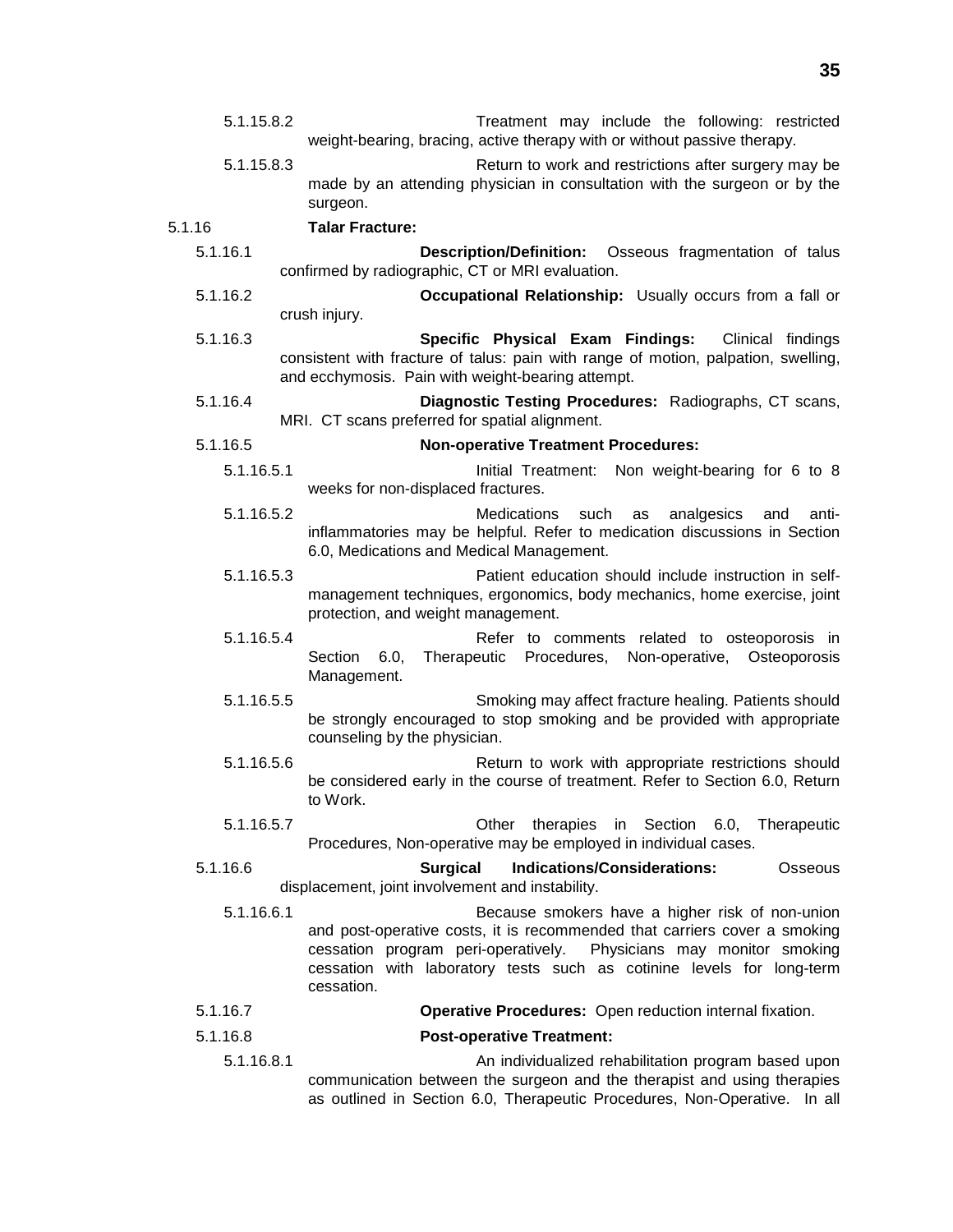- 5.1.15.8.2 Treatment may include the following: restricted weight-bearing, bracing, active therapy with or without passive therapy.
- 5.1.15.8.3 Return to work and restrictions after surgery may be made by an attending physician in consultation with the surgeon or by the surgeon.

5.1.16 **Talar Fracture:**

- 5.1.16.1 **Description/Definition:** Osseous fragmentation of talus confirmed by radiographic, CT or MRI evaluation.
- 5.1.16.2 **Occupational Relationship:** Usually occurs from a fall or crush injury.
- 5.1.16.3 **Specific Physical Exam Findings:** Clinical findings consistent with fracture of talus: pain with range of motion, palpation, swelling, and ecchymosis. Pain with weight-bearing attempt.
- 5.1.16.4 **Diagnostic Testing Procedures:** Radiographs, CT scans, MRI. CT scans preferred for spatial alignment.
- 5.1.16.5 **Non-operative Treatment Procedures:**
	- 5.1.16.5.1 Initial Treatment: Non weight-bearing for 6 to 8 weeks for non-displaced fractures.
	- 5.1.16.5.2 Medications such as analgesics and antiinflammatories may be helpful. Refer to medication discussions in Section 6.0, Medications and Medical Management.
	- 5.1.16.5.3 Patient education should include instruction in selfmanagement techniques, ergonomics, body mechanics, home exercise, joint protection, and weight management.
	- 5.1.16.5.4 Refer to comments related to osteoporosis in Section 6.0, Therapeutic Procedures, Non-operative, Osteoporosis Management.
	- 5.1.16.5.5 Smoking may affect fracture healing. Patients should be strongly encouraged to stop smoking and be provided with appropriate counseling by the physician.
	- 5.1.16.5.6 Return to work with appropriate restrictions should be considered early in the course of treatment. Refer to Section 6.0, Return to Work.
	- 5.1.16.5.7 Other therapies in Section 6.0, Therapeutic Procedures, Non-operative may be employed in individual cases.

5.1.16.6 **Surgical Indications/Considerations:** Osseous displacement, joint involvement and instability.

- 5.1.16.6.1 Because smokers have a higher risk of non-union and post-operative costs, it is recommended that carriers cover a smoking cessation program peri-operatively. Physicians may monitor smoking cessation with laboratory tests such as cotinine levels for long-term cessation.
- 5.1.16.7 **Operative Procedures:** Open reduction internal fixation.
- 5.1.16.8 **Post-operative Treatment:**
	- 5.1.16.8.1 An individualized rehabilitation program based upon communication between the surgeon and the therapist and using therapies as outlined in Section 6.0, Therapeutic Procedures, Non-Operative. In all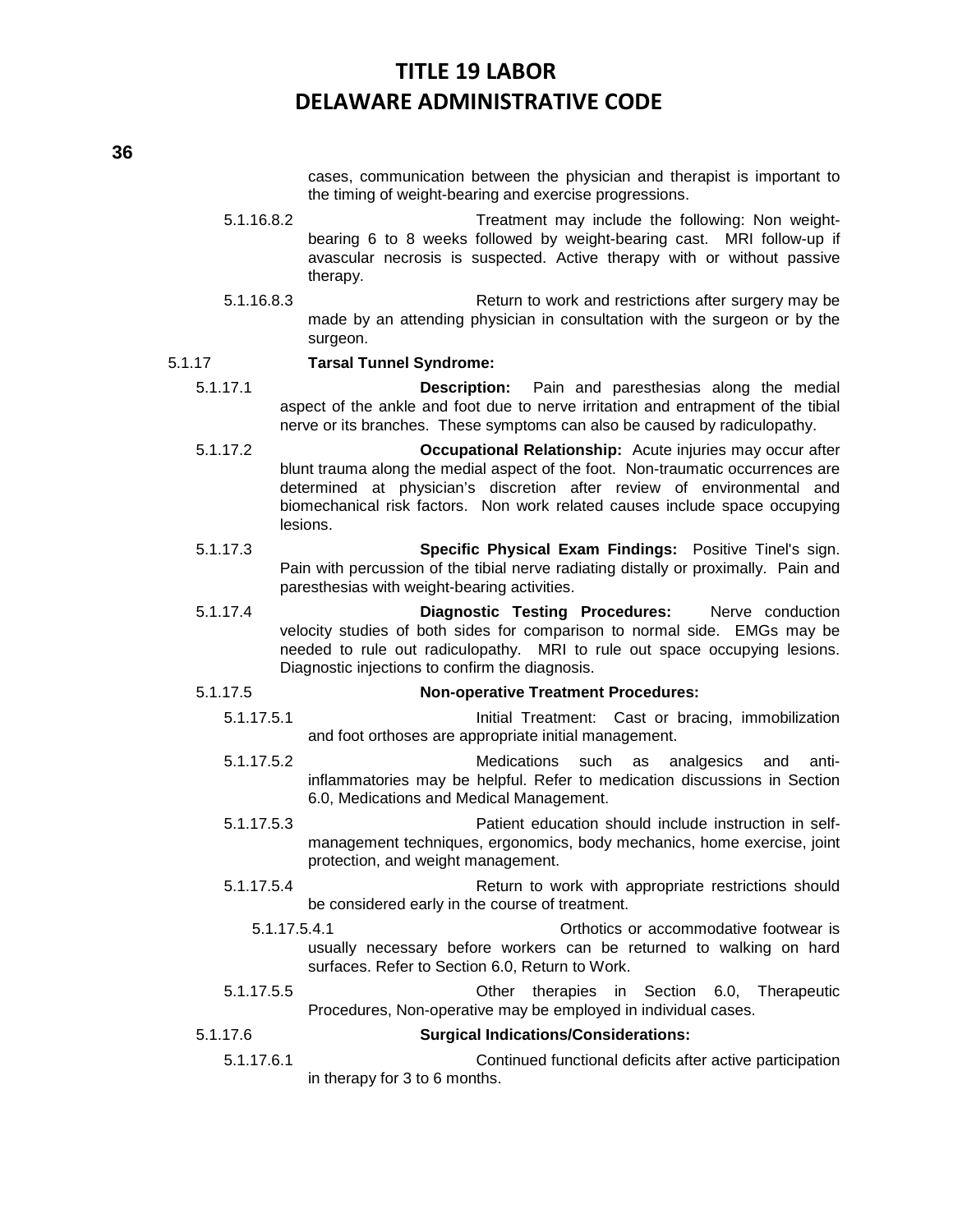**36**

cases, communication between the physician and therapist is important to the timing of weight-bearing and exercise progressions.

- 5.1.16.8.2 Treatment may include the following: Non weightbearing 6 to 8 weeks followed by weight-bearing cast. MRI follow-up if avascular necrosis is suspected. Active therapy with or without passive therapy.
- 5.1.16.8.3 Return to work and restrictions after surgery may be made by an attending physician in consultation with the surgeon or by the surgeon.

#### 5.1.17 **Tarsal Tunnel Syndrome:**

- 5.1.17.1 **Description:** Pain and paresthesias along the medial aspect of the ankle and foot due to nerve irritation and entrapment of the tibial nerve or its branches. These symptoms can also be caused by radiculopathy.
- 5.1.17.2 **Occupational Relationship:** Acute injuries may occur after blunt trauma along the medial aspect of the foot. Non-traumatic occurrences are determined at physician's discretion after review of environmental and biomechanical risk factors. Non work related causes include space occupying lesions.
- 5.1.17.3 **Specific Physical Exam Findings:** Positive Tinel's sign. Pain with percussion of the tibial nerve radiating distally or proximally. Pain and paresthesias with weight-bearing activities.
- 5.1.17.4 **Diagnostic Testing Procedures:** Nerve conduction velocity studies of both sides for comparison to normal side. EMGs may be needed to rule out radiculopathy. MRI to rule out space occupying lesions. Diagnostic injections to confirm the diagnosis.

### 5.1.17.5 **Non-operative Treatment Procedures:**

- 5.1.17.5.1 Initial Treatment: Cast or bracing, immobilization and foot orthoses are appropriate initial management.
- 5.1.17.5.2 Medications such as analgesics and antiinflammatories may be helpful. Refer to medication discussions in Section 6.0, Medications and Medical Management.
- 5.1.17.5.3 Patient education should include instruction in selfmanagement techniques, ergonomics, body mechanics, home exercise, joint protection, and weight management.
- 5.1.17.5.4 Return to work with appropriate restrictions should be considered early in the course of treatment.
	- 5.1.17.5.4.1 Orthotics or accommodative footwear is usually necessary before workers can be returned to walking on hard surfaces. Refer to Section 6.0, Return to Work.
- 5.1.17.5.5 Other therapies in Section 6.0, Therapeutic Procedures, Non-operative may be employed in individual cases.

#### 5.1.17.6 **Surgical Indications/Considerations:**

5.1.17.6.1 Continued functional deficits after active participation in therapy for 3 to 6 months.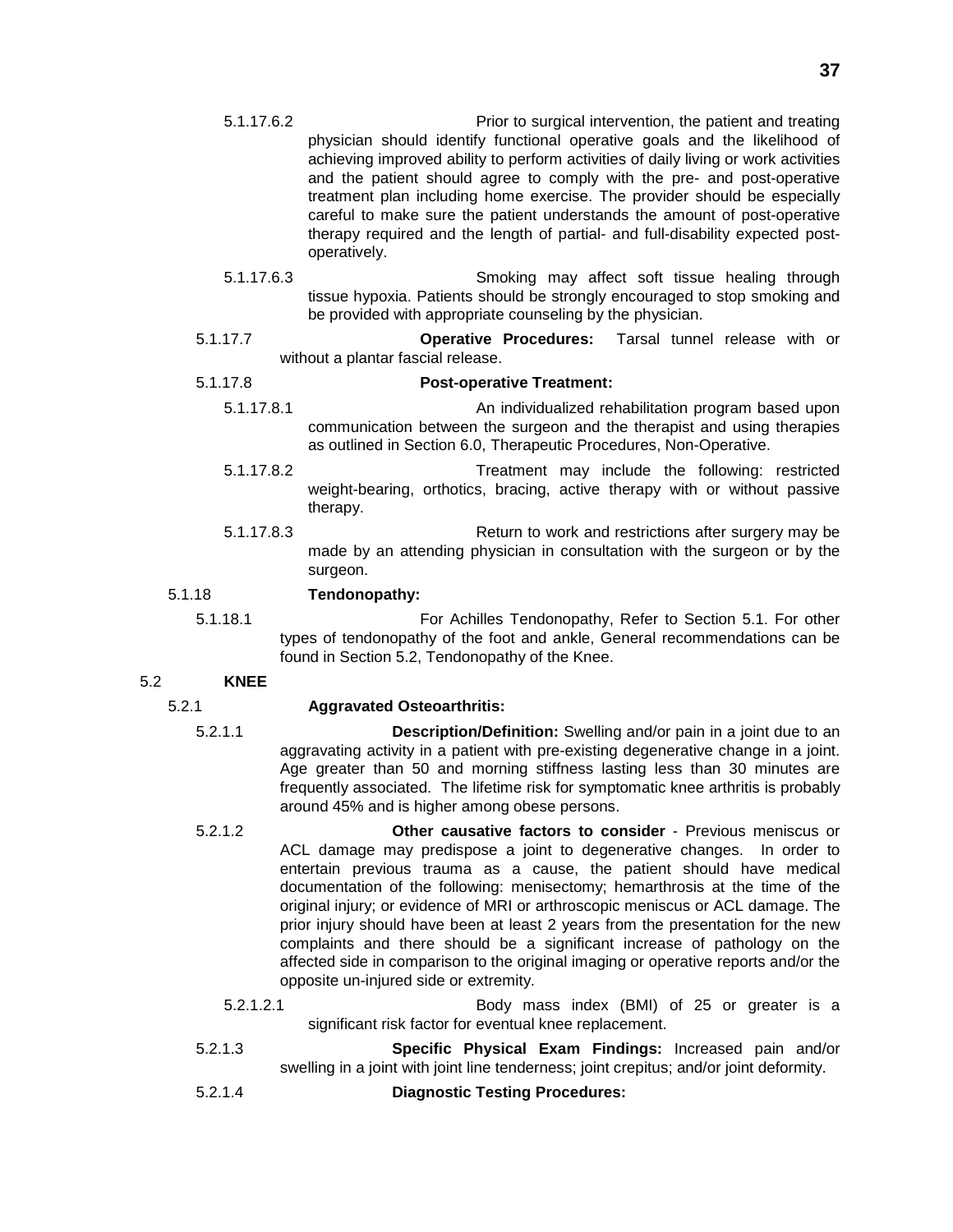- 5.1.17.6.2 Prior to surgical intervention, the patient and treating physician should identify functional operative goals and the likelihood of achieving improved ability to perform activities of daily living or work activities and the patient should agree to comply with the pre- and post-operative treatment plan including home exercise. The provider should be especially careful to make sure the patient understands the amount of post-operative therapy required and the length of partial- and full-disability expected postoperatively.
- 5.1.17.6.3 Smoking may affect soft tissue healing through tissue hypoxia. Patients should be strongly encouraged to stop smoking and be provided with appropriate counseling by the physician.
- 5.1.17.7 **Operative Procedures:** Tarsal tunnel release with or without a plantar fascial release.

### 5.1.17.8 **Post-operative Treatment:**

- 5.1.17.8.1 An individualized rehabilitation program based upon communication between the surgeon and the therapist and using therapies as outlined in Section 6.0, Therapeutic Procedures, Non-Operative.
- 5.1.17.8.2 Treatment may include the following: restricted weight-bearing, orthotics, bracing, active therapy with or without passive therapy.
- 5.1.17.8.3 Return to work and restrictions after surgery may be made by an attending physician in consultation with the surgeon or by the surgeon.

### 5.1.18 **Tendonopathy:**

5.1.18.1 For Achilles Tendonopathy, Refer to Section 5.1. For other types of tendonopathy of the foot and ankle, General recommendations can be found in Section 5.2, Tendonopathy of the Knee.

### 5.2 **KNEE**

### 5.2.1 **Aggravated Osteoarthritis:**

- 5.2.1.1 **Description/Definition:** Swelling and/or pain in a joint due to an aggravating activity in a patient with pre-existing degenerative change in a joint. Age greater than 50 and morning stiffness lasting less than 30 minutes are frequently associated. The lifetime risk for symptomatic knee arthritis is probably around 45% and is higher among obese persons.
- 5.2.1.2 **Other causative factors to consider** Previous meniscus or ACL damage may predispose a joint to degenerative changes. In order to entertain previous trauma as a cause, the patient should have medical documentation of the following: menisectomy; hemarthrosis at the time of the original injury; or evidence of MRI or arthroscopic meniscus or ACL damage. The prior injury should have been at least 2 years from the presentation for the new complaints and there should be a significant increase of pathology on the affected side in comparison to the original imaging or operative reports and/or the opposite un-injured side or extremity.
	- 5.2.1.2.1 Body mass index (BMI) of 25 or greater is a significant risk factor for eventual knee replacement.
- 5.2.1.3 **Specific Physical Exam Findings:** Increased pain and/or swelling in a joint with joint line tenderness; joint crepitus; and/or joint deformity.
- 5.2.1.4 **Diagnostic Testing Procedures:**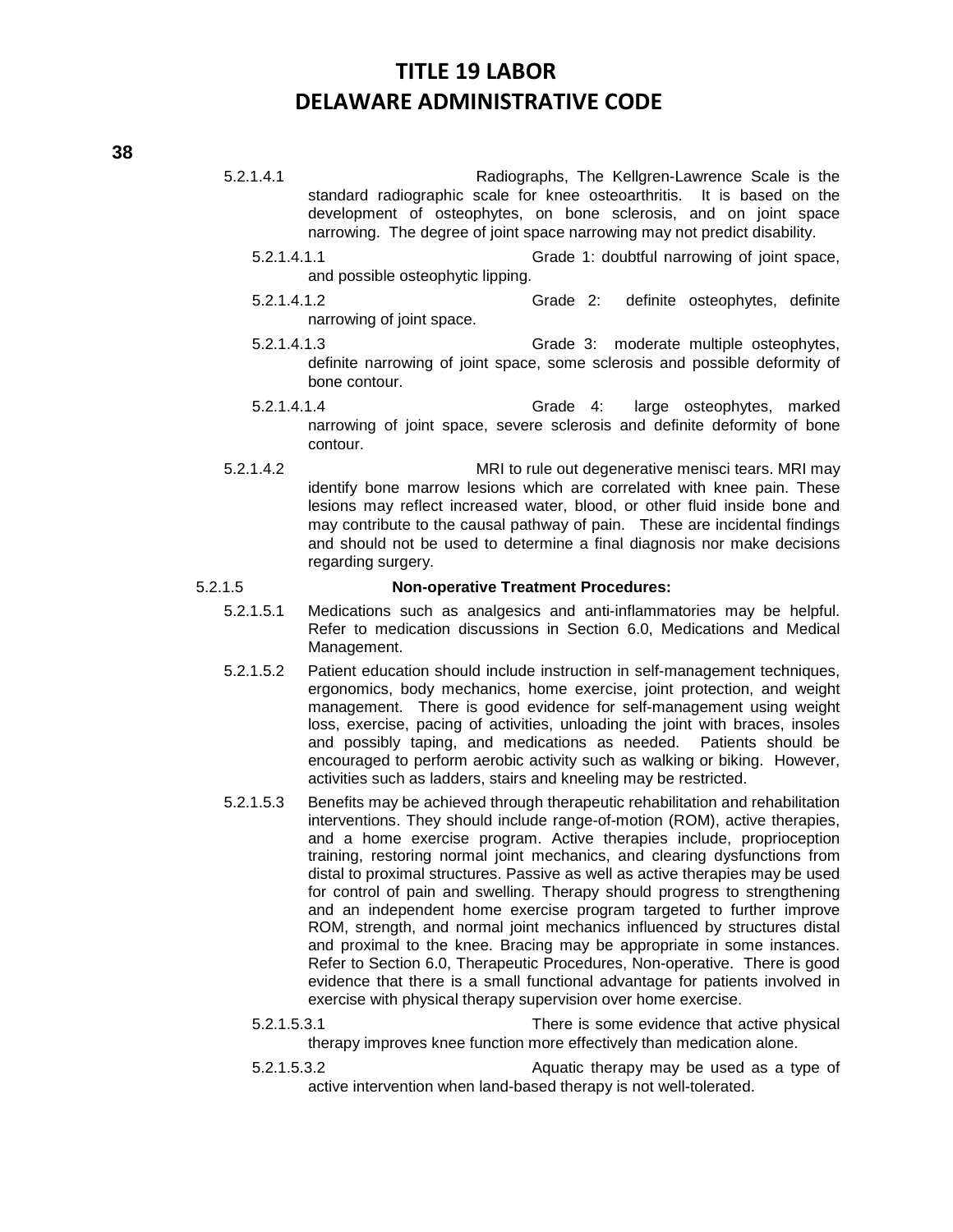5.2.1.4.1 Radiographs, The Kellgren-Lawrence Scale is the standard radiographic scale for knee osteoarthritis. It is based on the development of osteophytes, on bone sclerosis, and on joint space narrowing. The degree of joint space narrowing may not predict disability.

- 5.2.1.4.1.1 Grade 1: doubtful narrowing of joint space, and possible osteophytic lipping.
- 5.2.1.4.1.2 Grade 2: definite osteophytes, definite narrowing of joint space.
- 5.2.1.4.1.3 Grade 3: moderate multiple osteophytes, definite narrowing of joint space, some sclerosis and possible deformity of bone contour.
- 5.2.1.4.1.4 Grade 4: large osteophytes, marked narrowing of joint space, severe sclerosis and definite deformity of bone contour.
- 5.2.1.4.2 MRI to rule out degenerative menisci tears. MRI may identify bone marrow lesions which are correlated with knee pain. These lesions may reflect increased water, blood, or other fluid inside bone and may contribute to the causal pathway of pain. These are incidental findings and should not be used to determine a final diagnosis nor make decisions regarding surgery.

### 5.2.1.5 **Non-operative Treatment Procedures:**

- 5.2.1.5.1 Medications such as analgesics and anti-inflammatories may be helpful. Refer to medication discussions in Section 6.0, Medications and Medical Management.
- 5.2.1.5.2 Patient education should include instruction in self-management techniques, ergonomics, body mechanics, home exercise, joint protection, and weight management. There is good evidence for self-management using weight loss, exercise, pacing of activities, unloading the joint with braces, insoles and possibly taping, and medications as needed. Patients should be encouraged to perform aerobic activity such as walking or biking. However, activities such as ladders, stairs and kneeling may be restricted.
- 5.2.1.5.3 Benefits may be achieved through therapeutic rehabilitation and rehabilitation interventions. They should include range-of-motion (ROM), active therapies, and a home exercise program. Active therapies include, proprioception training, restoring normal joint mechanics, and clearing dysfunctions from distal to proximal structures. Passive as well as active therapies may be used for control of pain and swelling. Therapy should progress to strengthening and an independent home exercise program targeted to further improve ROM, strength, and normal joint mechanics influenced by structures distal and proximal to the knee. Bracing may be appropriate in some instances. Refer to Section 6.0, Therapeutic Procedures, Non-operative. There is good evidence that there is a small functional advantage for patients involved in exercise with physical therapy supervision over home exercise.
	- 5.2.1.5.3.1 There is some evidence that active physical therapy improves knee function more effectively than medication alone.
	- 5.2.1.5.3.2 Aquatic therapy may be used as a type of active intervention when land-based therapy is not well-tolerated.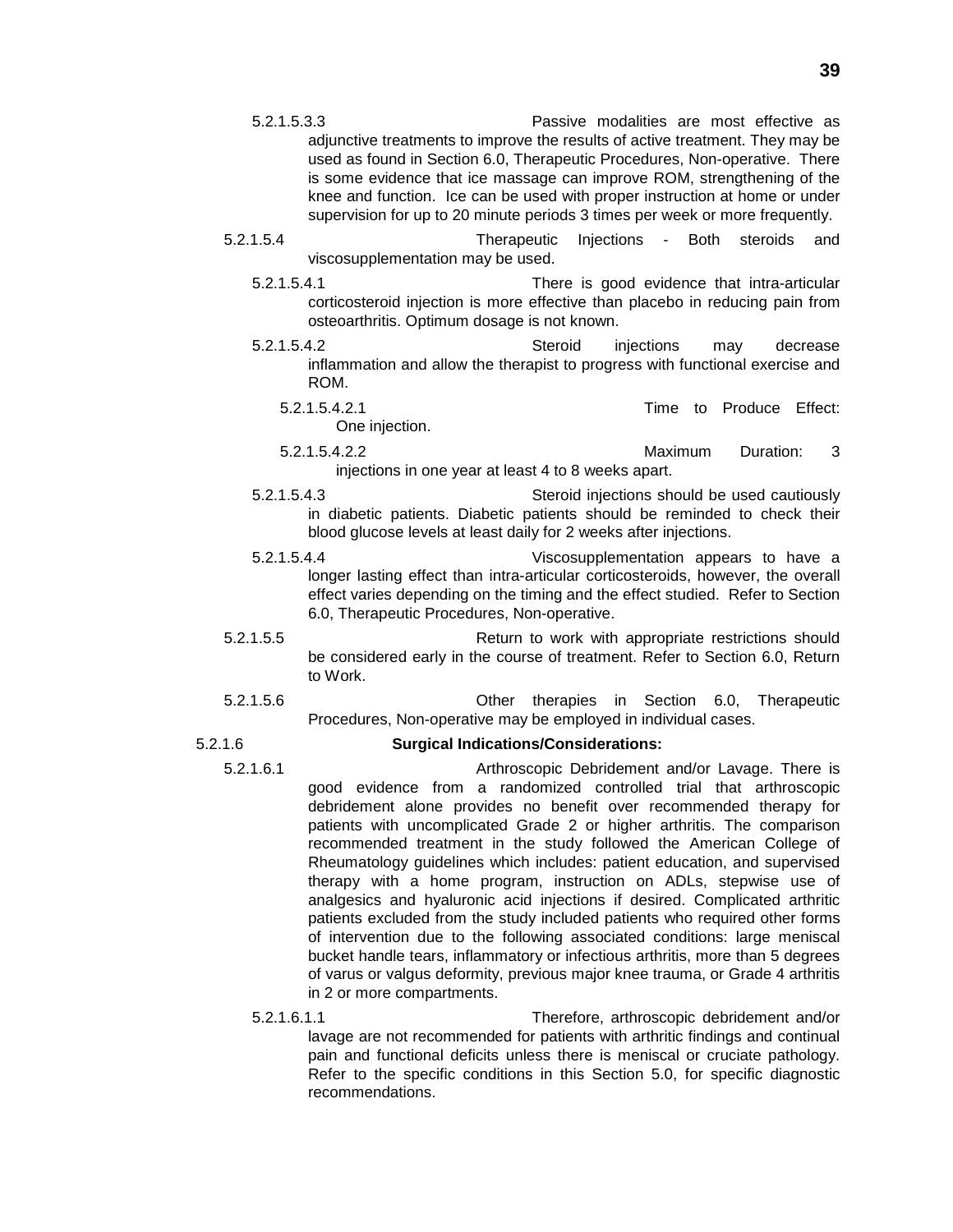- 5.2.1.5.3.3 Passive modalities are most effective as adjunctive treatments to improve the results of active treatment. They may be used as found in Section 6.0, Therapeutic Procedures, Non-operative. There is some evidence that ice massage can improve ROM, strengthening of the knee and function. Ice can be used with proper instruction at home or under supervision for up to 20 minute periods 3 times per week or more frequently.
- 5.2.1.5.4 Therapeutic Injections Both steroids and viscosupplementation may be used.
	- 5.2.1.5.4.1 There is good evidence that intra-articular corticosteroid injection is more effective than placebo in reducing pain from osteoarthritis. Optimum dosage is not known.
	- 5.2.1.5.4.2 Steroid injections may decrease inflammation and allow the therapist to progress with functional exercise and ROM.
		- 5.2.1.5.4.2.1 Time to Produce Effect: One injection.
		- 5.2.1.5.4.2.2 Maximum Duration: 3 injections in one year at least 4 to 8 weeks apart.
	- 5.2.1.5.4.3 Steroid injections should be used cautiously in diabetic patients. Diabetic patients should be reminded to check their blood glucose levels at least daily for 2 weeks after injections.
	- 5.2.1.5.4.4 Viscosupplementation appears to have a longer lasting effect than intra-articular corticosteroids, however, the overall effect varies depending on the timing and the effect studied. Refer to Section 6.0, Therapeutic Procedures, Non-operative.
- 5.2.1.5.5 Return to work with appropriate restrictions should be considered early in the course of treatment. Refer to Section 6.0, Return to Work.
- 5.2.1.5.6 Other therapies in Section 6.0, Therapeutic Procedures, Non-operative may be employed in individual cases.

### 5.2.1.6 **Surgical Indications/Considerations:**

- 5.2.1.6.1 Arthroscopic Debridement and/or Lavage. There is good evidence from a randomized controlled trial that arthroscopic debridement alone provides no benefit over recommended therapy for patients with uncomplicated Grade 2 or higher arthritis. The comparison recommended treatment in the study followed the American College of Rheumatology guidelines which includes: patient education, and supervised therapy with a home program, instruction on ADLs, stepwise use of analgesics and hyaluronic acid injections if desired. Complicated arthritic patients excluded from the study included patients who required other forms of intervention due to the following associated conditions: large meniscal bucket handle tears, inflammatory or infectious arthritis, more than 5 degrees of varus or valgus deformity, previous major knee trauma, or Grade 4 arthritis in 2 or more compartments.
	- 5.2.1.6.1.1 Therefore, arthroscopic debridement and/or lavage are not recommended for patients with arthritic findings and continual pain and functional deficits unless there is meniscal or cruciate pathology. Refer to the specific conditions in this Section 5.0, for specific diagnostic recommendations.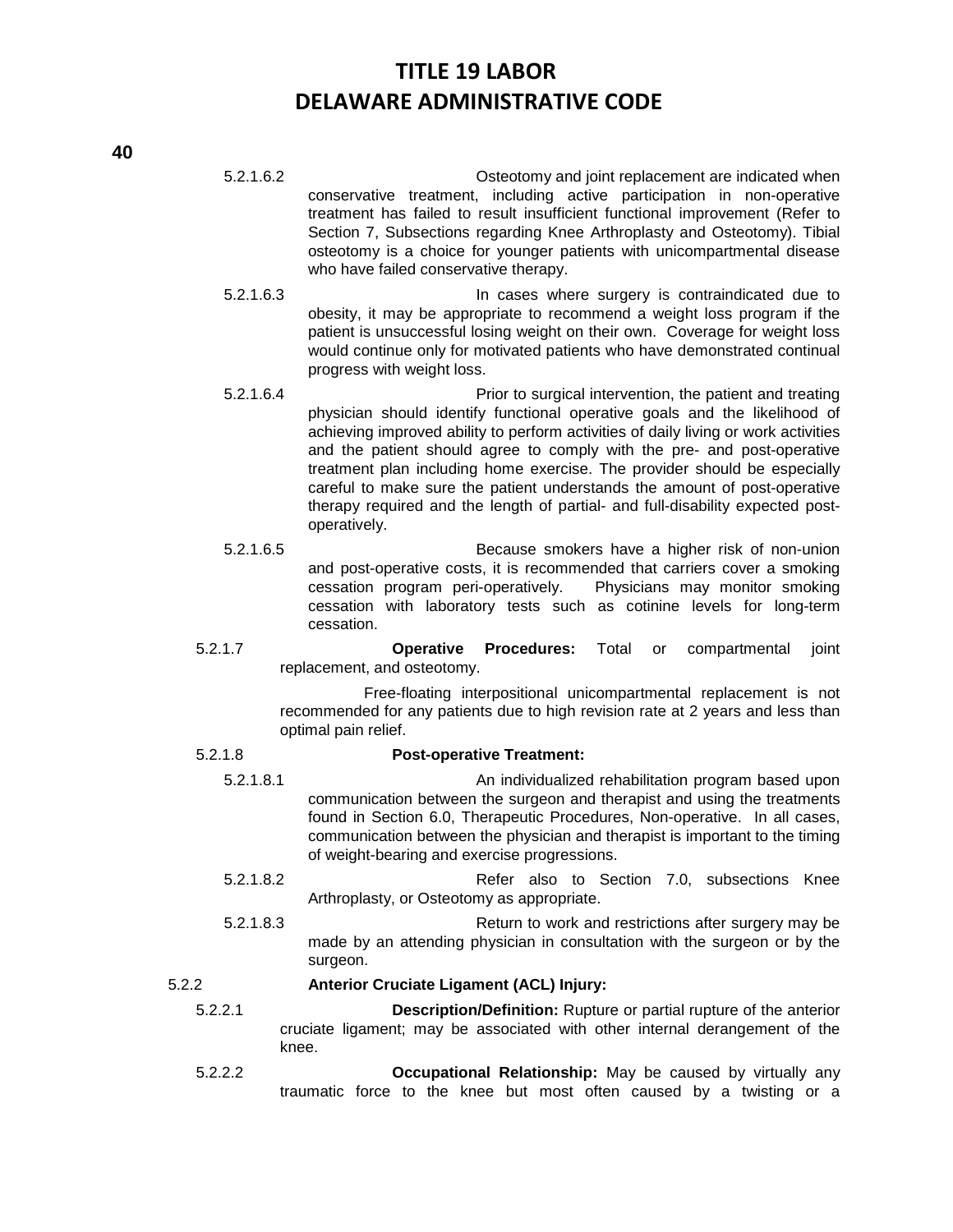- 5.2.1.6.2 Osteotomy and joint replacement are indicated when conservative treatment, including active participation in non-operative treatment has failed to result insufficient functional improvement (Refer to Section 7, Subsections regarding Knee Arthroplasty and Osteotomy). Tibial osteotomy is a choice for younger patients with unicompartmental disease who have failed conservative therapy.
- 5.2.1.6.3 In cases where surgery is contraindicated due to obesity, it may be appropriate to recommend a weight loss program if the patient is unsuccessful losing weight on their own. Coverage for weight loss would continue only for motivated patients who have demonstrated continual progress with weight loss.
- 5.2.1.6.4 Prior to surgical intervention, the patient and treating physician should identify functional operative goals and the likelihood of achieving improved ability to perform activities of daily living or work activities and the patient should agree to comply with the pre- and post-operative treatment plan including home exercise. The provider should be especially careful to make sure the patient understands the amount of post-operative therapy required and the length of partial- and full-disability expected postoperatively.
- 5.2.1.6.5 Because smokers have a higher risk of non-union and post-operative costs, it is recommended that carriers cover a smoking cessation program peri-operatively. Physicians may monitor smoking cessation with laboratory tests such as cotinine levels for long-term cessation.
- 5.2.1.7 **Operative Procedures:** Total or compartmental joint replacement, and osteotomy.

Free-floating interpositional unicompartmental replacement is not recommended for any patients due to high revision rate at 2 years and less than optimal pain relief.

### 5.2.1.8 **Post-operative Treatment:**

- 5.2.1.8.1 An individualized rehabilitation program based upon communication between the surgeon and therapist and using the treatments found in Section 6.0, Therapeutic Procedures, Non-operative. In all cases, communication between the physician and therapist is important to the timing of weight-bearing and exercise progressions.
- 5.2.1.8.2 Refer also to Section 7.0, subsections Knee Arthroplasty, or Osteotomy as appropriate.
- 5.2.1.8.3 Return to work and restrictions after surgery may be made by an attending physician in consultation with the surgeon or by the surgeon.

### 5.2.2 **Anterior Cruciate Ligament (ACL) Injury:**

5.2.2.1 **Description/Definition:** Rupture or partial rupture of the anterior cruciate ligament; may be associated with other internal derangement of the knee.

5.2.2.2 **Occupational Relationship:** May be caused by virtually any traumatic force to the knee but most often caused by a twisting or a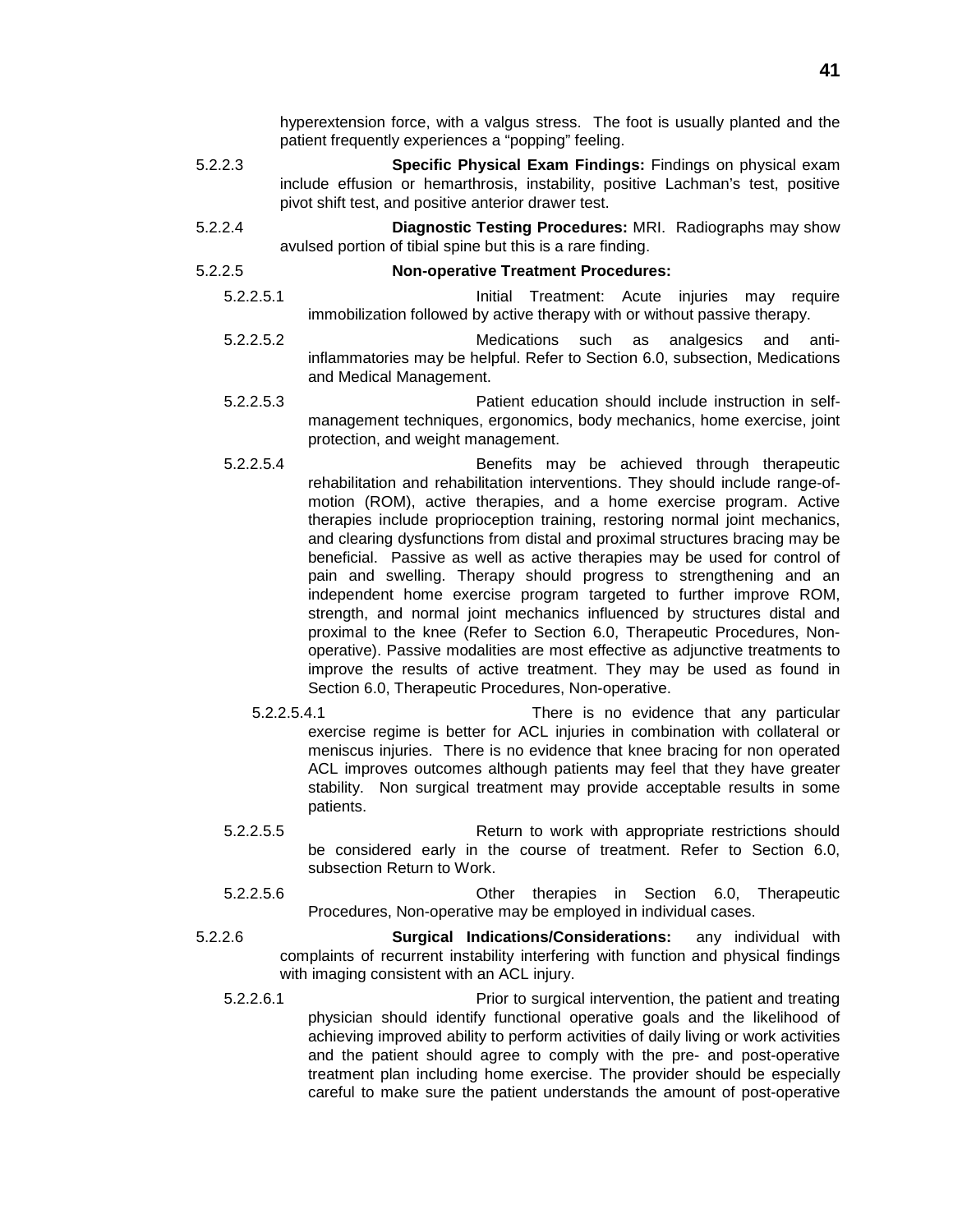hyperextension force, with a valgus stress. The foot is usually planted and the patient frequently experiences a "popping" feeling.

- 5.2.2.3 **Specific Physical Exam Findings:** Findings on physical exam include effusion or hemarthrosis, instability, positive Lachman's test, positive pivot shift test, and positive anterior drawer test.
- 5.2.2.4 **Diagnostic Testing Procedures:** MRI. Radiographs may show avulsed portion of tibial spine but this is a rare finding.

### 5.2.2.5 **Non-operative Treatment Procedures:**

5.2.2.5.1 Initial Treatment: Acute injuries may require immobilization followed by active therapy with or without passive therapy.

- 5.2.2.5.2 Medications such as analgesics and antiinflammatories may be helpful. Refer to Section 6.0, subsection, Medications and Medical Management.
- 5.2.2.5.3 Patient education should include instruction in selfmanagement techniques, ergonomics, body mechanics, home exercise, joint protection, and weight management.
- 5.2.2.5.4 Benefits may be achieved through therapeutic rehabilitation and rehabilitation interventions. They should include range-ofmotion (ROM), active therapies, and a home exercise program. Active therapies include proprioception training, restoring normal joint mechanics, and clearing dysfunctions from distal and proximal structures bracing may be beneficial. Passive as well as active therapies may be used for control of pain and swelling. Therapy should progress to strengthening and an independent home exercise program targeted to further improve ROM, strength, and normal joint mechanics influenced by structures distal and proximal to the knee (Refer to Section 6.0, Therapeutic Procedures, Nonoperative). Passive modalities are most effective as adjunctive treatments to improve the results of active treatment. They may be used as found in Section 6.0, Therapeutic Procedures, Non-operative.
	- 5.2.2.5.4.1 There is no evidence that any particular exercise regime is better for ACL injuries in combination with collateral or meniscus injuries. There is no evidence that knee bracing for non operated ACL improves outcomes although patients may feel that they have greater stability. Non surgical treatment may provide acceptable results in some patients.
- 5.2.2.5.5 Return to work with appropriate restrictions should be considered early in the course of treatment. Refer to Section 6.0, subsection Return to Work.
- 5.2.2.5.6 Other therapies in Section 6.0, Therapeutic Procedures, Non-operative may be employed in individual cases.
- 5.2.2.6 **Surgical Indications/Considerations:** any individual with complaints of recurrent instability interfering with function and physical findings with imaging consistent with an ACL injury.
	- 5.2.2.6.1 Prior to surgical intervention, the patient and treating physician should identify functional operative goals and the likelihood of achieving improved ability to perform activities of daily living or work activities and the patient should agree to comply with the pre- and post-operative treatment plan including home exercise. The provider should be especially careful to make sure the patient understands the amount of post-operative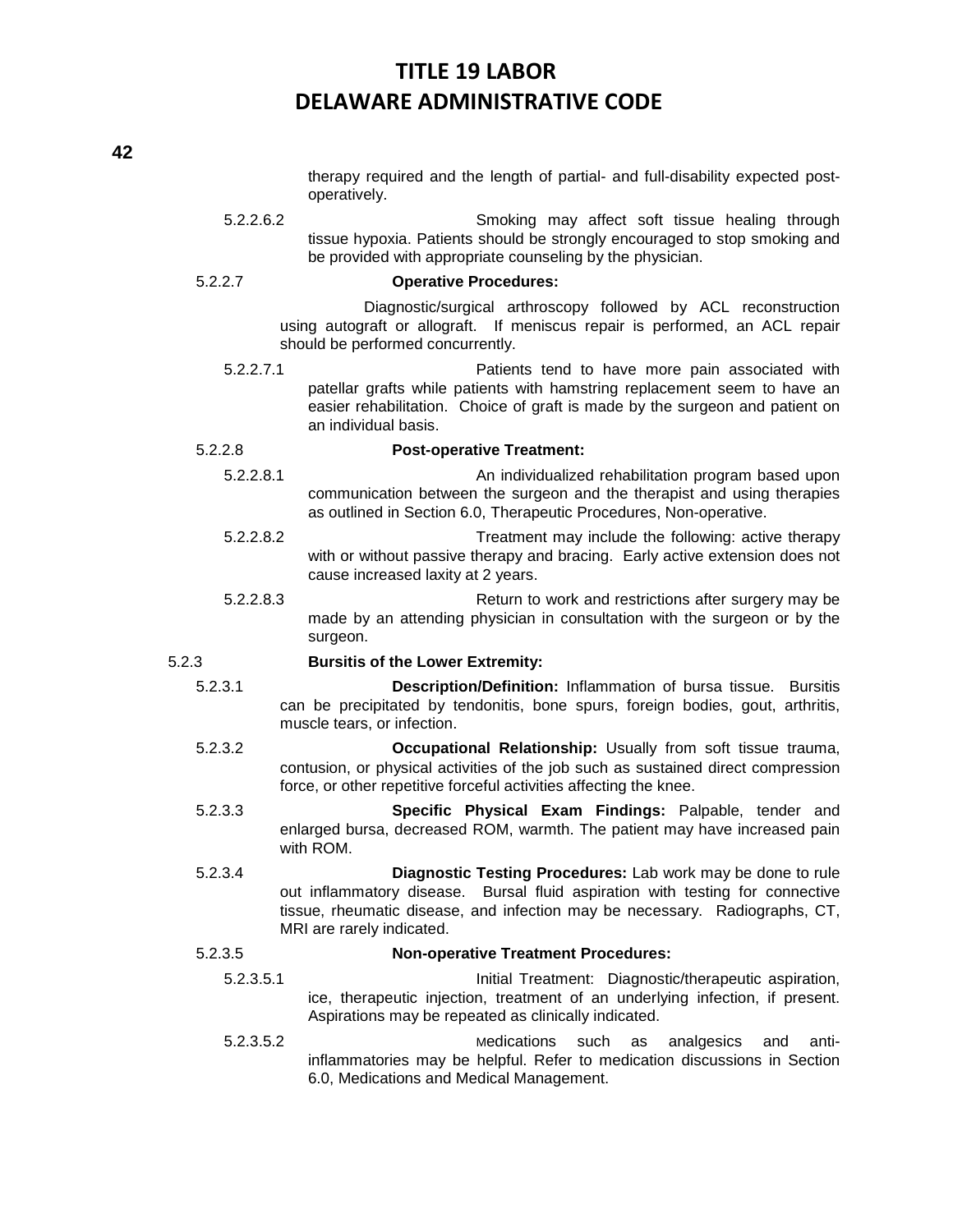therapy required and the length of partial- and full-disability expected postoperatively.

5.2.2.6.2 Smoking may affect soft tissue healing through tissue hypoxia. Patients should be strongly encouraged to stop smoking and be provided with appropriate counseling by the physician.

### 5.2.2.7 **Operative Procedures:**

Diagnostic/surgical arthroscopy followed by ACL reconstruction using autograft or allograft. If meniscus repair is performed, an ACL repair should be performed concurrently.

5.2.2.7.1 Patients tend to have more pain associated with patellar grafts while patients with hamstring replacement seem to have an easier rehabilitation. Choice of graft is made by the surgeon and patient on an individual basis.

### 5.2.2.8 **Post-operative Treatment:**

- 5.2.2.8.1 An individualized rehabilitation program based upon communication between the surgeon and the therapist and using therapies as outlined in Section 6.0, Therapeutic Procedures, Non-operative.
- 5.2.2.8.2 Treatment may include the following: active therapy with or without passive therapy and bracing. Early active extension does not cause increased laxity at 2 years.
- 5.2.2.8.3 Return to work and restrictions after surgery may be made by an attending physician in consultation with the surgeon or by the surgeon.

### 5.2.3 **Bursitis of the Lower Extremity:**

- 5.2.3.1 **Description/Definition:** Inflammation of bursa tissue. Bursitis can be precipitated by tendonitis, bone spurs, foreign bodies, gout, arthritis, muscle tears, or infection.
- 5.2.3.2 **Occupational Relationship:** Usually from soft tissue trauma, contusion, or physical activities of the job such as sustained direct compression force, or other repetitive forceful activities affecting the knee.
- 5.2.3.3 **Specific Physical Exam Findings:** Palpable, tender and enlarged bursa, decreased ROM, warmth. The patient may have increased pain with ROM.
- 5.2.3.4 **Diagnostic Testing Procedures:** Lab work may be done to rule out inflammatory disease. Bursal fluid aspiration with testing for connective tissue, rheumatic disease, and infection may be necessary. Radiographs, CT, MRI are rarely indicated.

### 5.2.3.5 **Non-operative Treatment Procedures:**

- 5.2.3.5.1 Initial Treatment: Diagnostic/therapeutic aspiration, ice, therapeutic injection, treatment of an underlying infection, if present. Aspirations may be repeated as clinically indicated.
- 5.2.3.5.2 Medications such as analgesics and antiinflammatories may be helpful. Refer to medication discussions in Section 6.0, Medications and Medical Management.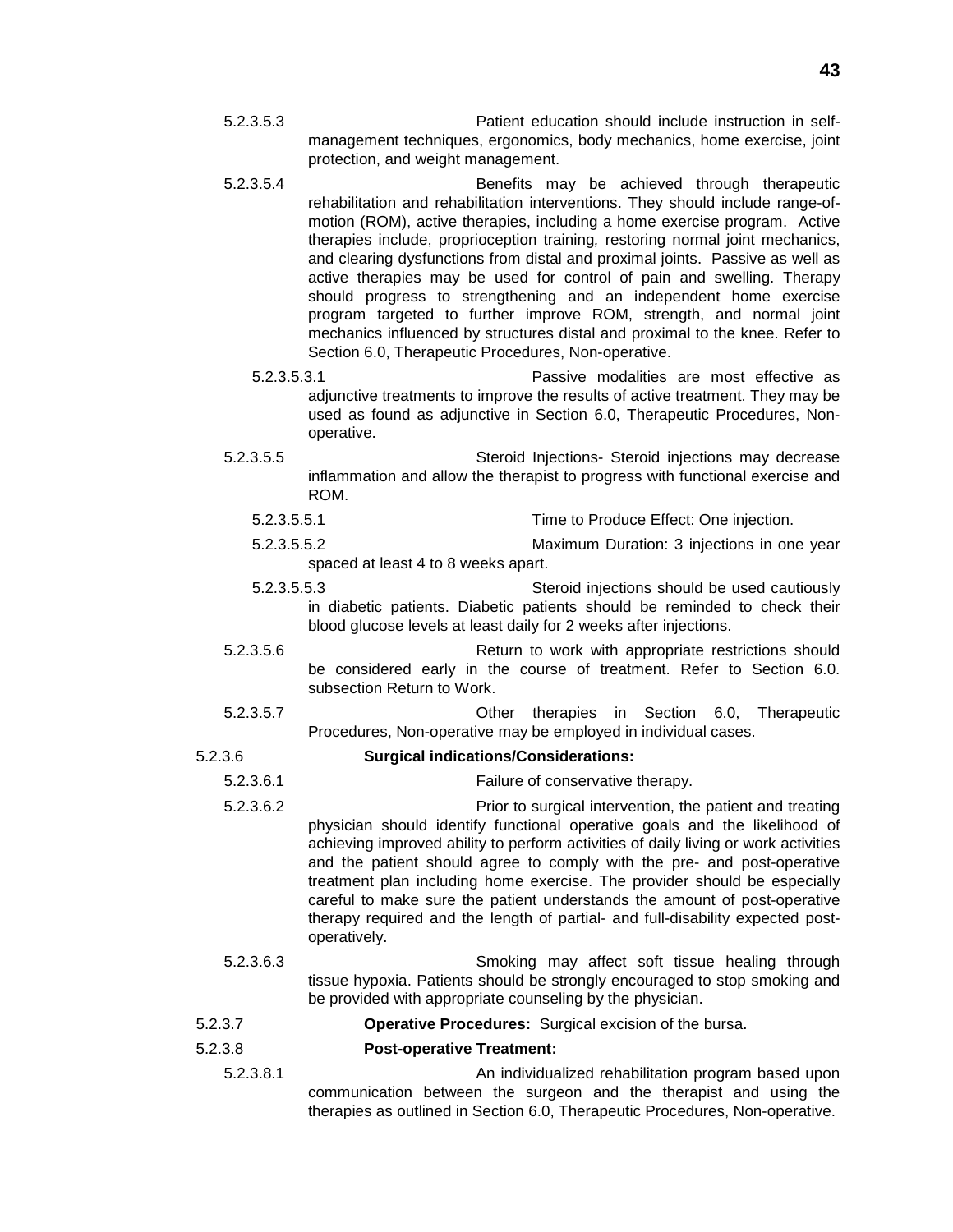- 5.2.3.5.3 Patient education should include instruction in selfmanagement techniques, ergonomics, body mechanics, home exercise, joint protection, and weight management.
- 5.2.3.5.4 Benefits may be achieved through therapeutic rehabilitation and rehabilitation interventions. They should include range-ofmotion (ROM), active therapies, including a home exercise program. Active therapies include, proprioception training*,* restoring normal joint mechanics, and clearing dysfunctions from distal and proximal joints. Passive as well as active therapies may be used for control of pain and swelling. Therapy should progress to strengthening and an independent home exercise program targeted to further improve ROM, strength, and normal joint mechanics influenced by structures distal and proximal to the knee. Refer to Section 6.0, Therapeutic Procedures, Non-operative.
	- 5.2.3.5.3.1 Passive modalities are most effective as adjunctive treatments to improve the results of active treatment. They may be used as found as adjunctive in Section 6.0, Therapeutic Procedures, Nonoperative.
- 5.2.3.5.5 Steroid Injections- Steroid injections may decrease inflammation and allow the therapist to progress with functional exercise and ROM.
	- 5.2.3.5.5.1 Time to Produce Effect: One injection.
	- 5.2.3.5.5.2 Maximum Duration: 3 injections in one year spaced at least 4 to 8 weeks apart.
	- 5.2.3.5.5.3 Steroid injections should be used cautiously in diabetic patients. Diabetic patients should be reminded to check their blood glucose levels at least daily for 2 weeks after injections.
- 5.2.3.5.6 Return to work with appropriate restrictions should be considered early in the course of treatment. Refer to Section 6.0. subsection Return to Work.
- 5.2.3.5.7 Other therapies in Section 6.0, Therapeutic Procedures, Non-operative may be employed in individual cases.

### 5.2.3.6 **Surgical indications/Considerations:**

- 5.2.3.6.1 Failure of conservative therapy.
- 5.2.3.6.2 Prior to surgical intervention, the patient and treating physician should identify functional operative goals and the likelihood of achieving improved ability to perform activities of daily living or work activities and the patient should agree to comply with the pre- and post-operative treatment plan including home exercise. The provider should be especially careful to make sure the patient understands the amount of post-operative therapy required and the length of partial- and full-disability expected postoperatively.
- 5.2.3.6.3 Smoking may affect soft tissue healing through tissue hypoxia. Patients should be strongly encouraged to stop smoking and be provided with appropriate counseling by the physician.
- 5.2.3.7 **Operative Procedures:** Surgical excision of the bursa.

### 5.2.3.8 **Post-operative Treatment:**

5.2.3.8.1 An individualized rehabilitation program based upon communication between the surgeon and the therapist and using the therapies as outlined in Section 6.0, Therapeutic Procedures, Non-operative.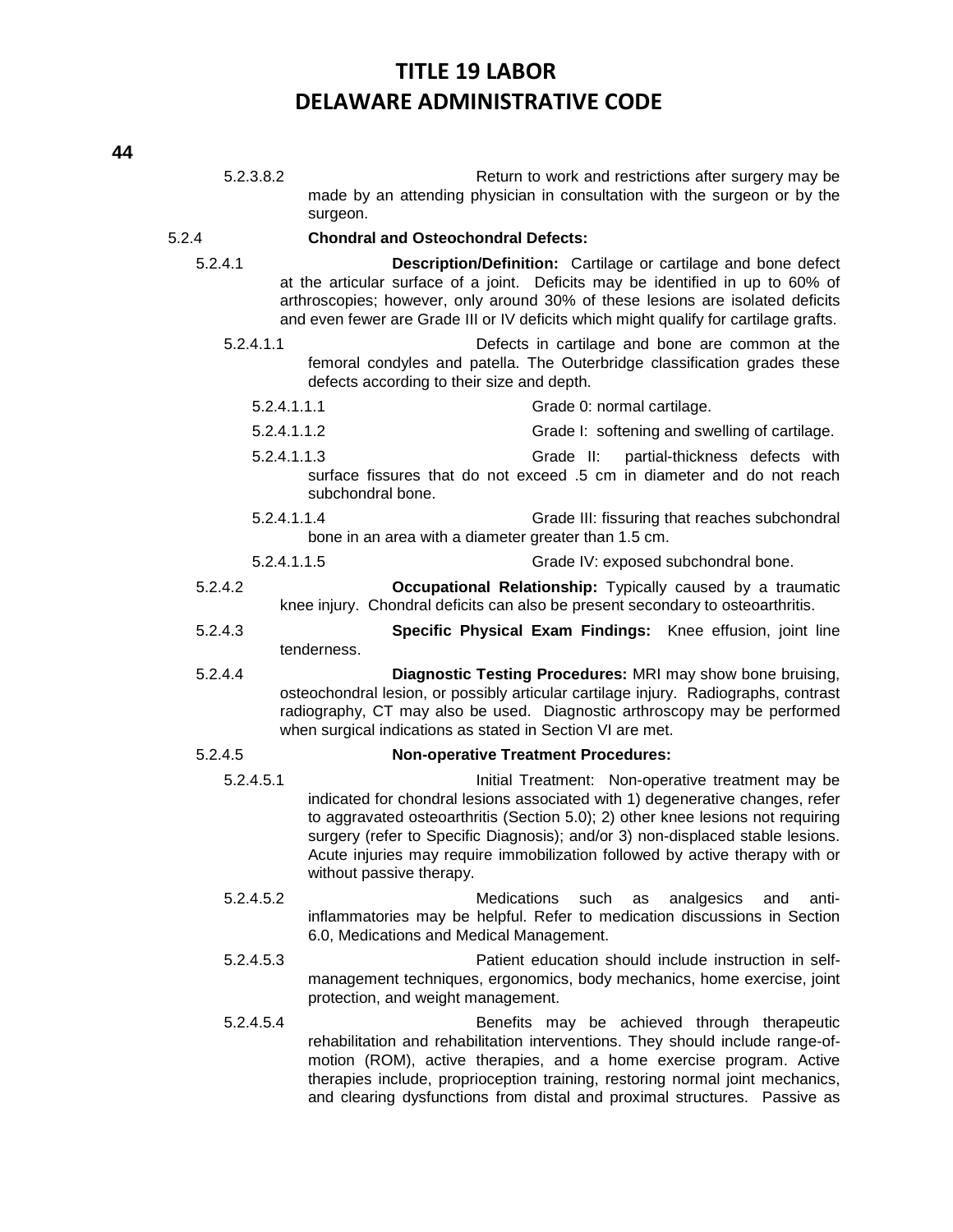| 5.2.3.8.2   | Return to work and restrictions after surgery may be<br>made by an attending physician in consultation with the surgeon or by the<br>surgeon.                                                                                                                                                                                                                                                                       |
|-------------|---------------------------------------------------------------------------------------------------------------------------------------------------------------------------------------------------------------------------------------------------------------------------------------------------------------------------------------------------------------------------------------------------------------------|
| 5.2.4       | <b>Chondral and Osteochondral Defects:</b>                                                                                                                                                                                                                                                                                                                                                                          |
| 5.2.4.1     | Description/Definition: Cartilage or cartilage and bone defect<br>at the articular surface of a joint. Deficits may be identified in up to 60% of<br>arthroscopies; however, only around 30% of these lesions are isolated deficits<br>and even fewer are Grade III or IV deficits which might qualify for cartilage grafts.                                                                                        |
| 5.2.4.1.1   | Defects in cartilage and bone are common at the<br>femoral condyles and patella. The Outerbridge classification grades these<br>defects according to their size and depth.                                                                                                                                                                                                                                          |
| 5.2.4.1.1.1 | Grade 0: normal cartilage.                                                                                                                                                                                                                                                                                                                                                                                          |
| 5.2.4.1.1.2 | Grade I: softening and swelling of cartilage.                                                                                                                                                                                                                                                                                                                                                                       |
| 5.2.4.1.1.3 | Grade II:<br>partial-thickness defects with<br>surface fissures that do not exceed .5 cm in diameter and do not reach<br>subchondral bone.                                                                                                                                                                                                                                                                          |
| 5.2.4.1.1.4 | Grade III: fissuring that reaches subchondral<br>bone in an area with a diameter greater than 1.5 cm.                                                                                                                                                                                                                                                                                                               |
| 5.2.4.1.1.5 | Grade IV: exposed subchondral bone.                                                                                                                                                                                                                                                                                                                                                                                 |
| 5.2.4.2     | Occupational Relationship: Typically caused by a traumatic<br>knee injury. Chondral deficits can also be present secondary to osteoarthritis.                                                                                                                                                                                                                                                                       |
| 5.2.4.3     | Specific Physical Exam Findings: Knee effusion, joint line<br>tenderness.                                                                                                                                                                                                                                                                                                                                           |
| 5.2.4.4     | Diagnostic Testing Procedures: MRI may show bone bruising,<br>osteochondral lesion, or possibly articular cartilage injury. Radiographs, contrast<br>radiography, CT may also be used. Diagnostic arthroscopy may be performed<br>when surgical indications as stated in Section VI are met.                                                                                                                        |
| 5.2.4.5     | <b>Non-operative Treatment Procedures:</b>                                                                                                                                                                                                                                                                                                                                                                          |
| 5.2.4.5.1   | Initial Treatment: Non-operative treatment may be<br>indicated for chondral lesions associated with 1) degenerative changes, refer<br>to aggravated osteoarthritis (Section 5.0); 2) other knee lesions not requiring<br>surgery (refer to Specific Diagnosis); and/or 3) non-displaced stable lesions.<br>Acute injuries may require immobilization followed by active therapy with or<br>without passive therapy. |
| 5.2.4.5.2   | <b>Medications</b><br>such<br>analgesics<br>anti-<br>as<br>and<br>inflammatories may be helpful. Refer to medication discussions in Section<br>6.0, Medications and Medical Management.                                                                                                                                                                                                                             |
| 5.2.4.5.3   | Patient education should include instruction in self-<br>management techniques, ergonomics, body mechanics, home exercise, joint<br>protection, and weight management.                                                                                                                                                                                                                                              |
| 5.2.4.5.4   | Benefits may be achieved through therapeutic<br>rehabilitation and rehabilitation interventions. They should include range-of-<br>motion (ROM), active therapies, and a home exercise program. Active<br>therapies include, proprioception training, restoring normal joint mechanics,<br>and clearing dysfunctions from distal and proximal structures. Passive as                                                 |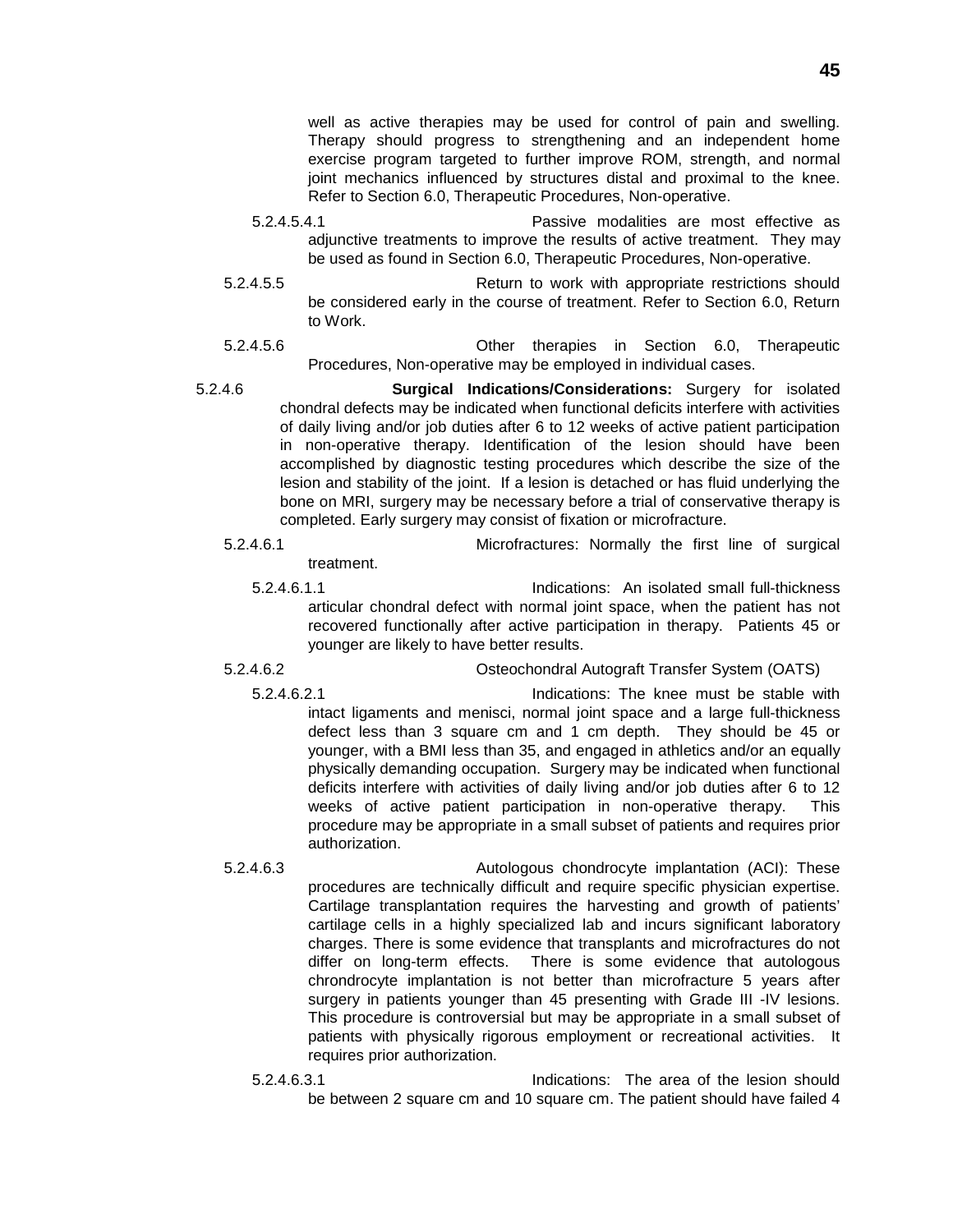well as active therapies may be used for control of pain and swelling. Therapy should progress to strengthening and an independent home exercise program targeted to further improve ROM, strength, and normal joint mechanics influenced by structures distal and proximal to the knee. Refer to Section 6.0, Therapeutic Procedures, Non-operative.

- 5.2.4.5.4.1 Passive modalities are most effective as adjunctive treatments to improve the results of active treatment. They may be used as found in Section 6.0, Therapeutic Procedures, Non-operative.
- 5.2.4.5.5 Return to work with appropriate restrictions should be considered early in the course of treatment. Refer to Section 6.0, Return to Work.
- 5.2.4.5.6 Other therapies in Section 6.0, Therapeutic Procedures, Non-operative may be employed in individual cases.
- 5.2.4.6 **Surgical Indications/Considerations:** Surgery for isolated chondral defects may be indicated when functional deficits interfere with activities of daily living and/or job duties after 6 to 12 weeks of active patient participation in non-operative therapy. Identification of the lesion should have been accomplished by diagnostic testing procedures which describe the size of the lesion and stability of the joint. If a lesion is detached or has fluid underlying the bone on MRI, surgery may be necessary before a trial of conservative therapy is completed. Early surgery may consist of fixation or microfracture.
	- 5.2.4.6.1 Microfractures: Normally the first line of surgical treatment.
		- 5.2.4.6.1.1 Indications: An isolated small full-thickness articular chondral defect with normal joint space, when the patient has not recovered functionally after active participation in therapy. Patients 45 or younger are likely to have better results.
	-

5.2.4.6.2 Osteochondral Autograft Transfer System (OATS)

- 5.2.4.6.2.1 Indications: The knee must be stable with intact ligaments and menisci, normal joint space and a large full-thickness defect less than 3 square cm and 1 cm depth. They should be 45 or younger, with a BMI less than 35, and engaged in athletics and/or an equally physically demanding occupation. Surgery may be indicated when functional deficits interfere with activities of daily living and/or job duties after 6 to 12 weeks of active patient participation in non-operative therapy. This procedure may be appropriate in a small subset of patients and requires prior authorization.
- 5.2.4.6.3 Autologous chondrocyte implantation (ACI): These procedures are technically difficult and require specific physician expertise. Cartilage transplantation requires the harvesting and growth of patients' cartilage cells in a highly specialized lab and incurs significant laboratory charges. There is some evidence that transplants and microfractures do not differ on long-term effects. There is some evidence that autologous chrondrocyte implantation is not better than microfracture 5 years after surgery in patients younger than 45 presenting with Grade III -IV lesions. This procedure is controversial but may be appropriate in a small subset of patients with physically rigorous employment or recreational activities. It requires prior authorization.
	- 5.2.4.6.3.1 Indications: The area of the lesion should be between 2 square cm and 10 square cm. The patient should have failed 4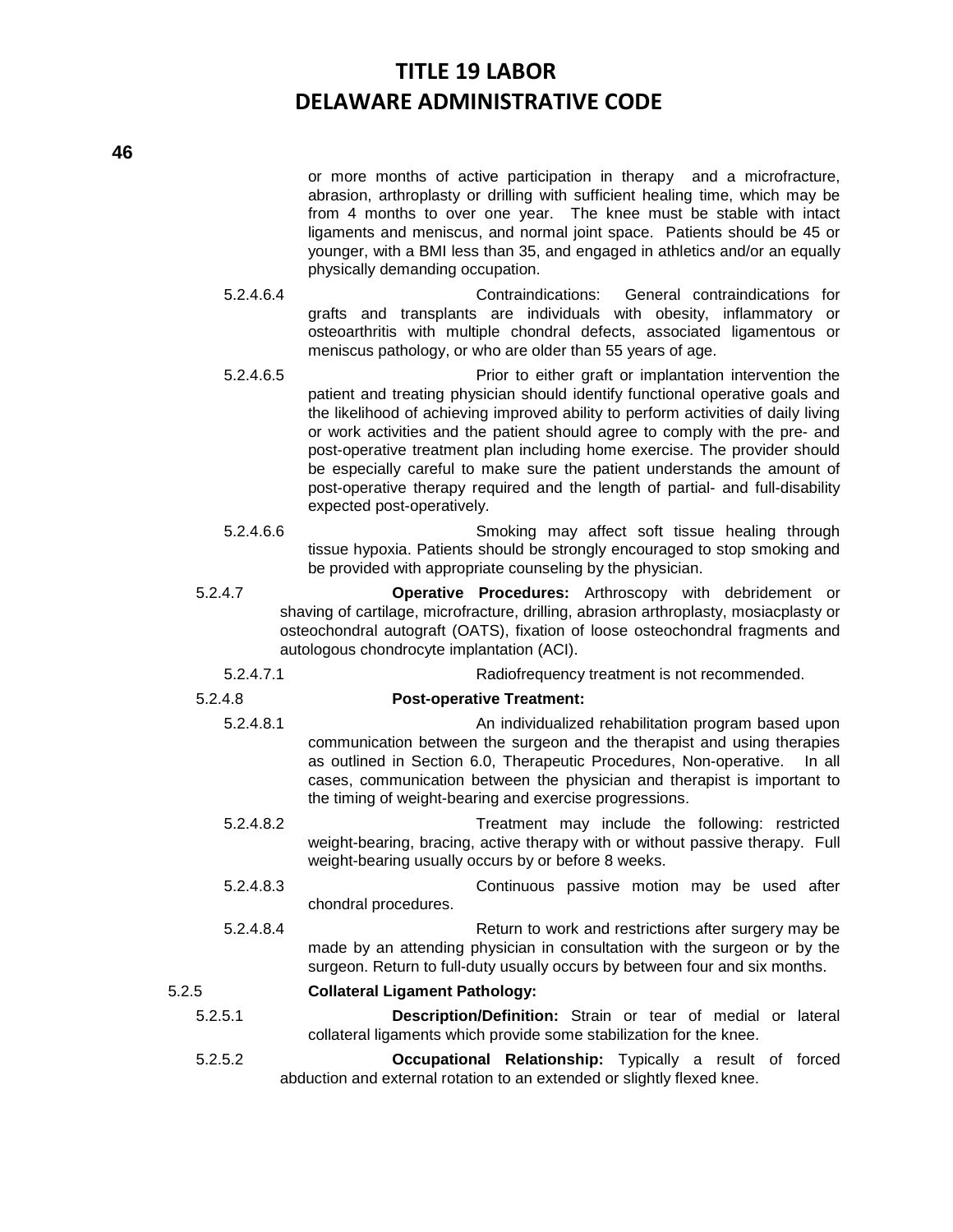or more months of active participation in therapy and a microfracture, abrasion, arthroplasty or drilling with sufficient healing time, which may be from 4 months to over one year. The knee must be stable with intact ligaments and meniscus, and normal joint space. Patients should be 45 or younger, with a BMI less than 35, and engaged in athletics and/or an equally physically demanding occupation.

- 5.2.4.6.4 Contraindications: General contraindications for grafts and transplants are individuals with obesity, inflammatory or osteoarthritis with multiple chondral defects, associated ligamentous or meniscus pathology, or who are older than 55 years of age.
- 5.2.4.6.5 Prior to either graft or implantation intervention the patient and treating physician should identify functional operative goals and the likelihood of achieving improved ability to perform activities of daily living or work activities and the patient should agree to comply with the pre- and post-operative treatment plan including home exercise. The provider should be especially careful to make sure the patient understands the amount of post-operative therapy required and the length of partial- and full-disability expected post-operatively.
- 5.2.4.6.6 Smoking may affect soft tissue healing through tissue hypoxia. Patients should be strongly encouraged to stop smoking and be provided with appropriate counseling by the physician.
- 5.2.4.7 **Operative Procedures:** Arthroscopy with debridement or shaving of cartilage, microfracture, drilling, abrasion arthroplasty, mosiacplasty or osteochondral autograft (OATS), fixation of loose osteochondral fragments and autologous chondrocyte implantation (ACI).
	- 5.2.4.7.1 Radiofrequency treatment is not recommended.

### 5.2.4.8 **Post-operative Treatment:**

- 5.2.4.8.1 An individualized rehabilitation program based upon communication between the surgeon and the therapist and using therapies as outlined in Section 6.0, Therapeutic Procedures, Non-operative. In all cases, communication between the physician and therapist is important to the timing of weight-bearing and exercise progressions.
- 5.2.4.8.2 Treatment may include the following: restricted weight-bearing, bracing, active therapy with or without passive therapy. Full weight-bearing usually occurs by or before 8 weeks.
- 5.2.4.8.3 Continuous passive motion may be used after chondral procedures.
- 5.2.4.8.4 Return to work and restrictions after surgery may be made by an attending physician in consultation with the surgeon or by the surgeon. Return to full-duty usually occurs by between four and six months.

### 5.2.5 **Collateral Ligament Pathology:**

- 5.2.5.1 **Description/Definition:** Strain or tear of medial or lateral collateral ligaments which provide some stabilization for the knee.
- 5.2.5.2 **Occupational Relationship:** Typically a result of forced abduction and external rotation to an extended or slightly flexed knee.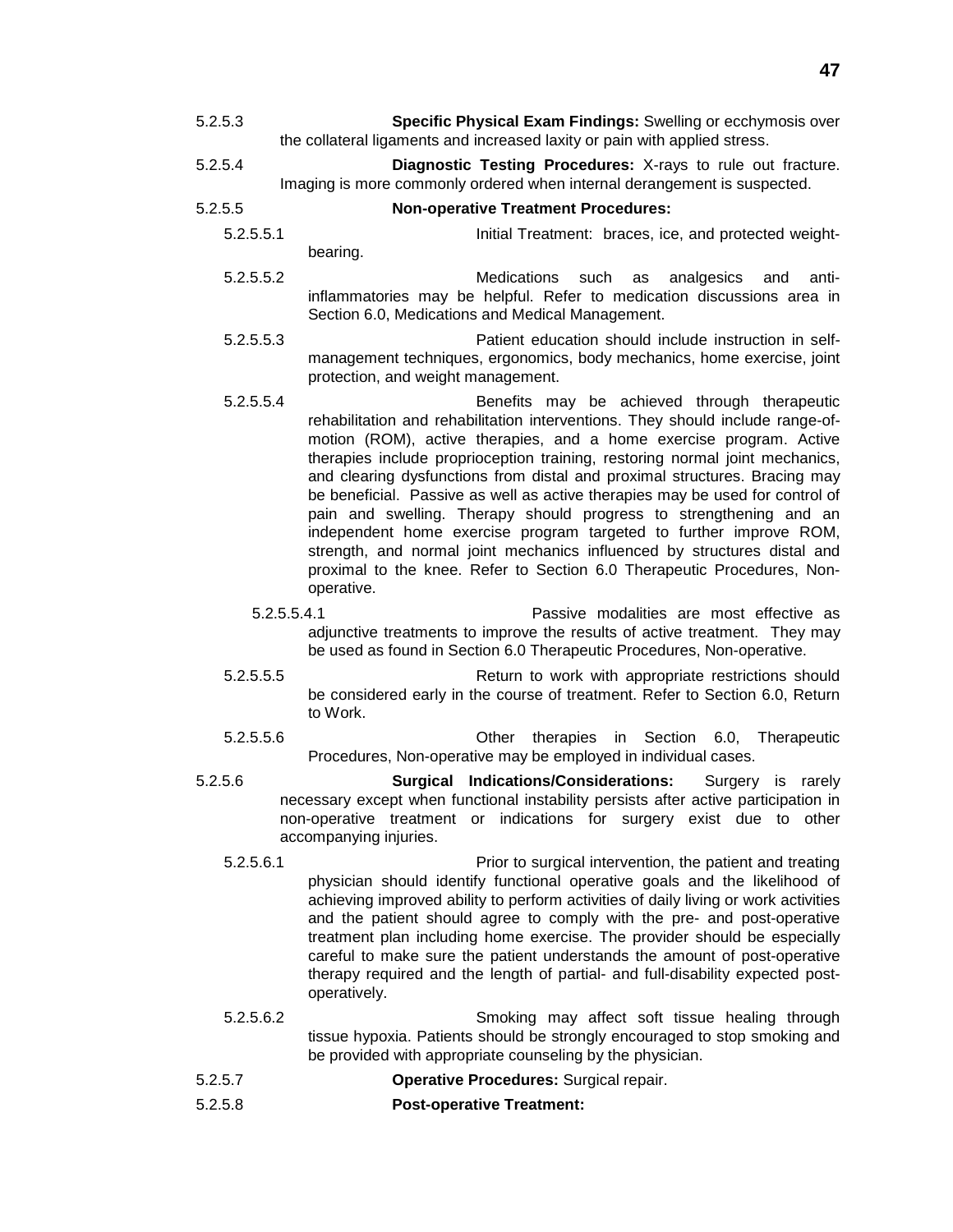- 5.2.5.3 **Specific Physical Exam Findings:** Swelling or ecchymosis over the collateral ligaments and increased laxity or pain with applied stress.
- 5.2.5.4 **Diagnostic Testing Procedures:** X-rays to rule out fracture. Imaging is more commonly ordered when internal derangement is suspected.
- 5.2.5.5 **Non-operative Treatment Procedures:**
	- 5.2.5.5.1 Initial Treatment: braces, ice, and protected weightbearing.
	- 5.2.5.5.2 Medications such as analgesics and antiinflammatories may be helpful. Refer to medication discussions area in Section 6.0, Medications and Medical Management.
	- 5.2.5.5.3 Patient education should include instruction in selfmanagement techniques, ergonomics, body mechanics, home exercise, joint protection, and weight management.
	- 5.2.5.5.4 Benefits may be achieved through therapeutic rehabilitation and rehabilitation interventions. They should include range-ofmotion (ROM), active therapies, and a home exercise program. Active therapies include proprioception training, restoring normal joint mechanics, and clearing dysfunctions from distal and proximal structures. Bracing may be beneficial. Passive as well as active therapies may be used for control of pain and swelling. Therapy should progress to strengthening and an independent home exercise program targeted to further improve ROM, strength, and normal joint mechanics influenced by structures distal and proximal to the knee. Refer to Section 6.0 Therapeutic Procedures, Nonoperative.
		- 5.2.5.5.4.1 Passive modalities are most effective as adjunctive treatments to improve the results of active treatment. They may be used as found in Section 6.0 Therapeutic Procedures, Non-operative.
	- 5.2.5.5.5 Return to work with appropriate restrictions should be considered early in the course of treatment. Refer to Section 6.0, Return to Work.
	- 5.2.5.5.6 Other therapies in Section 6.0, Therapeutic Procedures, Non-operative may be employed in individual cases.
- 5.2.5.6 **Surgical Indications/Considerations:** Surgery is rarely necessary except when functional instability persists after active participation in non-operative treatment or indications for surgery exist due to other accompanying injuries.
	- 5.2.5.6.1 Prior to surgical intervention, the patient and treating physician should identify functional operative goals and the likelihood of achieving improved ability to perform activities of daily living or work activities and the patient should agree to comply with the pre- and post-operative treatment plan including home exercise. The provider should be especially careful to make sure the patient understands the amount of post-operative therapy required and the length of partial- and full-disability expected postoperatively.
	- 5.2.5.6.2 Smoking may affect soft tissue healing through tissue hypoxia. Patients should be strongly encouraged to stop smoking and be provided with appropriate counseling by the physician.
- 5.2.5.7 **Operative Procedures:** Surgical repair.
- 5.2.5.8 **Post-operative Treatment:**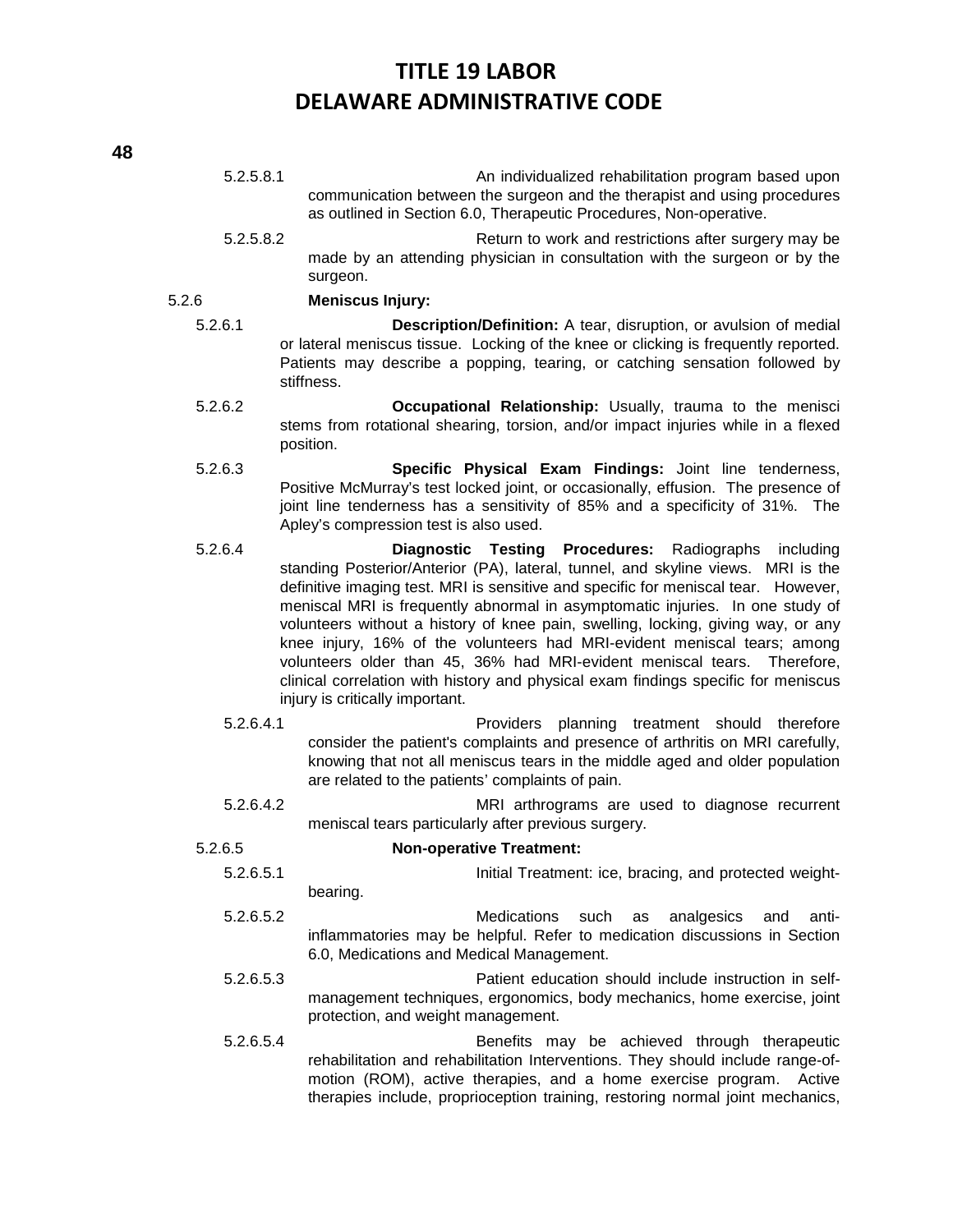- 5.2.5.8.1 An individualized rehabilitation program based upon communication between the surgeon and the therapist and using procedures as outlined in Section 6.0, Therapeutic Procedures, Non-operative.
- 5.2.5.8.2 Return to work and restrictions after surgery may be made by an attending physician in consultation with the surgeon or by the surgeon.

### 5.2.6 **Meniscus Injury:**

- 5.2.6.1 **Description/Definition:** A tear, disruption, or avulsion of medial or lateral meniscus tissue. Locking of the knee or clicking is frequently reported. Patients may describe a popping, tearing, or catching sensation followed by stiffness.
- 5.2.6.2 **Occupational Relationship:** Usually, trauma to the menisci stems from rotational shearing, torsion, and/or impact injuries while in a flexed position.
- 5.2.6.3 **Specific Physical Exam Findings:** Joint line tenderness, Positive McMurray's test locked joint, or occasionally, effusion. The presence of joint line tenderness has a sensitivity of 85% and a specificity of 31%. The Apley's compression test is also used.
- 5.2.6.4 **Diagnostic Testing Procedures:** Radiographs including standing Posterior/Anterior (PA), lateral, tunnel, and skyline views. MRI is the definitive imaging test. MRI is sensitive and specific for meniscal tear. However, meniscal MRI is frequently abnormal in asymptomatic injuries. In one study of volunteers without a history of knee pain, swelling, locking, giving way, or any knee injury, 16% of the volunteers had MRI-evident meniscal tears; among volunteers older than 45, 36% had MRI-evident meniscal tears. Therefore, clinical correlation with history and physical exam findings specific for meniscus injury is critically important.
	- 5.2.6.4.1 Providers planning treatment should therefore consider the patient's complaints and presence of arthritis on MRI carefully, knowing that not all meniscus tears in the middle aged and older population are related to the patients' complaints of pain.
	- 5.2.6.4.2 MRI arthrograms are used to diagnose recurrent meniscal tears particularly after previous surgery.

5.2.6.5 **Non-operative Treatment:**

- 5.2.6.5.1 Initial Treatment: ice, bracing, and protected weightbearing.
- 5.2.6.5.2 Medications such as analgesics and antiinflammatories may be helpful. Refer to medication discussions in Section 6.0, Medications and Medical Management.
- 5.2.6.5.3 Patient education should include instruction in selfmanagement techniques, ergonomics, body mechanics, home exercise, joint protection, and weight management.
- 5.2.6.5.4 Benefits may be achieved through therapeutic rehabilitation and rehabilitation Interventions. They should include range-ofmotion (ROM), active therapies, and a home exercise program. Active therapies include, proprioception training, restoring normal joint mechanics,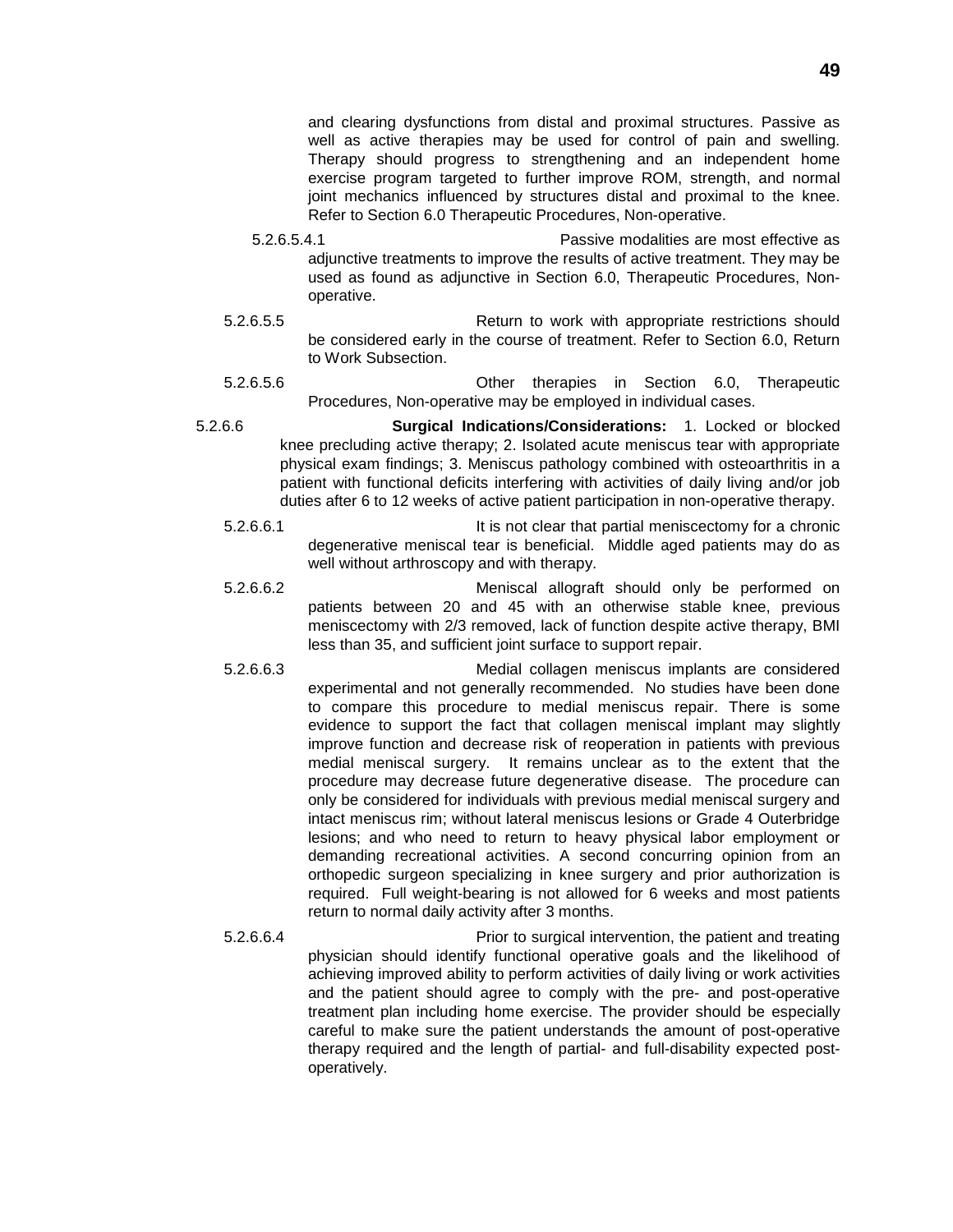and clearing dysfunctions from distal and proximal structures. Passive as well as active therapies may be used for control of pain and swelling. Therapy should progress to strengthening and an independent home exercise program targeted to further improve ROM, strength, and normal joint mechanics influenced by structures distal and proximal to the knee. Refer to Section 6.0 Therapeutic Procedures, Non-operative.

- 5.2.6.5.4.1 Passive modalities are most effective as adjunctive treatments to improve the results of active treatment. They may be used as found as adjunctive in Section 6.0, Therapeutic Procedures, Nonoperative.
- 5.2.6.5.5 Return to work with appropriate restrictions should be considered early in the course of treatment. Refer to Section 6.0, Return to Work Subsection.
- 5.2.6.5.6 Other therapies in Section 6.0, Therapeutic Procedures, Non-operative may be employed in individual cases.
- 5.2.6.6 **Surgical Indications/Considerations:** 1. Locked or blocked knee precluding active therapy; 2. Isolated acute meniscus tear with appropriate physical exam findings; 3. Meniscus pathology combined with osteoarthritis in a patient with functional deficits interfering with activities of daily living and/or job duties after 6 to 12 weeks of active patient participation in non-operative therapy.
	- 5.2.6.6.1 **It is not clear that partial meniscectomy for a chronic** degenerative meniscal tear is beneficial. Middle aged patients may do as well without arthroscopy and with therapy.
	- 5.2.6.6.2 Meniscal allograft should only be performed on patients between 20 and 45 with an otherwise stable knee, previous meniscectomy with 2/3 removed, lack of function despite active therapy, BMI less than 35, and sufficient joint surface to support repair.
	- 5.2.6.6.3 Medial collagen meniscus implants are considered experimental and not generally recommended. No studies have been done to compare this procedure to medial meniscus repair. There is some evidence to support the fact that collagen meniscal implant may slightly improve function and decrease risk of reoperation in patients with previous medial meniscal surgery. It remains unclear as to the extent that the procedure may decrease future degenerative disease. The procedure can only be considered for individuals with previous medial meniscal surgery and intact meniscus rim; without lateral meniscus lesions or Grade 4 Outerbridge lesions; and who need to return to heavy physical labor employment or demanding recreational activities. A second concurring opinion from an orthopedic surgeon specializing in knee surgery and prior authorization is required. Full weight-bearing is not allowed for 6 weeks and most patients return to normal daily activity after 3 months.
	- 5.2.6.6.4 Prior to surgical intervention, the patient and treating physician should identify functional operative goals and the likelihood of achieving improved ability to perform activities of daily living or work activities and the patient should agree to comply with the pre- and post-operative treatment plan including home exercise. The provider should be especially careful to make sure the patient understands the amount of post-operative therapy required and the length of partial- and full-disability expected postoperatively.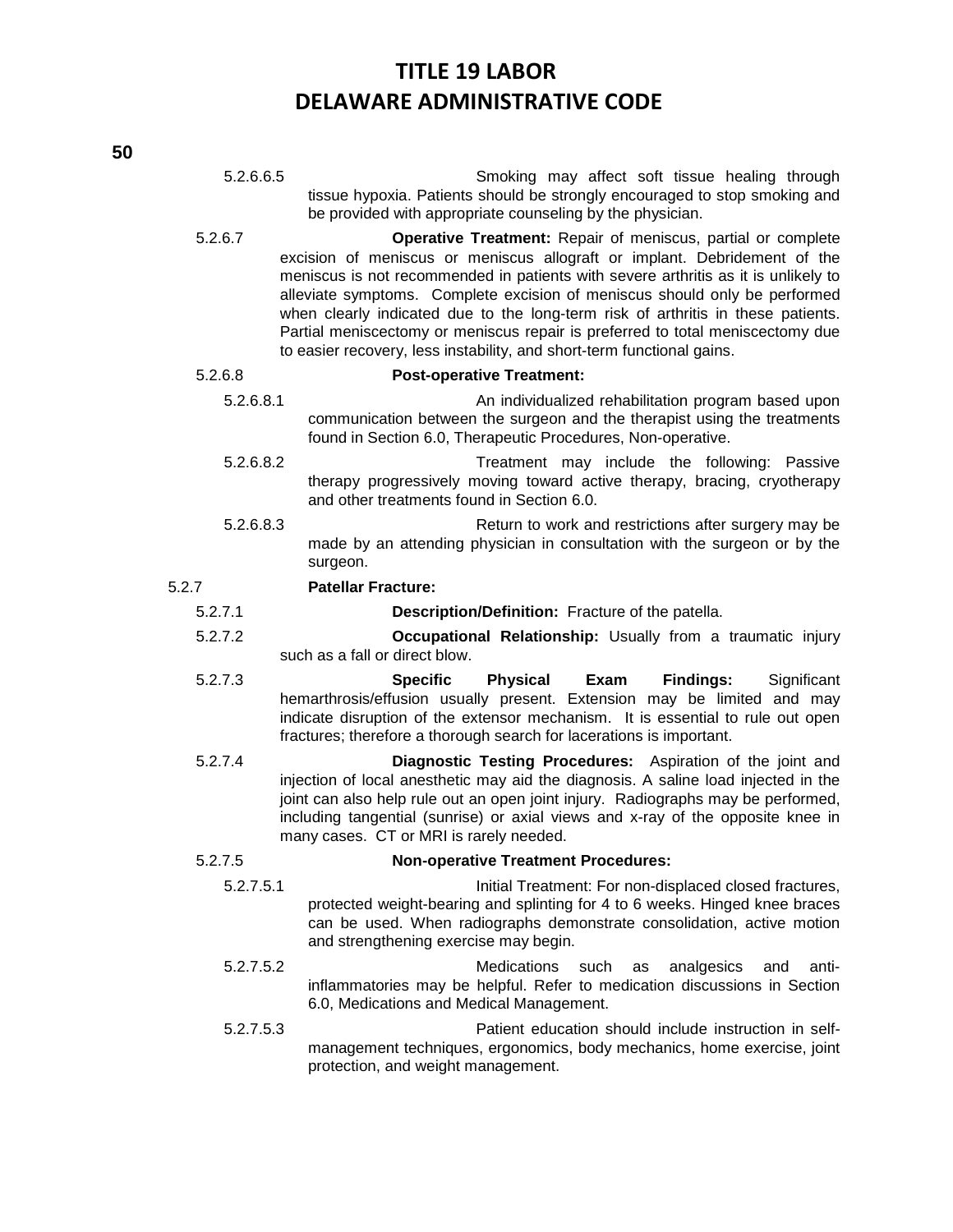5.2.6.6.5 Smoking may affect soft tissue healing through tissue hypoxia. Patients should be strongly encouraged to stop smoking and be provided with appropriate counseling by the physician.

5.2.6.7 **Operative Treatment:** Repair of meniscus, partial or complete excision of meniscus or meniscus allograft or implant. Debridement of the meniscus is not recommended in patients with severe arthritis as it is unlikely to alleviate symptoms. Complete excision of meniscus should only be performed when clearly indicated due to the long-term risk of arthritis in these patients. Partial meniscectomy or meniscus repair is preferred to total meniscectomy due to easier recovery, less instability, and short-term functional gains.

### 5.2.6.8 **Post-operative Treatment:**

- 5.2.6.8.1 An individualized rehabilitation program based upon communication between the surgeon and the therapist using the treatments found in Section 6.0, Therapeutic Procedures, Non-operative.
- 5.2.6.8.2 Treatment may include the following: Passive therapy progressively moving toward active therapy, bracing, cryotherapy and other treatments found in Section 6.0.
- 5.2.6.8.3 Return to work and restrictions after surgery may be made by an attending physician in consultation with the surgeon or by the surgeon.

### 5.2.7 **Patellar Fracture:**

- 5.2.7.1 **Description/Definition:** Fracture of the patella.
- 5.2.7.2 **Occupational Relationship:** Usually from a traumatic injury such as a fall or direct blow.
- 5.2.7.3 **Specific Physical Exam Findings:** Significant hemarthrosis/effusion usually present. Extension may be limited and may indicate disruption of the extensor mechanism. It is essential to rule out open fractures; therefore a thorough search for lacerations is important.
- 5.2.7.4 **Diagnostic Testing Procedures:** Aspiration of the joint and injection of local anesthetic may aid the diagnosis. A saline load injected in the joint can also help rule out an open joint injury. Radiographs may be performed, including tangential (sunrise) or axial views and x-ray of the opposite knee in many cases. CT or MRI is rarely needed.

### 5.2.7.5 **Non-operative Treatment Procedures:**

- 5.2.7.5.1 Initial Treatment: For non-displaced closed fractures, protected weight-bearing and splinting for 4 to 6 weeks. Hinged knee braces can be used. When radiographs demonstrate consolidation, active motion and strengthening exercise may begin.
- 5.2.7.5.2 Medications such as analgesics and antiinflammatories may be helpful. Refer to medication discussions in Section 6.0, Medications and Medical Management.
- 5.2.7.5.3 Patient education should include instruction in selfmanagement techniques, ergonomics, body mechanics, home exercise, joint protection, and weight management.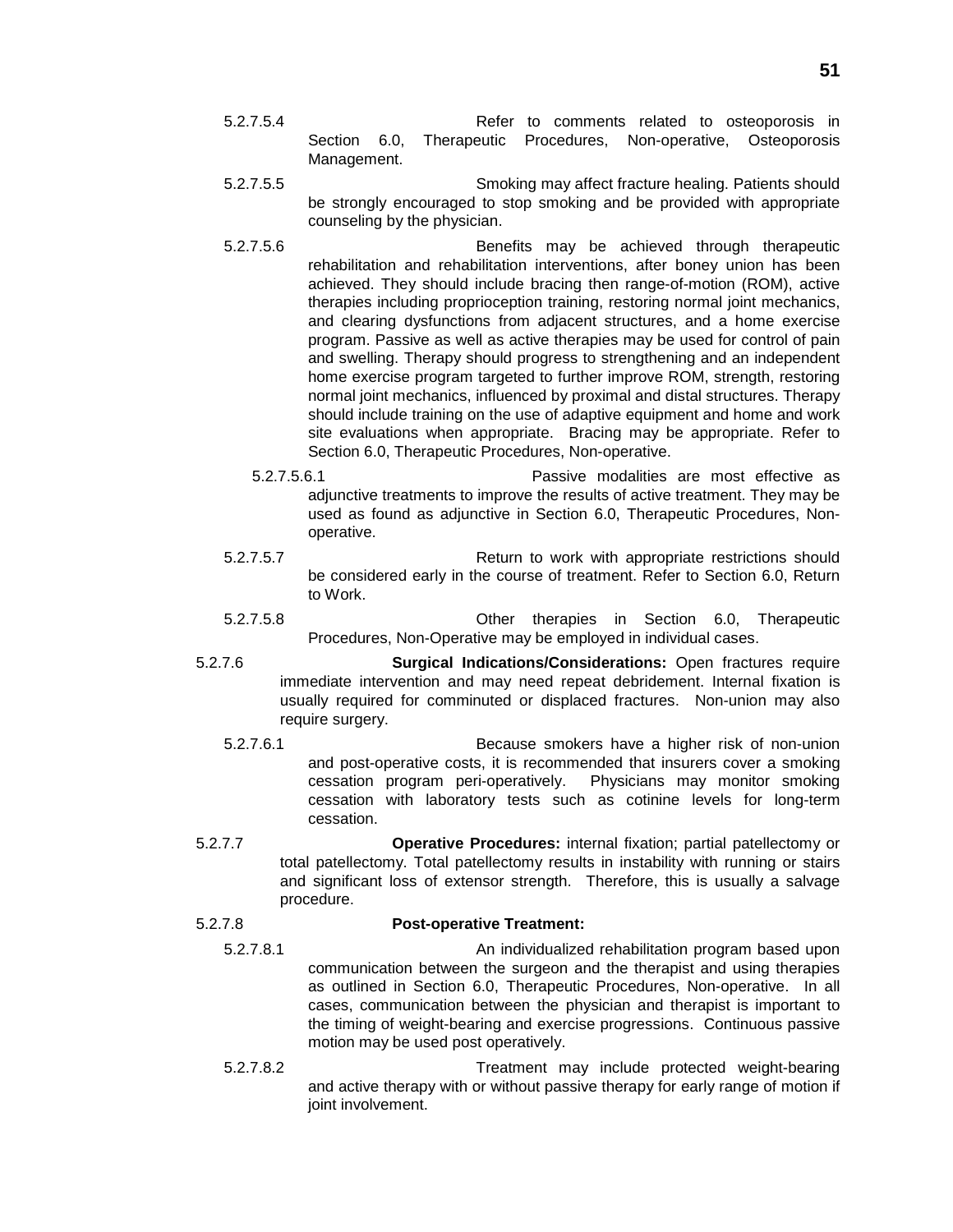- 5.2.7.5.4 Refer to comments related to osteoporosis in Section 6.0, Therapeutic Procedures, Non-operative, Osteoporosis Management.
- 5.2.7.5.5 Smoking may affect fracture healing. Patients should be strongly encouraged to stop smoking and be provided with appropriate counseling by the physician.
- 5.2.7.5.6 Benefits may be achieved through therapeutic rehabilitation and rehabilitation interventions, after boney union has been achieved. They should include bracing then range-of-motion (ROM), active therapies including proprioception training, restoring normal joint mechanics, and clearing dysfunctions from adjacent structures, and a home exercise program. Passive as well as active therapies may be used for control of pain and swelling. Therapy should progress to strengthening and an independent home exercise program targeted to further improve ROM, strength, restoring normal joint mechanics, influenced by proximal and distal structures. Therapy should include training on the use of adaptive equipment and home and work site evaluations when appropriate. Bracing may be appropriate. Refer to Section 6.0, Therapeutic Procedures, Non-operative.
	- 5.2.7.5.6.1 Passive modalities are most effective as adjunctive treatments to improve the results of active treatment. They may be used as found as adjunctive in Section 6.0, Therapeutic Procedures, Nonoperative.
- 5.2.7.5.7 Return to work with appropriate restrictions should be considered early in the course of treatment. Refer to Section 6.0, Return to Work.
- 5.2.7.5.8 Other therapies in Section 6.0, Therapeutic Procedures, Non-Operative may be employed in individual cases.
- 5.2.7.6 **Surgical Indications/Considerations:** Open fractures require immediate intervention and may need repeat debridement. Internal fixation is usually required for comminuted or displaced fractures. Non-union may also require surgery.
	- 5.2.7.6.1 Because smokers have a higher risk of non-union and post-operative costs, it is recommended that insurers cover a smoking cessation program peri-operatively. Physicians may monitor smoking cessation with laboratory tests such as cotinine levels for long-term cessation.
- 5.2.7.7 **Operative Procedures:** internal fixation; partial patellectomy or total patellectomy. Total patellectomy results in instability with running or stairs and significant loss of extensor strength. Therefore, this is usually a salvage procedure.

### 5.2.7.8 **Post-operative Treatment:**

- 5.2.7.8.1 An individualized rehabilitation program based upon communication between the surgeon and the therapist and using therapies as outlined in Section 6.0, Therapeutic Procedures, Non-operative. In all cases, communication between the physician and therapist is important to the timing of weight-bearing and exercise progressions. Continuous passive motion may be used post operatively.
- 5.2.7.8.2 Treatment may include protected weight-bearing and active therapy with or without passive therapy for early range of motion if joint involvement.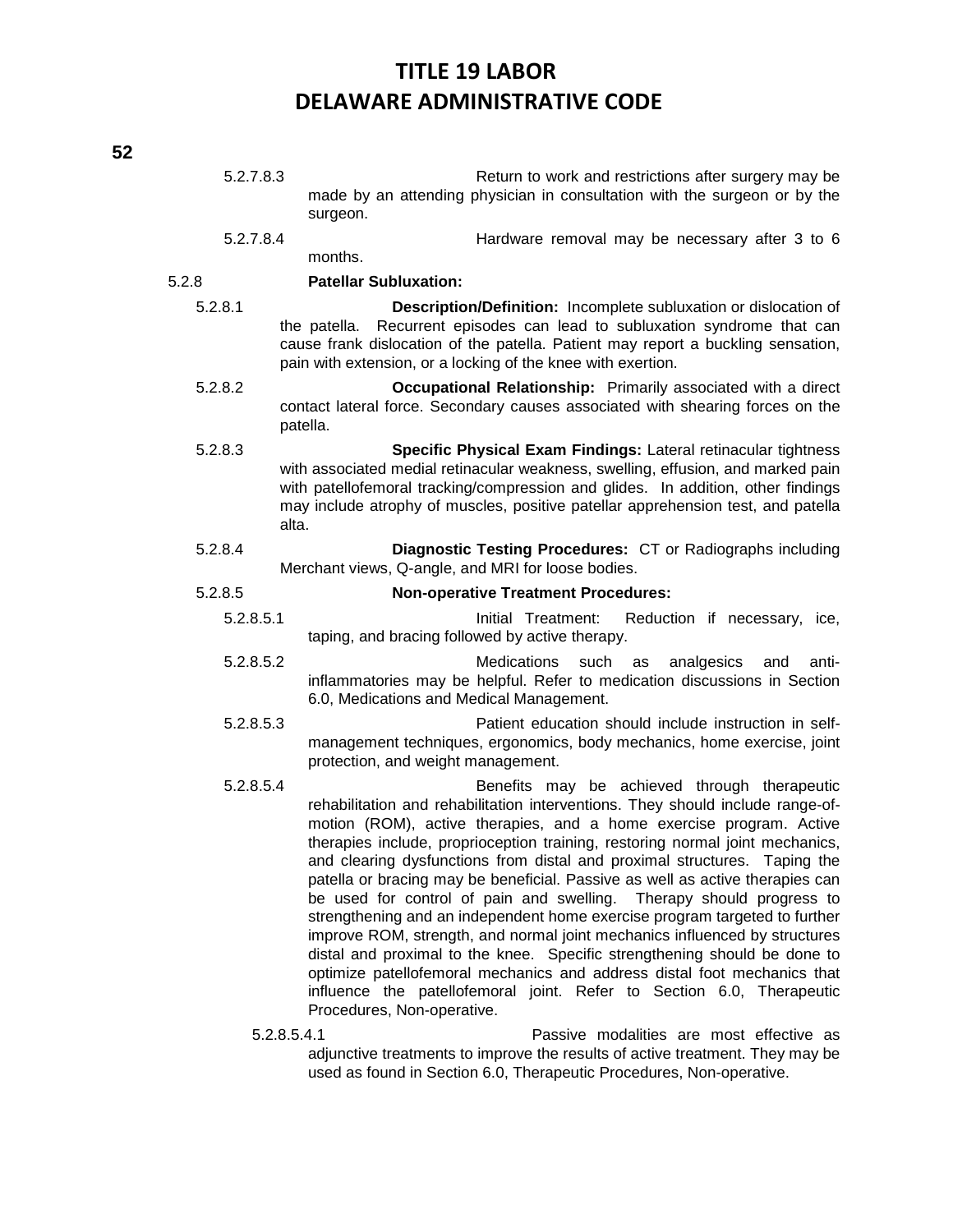| 5.2.7.8.3 | Return to work and restrictions after surgery may be                                                                                                                                                                                                                                                                                                                                                                                                                                                                                                                                                                                                                                                                                                                                                                                                                                                                                                     |
|-----------|----------------------------------------------------------------------------------------------------------------------------------------------------------------------------------------------------------------------------------------------------------------------------------------------------------------------------------------------------------------------------------------------------------------------------------------------------------------------------------------------------------------------------------------------------------------------------------------------------------------------------------------------------------------------------------------------------------------------------------------------------------------------------------------------------------------------------------------------------------------------------------------------------------------------------------------------------------|
|           | made by an attending physician in consultation with the surgeon or by the<br>surgeon.                                                                                                                                                                                                                                                                                                                                                                                                                                                                                                                                                                                                                                                                                                                                                                                                                                                                    |
| 5.2.7.8.4 | Hardware removal may be necessary after 3 to 6<br>months.                                                                                                                                                                                                                                                                                                                                                                                                                                                                                                                                                                                                                                                                                                                                                                                                                                                                                                |
| 5.2.8     | <b>Patellar Subluxation:</b>                                                                                                                                                                                                                                                                                                                                                                                                                                                                                                                                                                                                                                                                                                                                                                                                                                                                                                                             |
| 5.2.8.1   | Description/Definition: Incomplete subluxation or dislocation of<br>Recurrent episodes can lead to subluxation syndrome that can<br>the patella.<br>cause frank dislocation of the patella. Patient may report a buckling sensation,<br>pain with extension, or a locking of the knee with exertion.                                                                                                                                                                                                                                                                                                                                                                                                                                                                                                                                                                                                                                                     |
| 5.2.8.2   | <b>Occupational Relationship:</b> Primarily associated with a direct<br>contact lateral force. Secondary causes associated with shearing forces on the<br>patella.                                                                                                                                                                                                                                                                                                                                                                                                                                                                                                                                                                                                                                                                                                                                                                                       |
| 5.2.8.3   | Specific Physical Exam Findings: Lateral retinacular tightness<br>with associated medial retinacular weakness, swelling, effusion, and marked pain<br>with patellofemoral tracking/compression and glides. In addition, other findings<br>may include atrophy of muscles, positive patellar apprehension test, and patella<br>alta.                                                                                                                                                                                                                                                                                                                                                                                                                                                                                                                                                                                                                      |
| 5.2.8.4   | Diagnostic Testing Procedures: CT or Radiographs including<br>Merchant views, Q-angle, and MRI for loose bodies.                                                                                                                                                                                                                                                                                                                                                                                                                                                                                                                                                                                                                                                                                                                                                                                                                                         |
| 5.2.8.5   | <b>Non-operative Treatment Procedures:</b>                                                                                                                                                                                                                                                                                                                                                                                                                                                                                                                                                                                                                                                                                                                                                                                                                                                                                                               |
| 5.2.8.5.1 | Initial Treatment: Reduction if necessary, ice,<br>taping, and bracing followed by active therapy.                                                                                                                                                                                                                                                                                                                                                                                                                                                                                                                                                                                                                                                                                                                                                                                                                                                       |
| 5.2.8.5.2 | <b>Medications</b><br>such<br>analgesics<br>anti-<br>as<br>and<br>inflammatories may be helpful. Refer to medication discussions in Section<br>6.0, Medications and Medical Management.                                                                                                                                                                                                                                                                                                                                                                                                                                                                                                                                                                                                                                                                                                                                                                  |
| 5.2.8.5.3 | Patient education should include instruction in self-<br>management techniques, ergonomics, body mechanics, home exercise, joint<br>protection, and weight management.                                                                                                                                                                                                                                                                                                                                                                                                                                                                                                                                                                                                                                                                                                                                                                                   |
| 5.2.8.5.4 | Benefits may be achieved through therapeutic<br>rehabilitation and rehabilitation interventions. They should include range-of-<br>motion (ROM), active therapies, and a home exercise program. Active<br>therapies include, proprioception training, restoring normal joint mechanics,<br>and clearing dysfunctions from distal and proximal structures. Taping the<br>patella or bracing may be beneficial. Passive as well as active therapies can<br>be used for control of pain and swelling. Therapy should progress to<br>strengthening and an independent home exercise program targeted to further<br>improve ROM, strength, and normal joint mechanics influenced by structures<br>distal and proximal to the knee. Specific strengthening should be done to<br>optimize patellofemoral mechanics and address distal foot mechanics that<br>influence the patellofemoral joint. Refer to Section 6.0, Therapeutic<br>Procedures, Non-operative. |
|           | 5.2.8.5.4.1<br>Passive modalities are most effective as<br>adjunctive treatments to improve the results of active treatment. They may be<br>used as found in Section 6.0, Therapeutic Procedures, Non-operative.                                                                                                                                                                                                                                                                                                                                                                                                                                                                                                                                                                                                                                                                                                                                         |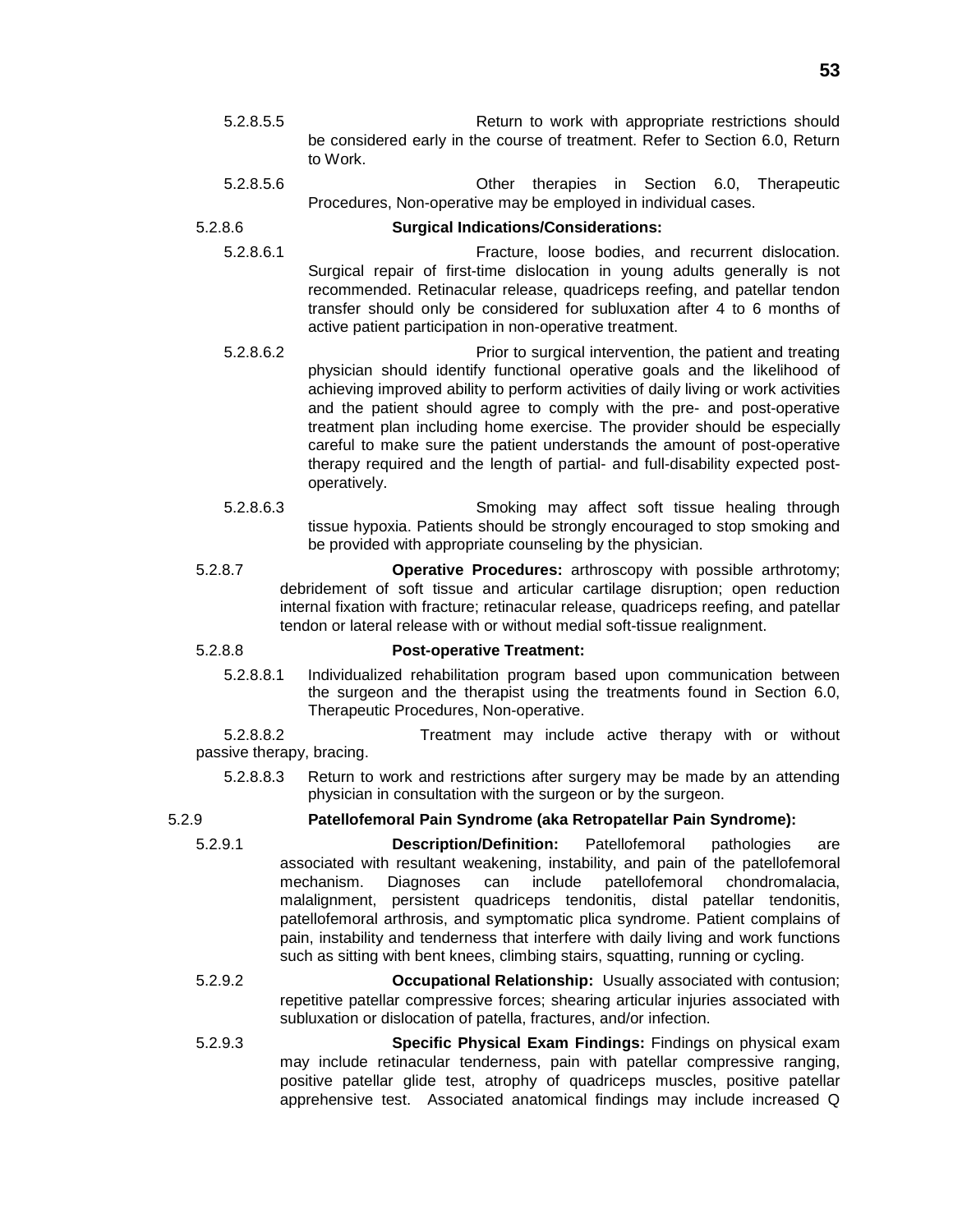- 5.2.8.5.5 Return to work with appropriate restrictions should be considered early in the course of treatment. Refer to Section 6.0, Return to Work.
- 5.2.8.5.6 Other therapies in Section 6.0, Therapeutic Procedures, Non-operative may be employed in individual cases.

### 5.2.8.6 **Surgical Indications/Considerations:**

- 5.2.8.6.1 Fracture, loose bodies, and recurrent dislocation. Surgical repair of first-time dislocation in young adults generally is not recommended. Retinacular release, quadriceps reefing, and patellar tendon transfer should only be considered for subluxation after 4 to 6 months of active patient participation in non-operative treatment.
- 5.2.8.6.2 Prior to surgical intervention, the patient and treating physician should identify functional operative goals and the likelihood of achieving improved ability to perform activities of daily living or work activities and the patient should agree to comply with the pre- and post-operative treatment plan including home exercise. The provider should be especially careful to make sure the patient understands the amount of post-operative therapy required and the length of partial- and full-disability expected postoperatively.
- 5.2.8.6.3 Smoking may affect soft tissue healing through tissue hypoxia. Patients should be strongly encouraged to stop smoking and be provided with appropriate counseling by the physician.
- 5.2.8.7 **Operative Procedures:** arthroscopy with possible arthrotomy; debridement of soft tissue and articular cartilage disruption; open reduction internal fixation with fracture; retinacular release, quadriceps reefing, and patellar tendon or lateral release with or without medial soft-tissue realignment.

### 5.2.8.8 **Post-operative Treatment:**

5.2.8.8.1 Individualized rehabilitation program based upon communication between the surgeon and the therapist using the treatments found in Section 6.0, Therapeutic Procedures, Non-operative.

5.2.8.8.2 Treatment may include active therapy with or without passive therapy, bracing.

5.2.8.8.3 Return to work and restrictions after surgery may be made by an attending physician in consultation with the surgeon or by the surgeon.

### 5.2.9 **Patellofemoral Pain Syndrome (aka Retropatellar Pain Syndrome):**

5.2.9.1 **Description/Definition:** Patellofemoral pathologies are associated with resultant weakening, instability, and pain of the patellofemoral mechanism. Diagnoses can include patellofemoral chondromalacia, malalignment, persistent quadriceps tendonitis, distal patellar tendonitis, patellofemoral arthrosis, and symptomatic plica syndrome. Patient complains of pain, instability and tenderness that interfere with daily living and work functions such as sitting with bent knees, climbing stairs, squatting, running or cycling.

- 5.2.9.2 **Occupational Relationship:** Usually associated with contusion; repetitive patellar compressive forces; shearing articular injuries associated with subluxation or dislocation of patella, fractures, and/or infection.
- 5.2.9.3 **Specific Physical Exam Findings:** Findings on physical exam may include retinacular tenderness, pain with patellar compressive ranging, positive patellar glide test, atrophy of quadriceps muscles, positive patellar apprehensive test. Associated anatomical findings may include increased Q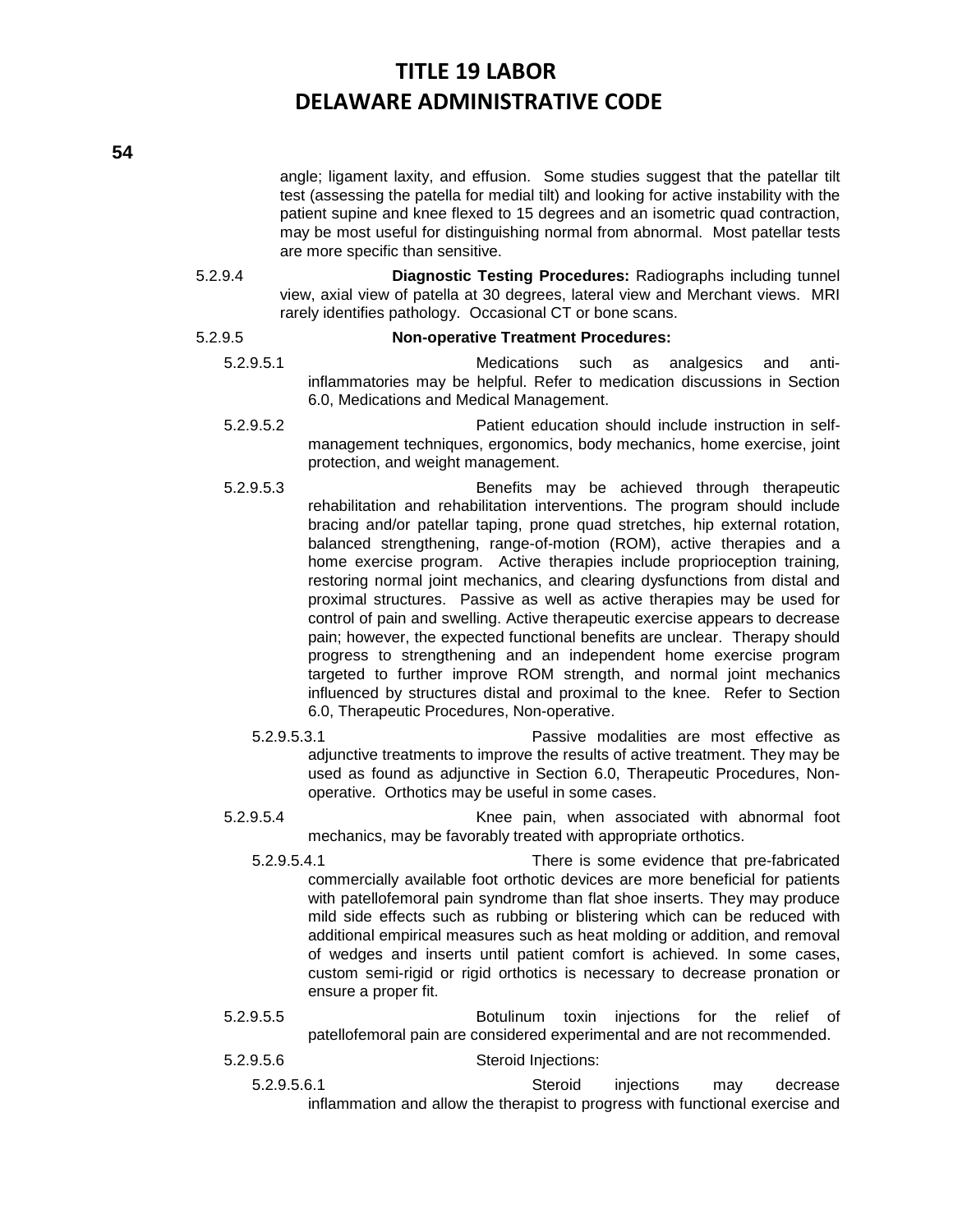angle; ligament laxity, and effusion. Some studies suggest that the patellar tilt test (assessing the patella for medial tilt) and looking for active instability with the patient supine and knee flexed to 15 degrees and an isometric quad contraction, may be most useful for distinguishing normal from abnormal. Most patellar tests are more specific than sensitive.

5.2.9.4 **Diagnostic Testing Procedures:** Radiographs including tunnel view, axial view of patella at 30 degrees, lateral view and Merchant views. MRI rarely identifies pathology. Occasional CT or bone scans.

### 5.2.9.5 **Non-operative Treatment Procedures:**

- 5.2.9.5.1 Medications such as analgesics and antiinflammatories may be helpful. Refer to medication discussions in Section 6.0, Medications and Medical Management.
- 5.2.9.5.2 Patient education should include instruction in selfmanagement techniques, ergonomics, body mechanics, home exercise, joint protection, and weight management.
- 5.2.9.5.3 Benefits may be achieved through therapeutic rehabilitation and rehabilitation interventions. The program should include bracing and/or patellar taping, prone quad stretches, hip external rotation, balanced strengthening, range-of-motion (ROM), active therapies and a home exercise program. Active therapies include proprioception training*,* restoring normal joint mechanics, and clearing dysfunctions from distal and proximal structures. Passive as well as active therapies may be used for control of pain and swelling. Active therapeutic exercise appears to decrease pain; however, the expected functional benefits are unclear. Therapy should progress to strengthening and an independent home exercise program targeted to further improve ROM strength, and normal joint mechanics influenced by structures distal and proximal to the knee. Refer to Section 6.0, Therapeutic Procedures, Non-operative.
	- 5.2.9.5.3.1 Passive modalities are most effective as adjunctive treatments to improve the results of active treatment. They may be used as found as adjunctive in Section 6.0, Therapeutic Procedures, Nonoperative. Orthotics may be useful in some cases.
- 5.2.9.5.4 Knee pain, when associated with abnormal foot mechanics, may be favorably treated with appropriate orthotics.
	- 5.2.9.5.4.1 There is some evidence that pre-fabricated commercially available foot orthotic devices are more beneficial for patients with patellofemoral pain syndrome than flat shoe inserts. They may produce mild side effects such as rubbing or blistering which can be reduced with additional empirical measures such as heat molding or addition, and removal of wedges and inserts until patient comfort is achieved. In some cases, custom semi-rigid or rigid orthotics is necessary to decrease pronation or ensure a proper fit.
- 5.2.9.5.5 Botulinum toxin injections for the relief of patellofemoral pain are considered experimental and are not recommended.
- 5.2.9.5.6 Steroid Injections:
	- 5.2.9.5.6.1 Steroid injections may decrease inflammation and allow the therapist to progress with functional exercise and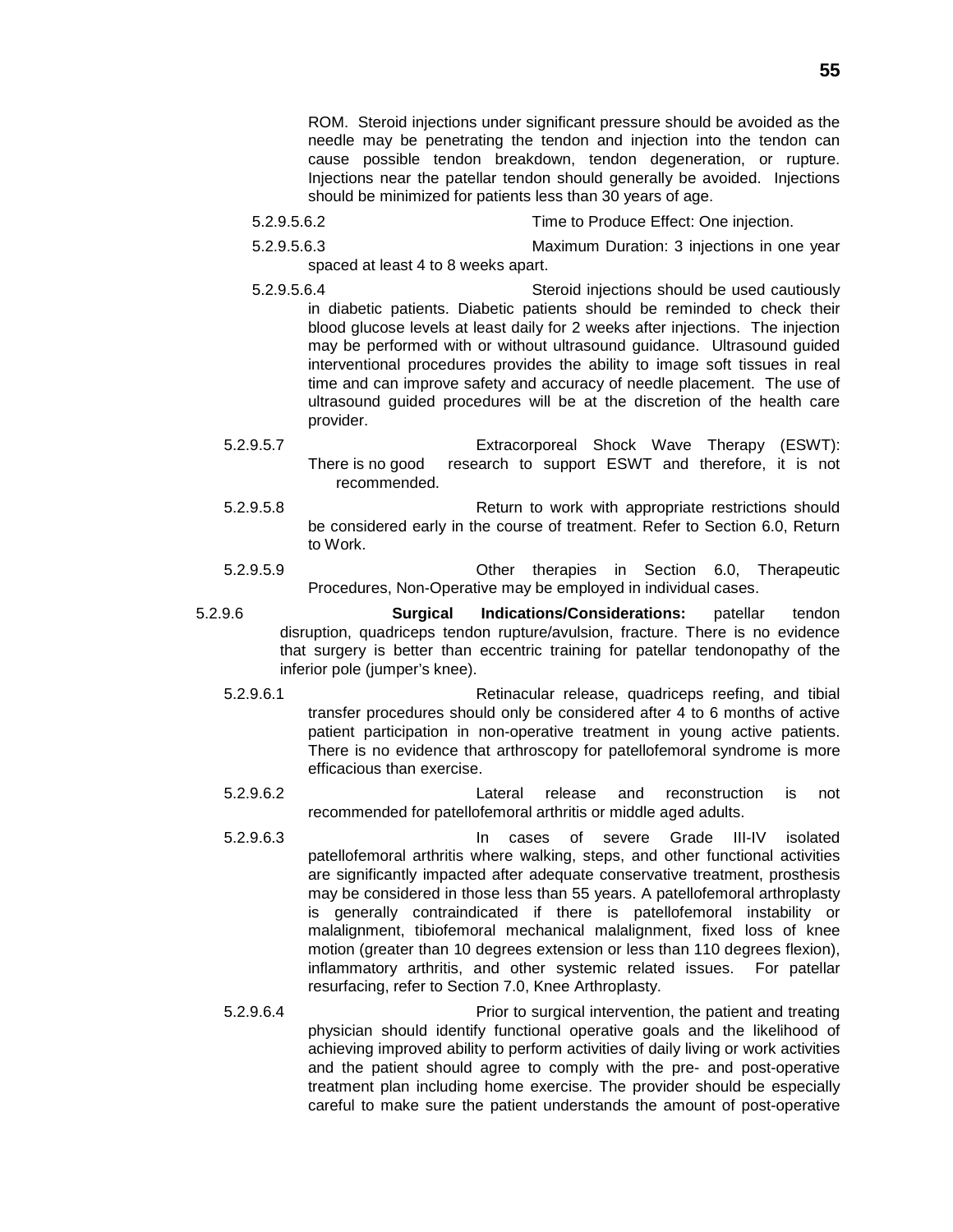ROM. Steroid injections under significant pressure should be avoided as the needle may be penetrating the tendon and injection into the tendon can cause possible tendon breakdown, tendon degeneration, or rupture. Injections near the patellar tendon should generally be avoided. Injections should be minimized for patients less than 30 years of age.

- 5.2.9.5.6.2 Time to Produce Effect: One injection.
- 5.2.9.5.6.3 Maximum Duration: 3 injections in one year spaced at least 4 to 8 weeks apart.
- 5.2.9.5.6.4 Steroid injections should be used cautiously in diabetic patients. Diabetic patients should be reminded to check their blood glucose levels at least daily for 2 weeks after injections. The injection may be performed with or without ultrasound guidance. Ultrasound guided interventional procedures provides the ability to image soft tissues in real time and can improve safety and accuracy of needle placement. The use of ultrasound guided procedures will be at the discretion of the health care provider.
- 5.2.9.5.7 Extracorporeal Shock Wave Therapy (ESWT): There is no good research to support ESWT and therefore, it is not recommended.
- 5.2.9.5.8 Return to work with appropriate restrictions should be considered early in the course of treatment. Refer to Section 6.0, Return to Work.
- 5.2.9.5.9 Other therapies in Section 6.0, Therapeutic Procedures, Non-Operative may be employed in individual cases.
- 5.2.9.6 **Surgical Indications/Considerations:** patellar tendon disruption, quadriceps tendon rupture/avulsion, fracture. There is no evidence that surgery is better than eccentric training for patellar tendonopathy of the inferior pole (jumper's knee).
	- 5.2.9.6.1 Retinacular release, quadriceps reefing, and tibial transfer procedures should only be considered after 4 to 6 months of active patient participation in non-operative treatment in young active patients. There is no evidence that arthroscopy for patellofemoral syndrome is more efficacious than exercise.
	- 5.2.9.6.2 Lateral release and reconstruction is not recommended for patellofemoral arthritis or middle aged adults.
	- 5.2.9.6.3 In cases of severe Grade III-IV isolated patellofemoral arthritis where walking, steps, and other functional activities are significantly impacted after adequate conservative treatment, prosthesis may be considered in those less than 55 years. A patellofemoral arthroplasty is generally contraindicated if there is patellofemoral instability or malalignment, tibiofemoral mechanical malalignment, fixed loss of knee motion (greater than 10 degrees extension or less than 110 degrees flexion), inflammatory arthritis, and other systemic related issues. For patellar resurfacing, refer to Section 7.0, Knee Arthroplasty.
	- 5.2.9.6.4 Prior to surgical intervention, the patient and treating physician should identify functional operative goals and the likelihood of achieving improved ability to perform activities of daily living or work activities and the patient should agree to comply with the pre- and post-operative treatment plan including home exercise. The provider should be especially careful to make sure the patient understands the amount of post-operative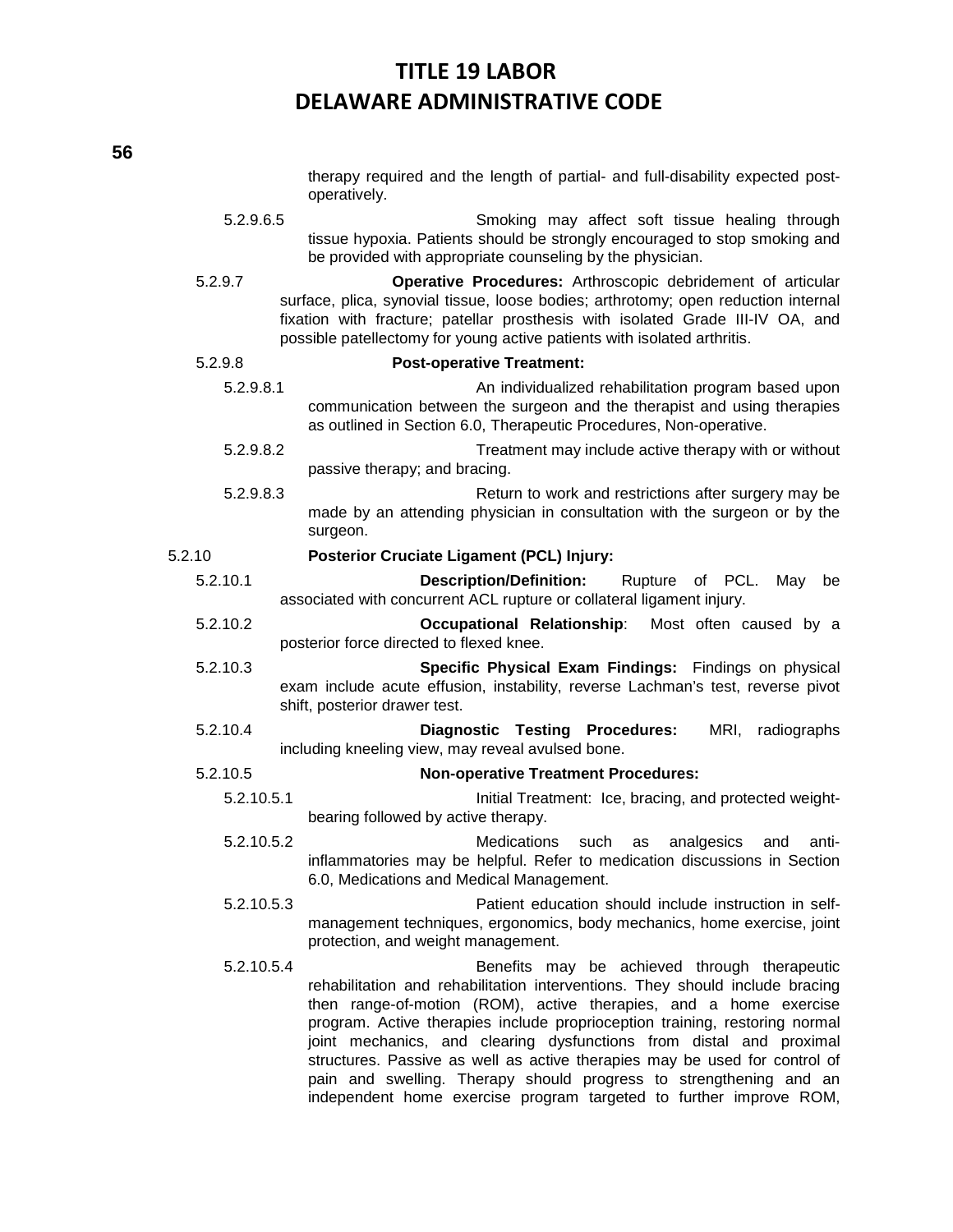|            | therapy required and the length of partial- and full-disability expected post-<br>operatively.                                                                                                                                                                                                                                                                                                                                                                                                                                                                                    |
|------------|-----------------------------------------------------------------------------------------------------------------------------------------------------------------------------------------------------------------------------------------------------------------------------------------------------------------------------------------------------------------------------------------------------------------------------------------------------------------------------------------------------------------------------------------------------------------------------------|
| 5.2.9.6.5  | Smoking may affect soft tissue healing through<br>tissue hypoxia. Patients should be strongly encouraged to stop smoking and<br>be provided with appropriate counseling by the physician.                                                                                                                                                                                                                                                                                                                                                                                         |
| 5.2.9.7    | Operative Procedures: Arthroscopic debridement of articular<br>surface, plica, synovial tissue, loose bodies; arthrotomy; open reduction internal<br>fixation with fracture; patellar prosthesis with isolated Grade III-IV OA, and<br>possible patellectomy for young active patients with isolated arthritis.                                                                                                                                                                                                                                                                   |
| 5.2.9.8    | <b>Post-operative Treatment:</b>                                                                                                                                                                                                                                                                                                                                                                                                                                                                                                                                                  |
| 5.2.9.8.1  | An individualized rehabilitation program based upon<br>communication between the surgeon and the therapist and using therapies<br>as outlined in Section 6.0, Therapeutic Procedures, Non-operative.                                                                                                                                                                                                                                                                                                                                                                              |
| 5.2.9.8.2  | Treatment may include active therapy with or without<br>passive therapy; and bracing.                                                                                                                                                                                                                                                                                                                                                                                                                                                                                             |
| 5.2.9.8.3  | Return to work and restrictions after surgery may be<br>made by an attending physician in consultation with the surgeon or by the<br>surgeon.                                                                                                                                                                                                                                                                                                                                                                                                                                     |
| 5.2.10     | <b>Posterior Cruciate Ligament (PCL) Injury:</b>                                                                                                                                                                                                                                                                                                                                                                                                                                                                                                                                  |
| 5.2.10.1   | <b>Description/Definition:</b><br>Rupture of PCL.<br>May<br>be<br>associated with concurrent ACL rupture or collateral ligament injury.                                                                                                                                                                                                                                                                                                                                                                                                                                           |
| 5.2.10.2   | Occupational Relationship: Most often caused by a<br>posterior force directed to flexed knee.                                                                                                                                                                                                                                                                                                                                                                                                                                                                                     |
| 5.2.10.3   | Specific Physical Exam Findings: Findings on physical<br>exam include acute effusion, instability, reverse Lachman's test, reverse pivot<br>shift, posterior drawer test.                                                                                                                                                                                                                                                                                                                                                                                                         |
| 5.2.10.4   | <b>Diagnostic Testing Procedures:</b><br>MRI,<br>radiographs<br>including kneeling view, may reveal avulsed bone.                                                                                                                                                                                                                                                                                                                                                                                                                                                                 |
| 5.2.10.5   | <b>Non-operative Treatment Procedures:</b>                                                                                                                                                                                                                                                                                                                                                                                                                                                                                                                                        |
| 5.2.10.5.1 | Initial Treatment: Ice, bracing, and protected weight-<br>bearing followed by active therapy.                                                                                                                                                                                                                                                                                                                                                                                                                                                                                     |
| 5.2.10.5.2 | analgesics<br><b>Medications</b><br>anti-<br>such<br>and<br>as<br>inflammatories may be helpful. Refer to medication discussions in Section<br>6.0, Medications and Medical Management.                                                                                                                                                                                                                                                                                                                                                                                           |
| 5.2.10.5.3 | Patient education should include instruction in self-<br>management techniques, ergonomics, body mechanics, home exercise, joint<br>protection, and weight management.                                                                                                                                                                                                                                                                                                                                                                                                            |
| 5.2.10.5.4 | Benefits may be achieved through therapeutic<br>rehabilitation and rehabilitation interventions. They should include bracing<br>then range-of-motion (ROM), active therapies, and a home exercise<br>program. Active therapies include proprioception training, restoring normal<br>joint mechanics, and clearing dysfunctions from distal and proximal<br>structures. Passive as well as active therapies may be used for control of<br>pain and swelling. Therapy should progress to strengthening and an<br>independent home exercise program targeted to further improve ROM, |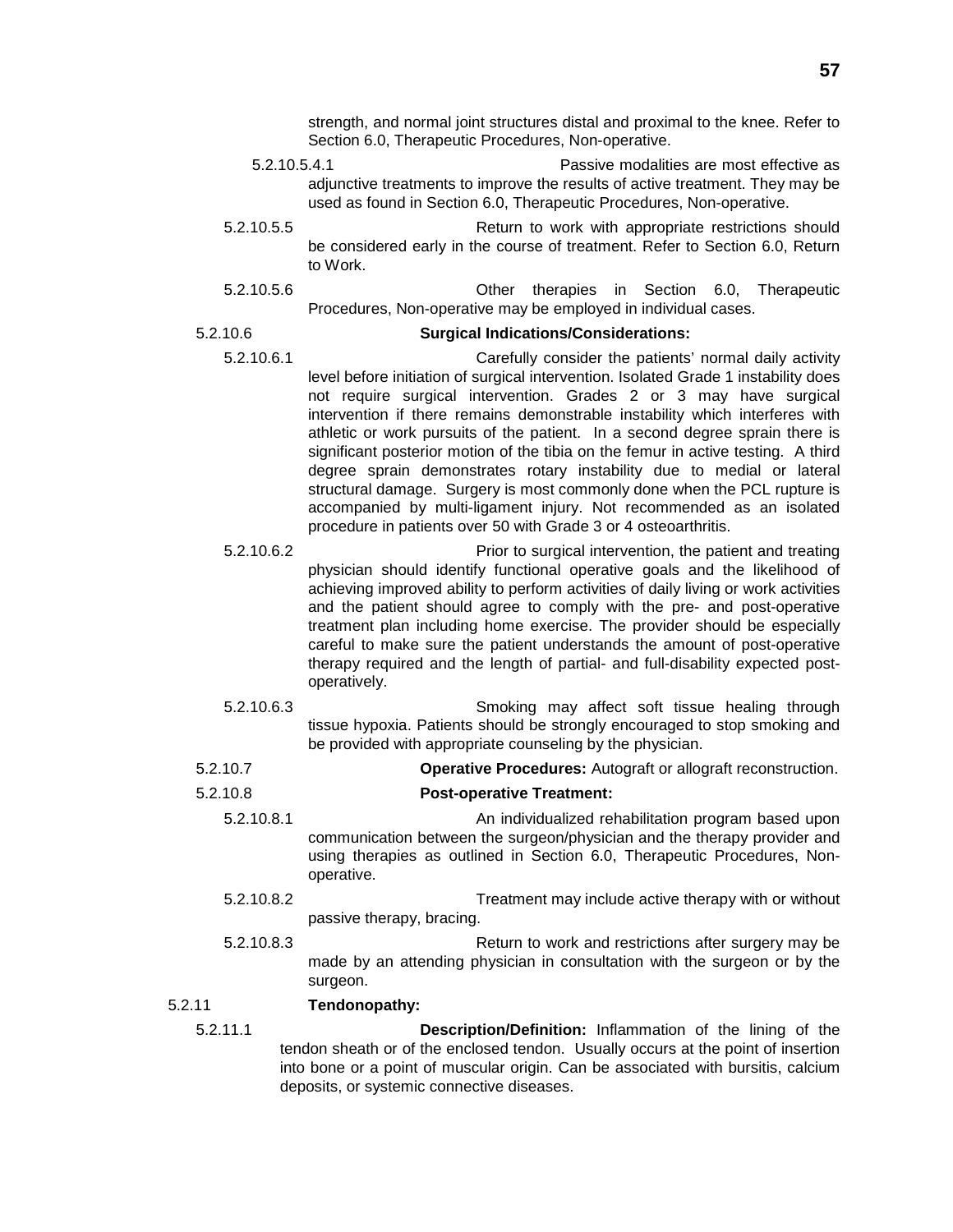strength, and normal joint structures distal and proximal to the knee. Refer to Section 6.0, Therapeutic Procedures, Non-operative.

- 5.2.10.5.4.1 Passive modalities are most effective as adjunctive treatments to improve the results of active treatment. They may be used as found in Section 6.0, Therapeutic Procedures, Non-operative.
- 5.2.10.5.5 Return to work with appropriate restrictions should be considered early in the course of treatment. Refer to Section 6.0, Return to Work.
- 5.2.10.5.6 Other therapies in Section 6.0, Therapeutic Procedures, Non-operative may be employed in individual cases.

### 5.2.10.6 **Surgical Indications/Considerations:**

- 5.2.10.6.1 Carefully consider the patients' normal daily activity level before initiation of surgical intervention. Isolated Grade 1 instability does not require surgical intervention. Grades 2 or 3 may have surgical intervention if there remains demonstrable instability which interferes with athletic or work pursuits of the patient. In a second degree sprain there is significant posterior motion of the tibia on the femur in active testing. A third degree sprain demonstrates rotary instability due to medial or lateral structural damage. Surgery is most commonly done when the PCL rupture is accompanied by multi-ligament injury. Not recommended as an isolated procedure in patients over 50 with Grade 3 or 4 osteoarthritis.
- 5.2.10.6.2 Prior to surgical intervention, the patient and treating physician should identify functional operative goals and the likelihood of achieving improved ability to perform activities of daily living or work activities and the patient should agree to comply with the pre- and post-operative treatment plan including home exercise. The provider should be especially careful to make sure the patient understands the amount of post-operative therapy required and the length of partial- and full-disability expected postoperatively.
- 5.2.10.6.3 Smoking may affect soft tissue healing through tissue hypoxia. Patients should be strongly encouraged to stop smoking and be provided with appropriate counseling by the physician.
- 5.2.10.7 **Operative Procedures:** Autograft or allograft reconstruction.
- 5.2.10.8 **Post-operative Treatment:**
	- 5.2.10.8.1 An individualized rehabilitation program based upon communication between the surgeon/physician and the therapy provider and using therapies as outlined in Section 6.0, Therapeutic Procedures, Nonoperative.
	- 5.2.10.8.2 Treatment may include active therapy with or without passive therapy, bracing.
	- 5.2.10.8.3 Return to work and restrictions after surgery may be made by an attending physician in consultation with the surgeon or by the surgeon.

### 5.2.11 **Tendonopathy:**

5.2.11.1 **Description/Definition:** Inflammation of the lining of the tendon sheath or of the enclosed tendon. Usually occurs at the point of insertion into bone or a point of muscular origin. Can be associated with bursitis, calcium deposits, or systemic connective diseases.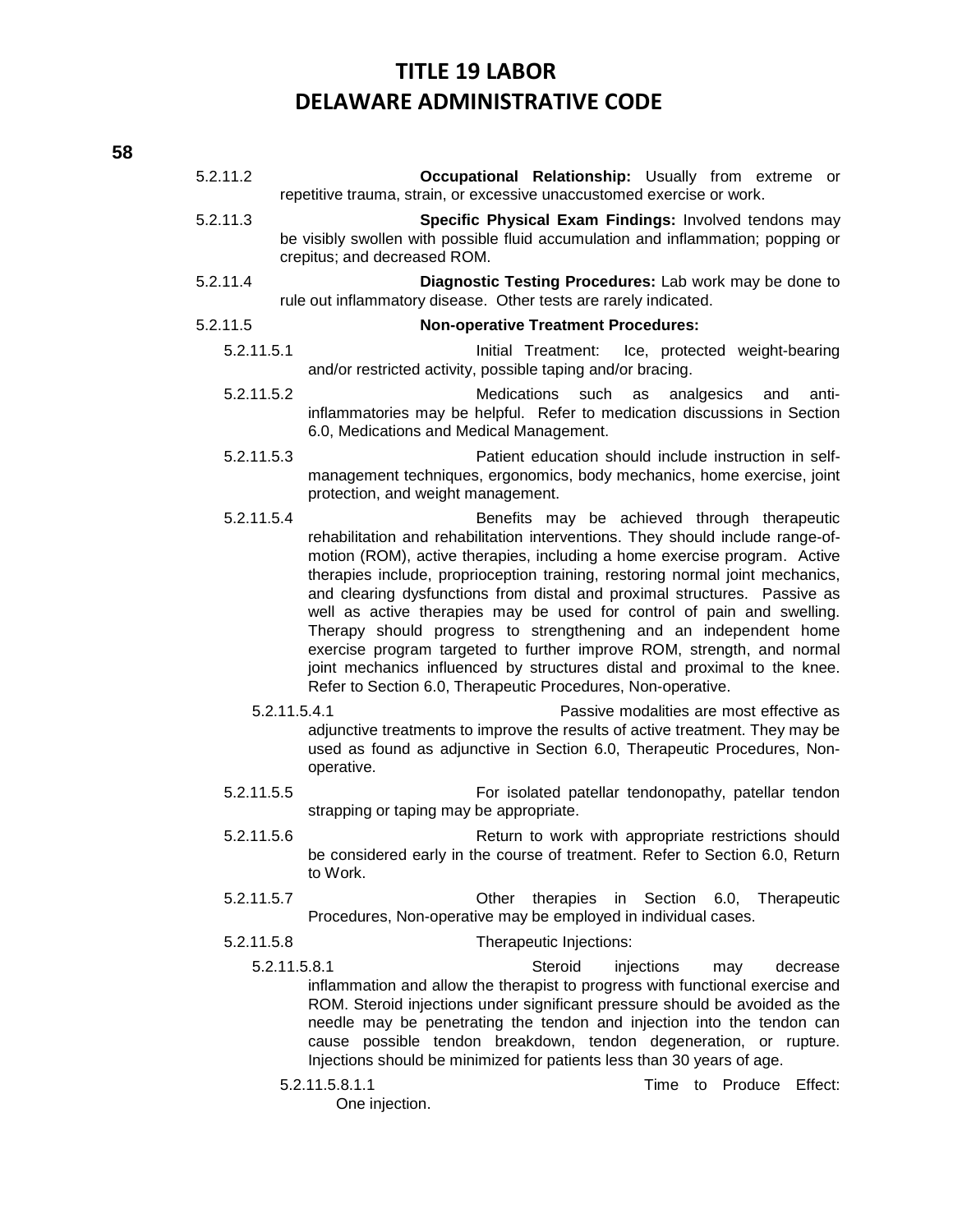- 5.2.11.2 **Occupational Relationship:** Usually from extreme or repetitive trauma, strain, or excessive unaccustomed exercise or work. 5.2.11.3 **Specific Physical Exam Findings:** Involved tendons may be visibly swollen with possible fluid accumulation and inflammation; popping or crepitus; and decreased ROM. 5.2.11.4 **Diagnostic Testing Procedures:** Lab work may be done to rule out inflammatory disease. Other tests are rarely indicated. 5.2.11.5 **Non-operative Treatment Procedures:** 5.2.11.5.1 Initial Treatment: Ice, protected weight-bearing and/or restricted activity, possible taping and/or bracing. 5.2.11.5.2 Medications such as analgesics and antiinflammatories may be helpful. Refer to medication discussions in Section 6.0, Medications and Medical Management. 5.2.11.5.3 Patient education should include instruction in selfmanagement techniques, ergonomics, body mechanics, home exercise, joint protection, and weight management. 5.2.11.5.4 Benefits may be achieved through therapeutic rehabilitation and rehabilitation interventions. They should include range-ofmotion (ROM), active therapies, including a home exercise program. Active therapies include, proprioception training, restoring normal joint mechanics, and clearing dysfunctions from distal and proximal structures. Passive as well as active therapies may be used for control of pain and swelling. Therapy should progress to strengthening and an independent home exercise program targeted to further improve ROM, strength, and normal joint mechanics influenced by structures distal and proximal to the knee. Refer to Section 6.0, Therapeutic Procedures, Non-operative. 5.2.11.5.4.1 Passive modalities are most effective as adjunctive treatments to improve the results of active treatment. They may be used as found as adjunctive in Section 6.0, Therapeutic Procedures, Nonoperative. 5.2.11.5.5 For isolated patellar tendonopathy, patellar tendon strapping or taping may be appropriate. 5.2.11.5.6 Return to work with appropriate restrictions should be considered early in the course of treatment. Refer to Section 6.0, Return to Work. 5.2.11.5.7 Other therapies in Section 6.0, Therapeutic Procedures, Non-operative may be employed in individual cases.
	- 5.2.11.5.8 Therapeutic Injections:
		- 5.2.11.5.8.1 Steroid injections may decrease inflammation and allow the therapist to progress with functional exercise and ROM. Steroid injections under significant pressure should be avoided as the needle may be penetrating the tendon and injection into the tendon can cause possible tendon breakdown, tendon degeneration, or rupture. Injections should be minimized for patients less than 30 years of age.
			-

5.2.11.5.8.1.1 Time to Produce Effect:

One injection.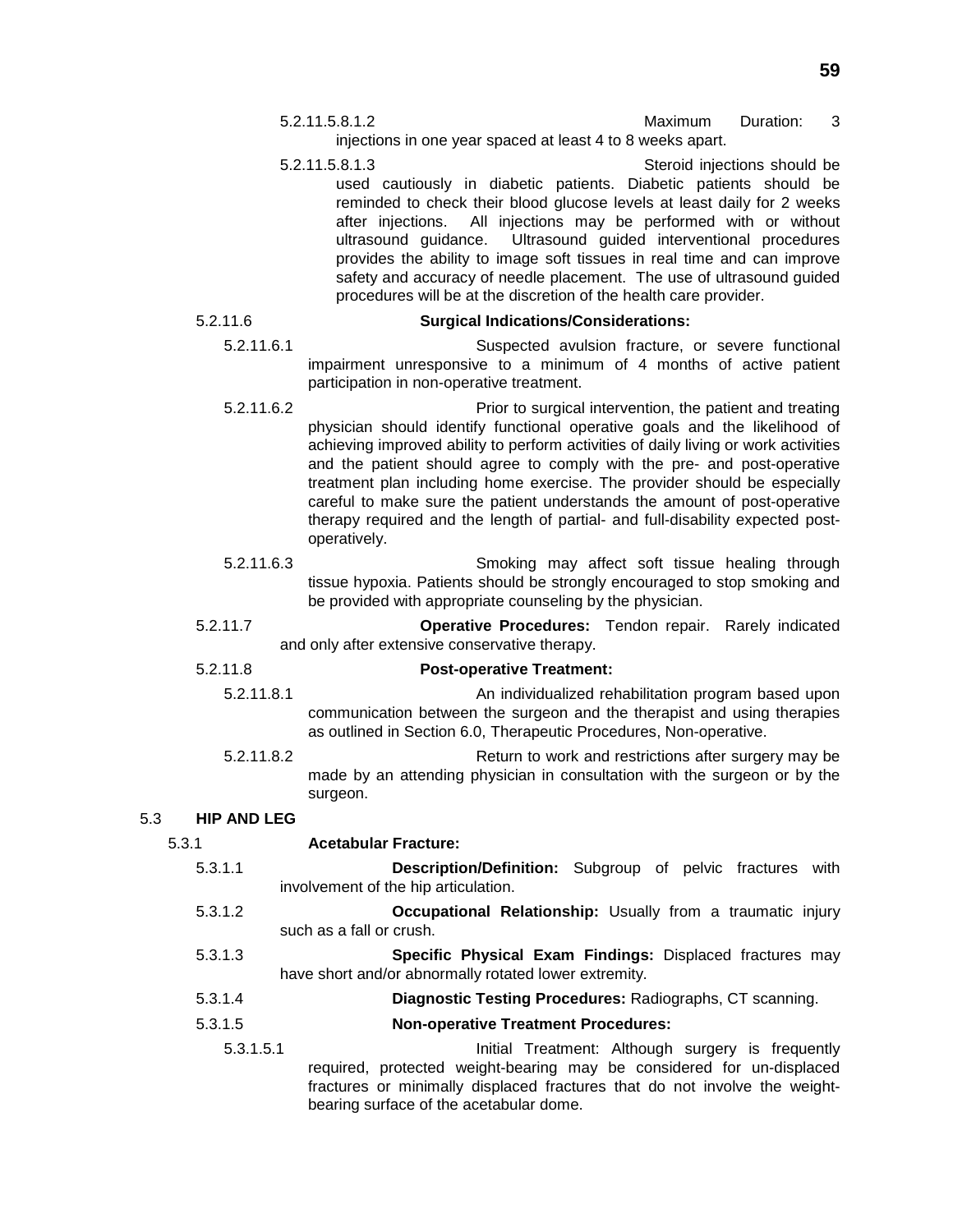- 5.2.11.5.8.1.2 Maximum Duration: 3 injections in one year spaced at least 4 to 8 weeks apart.
- 5.2.11.5.8.1.3 Steroid injections should be used cautiously in diabetic patients. Diabetic patients should be reminded to check their blood glucose levels at least daily for 2 weeks after injections. All injections may be performed with or without ultrasound guidance. Ultrasound guided interventional procedures provides the ability to image soft tissues in real time and can improve safety and accuracy of needle placement. The use of ultrasound guided procedures will be at the discretion of the health care provider.

### 5.2.11.6 **Surgical Indications/Considerations:**

- 5.2.11.6.1 Suspected avulsion fracture, or severe functional impairment unresponsive to a minimum of 4 months of active patient participation in non-operative treatment.
- 5.2.11.6.2 Prior to surgical intervention, the patient and treating physician should identify functional operative goals and the likelihood of achieving improved ability to perform activities of daily living or work activities and the patient should agree to comply with the pre- and post-operative treatment plan including home exercise. The provider should be especially careful to make sure the patient understands the amount of post-operative therapy required and the length of partial- and full-disability expected postoperatively.
- 5.2.11.6.3 Smoking may affect soft tissue healing through tissue hypoxia. Patients should be strongly encouraged to stop smoking and be provided with appropriate counseling by the physician.
- 5.2.11.7 **Operative Procedures:** Tendon repair. Rarely indicated and only after extensive conservative therapy.

### 5.2.11.8 **Post-operative Treatment:**

- 5.2.11.8.1 An individualized rehabilitation program based upon communication between the surgeon and the therapist and using therapies as outlined in Section 6.0, Therapeutic Procedures, Non-operative.
- 5.2.11.8.2 Return to work and restrictions after surgery may be made by an attending physician in consultation with the surgeon or by the surgeon.

### 5.3 **HIP AND LEG**

### 5.3.1 **Acetabular Fracture:**

- 5.3.1.1 **Description/Definition:** Subgroup of pelvic fractures with involvement of the hip articulation.
- 5.3.1.2 **Occupational Relationship:** Usually from a traumatic injury such as a fall or crush.
- 5.3.1.3 **Specific Physical Exam Findings:** Displaced fractures may have short and/or abnormally rotated lower extremity.
- 5.3.1.4 **Diagnostic Testing Procedures:** Radiographs, CT scanning.
- 5.3.1.5 **Non-operative Treatment Procedures:**
	- 5.3.1.5.1 Initial Treatment: Although surgery is frequently required, protected weight-bearing may be considered for un-displaced fractures or minimally displaced fractures that do not involve the weightbearing surface of the acetabular dome.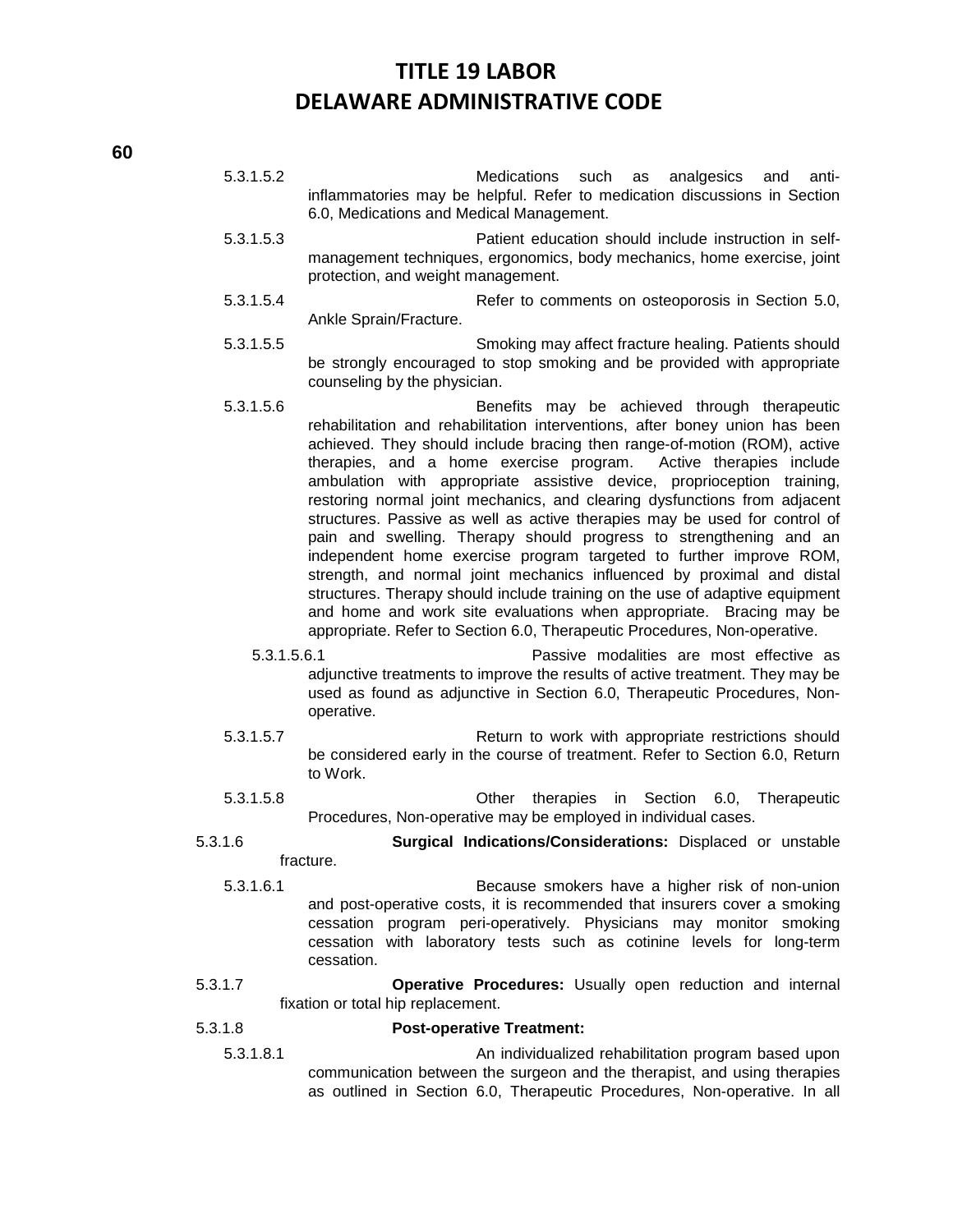5.3.1.5.2 Medications such as analgesics and antiinflammatories may be helpful. Refer to medication discussions in Section 6.0, Medications and Medical Management.

- 5.3.1.5.3 Patient education should include instruction in selfmanagement techniques, ergonomics, body mechanics, home exercise, joint protection, and weight management.
- 5.3.1.5.4 Refer to comments on osteoporosis in Section 5.0, Ankle Sprain/Fracture.
- 5.3.1.5.5 Smoking may affect fracture healing. Patients should be strongly encouraged to stop smoking and be provided with appropriate counseling by the physician.
- 5.3.1.5.6 Benefits may be achieved through therapeutic rehabilitation and rehabilitation interventions, after boney union has been achieved. They should include bracing then range-of-motion (ROM), active therapies, and a home exercise program. Active therapies include ambulation with appropriate assistive device, proprioception training, restoring normal joint mechanics, and clearing dysfunctions from adjacent structures. Passive as well as active therapies may be used for control of pain and swelling. Therapy should progress to strengthening and an independent home exercise program targeted to further improve ROM, strength, and normal joint mechanics influenced by proximal and distal structures. Therapy should include training on the use of adaptive equipment and home and work site evaluations when appropriate. Bracing may be appropriate. Refer to Section 6.0, Therapeutic Procedures, Non-operative.
	- 5.3.1.5.6.1 Passive modalities are most effective as adjunctive treatments to improve the results of active treatment. They may be used as found as adjunctive in Section 6.0, Therapeutic Procedures, Nonoperative.
- 5.3.1.5.7 Return to work with appropriate restrictions should be considered early in the course of treatment. Refer to Section 6.0, Return to Work.
- 5.3.1.5.8 Other therapies in Section 6.0, Therapeutic Procedures, Non-operative may be employed in individual cases.
- 5.3.1.6 **Surgical Indications/Considerations:** Displaced or unstable fracture.
	- 5.3.1.6.1 Because smokers have a higher risk of non-union and post-operative costs, it is recommended that insurers cover a smoking cessation program peri-operatively. Physicians may monitor smoking cessation with laboratory tests such as cotinine levels for long-term cessation.
- 5.3.1.7 **Operative Procedures:** Usually open reduction and internal fixation or total hip replacement.

### 5.3.1.8 **Post-operative Treatment:**

5.3.1.8.1 An individualized rehabilitation program based upon communication between the surgeon and the therapist, and using therapies as outlined in Section 6.0, Therapeutic Procedures, Non-operative. In all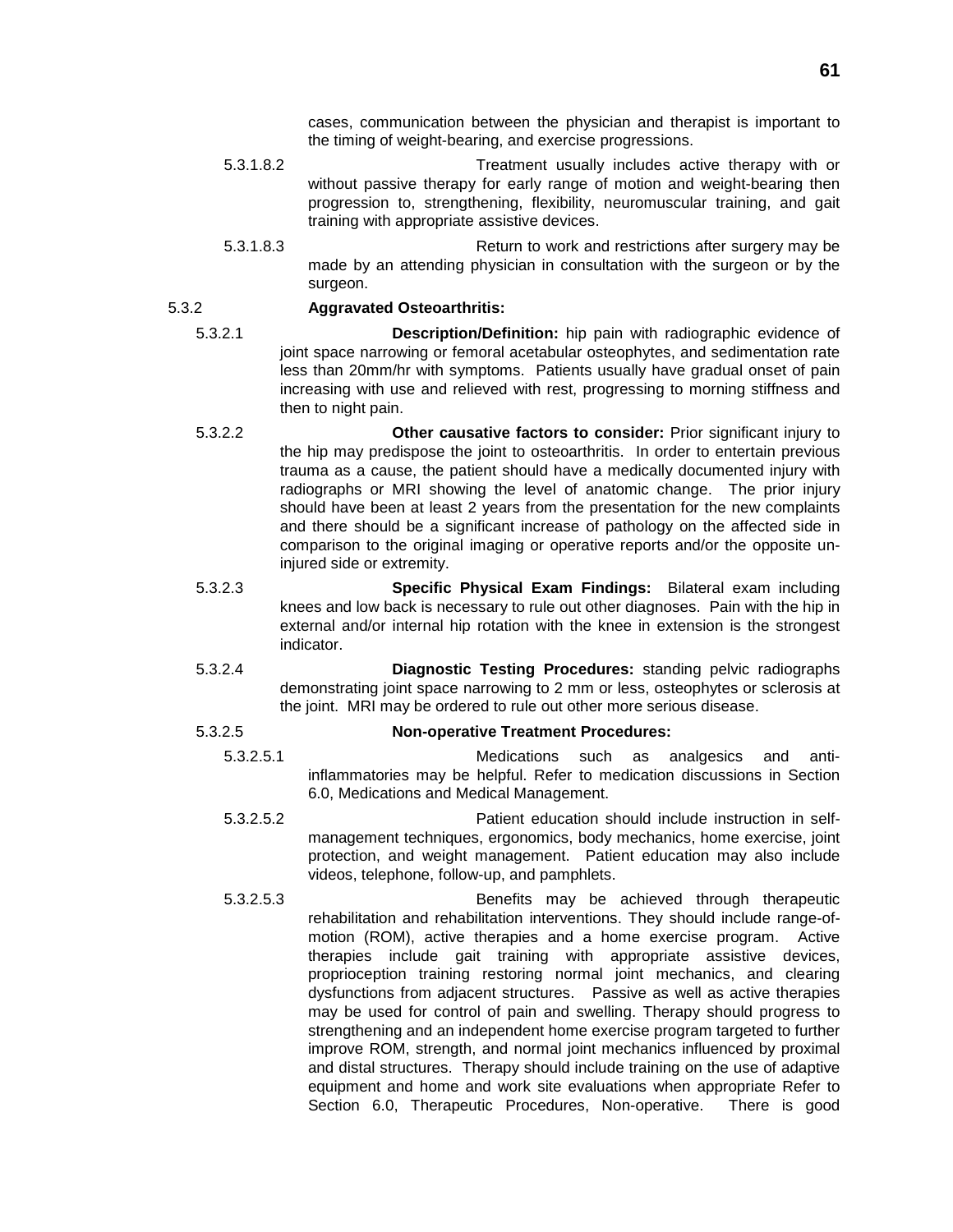cases, communication between the physician and therapist is important to the timing of weight-bearing, and exercise progressions.

- 5.3.1.8.2 Treatment usually includes active therapy with or without passive therapy for early range of motion and weight-bearing then progression to, strengthening, flexibility, neuromuscular training, and gait training with appropriate assistive devices.
- 5.3.1.8.3 Return to work and restrictions after surgery may be made by an attending physician in consultation with the surgeon or by the surgeon.

### 5.3.2 **Aggravated Osteoarthritis:**

5.3.2.1 **Description/Definition:** hip pain with radiographic evidence of joint space narrowing or femoral acetabular osteophytes, and sedimentation rate less than 20mm/hr with symptoms. Patients usually have gradual onset of pain increasing with use and relieved with rest, progressing to morning stiffness and then to night pain.

- 5.3.2.2 **Other causative factors to consider:** Prior significant injury to the hip may predispose the joint to osteoarthritis. In order to entertain previous trauma as a cause, the patient should have a medically documented injury with radiographs or MRI showing the level of anatomic change. The prior injury should have been at least 2 years from the presentation for the new complaints and there should be a significant increase of pathology on the affected side in comparison to the original imaging or operative reports and/or the opposite uninjured side or extremity.
- 5.3.2.3 **Specific Physical Exam Findings:** Bilateral exam including knees and low back is necessary to rule out other diagnoses. Pain with the hip in external and/or internal hip rotation with the knee in extension is the strongest indicator.
- 5.3.2.4 **Diagnostic Testing Procedures:** standing pelvic radiographs demonstrating joint space narrowing to 2 mm or less, osteophytes or sclerosis at the joint. MRI may be ordered to rule out other more serious disease.

### 5.3.2.5 **Non-operative Treatment Procedures:**

- 5.3.2.5.1 Medications such as analgesics and antiinflammatories may be helpful. Refer to medication discussions in Section 6.0, Medications and Medical Management.
- 5.3.2.5.2 Patient education should include instruction in selfmanagement techniques, ergonomics, body mechanics, home exercise, joint protection, and weight management. Patient education may also include videos, telephone, follow-up, and pamphlets.
- 5.3.2.5.3 Benefits may be achieved through therapeutic rehabilitation and rehabilitation interventions. They should include range-ofmotion (ROM), active therapies and a home exercise program. Active therapies include gait training with appropriate assistive devices, proprioception training restoring normal joint mechanics, and clearing dysfunctions from adjacent structures. Passive as well as active therapies may be used for control of pain and swelling. Therapy should progress to strengthening and an independent home exercise program targeted to further improve ROM, strength, and normal joint mechanics influenced by proximal and distal structures. Therapy should include training on the use of adaptive equipment and home and work site evaluations when appropriate Refer to Section 6.0, Therapeutic Procedures, Non-operative. There is good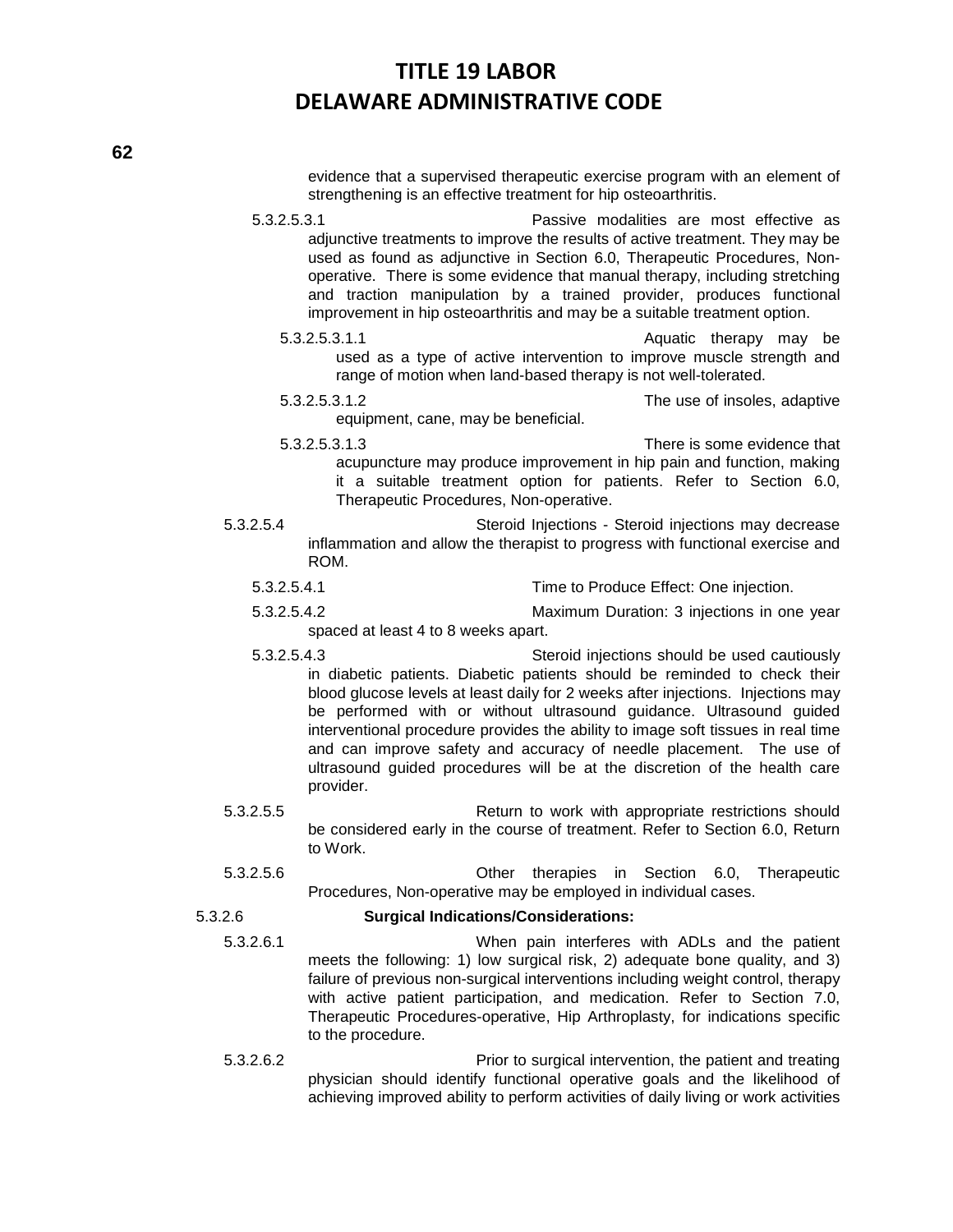evidence that a supervised therapeutic exercise program with an element of strengthening is an effective treatment for hip osteoarthritis.

5.3.2.5.3.1 Passive modalities are most effective as adjunctive treatments to improve the results of active treatment. They may be used as found as adjunctive in Section 6.0, Therapeutic Procedures, Nonoperative. There is some evidence that manual therapy, including stretching and traction manipulation by a trained provider, produces functional improvement in hip osteoarthritis and may be a suitable treatment option.

- 5.3.2.5.3.1.1 Aquatic therapy may be used as a type of active intervention to improve muscle strength and range of motion when land-based therapy is not well-tolerated.
- 5.3.2.5.3.1.2 The use of insoles, adaptive equipment, cane, may be beneficial.
- 5.3.2.5.3.1.3 There is some evidence that acupuncture may produce improvement in hip pain and function, making it a suitable treatment option for patients. Refer to Section 6.0, Therapeutic Procedures, Non-operative.
- 5.3.2.5.4 Steroid Injections Steroid injections may decrease inflammation and allow the therapist to progress with functional exercise and ROM.
	- 5.3.2.5.4.1 Time to Produce Effect: One injection.
	- 5.3.2.5.4.2 Maximum Duration: 3 injections in one year spaced at least 4 to 8 weeks apart.
	- 5.3.2.5.4.3 Steroid injections should be used cautiously in diabetic patients. Diabetic patients should be reminded to check their blood glucose levels at least daily for 2 weeks after injections. Injections may be performed with or without ultrasound guidance. Ultrasound guided interventional procedure provides the ability to image soft tissues in real time and can improve safety and accuracy of needle placement. The use of ultrasound guided procedures will be at the discretion of the health care provider.
- 5.3.2.5.5 Return to work with appropriate restrictions should be considered early in the course of treatment. Refer to Section 6.0, Return to Work.
- 5.3.2.5.6 Other therapies in Section 6.0, Therapeutic Procedures, Non-operative may be employed in individual cases.

- 5.3.2.6 **Surgical Indications/Considerations:**
	- 5.3.2.6.1 When pain interferes with ADLs and the patient meets the following: 1) low surgical risk, 2) adequate bone quality, and 3) failure of previous non-surgical interventions including weight control, therapy with active patient participation, and medication. Refer to Section 7.0, Therapeutic Procedures-operative, Hip Arthroplasty, for indications specific to the procedure.
	- 5.3.2.6.2 Prior to surgical intervention, the patient and treating physician should identify functional operative goals and the likelihood of achieving improved ability to perform activities of daily living or work activities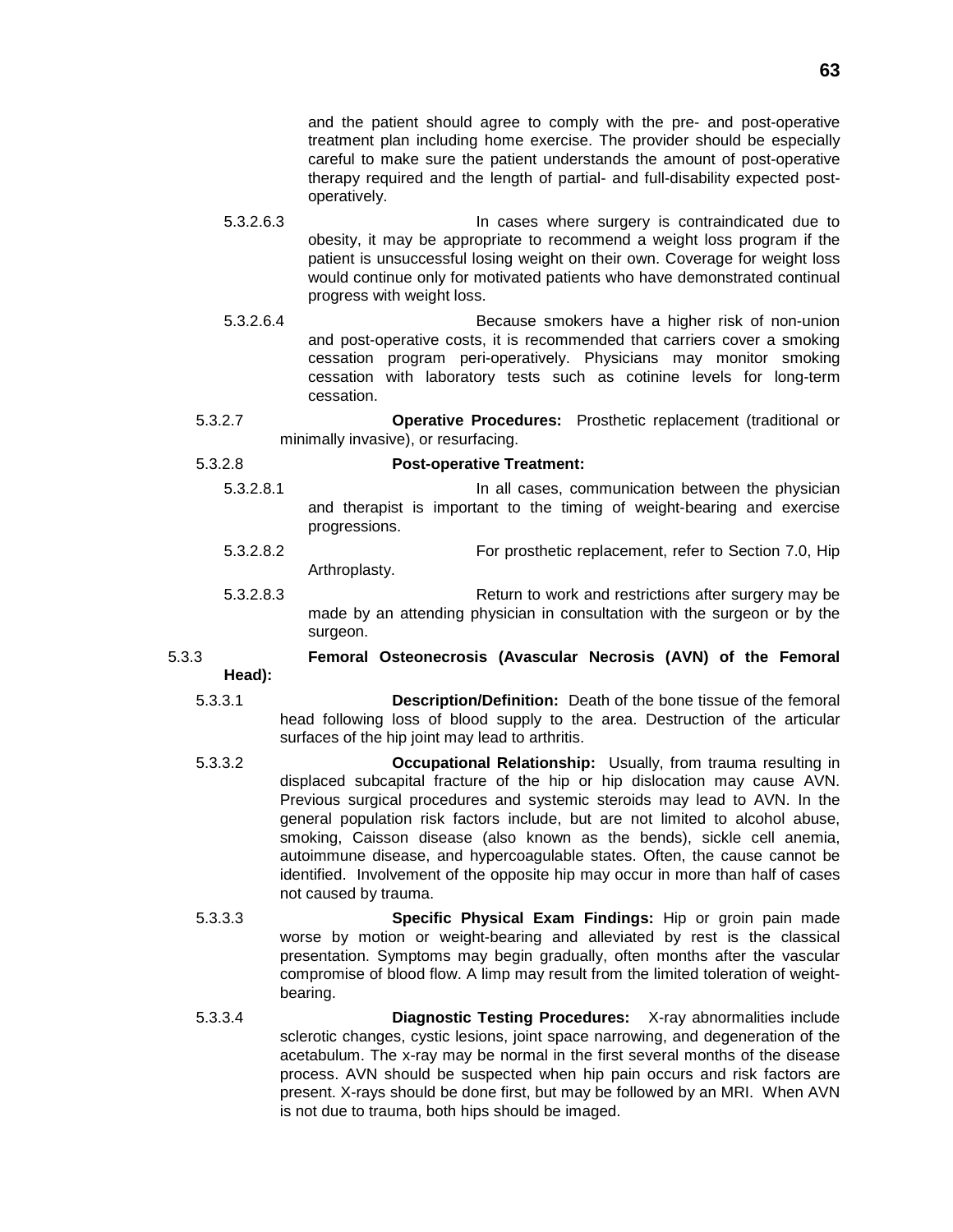and the patient should agree to comply with the pre- and post-operative treatment plan including home exercise. The provider should be especially careful to make sure the patient understands the amount of post-operative therapy required and the length of partial- and full-disability expected postoperatively.

- 5.3.2.6.3 In cases where surgery is contraindicated due to obesity, it may be appropriate to recommend a weight loss program if the patient is unsuccessful losing weight on their own. Coverage for weight loss would continue only for motivated patients who have demonstrated continual progress with weight loss.
- 5.3.2.6.4 Because smokers have a higher risk of non-union and post-operative costs, it is recommended that carriers cover a smoking cessation program peri-operatively. Physicians may monitor smoking cessation with laboratory tests such as cotinine levels for long-term cessation.
- 5.3.2.7 **Operative Procedures:** Prosthetic replacement (traditional or minimally invasive), or resurfacing.

### 5.3.2.8 **Post-operative Treatment:**

- 5.3.2.8.1 In all cases, communication between the physician and therapist is important to the timing of weight-bearing and exercise progressions.
- 5.3.2.8.2 For prosthetic replacement, refer to Section 7.0, Hip Arthroplasty.
- 5.3.2.8.3 Return to work and restrictions after surgery may be made by an attending physician in consultation with the surgeon or by the surgeon.

### 5.3.3 **Femoral Osteonecrosis (Avascular Necrosis (AVN) of the Femoral Head):**

- 5.3.3.1 **Description/Definition:** Death of the bone tissue of the femoral head following loss of blood supply to the area. Destruction of the articular surfaces of the hip joint may lead to arthritis.
- 5.3.3.2 **Occupational Relationship:** Usually, from trauma resulting in displaced subcapital fracture of the hip or hip dislocation may cause AVN. Previous surgical procedures and systemic steroids may lead to AVN. In the general population risk factors include, but are not limited to alcohol abuse, smoking, Caisson disease (also known as the bends), sickle cell anemia, autoimmune disease, and hypercoagulable states. Often, the cause cannot be identified. Involvement of the opposite hip may occur in more than half of cases not caused by trauma.
- 5.3.3.3 **Specific Physical Exam Findings:** Hip or groin pain made worse by motion or weight-bearing and alleviated by rest is the classical presentation. Symptoms may begin gradually, often months after the vascular compromise of blood flow. A limp may result from the limited toleration of weightbearing.
- 5.3.3.4 **Diagnostic Testing Procedures:** X-ray abnormalities include sclerotic changes, cystic lesions, joint space narrowing, and degeneration of the acetabulum. The x-ray may be normal in the first several months of the disease process. AVN should be suspected when hip pain occurs and risk factors are present. X-rays should be done first, but may be followed by an MRI. When AVN is not due to trauma, both hips should be imaged.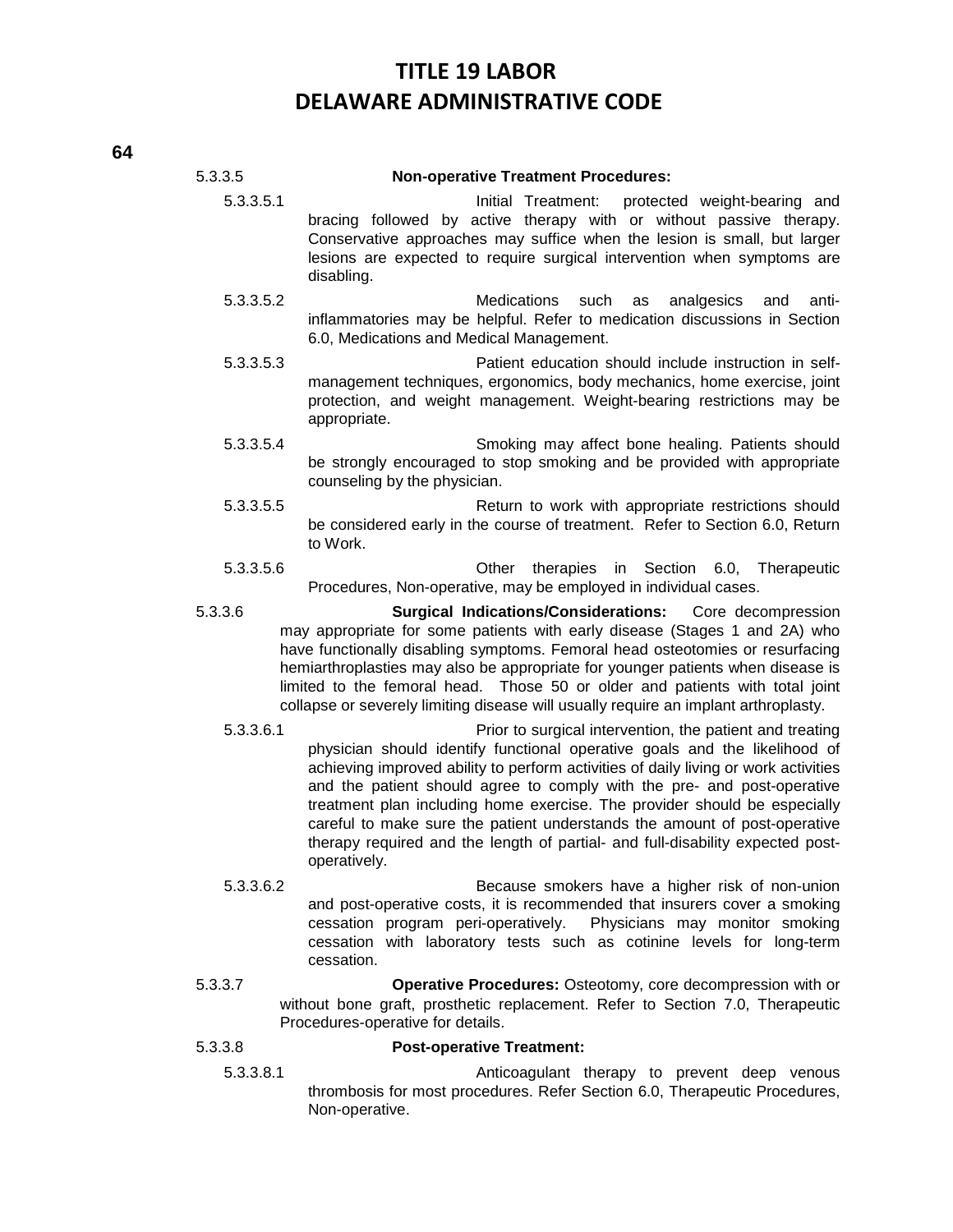### 5.3.3.5 **Non-operative Treatment Procedures:**

- 5.3.3.5.1 Initial Treatment: protected weight-bearing and bracing followed by active therapy with or without passive therapy. Conservative approaches may suffice when the lesion is small, but larger lesions are expected to require surgical intervention when symptoms are disabling.
- 5.3.3.5.2 Medications such as analgesics and antiinflammatories may be helpful. Refer to medication discussions in Section 6.0, Medications and Medical Management.
- 5.3.3.5.3 Patient education should include instruction in selfmanagement techniques, ergonomics, body mechanics, home exercise, joint protection, and weight management. Weight-bearing restrictions may be appropriate.
- 5.3.3.5.4 Smoking may affect bone healing. Patients should be strongly encouraged to stop smoking and be provided with appropriate counseling by the physician.
- 5.3.3.5.5 Return to work with appropriate restrictions should be considered early in the course of treatment. Refer to Section 6.0, Return to Work.
- 5.3.3.5.6 Other therapies in Section 6.0, Therapeutic Procedures, Non-operative, may be employed in individual cases.
- 5.3.3.6 **Surgical Indications/Considerations:** Core decompression may appropriate for some patients with early disease (Stages 1 and 2A) who have functionally disabling symptoms. Femoral head osteotomies or resurfacing hemiarthroplasties may also be appropriate for younger patients when disease is limited to the femoral head. Those 50 or older and patients with total joint collapse or severely limiting disease will usually require an implant arthroplasty.
	- 5.3.3.6.1 Prior to surgical intervention, the patient and treating physician should identify functional operative goals and the likelihood of achieving improved ability to perform activities of daily living or work activities and the patient should agree to comply with the pre- and post-operative treatment plan including home exercise. The provider should be especially careful to make sure the patient understands the amount of post-operative therapy required and the length of partial- and full-disability expected postoperatively.
	- 5.3.3.6.2 Because smokers have a higher risk of non-union and post-operative costs, it is recommended that insurers cover a smoking cessation program peri-operatively. Physicians may monitor smoking cessation with laboratory tests such as cotinine levels for long-term cessation.
- 5.3.3.7 **Operative Procedures:** Osteotomy, core decompression with or without bone graft, prosthetic replacement. Refer to Section 7.0, Therapeutic Procedures-operative for details.

### 5.3.3.8 **Post-operative Treatment:**

5.3.3.8.1 Anticoagulant therapy to prevent deep venous thrombosis for most procedures. Refer Section 6.0, Therapeutic Procedures, Non-operative.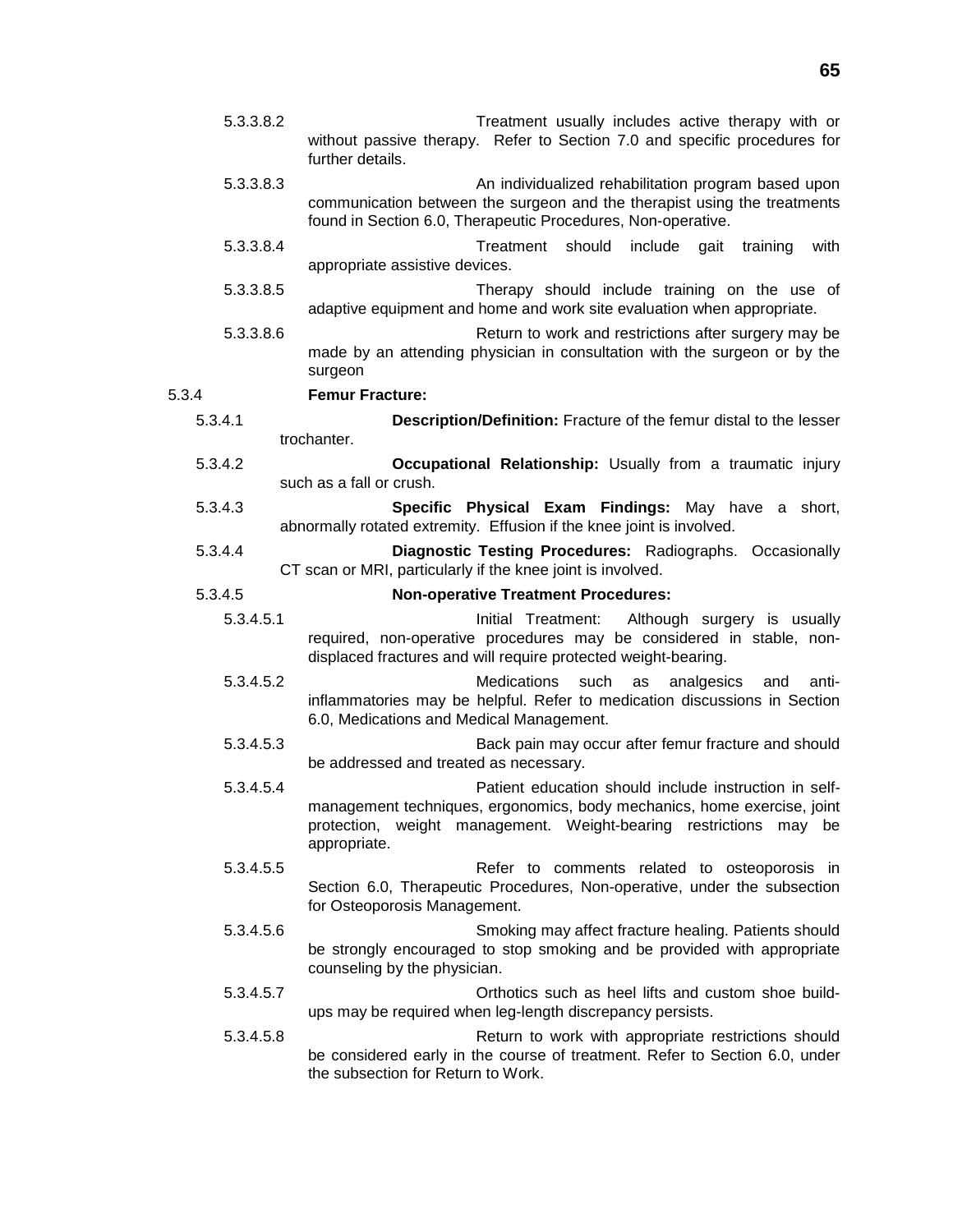- 5.3.3.8.2 Treatment usually includes active therapy with or without passive therapy. Refer to Section 7.0 and specific procedures for further details.
- 5.3.3.8.3 An individualized rehabilitation program based upon communication between the surgeon and the therapist using the treatments found in Section 6.0, Therapeutic Procedures, Non-operative.
- 5.3.3.8.4 Treatment should include gait training with appropriate assistive devices.
- 5.3.3.8.5 Therapy should include training on the use of adaptive equipment and home and work site evaluation when appropriate.
- 5.3.3.8.6 Return to work and restrictions after surgery may be made by an attending physician in consultation with the surgeon or by the surgeon

### 5.3.4 **Femur Fracture:**

- 5.3.4.1 **Description/Definition:** Fracture of the femur distal to the lesser trochanter.
- 5.3.4.2 **Occupational Relationship:** Usually from a traumatic injury such as a fall or crush.
- 5.3.4.3 **Specific Physical Exam Findings:** May have a short, abnormally rotated extremity. Effusion if the knee joint is involved.
- 5.3.4.4 **Diagnostic Testing Procedures:** Radiographs. Occasionally CT scan or MRI, particularly if the knee joint is involved.
- 5.3.4.5 **Non-operative Treatment Procedures:**
	- 5.3.4.5.1 Initial Treatment: Although surgery is usually required, non-operative procedures may be considered in stable, nondisplaced fractures and will require protected weight-bearing.
	- 5.3.4.5.2 Medications such as analgesics and antiinflammatories may be helpful. Refer to medication discussions in Section 6.0, Medications and Medical Management.
	- 5.3.4.5.3 Back pain may occur after femur fracture and should be addressed and treated as necessary.
	- 5.3.4.5.4 Patient education should include instruction in selfmanagement techniques, ergonomics, body mechanics, home exercise, joint protection, weight management. Weight-bearing restrictions may be appropriate.
	- 5.3.4.5.5 Refer to comments related to osteoporosis in Section 6.0, Therapeutic Procedures, Non-operative, under the subsection for Osteoporosis Management.
	- 5.3.4.5.6 Smoking may affect fracture healing. Patients should be strongly encouraged to stop smoking and be provided with appropriate counseling by the physician.
	- 5.3.4.5.7 Orthotics such as heel lifts and custom shoe buildups may be required when leg-length discrepancy persists.
	- 5.3.4.5.8 Return to work with appropriate restrictions should be considered early in the course of treatment. Refer to Section 6.0, under the subsection for Return to Work.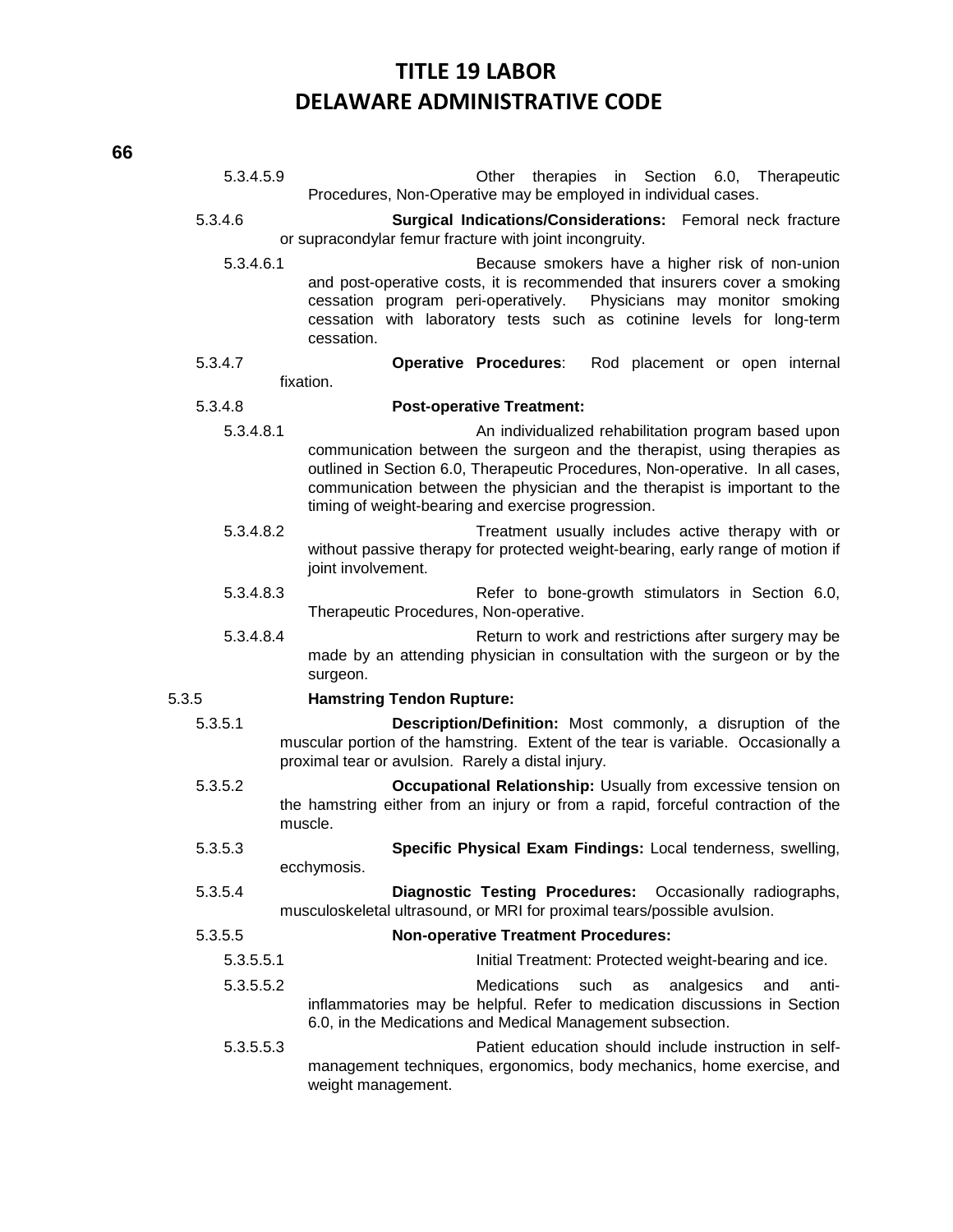| 5.3.4.5.9 | Other therapies in Section 6.0, Therapeutic<br>Procedures, Non-Operative may be employed in individual cases.                                                                                                                                                                                                                                      |  |  |
|-----------|----------------------------------------------------------------------------------------------------------------------------------------------------------------------------------------------------------------------------------------------------------------------------------------------------------------------------------------------------|--|--|
| 5.3.4.6   | Surgical Indications/Considerations: Femoral neck fracture<br>or supracondylar femur fracture with joint incongruity.                                                                                                                                                                                                                              |  |  |
| 5.3.4.6.1 | Because smokers have a higher risk of non-union<br>and post-operative costs, it is recommended that insurers cover a smoking<br>Physicians may monitor smoking<br>cessation program peri-operatively.<br>cessation with laboratory tests such as cotinine levels for long-term<br>cessation.                                                       |  |  |
| 5.3.4.7   | <b>Operative Procedures:</b><br>Rod placement or open internal                                                                                                                                                                                                                                                                                     |  |  |
| fixation. |                                                                                                                                                                                                                                                                                                                                                    |  |  |
| 5.3.4.8   | <b>Post-operative Treatment:</b>                                                                                                                                                                                                                                                                                                                   |  |  |
| 5.3.4.8.1 | An individualized rehabilitation program based upon<br>communication between the surgeon and the therapist, using therapies as<br>outlined in Section 6.0, Therapeutic Procedures, Non-operative. In all cases,<br>communication between the physician and the therapist is important to the<br>timing of weight-bearing and exercise progression. |  |  |
| 5.3.4.8.2 | Treatment usually includes active therapy with or<br>without passive therapy for protected weight-bearing, early range of motion if<br>joint involvement.                                                                                                                                                                                          |  |  |
| 5.3.4.8.3 | Refer to bone-growth stimulators in Section 6.0,<br>Therapeutic Procedures, Non-operative.                                                                                                                                                                                                                                                         |  |  |
| 5.3.4.8.4 | Return to work and restrictions after surgery may be<br>made by an attending physician in consultation with the surgeon or by the<br>surgeon.                                                                                                                                                                                                      |  |  |
| 5.3.5     | <b>Hamstring Tendon Rupture:</b>                                                                                                                                                                                                                                                                                                                   |  |  |
| 5.3.5.1   | Description/Definition: Most commonly, a disruption of the<br>muscular portion of the hamstring. Extent of the tear is variable. Occasionally a<br>proximal tear or avulsion. Rarely a distal injury.                                                                                                                                              |  |  |
| 5.3.5.2   | Occupational Relationship: Usually from excessive tension on<br>the hamstring either from an injury or from a rapid, forceful contraction of the<br>muscle.                                                                                                                                                                                        |  |  |
| 5.3.5.3   | Specific Physical Exam Findings: Local tenderness, swelling,<br>ecchymosis.                                                                                                                                                                                                                                                                        |  |  |
| 5.3.5.4   | Diagnostic Testing Procedures: Occasionally radiographs,<br>musculoskeletal ultrasound, or MRI for proximal tears/possible avulsion.                                                                                                                                                                                                               |  |  |
| 5.3.5.5   | <b>Non-operative Treatment Procedures:</b>                                                                                                                                                                                                                                                                                                         |  |  |
| 5.3.5.5.1 | Initial Treatment: Protected weight-bearing and ice.                                                                                                                                                                                                                                                                                               |  |  |
| 5.3.5.5.2 | <b>Medications</b><br>such<br>as<br>analgesics<br>and<br>anti-<br>inflammatories may be helpful. Refer to medication discussions in Section<br>6.0, in the Medications and Medical Management subsection.                                                                                                                                          |  |  |
| 5.3.5.5.3 | Patient education should include instruction in self-<br>management techniques, ergonomics, body mechanics, home exercise, and<br>weight management.                                                                                                                                                                                               |  |  |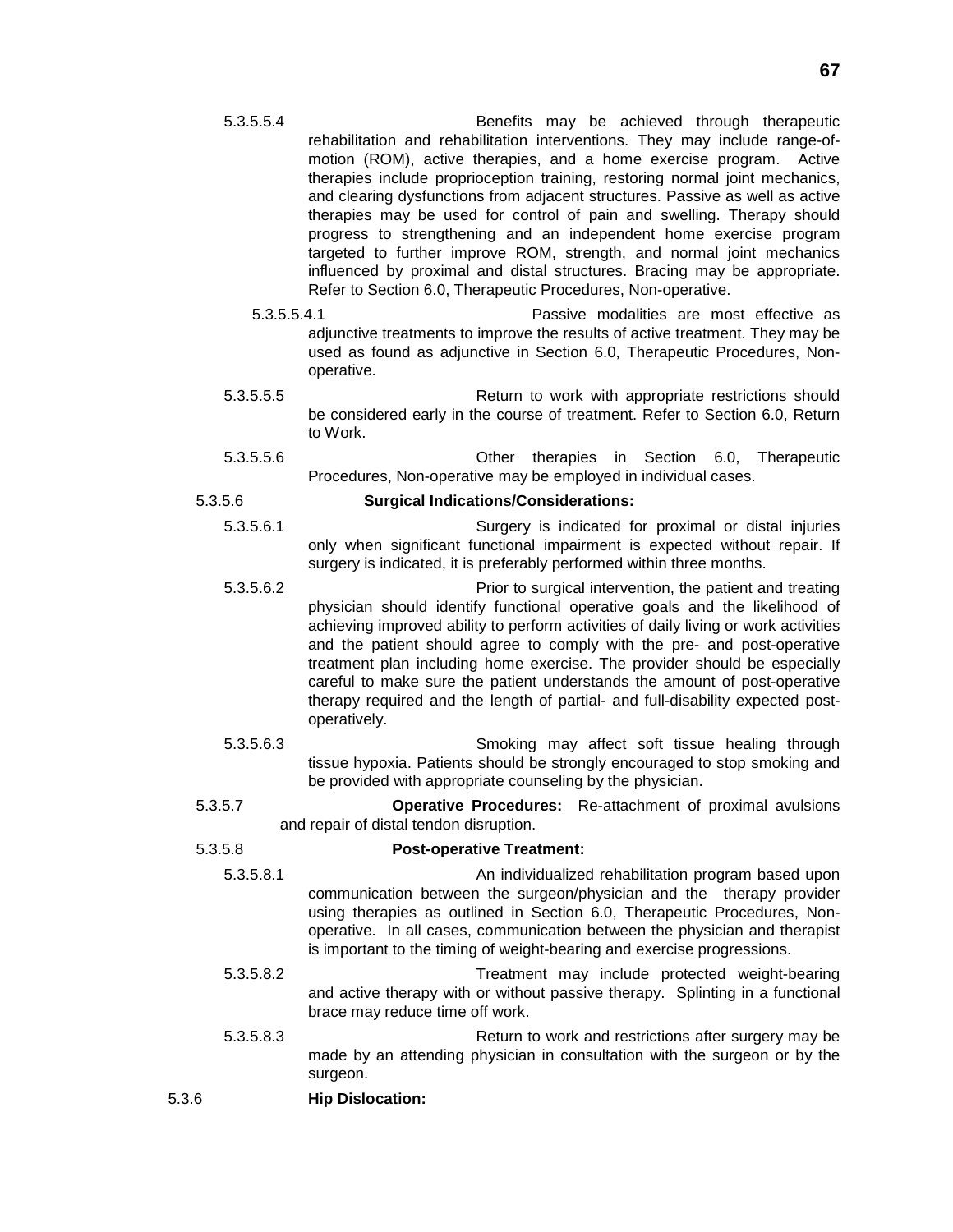- 5.3.5.5.4 Benefits may be achieved through therapeutic rehabilitation and rehabilitation interventions. They may include range-ofmotion (ROM), active therapies, and a home exercise program. Active therapies include proprioception training, restoring normal joint mechanics, and clearing dysfunctions from adjacent structures. Passive as well as active therapies may be used for control of pain and swelling. Therapy should progress to strengthening and an independent home exercise program targeted to further improve ROM, strength, and normal joint mechanics influenced by proximal and distal structures. Bracing may be appropriate. Refer to Section 6.0, Therapeutic Procedures, Non-operative.
	- 5.3.5.5.4.1 Passive modalities are most effective as adjunctive treatments to improve the results of active treatment. They may be used as found as adjunctive in Section 6.0, Therapeutic Procedures, Nonoperative.
- 5.3.5.5.5 Return to work with appropriate restrictions should be considered early in the course of treatment. Refer to Section 6.0, Return to Work.
- 5.3.5.5.6 Other therapies in Section 6.0, Therapeutic Procedures, Non-operative may be employed in individual cases.

### 5.3.5.6 **Surgical Indications/Considerations:**

- 5.3.5.6.1 Surgery is indicated for proximal or distal injuries only when significant functional impairment is expected without repair. If surgery is indicated, it is preferably performed within three months.
- 5.3.5.6.2 Prior to surgical intervention, the patient and treating physician should identify functional operative goals and the likelihood of achieving improved ability to perform activities of daily living or work activities and the patient should agree to comply with the pre- and post-operative treatment plan including home exercise. The provider should be especially careful to make sure the patient understands the amount of post-operative therapy required and the length of partial- and full-disability expected postoperatively.
- 5.3.5.6.3 Smoking may affect soft tissue healing through tissue hypoxia. Patients should be strongly encouraged to stop smoking and be provided with appropriate counseling by the physician.
- 5.3.5.7 **Operative Procedures:** Re-attachment of proximal avulsions and repair of distal tendon disruption.

### 5.3.5.8 **Post-operative Treatment:**

- 5.3.5.8.1 An individualized rehabilitation program based upon communication between the surgeon/physician and the therapy provider using therapies as outlined in Section 6.0, Therapeutic Procedures, Nonoperative. In all cases, communication between the physician and therapist is important to the timing of weight-bearing and exercise progressions.
- 5.3.5.8.2 Treatment may include protected weight-bearing and active therapy with or without passive therapy. Splinting in a functional brace may reduce time off work.
- 5.3.5.8.3 Return to work and restrictions after surgery may be made by an attending physician in consultation with the surgeon or by the surgeon.
- 5.3.6 **Hip Dislocation:**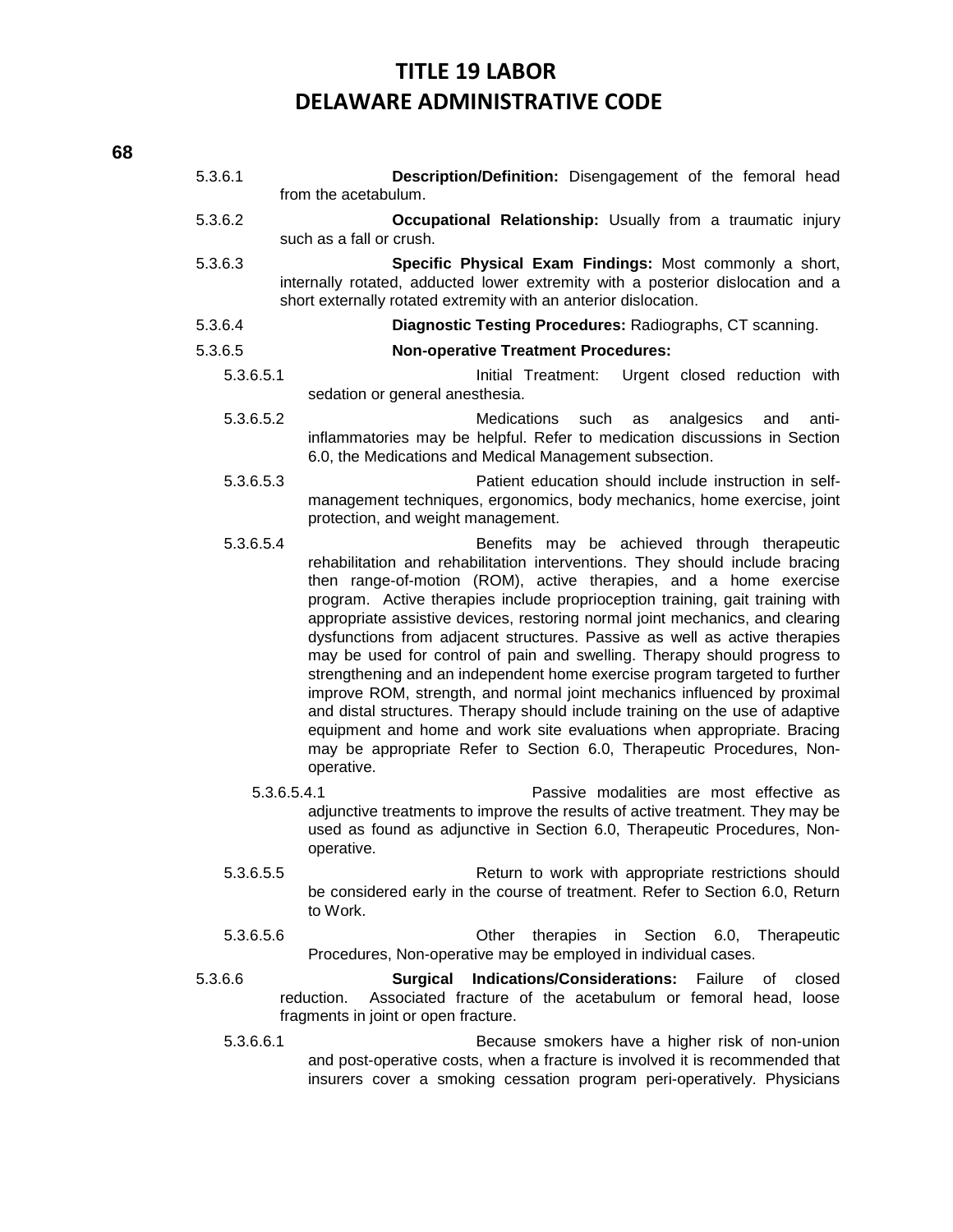### 5.3.6.1 **Description/Definition:** Disengagement of the femoral head from the acetabulum. 5.3.6.2 **Occupational Relationship:** Usually from a traumatic injury such as a fall or crush. 5.3.6.3 **Specific Physical Exam Findings:** Most commonly a short, internally rotated, adducted lower extremity with a posterior dislocation and a short externally rotated extremity with an anterior dislocation. 5.3.6.4 **Diagnostic Testing Procedures:** Radiographs, CT scanning. 5.3.6.5 **Non-operative Treatment Procedures:** 5.3.6.5.1 Initial Treatment: Urgent closed reduction with sedation or general anesthesia. 5.3.6.5.2 Medications such as analgesics and antiinflammatories may be helpful. Refer to medication discussions in Section 6.0, the Medications and Medical Management subsection. 5.3.6.5.3 Patient education should include instruction in selfmanagement techniques, ergonomics, body mechanics, home exercise, joint protection, and weight management. 5.3.6.5.4 Benefits may be achieved through therapeutic rehabilitation and rehabilitation interventions. They should include bracing then range-of-motion (ROM), active therapies, and a home exercise program. Active therapies include proprioception training, gait training with appropriate assistive devices, restoring normal joint mechanics, and clearing dysfunctions from adjacent structures. Passive as well as active therapies may be used for control of pain and swelling. Therapy should progress to strengthening and an independent home exercise program targeted to further improve ROM, strength, and normal joint mechanics influenced by proximal and distal structures. Therapy should include training on the use of adaptive equipment and home and work site evaluations when appropriate. Bracing may be appropriate Refer to Section 6.0, Therapeutic Procedures, Nonoperative. 5.3.6.5.4.1 Passive modalities are most effective as adjunctive treatments to improve the results of active treatment. They may be used as found as adjunctive in Section 6.0, Therapeutic Procedures, Nonoperative. 5.3.6.5.5 Return to work with appropriate restrictions should be considered early in the course of treatment. Refer to Section 6.0, Return to Work. 5.3.6.5.6 Other therapies in Section 6.0, Therapeutic Procedures, Non-operative may be employed in individual cases.

- 5.3.6.6 **Surgical Indications/Considerations:** Failure of closed reduction. Associated fracture of the acetabulum or femoral head, loose fragments in joint or open fracture.
	- 5.3.6.6.1 Because smokers have a higher risk of non-union and post-operative costs, when a fracture is involved it is recommended that insurers cover a smoking cessation program peri-operatively. Physicians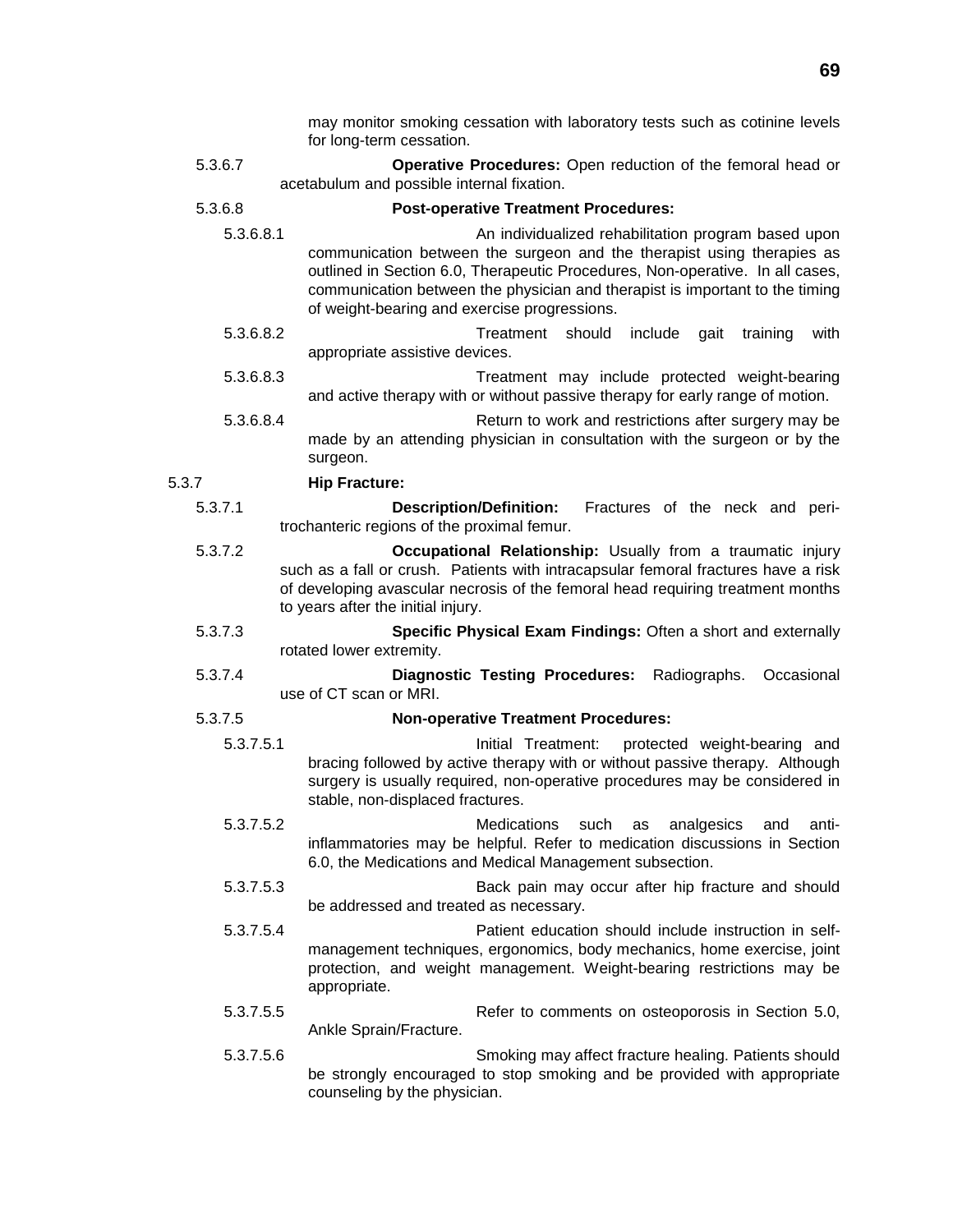may monitor smoking cessation with laboratory tests such as cotinine levels for long-term cessation.

5.3.6.7 **Operative Procedures:** Open reduction of the femoral head or acetabulum and possible internal fixation.

### 5.3.6.8 **Post-operative Treatment Procedures:**

- 5.3.6.8.1 An individualized rehabilitation program based upon communication between the surgeon and the therapist using therapies as outlined in Section 6.0, Therapeutic Procedures, Non-operative. In all cases, communication between the physician and therapist is important to the timing of weight-bearing and exercise progressions.
- 5.3.6.8.2 Treatment should include gait training with appropriate assistive devices.
- 5.3.6.8.3 Treatment may include protected weight-bearing and active therapy with or without passive therapy for early range of motion.
- 5.3.6.8.4 Return to work and restrictions after surgery may be made by an attending physician in consultation with the surgeon or by the surgeon.

### 5.3.7 **Hip Fracture:**

- 5.3.7.1 **Description/Definition:** Fractures of the neck and peritrochanteric regions of the proximal femur.
- 5.3.7.2 **Occupational Relationship:** Usually from a traumatic injury such as a fall or crush. Patients with intracapsular femoral fractures have a risk of developing avascular necrosis of the femoral head requiring treatment months to years after the initial injury.
- 5.3.7.3 **Specific Physical Exam Findings:** Often a short and externally rotated lower extremity.
- 5.3.7.4 **Diagnostic Testing Procedures:** Radiographs. Occasional use of CT scan or MRI.

### 5.3.7.5 **Non-operative Treatment Procedures:**

- 5.3.7.5.1 Initial Treatment: protected weight-bearing and bracing followed by active therapy with or without passive therapy. Although surgery is usually required, non-operative procedures may be considered in stable, non-displaced fractures.
- 5.3.7.5.2 Medications such as analgesics and antiinflammatories may be helpful. Refer to medication discussions in Section 6.0, the Medications and Medical Management subsection.
- 5.3.7.5.3 Back pain may occur after hip fracture and should be addressed and treated as necessary.
- 5.3.7.5.4 Patient education should include instruction in selfmanagement techniques, ergonomics, body mechanics, home exercise, joint protection, and weight management. Weight-bearing restrictions may be appropriate.
- 5.3.7.5.5 Refer to comments on osteoporosis in Section 5.0, Ankle Sprain/Fracture.
- 5.3.7.5.6 Smoking may affect fracture healing. Patients should be strongly encouraged to stop smoking and be provided with appropriate counseling by the physician.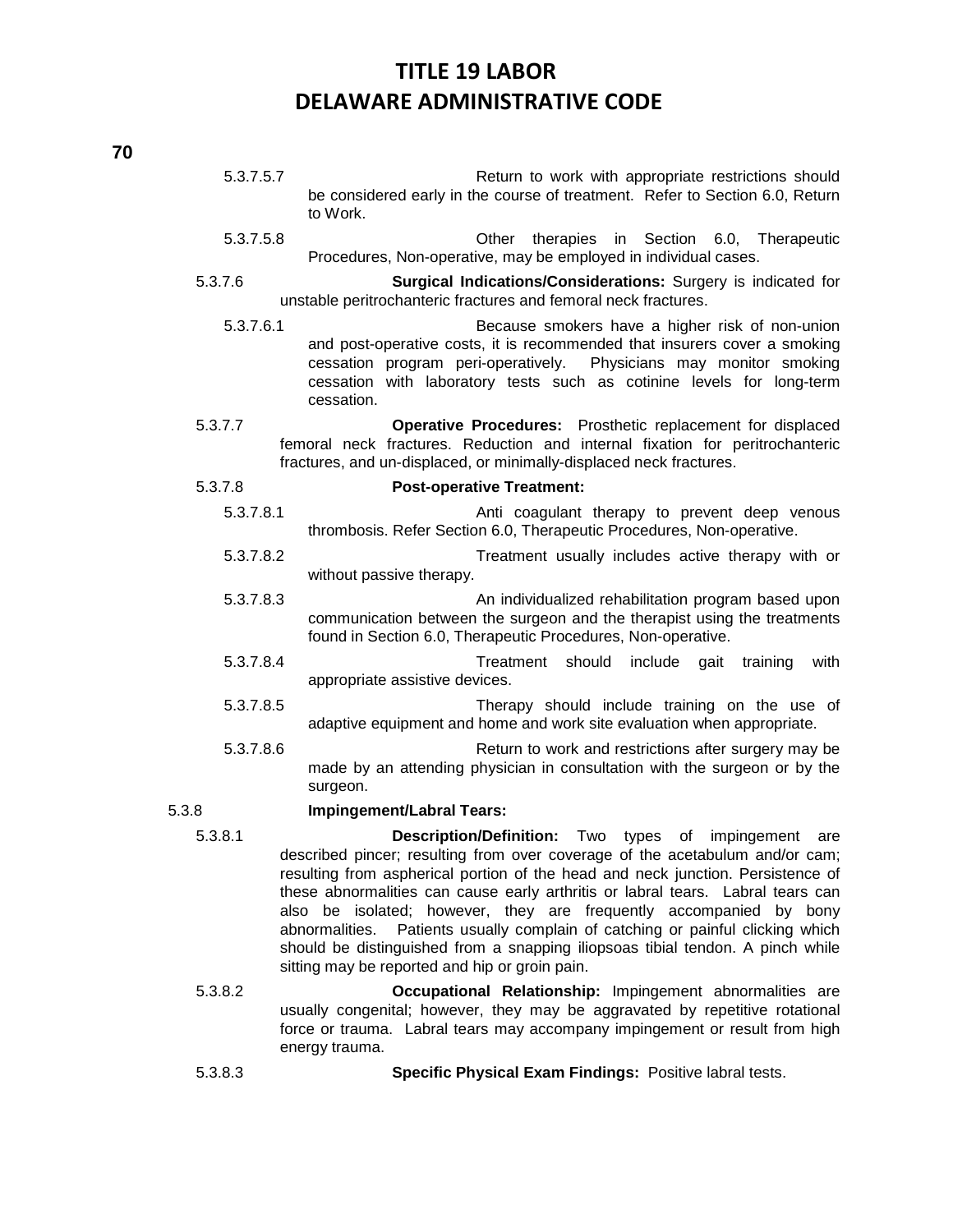| 5.3.7.5.7 | Return to work with appropriate restrictions should<br>be considered early in the course of treatment. Refer to Section 6.0, Return<br>to Work.                                                                                                                                                                                                                                                                                                                                                                                                                                                              |
|-----------|--------------------------------------------------------------------------------------------------------------------------------------------------------------------------------------------------------------------------------------------------------------------------------------------------------------------------------------------------------------------------------------------------------------------------------------------------------------------------------------------------------------------------------------------------------------------------------------------------------------|
| 5.3.7.5.8 | therapies in Section 6.0, Therapeutic<br>Other<br>Procedures, Non-operative, may be employed in individual cases.                                                                                                                                                                                                                                                                                                                                                                                                                                                                                            |
| 5.3.7.6   | Surgical Indications/Considerations: Surgery is indicated for<br>unstable peritrochanteric fractures and femoral neck fractures.                                                                                                                                                                                                                                                                                                                                                                                                                                                                             |
| 5.3.7.6.1 | Because smokers have a higher risk of non-union<br>and post-operative costs, it is recommended that insurers cover a smoking<br>cessation program peri-operatively.<br>Physicians may monitor smoking<br>cessation with laboratory tests such as cotinine levels for long-term<br>cessation.                                                                                                                                                                                                                                                                                                                 |
| 5.3.7.7   | Operative Procedures: Prosthetic replacement for displaced<br>femoral neck fractures. Reduction and internal fixation for peritrochanteric<br>fractures, and un-displaced, or minimally-displaced neck fractures.                                                                                                                                                                                                                                                                                                                                                                                            |
| 5.3.7.8   | <b>Post-operative Treatment:</b>                                                                                                                                                                                                                                                                                                                                                                                                                                                                                                                                                                             |
| 5.3.7.8.1 | Anti coagulant therapy to prevent deep venous<br>thrombosis. Refer Section 6.0, Therapeutic Procedures, Non-operative.                                                                                                                                                                                                                                                                                                                                                                                                                                                                                       |
| 5.3.7.8.2 | Treatment usually includes active therapy with or<br>without passive therapy.                                                                                                                                                                                                                                                                                                                                                                                                                                                                                                                                |
| 5.3.7.8.3 | An individualized rehabilitation program based upon<br>communication between the surgeon and the therapist using the treatments<br>found in Section 6.0, Therapeutic Procedures, Non-operative.                                                                                                                                                                                                                                                                                                                                                                                                              |
| 5.3.7.8.4 | should<br>include<br>with<br>Treatment<br>gait<br>training<br>appropriate assistive devices.                                                                                                                                                                                                                                                                                                                                                                                                                                                                                                                 |
| 5.3.7.8.5 | Therapy should include training on the use of<br>adaptive equipment and home and work site evaluation when appropriate.                                                                                                                                                                                                                                                                                                                                                                                                                                                                                      |
| 5.3.7.8.6 | Return to work and restrictions after surgery may be<br>made by an attending physician in consultation with the surgeon or by the<br>surgeon.                                                                                                                                                                                                                                                                                                                                                                                                                                                                |
| 5.3.8     | Impingement/Labral Tears:                                                                                                                                                                                                                                                                                                                                                                                                                                                                                                                                                                                    |
| 5.3.8.1   | Description/Definition: Two types of impingement<br>are<br>described pincer; resulting from over coverage of the acetabulum and/or cam;<br>resulting from aspherical portion of the head and neck junction. Persistence of<br>these abnormalities can cause early arthritis or labral tears. Labral tears can<br>also be isolated; however, they are frequently accompanied by bony<br>Patients usually complain of catching or painful clicking which<br>abnormalities.<br>should be distinguished from a snapping iliopsoas tibial tendon. A pinch while<br>sitting may be reported and hip or groin pain. |
| 5.3.8.2   | Occupational Relationship: Impingement abnormalities are<br>bourning that part has approximated by repeathing restational                                                                                                                                                                                                                                                                                                                                                                                                                                                                                    |

- usually congenital; however, they may be aggravated by repetitive rotational force or trauma. Labral tears may accompany impingement or result from high energy trauma.
- 5.3.8.3 **Specific Physical Exam Findings:** Positive labral tests.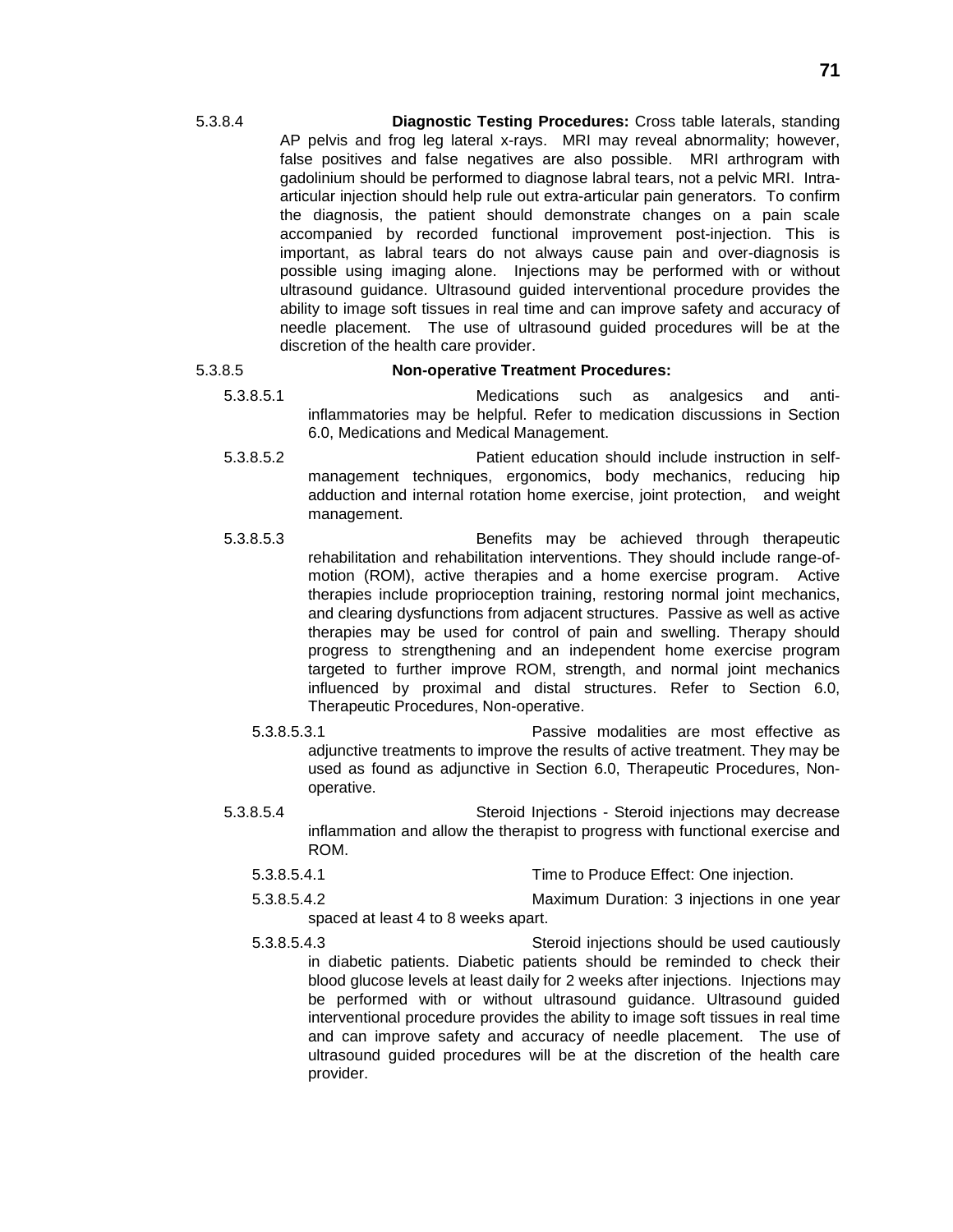5.3.8.4 **Diagnostic Testing Procedures:** Cross table laterals, standing AP pelvis and frog leg lateral x-rays. MRI may reveal abnormality; however, false positives and false negatives are also possible. MRI arthrogram with gadolinium should be performed to diagnose labral tears, not a pelvic MRI. Intraarticular injection should help rule out extra-articular pain generators. To confirm the diagnosis, the patient should demonstrate changes on a pain scale accompanied by recorded functional improvement post-injection. This is important, as labral tears do not always cause pain and over-diagnosis is possible using imaging alone. Injections may be performed with or without ultrasound guidance. Ultrasound guided interventional procedure provides the ability to image soft tissues in real time and can improve safety and accuracy of needle placement. The use of ultrasound guided procedures will be at the discretion of the health care provider.

### 5.3.8.5 **Non-operative Treatment Procedures:**

- 5.3.8.5.1 Medications such as analgesics and antiinflammatories may be helpful. Refer to medication discussions in Section 6.0, Medications and Medical Management.
- 5.3.8.5.2 Patient education should include instruction in selfmanagement techniques, ergonomics, body mechanics, reducing hip adduction and internal rotation home exercise, joint protection, and weight management.
- 5.3.8.5.3 Benefits may be achieved through therapeutic rehabilitation and rehabilitation interventions. They should include range-ofmotion (ROM), active therapies and a home exercise program. Active therapies include proprioception training, restoring normal joint mechanics, and clearing dysfunctions from adjacent structures. Passive as well as active therapies may be used for control of pain and swelling. Therapy should progress to strengthening and an independent home exercise program targeted to further improve ROM, strength, and normal joint mechanics influenced by proximal and distal structures. Refer to Section 6.0, Therapeutic Procedures, Non-operative.
	- 5.3.8.5.3.1 Passive modalities are most effective as adjunctive treatments to improve the results of active treatment. They may be used as found as adjunctive in Section 6.0, Therapeutic Procedures, Nonoperative.
- 5.3.8.5.4 Steroid Injections Steroid injections may decrease inflammation and allow the therapist to progress with functional exercise and ROM.
	- 5.3.8.5.4.1 Time to Produce Effect: One injection.
	- 5.3.8.5.4.2 Maximum Duration: 3 injections in one year spaced at least 4 to 8 weeks apart.
	- 5.3.8.5.4.3 Steroid injections should be used cautiously in diabetic patients. Diabetic patients should be reminded to check their blood glucose levels at least daily for 2 weeks after injections. Injections may be performed with or without ultrasound guidance. Ultrasound guided interventional procedure provides the ability to image soft tissues in real time and can improve safety and accuracy of needle placement. The use of ultrasound guided procedures will be at the discretion of the health care provider.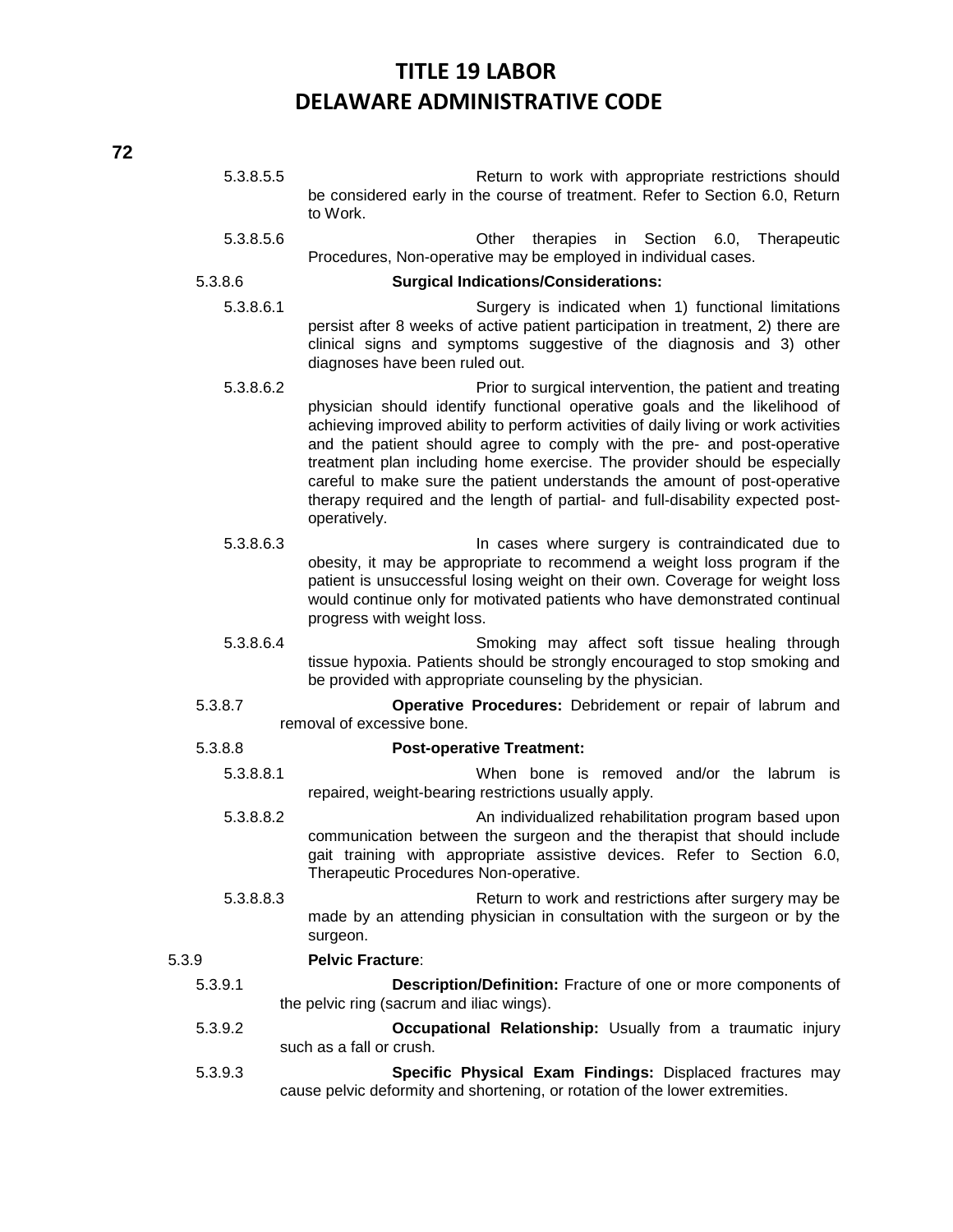5.3.8.5.5 Return to work with appropriate restrictions should be considered early in the course of treatment. Refer to Section 6.0, Return to Work. 5.3.8.5.6 Other therapies in Section 6.0, Therapeutic Procedures, Non-operative may be employed in individual cases. 5.3.8.6 **Surgical Indications/Considerations:** 5.3.8.6.1 Surgery is indicated when 1) functional limitations persist after 8 weeks of active patient participation in treatment, 2) there are clinical signs and symptoms suggestive of the diagnosis and 3) other diagnoses have been ruled out. 5.3.8.6.2 Prior to surgical intervention, the patient and treating physician should identify functional operative goals and the likelihood of achieving improved ability to perform activities of daily living or work activities and the patient should agree to comply with the pre- and post-operative treatment plan including home exercise. The provider should be especially careful to make sure the patient understands the amount of post-operative therapy required and the length of partial- and full-disability expected postoperatively. 5.3.8.6.3 In cases where surgery is contraindicated due to obesity, it may be appropriate to recommend a weight loss program if the patient is unsuccessful losing weight on their own. Coverage for weight loss would continue only for motivated patients who have demonstrated continual progress with weight loss. 5.3.8.6.4 Smoking may affect soft tissue healing through tissue hypoxia. Patients should be strongly encouraged to stop smoking and be provided with appropriate counseling by the physician. 5.3.8.7 **Operative Procedures:** Debridement or repair of labrum and removal of excessive bone. 5.3.8.8 **Post-operative Treatment:** 5.3.8.8.1 When bone is removed and/or the labrum is repaired, weight-bearing restrictions usually apply. 5.3.8.8.2 An individualized rehabilitation program based upon communication between the surgeon and the therapist that should include gait training with appropriate assistive devices. Refer to Section 6.0, Therapeutic Procedures Non-operative. 5.3.8.8.3 Return to work and restrictions after surgery may be made by an attending physician in consultation with the surgeon or by the surgeon. 5.3.9 **Pelvic Fracture**: 5.3.9.1 **Description/Definition:** Fracture of one or more components of the pelvic ring (sacrum and iliac wings). 5.3.9.2 **Occupational Relationship:** Usually from a traumatic injury such as a fall or crush. 5.3.9.3 **Specific Physical Exam Findings:** Displaced fractures may cause pelvic deformity and shortening, or rotation of the lower extremities.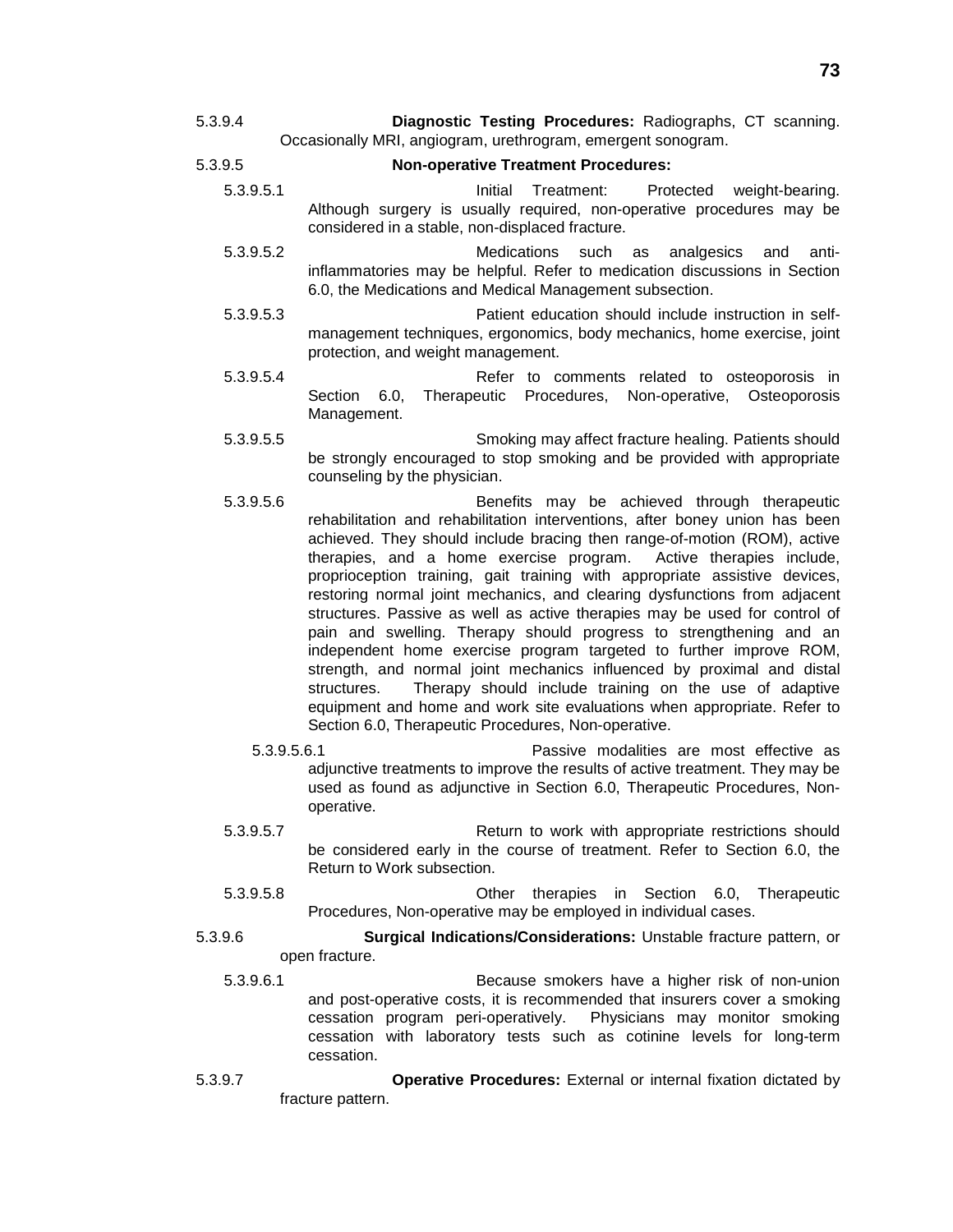- 5.3.9.4 **Diagnostic Testing Procedures:** Radiographs, CT scanning. Occasionally MRI, angiogram, urethrogram, emergent sonogram.
- 5.3.9.5 **Non-operative Treatment Procedures:**
	- 5.3.9.5.1 Initial Treatment: Protected weight-bearing. Although surgery is usually required, non-operative procedures may be considered in a stable, non-displaced fracture.
	- 5.3.9.5.2 Medications such as analgesics and antiinflammatories may be helpful. Refer to medication discussions in Section 6.0, the Medications and Medical Management subsection.
	- 5.3.9.5.3 Patient education should include instruction in selfmanagement techniques, ergonomics, body mechanics, home exercise, joint protection, and weight management.
	- 5.3.9.5.4 Refer to comments related to osteoporosis in Section 6.0, Therapeutic Procedures, Non-operative, Osteoporosis Management.
	- 5.3.9.5.5 Smoking may affect fracture healing. Patients should be strongly encouraged to stop smoking and be provided with appropriate counseling by the physician.
	- 5.3.9.5.6 Benefits may be achieved through therapeutic rehabilitation and rehabilitation interventions, after boney union has been achieved. They should include bracing then range-of-motion (ROM), active therapies, and a home exercise program. Active therapies include, proprioception training, gait training with appropriate assistive devices, restoring normal joint mechanics, and clearing dysfunctions from adjacent structures. Passive as well as active therapies may be used for control of pain and swelling. Therapy should progress to strengthening and an independent home exercise program targeted to further improve ROM, strength, and normal joint mechanics influenced by proximal and distal structures. Therapy should include training on the use of adaptive equipment and home and work site evaluations when appropriate. Refer to Section 6.0, Therapeutic Procedures, Non-operative.
		- 5.3.9.5.6.1 Passive modalities are most effective as adjunctive treatments to improve the results of active treatment. They may be used as found as adjunctive in Section 6.0, Therapeutic Procedures, Nonoperative.
	- 5.3.9.5.7 Return to work with appropriate restrictions should be considered early in the course of treatment. Refer to Section 6.0, the Return to Work subsection.
	- 5.3.9.5.8 Other therapies in Section 6.0, Therapeutic Procedures, Non-operative may be employed in individual cases.
- 5.3.9.6 **Surgical Indications/Considerations:** Unstable fracture pattern, or open fracture.
	- 5.3.9.6.1 Because smokers have a higher risk of non-union and post-operative costs, it is recommended that insurers cover a smoking cessation program peri-operatively. Physicians may monitor smoking cessation with laboratory tests such as cotinine levels for long-term cessation.
- 5.3.9.7 **Operative Procedures:** External or internal fixation dictated by fracture pattern.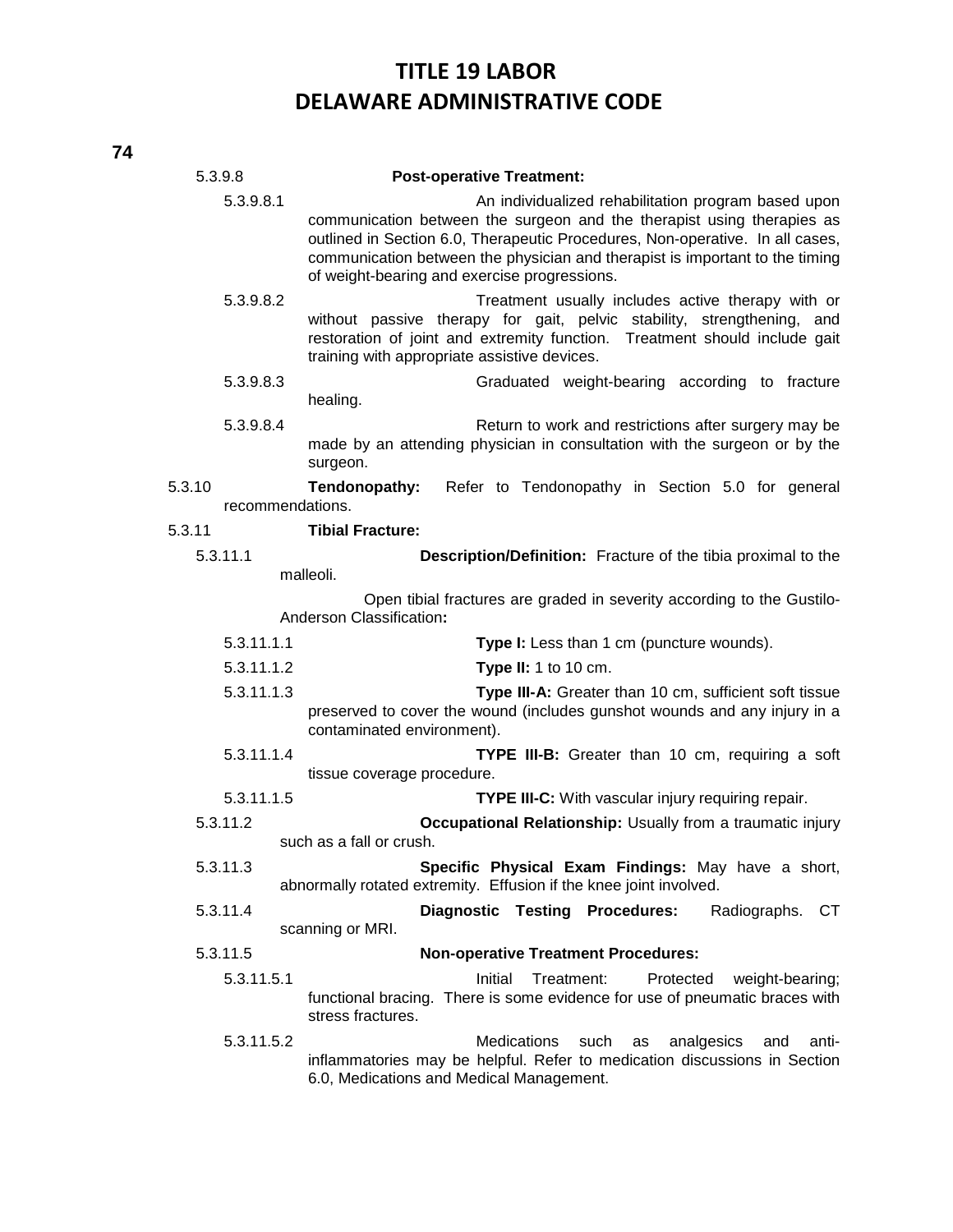| 5.3.9.8                    | <b>Post-operative Treatment:</b>                                                                                                                                                                                                                                                                                                               |  |  |  |
|----------------------------|------------------------------------------------------------------------------------------------------------------------------------------------------------------------------------------------------------------------------------------------------------------------------------------------------------------------------------------------|--|--|--|
| 5.3.9.8.1                  | An individualized rehabilitation program based upon<br>communication between the surgeon and the therapist using therapies as<br>outlined in Section 6.0, Therapeutic Procedures, Non-operative. In all cases,<br>communication between the physician and therapist is important to the timing<br>of weight-bearing and exercise progressions. |  |  |  |
| 5.3.9.8.2                  | Treatment usually includes active therapy with or<br>without passive therapy for gait, pelvic stability, strengthening, and<br>restoration of joint and extremity function. Treatment should include gait<br>training with appropriate assistive devices.                                                                                      |  |  |  |
| 5.3.9.8.3                  | Graduated weight-bearing according to fracture<br>healing.                                                                                                                                                                                                                                                                                     |  |  |  |
| 5.3.9.8.4                  | Return to work and restrictions after surgery may be<br>made by an attending physician in consultation with the surgeon or by the<br>surgeon.                                                                                                                                                                                                  |  |  |  |
| 5.3.10<br>recommendations. | Tendonopathy:<br>Refer to Tendonopathy in Section 5.0 for general                                                                                                                                                                                                                                                                              |  |  |  |
| 5.3.11                     | <b>Tibial Fracture:</b>                                                                                                                                                                                                                                                                                                                        |  |  |  |
| 5.3.11.1                   | Description/Definition: Fracture of the tibia proximal to the                                                                                                                                                                                                                                                                                  |  |  |  |
|                            | malleoli.                                                                                                                                                                                                                                                                                                                                      |  |  |  |
|                            | Open tibial fractures are graded in severity according to the Gustilo-<br>Anderson Classification:                                                                                                                                                                                                                                             |  |  |  |
| 5.3.11.1.1                 | Type I: Less than 1 cm (puncture wounds).                                                                                                                                                                                                                                                                                                      |  |  |  |
| 5.3.11.1.2                 | Type II: 1 to 10 cm.                                                                                                                                                                                                                                                                                                                           |  |  |  |
| 5.3.11.1.3                 | Type III-A: Greater than 10 cm, sufficient soft tissue<br>preserved to cover the wound (includes gunshot wounds and any injury in a<br>contaminated environment).                                                                                                                                                                              |  |  |  |
| 5.3.11.1.4                 | TYPE III-B: Greater than 10 cm, requiring a soft<br>tissue coverage procedure.                                                                                                                                                                                                                                                                 |  |  |  |
| 5.3.11.1.5                 | TYPE III-C: With vascular injury requiring repair.                                                                                                                                                                                                                                                                                             |  |  |  |
| 5.3.11.2                   | Occupational Relationship: Usually from a traumatic injury                                                                                                                                                                                                                                                                                     |  |  |  |
|                            | such as a fall or crush.                                                                                                                                                                                                                                                                                                                       |  |  |  |
| 5.3.11.3                   | Specific Physical Exam Findings: May have a short,<br>abnormally rotated extremity. Effusion if the knee joint involved.                                                                                                                                                                                                                       |  |  |  |
| 5.3.11.4                   | Diagnostic Testing Procedures:<br>Radiographs.<br>СT<br>scanning or MRI.                                                                                                                                                                                                                                                                       |  |  |  |
| 5.3.11.5                   | <b>Non-operative Treatment Procedures:</b>                                                                                                                                                                                                                                                                                                     |  |  |  |
| 5.3.11.5.1                 | Initial<br>Treatment:<br>Protected<br>weight-bearing;<br>functional bracing. There is some evidence for use of pneumatic braces with<br>stress fractures.                                                                                                                                                                                      |  |  |  |
| 5.3.11.5.2                 | <b>Medications</b><br>such<br>analgesics<br>as<br>anti-<br>and<br>inflammatories may be helpful. Refer to medication discussions in Section<br>6.0, Medications and Medical Management.                                                                                                                                                        |  |  |  |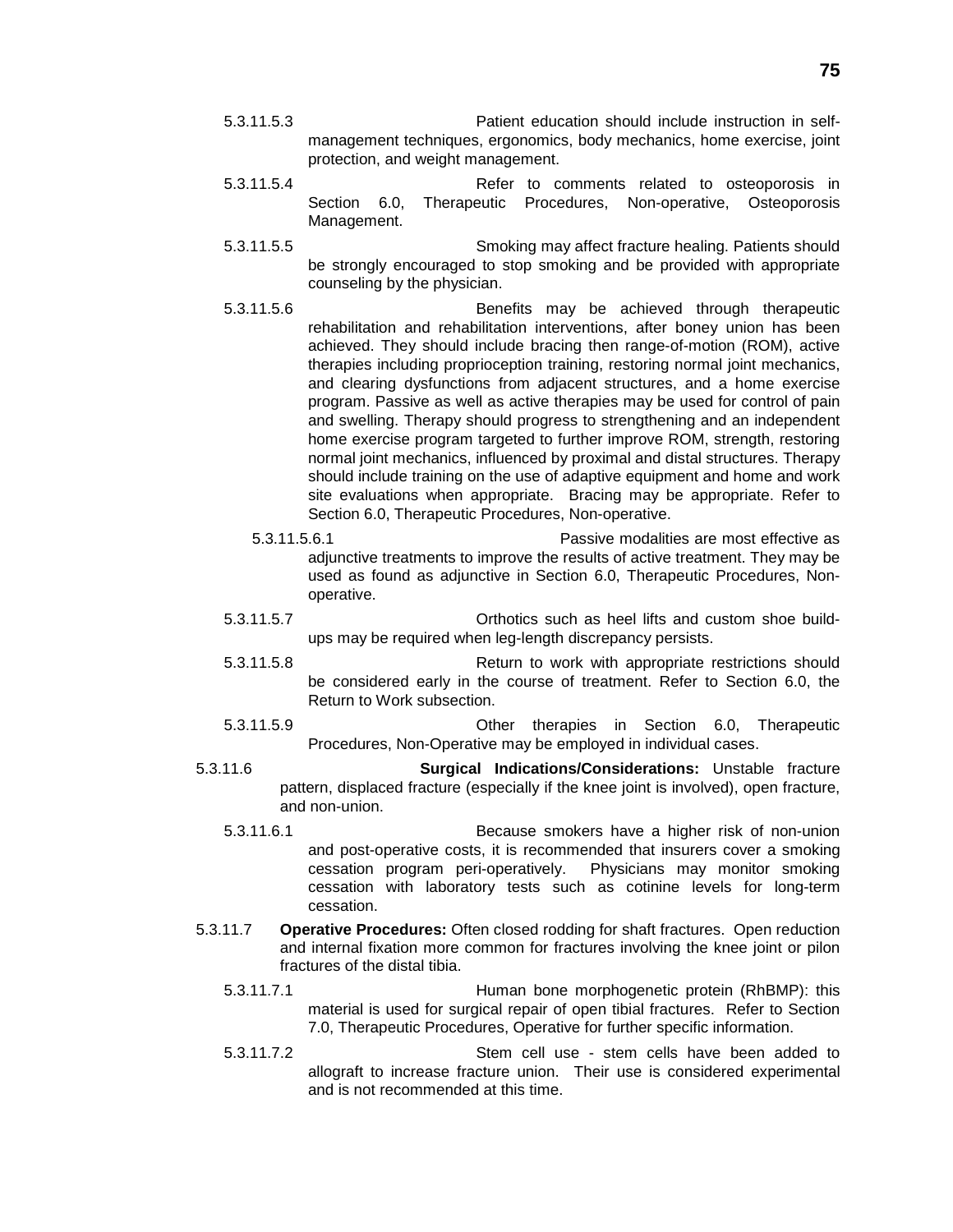- 5.3.11.5.3 Patient education should include instruction in selfmanagement techniques, ergonomics, body mechanics, home exercise, joint protection, and weight management.
- 5.3.11.5.4 Refer to comments related to osteoporosis in Section 6.0, Therapeutic Procedures, Non-operative, Osteoporosis Management.
- 5.3.11.5.5 Smoking may affect fracture healing. Patients should be strongly encouraged to stop smoking and be provided with appropriate counseling by the physician.
- 5.3.11.5.6 Benefits may be achieved through therapeutic rehabilitation and rehabilitation interventions, after boney union has been achieved. They should include bracing then range-of-motion (ROM), active therapies including proprioception training, restoring normal joint mechanics, and clearing dysfunctions from adjacent structures, and a home exercise program. Passive as well as active therapies may be used for control of pain and swelling. Therapy should progress to strengthening and an independent home exercise program targeted to further improve ROM, strength, restoring normal joint mechanics, influenced by proximal and distal structures. Therapy should include training on the use of adaptive equipment and home and work site evaluations when appropriate. Bracing may be appropriate. Refer to Section 6.0, Therapeutic Procedures, Non-operative.
	- 5.3.11.5.6.1 Passive modalities are most effective as adjunctive treatments to improve the results of active treatment. They may be used as found as adjunctive in Section 6.0, Therapeutic Procedures, Nonoperative.
- 5.3.11.5.7 Orthotics such as heel lifts and custom shoe buildups may be required when leg-length discrepancy persists.
- 5.3.11.5.8 Return to work with appropriate restrictions should be considered early in the course of treatment. Refer to Section 6.0, the Return to Work subsection.
- 5.3.11.5.9 Other therapies in Section 6.0, Therapeutic Procedures, Non-Operative may be employed in individual cases.
- 5.3.11.6 **Surgical Indications/Considerations:** Unstable fracture pattern, displaced fracture (especially if the knee joint is involved), open fracture, and non-union.
	- 5.3.11.6.1 Because smokers have a higher risk of non-union and post-operative costs, it is recommended that insurers cover a smoking cessation program peri-operatively. Physicians may monitor smoking cessation with laboratory tests such as cotinine levels for long-term cessation.
- 5.3.11.7 **Operative Procedures:** Often closed rodding for shaft fractures. Open reduction and internal fixation more common for fractures involving the knee joint or pilon fractures of the distal tibia.
	- 5.3.11.7.1 Human bone morphogenetic protein (RhBMP): this material is used for surgical repair of open tibial fractures. Refer to Section 7.0, Therapeutic Procedures, Operative for further specific information.
	- 5.3.11.7.2 Stem cell use stem cells have been added to allograft to increase fracture union. Their use is considered experimental and is not recommended at this time.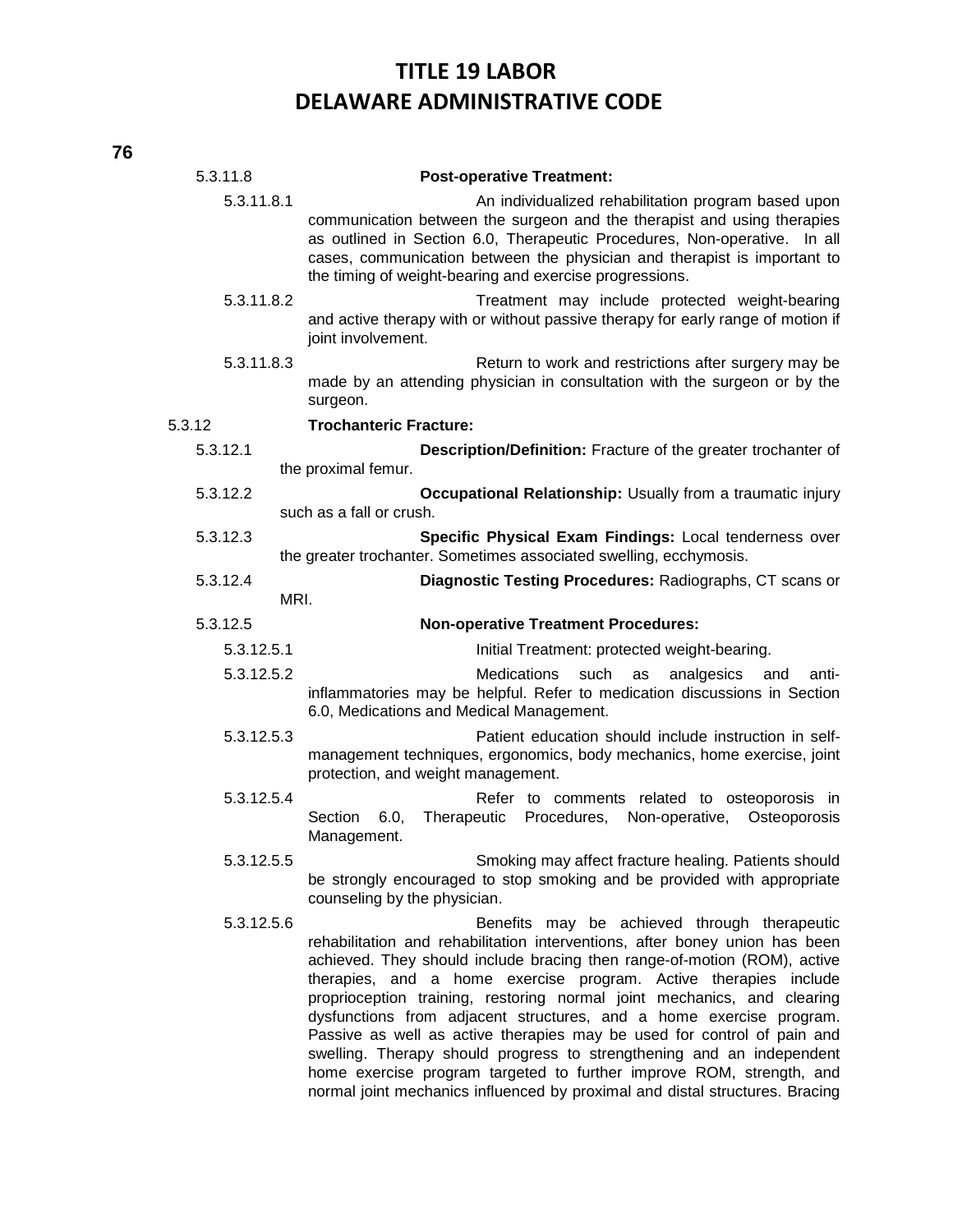| 5.3.11.8   | <b>Post-operative Treatment:</b>                                                                                                                                                                                                                                                                                                                                                                                                                                                                                                                                                                                                                                                                                                          |
|------------|-------------------------------------------------------------------------------------------------------------------------------------------------------------------------------------------------------------------------------------------------------------------------------------------------------------------------------------------------------------------------------------------------------------------------------------------------------------------------------------------------------------------------------------------------------------------------------------------------------------------------------------------------------------------------------------------------------------------------------------------|
| 5.3.11.8.1 | An individualized rehabilitation program based upon<br>communication between the surgeon and the therapist and using therapies<br>as outlined in Section 6.0, Therapeutic Procedures, Non-operative. In all<br>cases, communication between the physician and therapist is important to<br>the timing of weight-bearing and exercise progressions.                                                                                                                                                                                                                                                                                                                                                                                        |
| 5.3.11.8.2 | Treatment may include protected weight-bearing<br>and active therapy with or without passive therapy for early range of motion if<br>joint involvement.                                                                                                                                                                                                                                                                                                                                                                                                                                                                                                                                                                                   |
| 5.3.11.8.3 | Return to work and restrictions after surgery may be<br>made by an attending physician in consultation with the surgeon or by the<br>surgeon.                                                                                                                                                                                                                                                                                                                                                                                                                                                                                                                                                                                             |
| 5.3.12     | <b>Trochanteric Fracture:</b>                                                                                                                                                                                                                                                                                                                                                                                                                                                                                                                                                                                                                                                                                                             |
| 5.3.12.1   | Description/Definition: Fracture of the greater trochanter of                                                                                                                                                                                                                                                                                                                                                                                                                                                                                                                                                                                                                                                                             |
|            | the proximal femur.                                                                                                                                                                                                                                                                                                                                                                                                                                                                                                                                                                                                                                                                                                                       |
| 5.3.12.2   | Occupational Relationship: Usually from a traumatic injury<br>such as a fall or crush.                                                                                                                                                                                                                                                                                                                                                                                                                                                                                                                                                                                                                                                    |
| 5.3.12.3   | Specific Physical Exam Findings: Local tenderness over<br>the greater trochanter. Sometimes associated swelling, ecchymosis.                                                                                                                                                                                                                                                                                                                                                                                                                                                                                                                                                                                                              |
| 5.3.12.4   | Diagnostic Testing Procedures: Radiographs, CT scans or                                                                                                                                                                                                                                                                                                                                                                                                                                                                                                                                                                                                                                                                                   |
| MRI.       |                                                                                                                                                                                                                                                                                                                                                                                                                                                                                                                                                                                                                                                                                                                                           |
| 5.3.12.5   | <b>Non-operative Treatment Procedures:</b>                                                                                                                                                                                                                                                                                                                                                                                                                                                                                                                                                                                                                                                                                                |
| 5.3.12.5.1 | Initial Treatment: protected weight-bearing.                                                                                                                                                                                                                                                                                                                                                                                                                                                                                                                                                                                                                                                                                              |
| 5.3.12.5.2 | <b>Medications</b><br>such<br>analgesics<br>as<br>anti-<br>and<br>inflammatories may be helpful. Refer to medication discussions in Section<br>6.0, Medications and Medical Management.                                                                                                                                                                                                                                                                                                                                                                                                                                                                                                                                                   |
| 5.3.12.5.3 | Patient education should include instruction in self-<br>management techniques, ergonomics, body mechanics, home exercise, joint<br>protection, and weight management.                                                                                                                                                                                                                                                                                                                                                                                                                                                                                                                                                                    |
| 5.3.12.5.4 | Refer to comments related to osteoporosis in<br>Therapeutic<br>Procedures, Non-operative,<br>Osteoporosis<br>Section<br>6.0,<br>Management.                                                                                                                                                                                                                                                                                                                                                                                                                                                                                                                                                                                               |
| 5.3.12.5.5 | Smoking may affect fracture healing. Patients should<br>be strongly encouraged to stop smoking and be provided with appropriate<br>counseling by the physician.                                                                                                                                                                                                                                                                                                                                                                                                                                                                                                                                                                           |
| 5.3.12.5.6 | Benefits may be achieved through therapeutic<br>rehabilitation and rehabilitation interventions, after boney union has been<br>achieved. They should include bracing then range-of-motion (ROM), active<br>therapies, and a home exercise program. Active therapies include<br>proprioception training, restoring normal joint mechanics, and clearing<br>dysfunctions from adjacent structures, and a home exercise program.<br>Passive as well as active therapies may be used for control of pain and<br>swelling. Therapy should progress to strengthening and an independent<br>home exercise program targeted to further improve ROM, strength, and<br>normal joint mechanics influenced by proximal and distal structures. Bracing |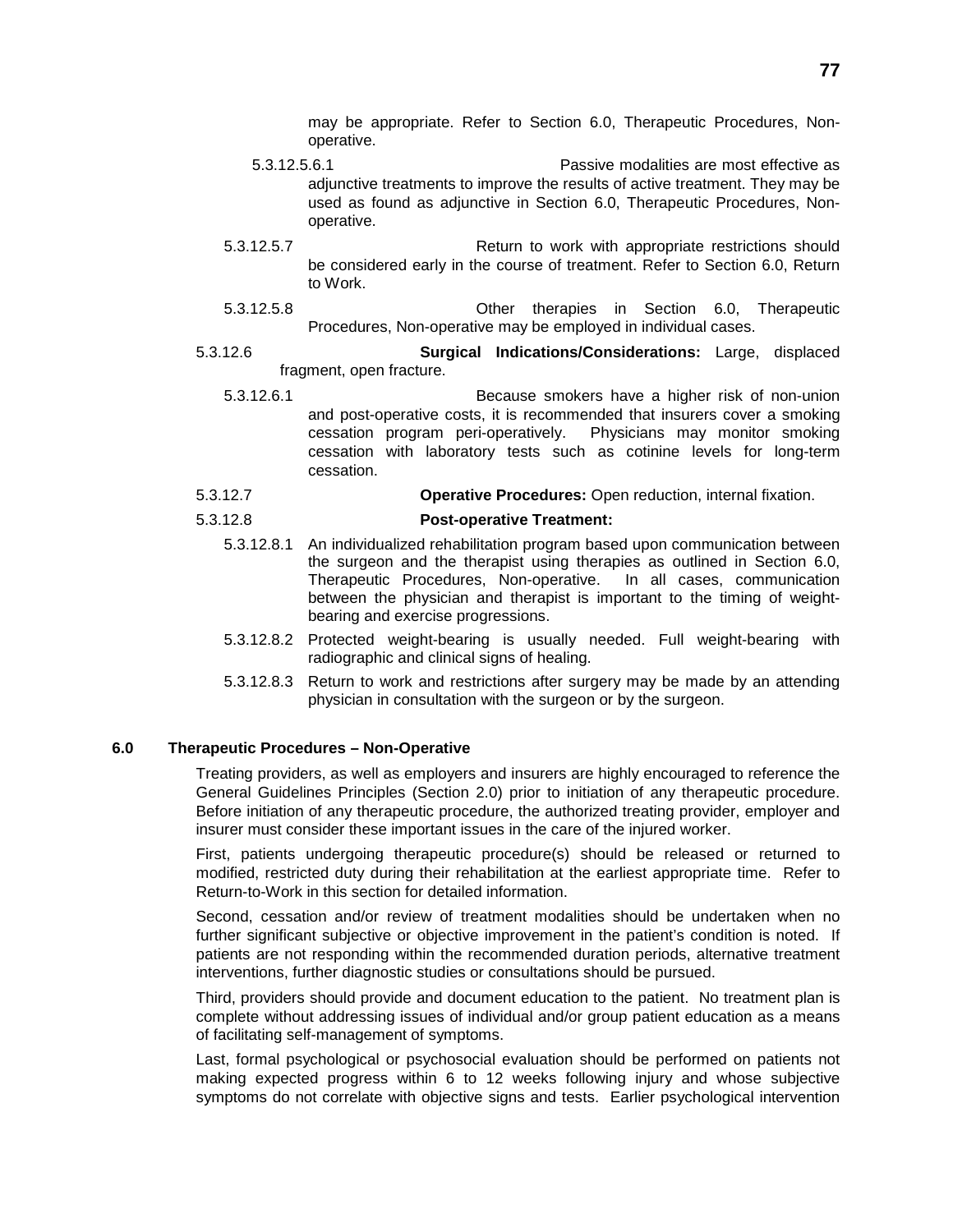may be appropriate. Refer to Section 6.0, Therapeutic Procedures, Nonoperative.

- 5.3.12.5.6.1 Passive modalities are most effective as adjunctive treatments to improve the results of active treatment. They may be used as found as adjunctive in Section 6.0, Therapeutic Procedures, Nonoperative.
- 5.3.12.5.7 Return to work with appropriate restrictions should be considered early in the course of treatment. Refer to Section 6.0, Return to Work.
- 5.3.12.5.8 Other therapies in Section 6.0, Therapeutic Procedures, Non-operative may be employed in individual cases.
- 5.3.12.6 **Surgical Indications/Considerations:** Large, displaced fragment, open fracture.
	- 5.3.12.6.1 Because smokers have a higher risk of non-union and post-operative costs, it is recommended that insurers cover a smoking cessation program peri-operatively. Physicians may monitor smoking cessation with laboratory tests such as cotinine levels for long-term cessation.
- 5.3.12.7 **Operative Procedures:** Open reduction, internal fixation.

#### 5.3.12.8 **Post-operative Treatment:**

- 5.3.12.8.1 An individualized rehabilitation program based upon communication between the surgeon and the therapist using therapies as outlined in Section 6.0, Therapeutic Procedures, Non-operative. In all cases, communication between the physician and therapist is important to the timing of weightbearing and exercise progressions.
- 5.3.12.8.2 Protected weight-bearing is usually needed. Full weight-bearing with radiographic and clinical signs of healing.
- 5.3.12.8.3 Return to work and restrictions after surgery may be made by an attending physician in consultation with the surgeon or by the surgeon.

#### **6.0 Therapeutic Procedures – Non-Operative**

Treating providers, as well as employers and insurers are highly encouraged to reference the General Guidelines Principles (Section 2.0) prior to initiation of any therapeutic procedure. Before initiation of any therapeutic procedure, the authorized treating provider, employer and insurer must consider these important issues in the care of the injured worker.

First, patients undergoing therapeutic procedure(s) should be released or returned to modified, restricted duty during their rehabilitation at the earliest appropriate time. Refer to Return-to-Work in this section for detailed information.

Second, cessation and/or review of treatment modalities should be undertaken when no further significant subjective or objective improvement in the patient's condition is noted. If patients are not responding within the recommended duration periods, alternative treatment interventions, further diagnostic studies or consultations should be pursued.

Third, providers should provide and document education to the patient. No treatment plan is complete without addressing issues of individual and/or group patient education as a means of facilitating self-management of symptoms.

Last, formal psychological or psychosocial evaluation should be performed on patients not making expected progress within 6 to 12 weeks following injury and whose subjective symptoms do not correlate with objective signs and tests. Earlier psychological intervention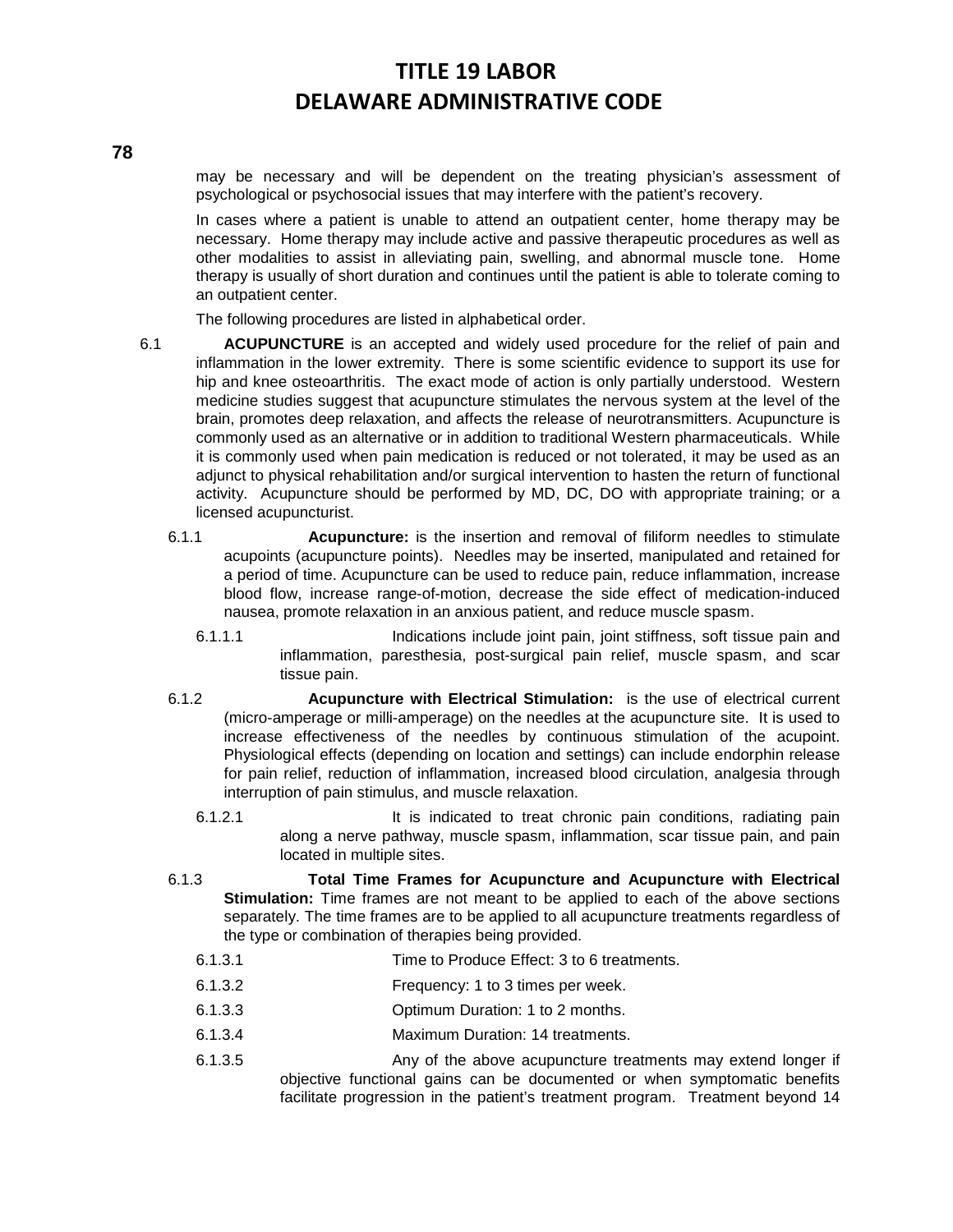may be necessary and will be dependent on the treating physician's assessment of psychological or psychosocial issues that may interfere with the patient's recovery.

In cases where a patient is unable to attend an outpatient center, home therapy may be necessary. Home therapy may include active and passive therapeutic procedures as well as other modalities to assist in alleviating pain, swelling, and abnormal muscle tone. Home therapy is usually of short duration and continues until the patient is able to tolerate coming to an outpatient center.

The following procedures are listed in alphabetical order.

- 6.1 **ACUPUNCTURE** is an accepted and widely used procedure for the relief of pain and inflammation in the lower extremity. There is some scientific evidence to support its use for hip and knee osteoarthritis. The exact mode of action is only partially understood. Western medicine studies suggest that acupuncture stimulates the nervous system at the level of the brain, promotes deep relaxation, and affects the release of neurotransmitters. Acupuncture is commonly used as an alternative or in addition to traditional Western pharmaceuticals. While it is commonly used when pain medication is reduced or not tolerated, it may be used as an adjunct to physical rehabilitation and/or surgical intervention to hasten the return of functional activity. Acupuncture should be performed by MD, DC, DO with appropriate training; or a licensed acupuncturist.
	- 6.1.1 **Acupuncture:** is the insertion and removal of filiform needles to stimulate acupoints (acupuncture points). Needles may be inserted, manipulated and retained for a period of time. Acupuncture can be used to reduce pain, reduce inflammation, increase blood flow, increase range-of-motion, decrease the side effect of medication-induced nausea, promote relaxation in an anxious patient, and reduce muscle spasm.
		- 6.1.1.1 Indications include joint pain, joint stiffness, soft tissue pain and inflammation, paresthesia, post-surgical pain relief, muscle spasm, and scar tissue pain.
	- 6.1.2 **Acupuncture with Electrical Stimulation:** is the use of electrical current (micro-amperage or milli-amperage) on the needles at the acupuncture site. It is used to increase effectiveness of the needles by continuous stimulation of the acupoint. Physiological effects (depending on location and settings) can include endorphin release for pain relief, reduction of inflammation, increased blood circulation, analgesia through interruption of pain stimulus, and muscle relaxation.
		- 6.1.2.1 It is indicated to treat chronic pain conditions, radiating pain along a nerve pathway, muscle spasm, inflammation, scar tissue pain, and pain located in multiple sites.
	- 6.1.3 **Total Time Frames for Acupuncture and Acupuncture with Electrical Stimulation:** Time frames are not meant to be applied to each of the above sections separately. The time frames are to be applied to all acupuncture treatments regardless of the type or combination of therapies being provided.
		- 6.1.3.1 Time to Produce Effect: 3 to 6 treatments.
		- 6.1.3.2 Frequency: 1 to 3 times per week.
		- 6.1.3.3 Optimum Duration: 1 to 2 months.
		- 6.1.3.4 Maximum Duration: 14 treatments.
		- 6.1.3.5 Any of the above acupuncture treatments may extend longer if objective functional gains can be documented or when symptomatic benefits facilitate progression in the patient's treatment program. Treatment beyond 14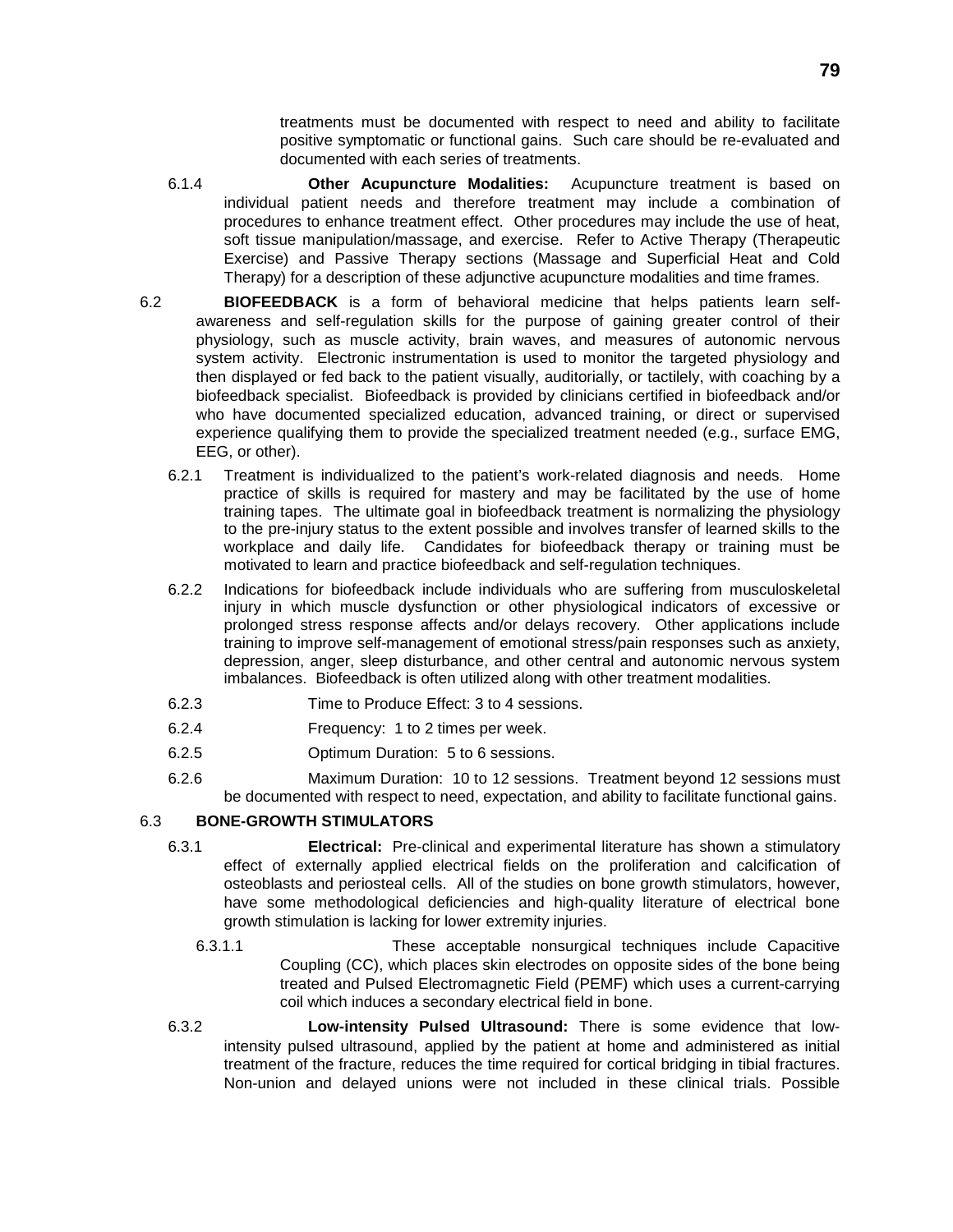treatments must be documented with respect to need and ability to facilitate positive symptomatic or functional gains. Such care should be re-evaluated and documented with each series of treatments.

- 6.1.4 **Other Acupuncture Modalities:** Acupuncture treatment is based on individual patient needs and therefore treatment may include a combination of procedures to enhance treatment effect. Other procedures may include the use of heat, soft tissue manipulation/massage, and exercise. Refer to Active Therapy (Therapeutic Exercise) and Passive Therapy sections (Massage and Superficial Heat and Cold Therapy) for a description of these adjunctive acupuncture modalities and time frames.
- 6.2 **BIOFEEDBACK** is a form of behavioral medicine that helps patients learn selfawareness and self-regulation skills for the purpose of gaining greater control of their physiology, such as muscle activity, brain waves, and measures of autonomic nervous system activity. Electronic instrumentation is used to monitor the targeted physiology and then displayed or fed back to the patient visually, auditorially, or tactilely, with coaching by a biofeedback specialist. Biofeedback is provided by clinicians certified in biofeedback and/or who have documented specialized education, advanced training, or direct or supervised experience qualifying them to provide the specialized treatment needed (e.g., surface EMG, EEG, or other).
	- 6.2.1 Treatment is individualized to the patient's work-related diagnosis and needs. Home practice of skills is required for mastery and may be facilitated by the use of home training tapes. The ultimate goal in biofeedback treatment is normalizing the physiology to the pre-injury status to the extent possible and involves transfer of learned skills to the workplace and daily life. Candidates for biofeedback therapy or training must be motivated to learn and practice biofeedback and self-regulation techniques.
	- 6.2.2 Indications for biofeedback include individuals who are suffering from musculoskeletal injury in which muscle dysfunction or other physiological indicators of excessive or prolonged stress response affects and/or delays recovery. Other applications include training to improve self-management of emotional stress/pain responses such as anxiety, depression, anger, sleep disturbance, and other central and autonomic nervous system imbalances. Biofeedback is often utilized along with other treatment modalities.
	- 6.2.3 Time to Produce Effect: 3 to 4 sessions.
	- 6.2.4 Frequency: 1 to 2 times per week.
	- 6.2.5 Optimum Duration: 5 to 6 sessions.
	- 6.2.6 Maximum Duration: 10 to 12 sessions. Treatment beyond 12 sessions must be documented with respect to need, expectation, and ability to facilitate functional gains.

### 6.3 **BONE-GROWTH STIMULATORS**

- 6.3.1 **Electrical:** Pre-clinical and experimental literature has shown a stimulatory effect of externally applied electrical fields on the proliferation and calcification of osteoblasts and periosteal cells. All of the studies on bone growth stimulators, however, have some methodological deficiencies and high-quality literature of electrical bone growth stimulation is lacking for lower extremity injuries.
	- 6.3.1.1 These acceptable nonsurgical techniques include Capacitive Coupling (CC), which places skin electrodes on opposite sides of the bone being treated and Pulsed Electromagnetic Field (PEMF) which uses a current-carrying coil which induces a secondary electrical field in bone.
- 6.3.2 **Low-intensity Pulsed Ultrasound:** There is some evidence that lowintensity pulsed ultrasound, applied by the patient at home and administered as initial treatment of the fracture, reduces the time required for cortical bridging in tibial fractures. Non-union and delayed unions were not included in these clinical trials. Possible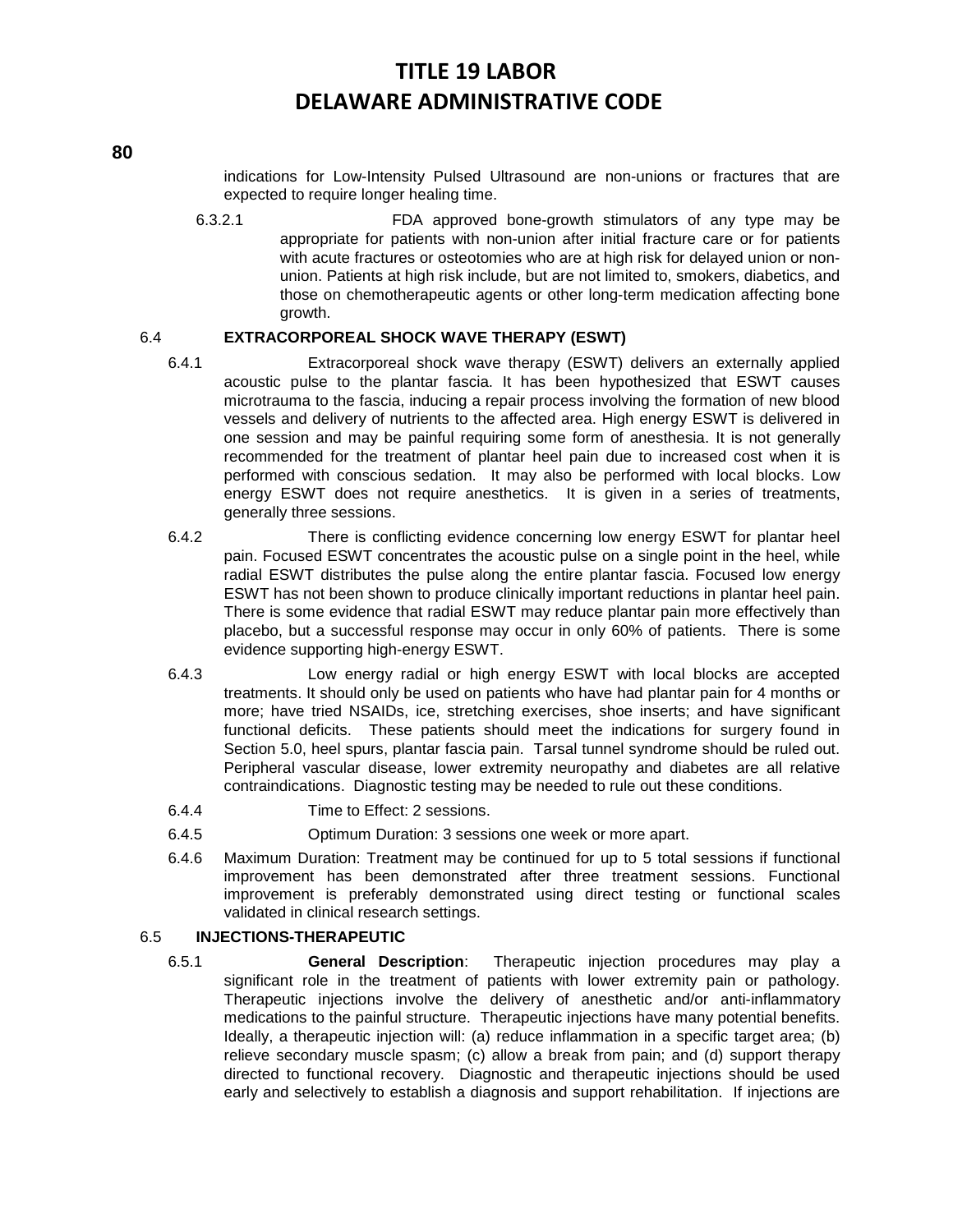**80**

indications for Low-Intensity Pulsed Ultrasound are non-unions or fractures that are expected to require longer healing time.

6.3.2.1 FDA approved bone-growth stimulators of any type may be appropriate for patients with non-union after initial fracture care or for patients with acute fractures or osteotomies who are at high risk for delayed union or nonunion. Patients at high risk include, but are not limited to, smokers, diabetics, and those on chemotherapeutic agents or other long-term medication affecting bone growth.

#### 6.4 **EXTRACORPOREAL SHOCK WAVE THERAPY (ESWT)**

- 6.4.1 Extracorporeal shock wave therapy (ESWT) delivers an externally applied acoustic pulse to the plantar fascia. It has been hypothesized that ESWT causes microtrauma to the fascia, inducing a repair process involving the formation of new blood vessels and delivery of nutrients to the affected area. High energy ESWT is delivered in one session and may be painful requiring some form of anesthesia. It is not generally recommended for the treatment of plantar heel pain due to increased cost when it is performed with conscious sedation. It may also be performed with local blocks. Low energy ESWT does not require anesthetics. It is given in a series of treatments, generally three sessions.
- 6.4.2 There is conflicting evidence concerning low energy ESWT for plantar heel pain. Focused ESWT concentrates the acoustic pulse on a single point in the heel, while radial ESWT distributes the pulse along the entire plantar fascia. Focused low energy ESWT has not been shown to produce clinically important reductions in plantar heel pain. There is some evidence that radial ESWT may reduce plantar pain more effectively than placebo, but a successful response may occur in only 60% of patients. There is some evidence supporting high-energy ESWT.
- 6.4.3 Low energy radial or high energy ESWT with local blocks are accepted treatments. It should only be used on patients who have had plantar pain for 4 months or more; have tried NSAIDs, ice, stretching exercises, shoe inserts; and have significant functional deficits. These patients should meet the indications for surgery found in Section 5.0, heel spurs, plantar fascia pain. Tarsal tunnel syndrome should be ruled out. Peripheral vascular disease, lower extremity neuropathy and diabetes are all relative contraindications. Diagnostic testing may be needed to rule out these conditions.
- 6.4.4 Time to Effect: 2 sessions.
- 6.4.5 Optimum Duration: 3 sessions one week or more apart.
- 6.4.6 Maximum Duration: Treatment may be continued for up to 5 total sessions if functional improvement has been demonstrated after three treatment sessions. Functional improvement is preferably demonstrated using direct testing or functional scales validated in clinical research settings.

### 6.5 **INJECTIONS-THERAPEUTIC**

6.5.1 **General Description**: Therapeutic injection procedures may play a significant role in the treatment of patients with lower extremity pain or pathology. Therapeutic injections involve the delivery of anesthetic and/or anti-inflammatory medications to the painful structure. Therapeutic injections have many potential benefits. Ideally, a therapeutic injection will: (a) reduce inflammation in a specific target area; (b) relieve secondary muscle spasm; (c) allow a break from pain; and (d) support therapy directed to functional recovery. Diagnostic and therapeutic injections should be used early and selectively to establish a diagnosis and support rehabilitation. If injections are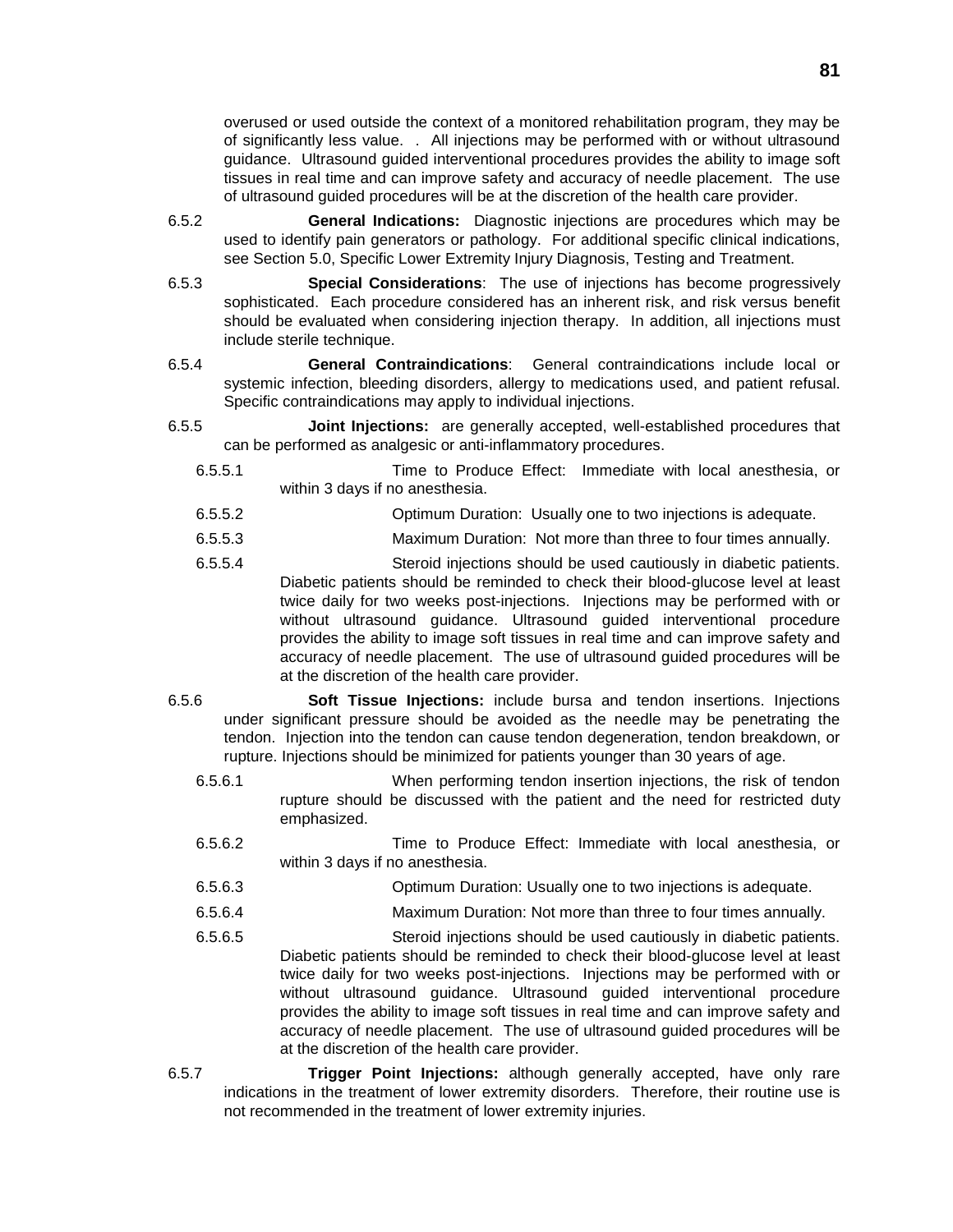overused or used outside the context of a monitored rehabilitation program, they may be of significantly less value. . All injections may be performed with or without ultrasound guidance. Ultrasound guided interventional procedures provides the ability to image soft tissues in real time and can improve safety and accuracy of needle placement. The use of ultrasound guided procedures will be at the discretion of the health care provider.

- 6.5.2 **General Indications:** Diagnostic injections are procedures which may be used to identify pain generators or pathology. For additional specific clinical indications, see Section 5.0, Specific Lower Extremity Injury Diagnosis, Testing and Treatment.
- 6.5.3 **Special Considerations**: The use of injections has become progressively sophisticated. Each procedure considered has an inherent risk, and risk versus benefit should be evaluated when considering injection therapy. In addition, all injections must include sterile technique.
- 6.5.4 **General Contraindications**: General contraindications include local or systemic infection, bleeding disorders, allergy to medications used, and patient refusal. Specific contraindications may apply to individual injections.
- 6.5.5 **Joint Injections:** are generally accepted, well-established procedures that can be performed as analgesic or anti-inflammatory procedures.
	- 6.5.5.1 Time to Produce Effect: Immediate with local anesthesia, or within 3 days if no anesthesia.
	- 6.5.5.2 Optimum Duration: Usually one to two injections is adequate.
	- 6.5.5.3 Maximum Duration: Not more than three to four times annually.
	- 6.5.5.4 Steroid injections should be used cautiously in diabetic patients. Diabetic patients should be reminded to check their blood-glucose level at least twice daily for two weeks post-injections. Injections may be performed with or without ultrasound guidance. Ultrasound guided interventional procedure provides the ability to image soft tissues in real time and can improve safety and accuracy of needle placement. The use of ultrasound guided procedures will be at the discretion of the health care provider.
- 6.5.6 **Soft Tissue Injections:** include bursa and tendon insertions. Injections under significant pressure should be avoided as the needle may be penetrating the tendon. Injection into the tendon can cause tendon degeneration, tendon breakdown, or rupture. Injections should be minimized for patients younger than 30 years of age.
	- 6.5.6.1 When performing tendon insertion injections, the risk of tendon rupture should be discussed with the patient and the need for restricted duty emphasized.
	- 6.5.6.2 Time to Produce Effect: Immediate with local anesthesia, or within 3 days if no anesthesia.
	- 6.5.6.3 Optimum Duration: Usually one to two injections is adequate.
	- 6.5.6.4 Maximum Duration: Not more than three to four times annually.
	- 6.5.6.5 Steroid injections should be used cautiously in diabetic patients. Diabetic patients should be reminded to check their blood-glucose level at least twice daily for two weeks post-injections. Injections may be performed with or without ultrasound guidance. Ultrasound guided interventional procedure provides the ability to image soft tissues in real time and can improve safety and accuracy of needle placement. The use of ultrasound guided procedures will be at the discretion of the health care provider.
- 6.5.7 **Trigger Point Injections:** although generally accepted, have only rare indications in the treatment of lower extremity disorders. Therefore, their routine use is not recommended in the treatment of lower extremity injuries.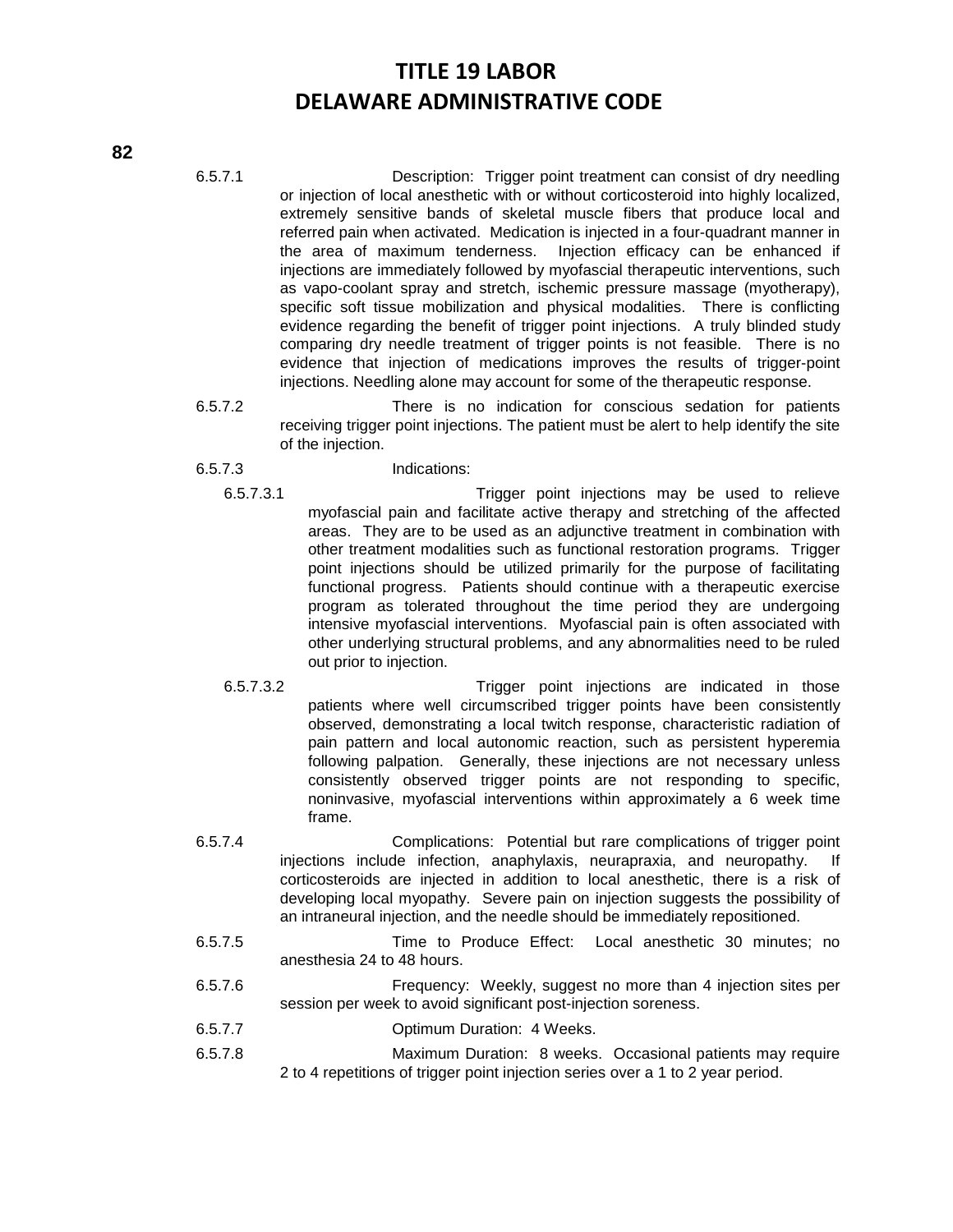- 6.5.7.1 Description: Trigger point treatment can consist of dry needling or injection of local anesthetic with or without corticosteroid into highly localized, extremely sensitive bands of skeletal muscle fibers that produce local and referred pain when activated. Medication is injected in a four-quadrant manner in the area of maximum tenderness. Injection efficacy can be enhanced if injections are immediately followed by myofascial therapeutic interventions, such as vapo-coolant spray and stretch, ischemic pressure massage (myotherapy), specific soft tissue mobilization and physical modalities. There is conflicting evidence regarding the benefit of trigger point injections. A truly blinded study comparing dry needle treatment of trigger points is not feasible. There is no evidence that injection of medications improves the results of trigger-point injections. Needling alone may account for some of the therapeutic response.
- 6.5.7.2 There is no indication for conscious sedation for patients receiving trigger point injections. The patient must be alert to help identify the site of the injection.
- 6.5.7.3 Indications:
	- 6.5.7.3.1 Trigger point injections may be used to relieve myofascial pain and facilitate active therapy and stretching of the affected areas. They are to be used as an adjunctive treatment in combination with other treatment modalities such as functional restoration programs. Trigger point injections should be utilized primarily for the purpose of facilitating functional progress. Patients should continue with a therapeutic exercise program as tolerated throughout the time period they are undergoing intensive myofascial interventions. Myofascial pain is often associated with other underlying structural problems, and any abnormalities need to be ruled out prior to injection.
	- 6.5.7.3.2 Trigger point injections are indicated in those patients where well circumscribed trigger points have been consistently observed, demonstrating a local twitch response, characteristic radiation of pain pattern and local autonomic reaction, such as persistent hyperemia following palpation. Generally, these injections are not necessary unless consistently observed trigger points are not responding to specific, noninvasive, myofascial interventions within approximately a 6 week time frame.
- 6.5.7.4 Complications: Potential but rare complications of trigger point injections include infection, anaphylaxis, neurapraxia, and neuropathy. If corticosteroids are injected in addition to local anesthetic, there is a risk of developing local myopathy. Severe pain on injection suggests the possibility of an intraneural injection, and the needle should be immediately repositioned.
- 6.5.7.5 Time to Produce Effect: Local anesthetic 30 minutes; no anesthesia 24 to 48 hours.
- 6.5.7.6 Frequency: Weekly, suggest no more than 4 injection sites per session per week to avoid significant post-injection soreness.
- 6.5.7.7 Optimum Duration: 4 Weeks.
- 6.5.7.8 Maximum Duration: 8 weeks. Occasional patients may require 2 to 4 repetitions of trigger point injection series over a 1 to 2 year period.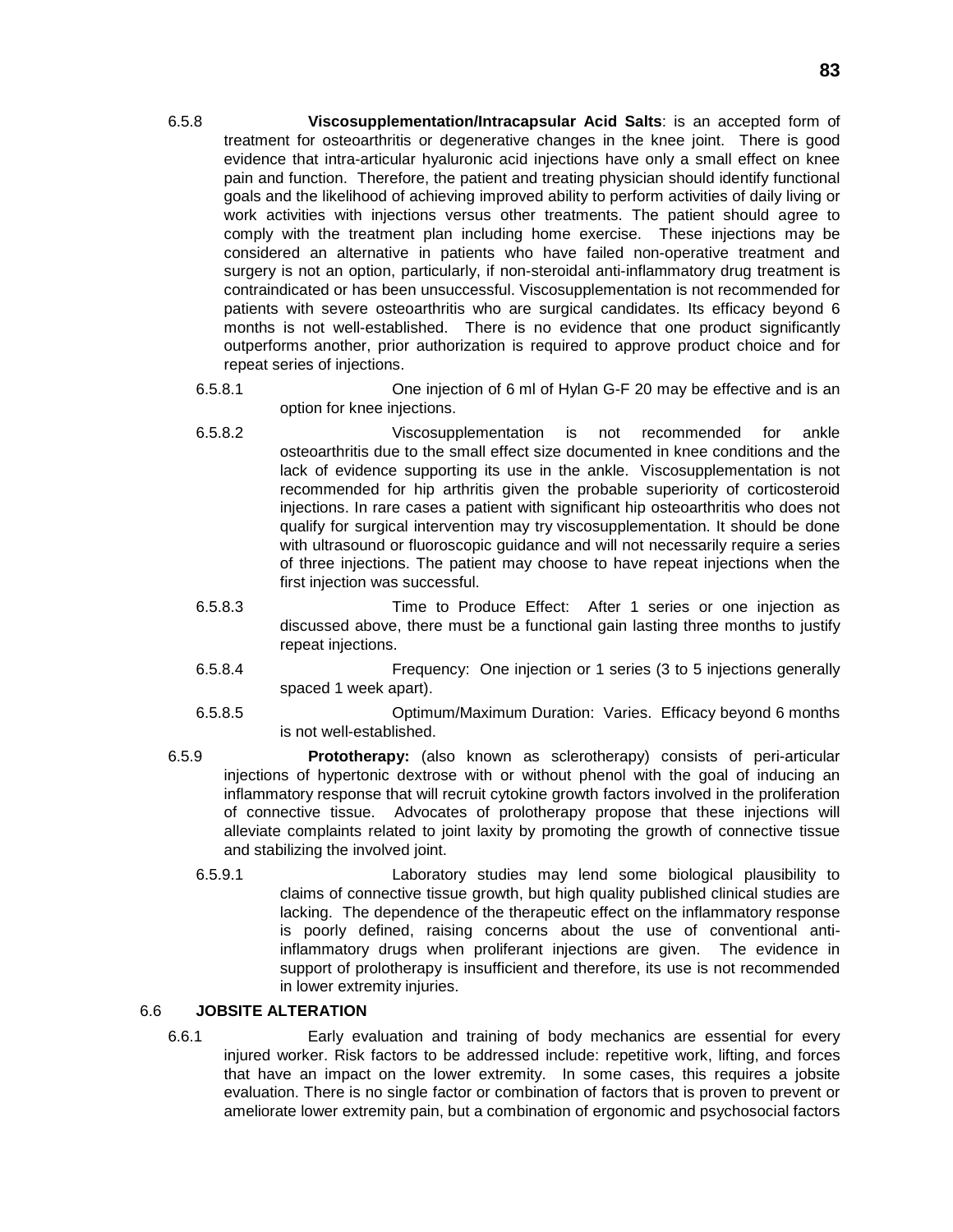- 6.5.8 **Viscosupplementation/Intracapsular Acid Salts**: is an accepted form of treatment for osteoarthritis or degenerative changes in the knee joint. There is good evidence that intra-articular hyaluronic acid injections have only a small effect on knee pain and function. Therefore, the patient and treating physician should identify functional goals and the likelihood of achieving improved ability to perform activities of daily living or work activities with injections versus other treatments. The patient should agree to comply with the treatment plan including home exercise. These injections may be considered an alternative in patients who have failed non-operative treatment and surgery is not an option, particularly, if non-steroidal anti-inflammatory drug treatment is contraindicated or has been unsuccessful. Viscosupplementation is not recommended for patients with severe osteoarthritis who are surgical candidates. Its efficacy beyond 6 months is not well-established. There is no evidence that one product significantly outperforms another, prior authorization is required to approve product choice and for repeat series of injections.
	- 6.5.8.1 One injection of 6 ml of Hylan G-F 20 may be effective and is an option for knee injections.
	- 6.5.8.2 Viscosupplementation is not recommended for ankle osteoarthritis due to the small effect size documented in knee conditions and the lack of evidence supporting its use in the ankle. Viscosupplementation is not recommended for hip arthritis given the probable superiority of corticosteroid injections. In rare cases a patient with significant hip osteoarthritis who does not qualify for surgical intervention may try viscosupplementation. It should be done with ultrasound or fluoroscopic guidance and will not necessarily require a series of three injections. The patient may choose to have repeat injections when the first injection was successful.
	- 6.5.8.3 Time to Produce Effect: After 1 series or one injection as discussed above, there must be a functional gain lasting three months to justify repeat injections.
	- 6.5.8.4 Frequency: One injection or 1 series (3 to 5 injections generally spaced 1 week apart).
	- 6.5.8.5 Optimum/Maximum Duration: Varies. Efficacy beyond 6 months is not well-established.
- 6.5.9 **Prototherapy:** (also known as sclerotherapy) consists of peri-articular injections of hypertonic dextrose with or without phenol with the goal of inducing an inflammatory response that will recruit cytokine growth factors involved in the proliferation of connective tissue. Advocates of prolotherapy propose that these injections will alleviate complaints related to joint laxity by promoting the growth of connective tissue and stabilizing the involved joint.
	- 6.5.9.1 Laboratory studies may lend some biological plausibility to claims of connective tissue growth, but high quality published clinical studies are lacking. The dependence of the therapeutic effect on the inflammatory response is poorly defined, raising concerns about the use of conventional antiinflammatory drugs when proliferant injections are given. The evidence in support of prolotherapy is insufficient and therefore, its use is not recommended in lower extremity injuries.

#### 6.6 **JOBSITE ALTERATION**

6.6.1 Early evaluation and training of body mechanics are essential for every injured worker. Risk factors to be addressed include: repetitive work, lifting, and forces that have an impact on the lower extremity. In some cases, this requires a jobsite evaluation. There is no single factor or combination of factors that is proven to prevent or ameliorate lower extremity pain, but a combination of ergonomic and psychosocial factors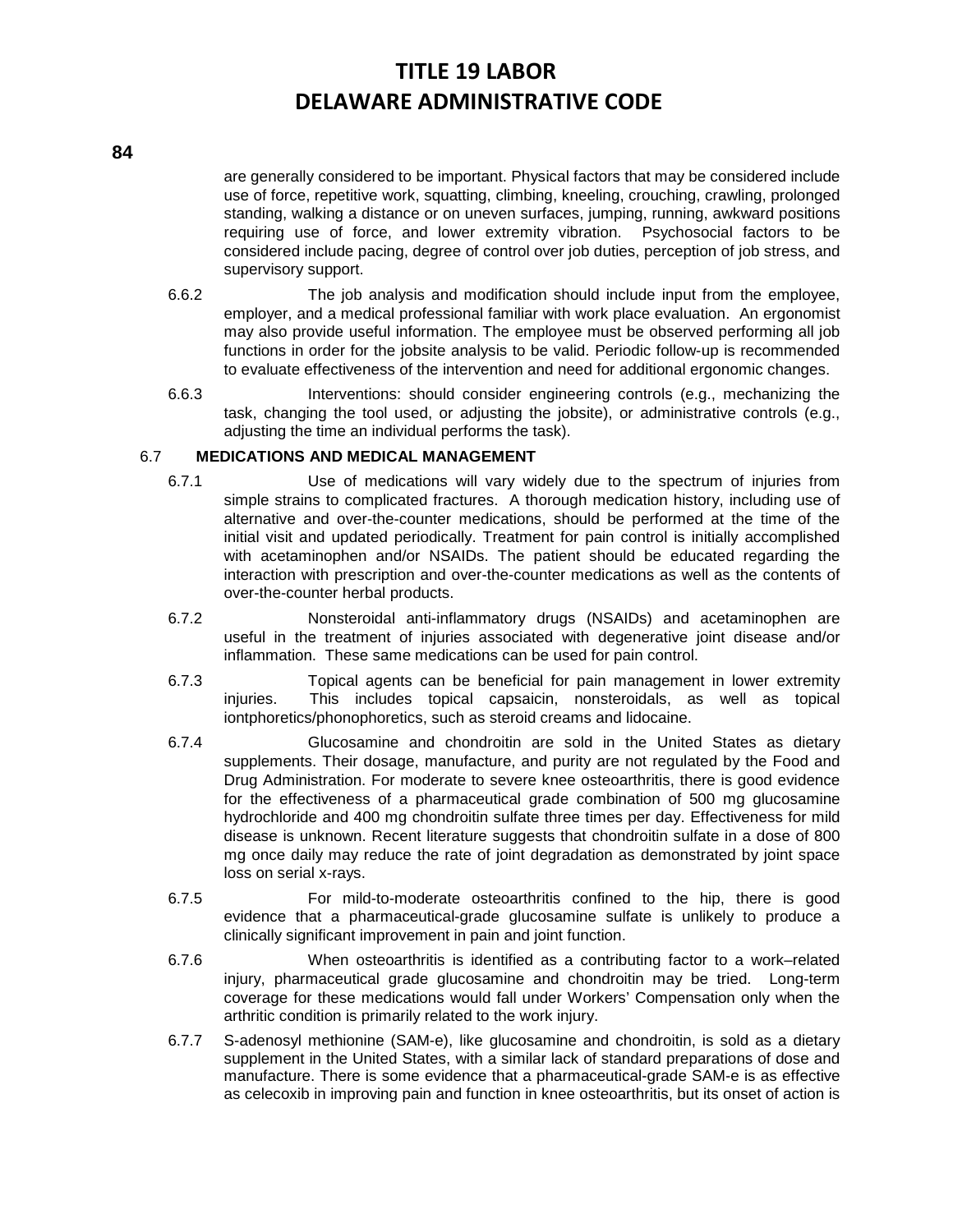#### **84**

are generally considered to be important. Physical factors that may be considered include use of force, repetitive work, squatting, climbing, kneeling, crouching, crawling, prolonged standing, walking a distance or on uneven surfaces, jumping, running, awkward positions requiring use of force, and lower extremity vibration. Psychosocial factors to be considered include pacing, degree of control over job duties, perception of job stress, and supervisory support.

- 6.6.2 The job analysis and modification should include input from the employee, employer, and a medical professional familiar with work place evaluation. An ergonomist may also provide useful information. The employee must be observed performing all job functions in order for the jobsite analysis to be valid. Periodic follow-up is recommended to evaluate effectiveness of the intervention and need for additional ergonomic changes.
- 6.6.3 Interventions: should consider engineering controls (e.g., mechanizing the task, changing the tool used, or adjusting the jobsite), or administrative controls (e.g., adjusting the time an individual performs the task).

#### 6.7 **MEDICATIONS AND MEDICAL MANAGEMENT**

- 6.7.1 Use of medications will vary widely due to the spectrum of injuries from simple strains to complicated fractures. A thorough medication history, including use of alternative and over-the-counter medications, should be performed at the time of the initial visit and updated periodically. Treatment for pain control is initially accomplished with acetaminophen and/or NSAIDs. The patient should be educated regarding the interaction with prescription and over-the-counter medications as well as the contents of over-the-counter herbal products.
- 6.7.2 Nonsteroidal anti-inflammatory drugs (NSAIDs) and acetaminophen are useful in the treatment of injuries associated with degenerative joint disease and/or inflammation. These same medications can be used for pain control.
- 6.7.3 Topical agents can be beneficial for pain management in lower extremity injuries. This includes topical capsaicin, nonsteroidals, as well as topical iontphoretics/phonophoretics, such as steroid creams and lidocaine.
- 6.7.4 Glucosamine and chondroitin are sold in the United States as dietary supplements. Their dosage, manufacture, and purity are not regulated by the Food and Drug Administration. For moderate to severe knee osteoarthritis, there is good evidence for the effectiveness of a pharmaceutical grade combination of 500 mg glucosamine hydrochloride and 400 mg chondroitin sulfate three times per day. Effectiveness for mild disease is unknown. Recent literature suggests that chondroitin sulfate in a dose of 800 mg once daily may reduce the rate of joint degradation as demonstrated by joint space loss on serial x-rays.
- 6.7.5 For mild-to-moderate osteoarthritis confined to the hip, there is good evidence that a pharmaceutical-grade glucosamine sulfate is unlikely to produce a clinically significant improvement in pain and joint function.
- 6.7.6 When osteoarthritis is identified as a contributing factor to a work–related injury, pharmaceutical grade glucosamine and chondroitin may be tried. Long-term coverage for these medications would fall under Workers' Compensation only when the arthritic condition is primarily related to the work injury.
- 6.7.7 S-adenosyl methionine (SAM-e), like glucosamine and chondroitin, is sold as a dietary supplement in the United States, with a similar lack of standard preparations of dose and manufacture. There is some evidence that a pharmaceutical-grade SAM-e is as effective as celecoxib in improving pain and function in knee osteoarthritis, but its onset of action is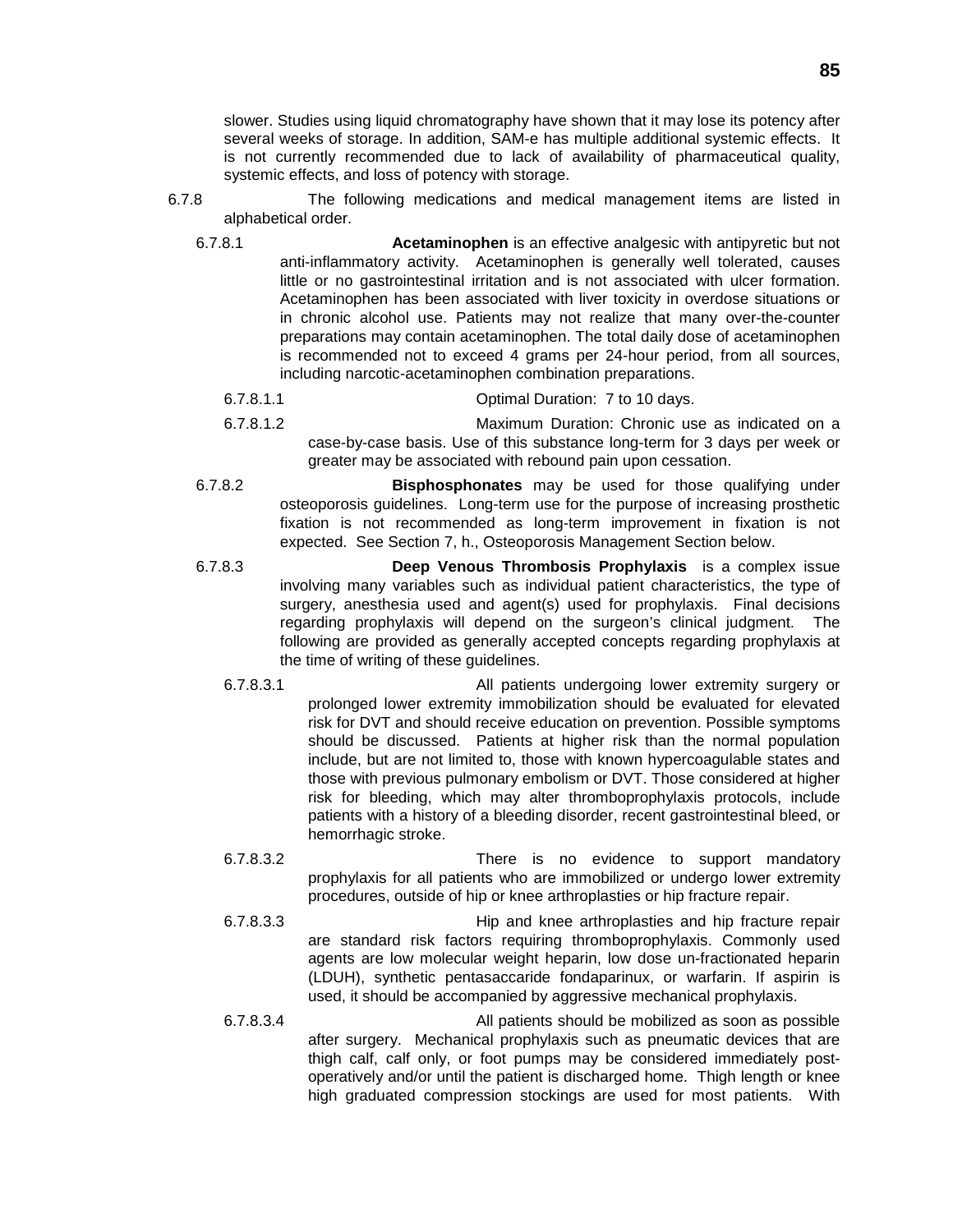slower. Studies using liquid chromatography have shown that it may lose its potency after several weeks of storage. In addition, SAM-e has multiple additional systemic effects. It is not currently recommended due to lack of availability of pharmaceutical quality, systemic effects, and loss of potency with storage.

- 6.7.8 The following medications and medical management items are listed in alphabetical order.
	- 6.7.8.1 **Acetaminophen** is an effective analgesic with antipyretic but not anti-inflammatory activity. Acetaminophen is generally well tolerated, causes little or no gastrointestinal irritation and is not associated with ulcer formation. Acetaminophen has been associated with liver toxicity in overdose situations or in chronic alcohol use. Patients may not realize that many over-the-counter preparations may contain acetaminophen. The total daily dose of acetaminophen is recommended not to exceed 4 grams per 24-hour period, from all sources, including narcotic-acetaminophen combination preparations.

6.7.8.1.1 Optimal Duration: 7 to 10 days.

- 6.7.8.1.2 Maximum Duration: Chronic use as indicated on a case-by-case basis. Use of this substance long-term for 3 days per week or greater may be associated with rebound pain upon cessation.
- 6.7.8.2 **Bisphosphonates** may be used for those qualifying under osteoporosis guidelines. Long-term use for the purpose of increasing prosthetic fixation is not recommended as long-term improvement in fixation is not expected. See Section 7, h., Osteoporosis Management Section below.
- 6.7.8.3 **Deep Venous Thrombosis Prophylaxis** is a complex issue involving many variables such as individual patient characteristics, the type of surgery, anesthesia used and agent(s) used for prophylaxis. Final decisions regarding prophylaxis will depend on the surgeon's clinical judgment. The following are provided as generally accepted concepts regarding prophylaxis at the time of writing of these guidelines.
	- 6.7.8.3.1 All patients undergoing lower extremity surgery or prolonged lower extremity immobilization should be evaluated for elevated risk for DVT and should receive education on prevention. Possible symptoms should be discussed. Patients at higher risk than the normal population include, but are not limited to, those with known hypercoagulable states and those with previous pulmonary embolism or DVT. Those considered at higher risk for bleeding, which may alter thromboprophylaxis protocols, include patients with a history of a bleeding disorder, recent gastrointestinal bleed, or hemorrhagic stroke.
	- 6.7.8.3.2 There is no evidence to support mandatory prophylaxis for all patients who are immobilized or undergo lower extremity procedures, outside of hip or knee arthroplasties or hip fracture repair.
	- 6.7.8.3.3 Hip and knee arthroplasties and hip fracture repair are standard risk factors requiring thromboprophylaxis. Commonly used agents are low molecular weight heparin, low dose un-fractionated heparin (LDUH), synthetic pentasaccaride fondaparinux, or warfarin. If aspirin is used, it should be accompanied by aggressive mechanical prophylaxis.
	- 6.7.8.3.4 All patients should be mobilized as soon as possible after surgery. Mechanical prophylaxis such as pneumatic devices that are thigh calf, calf only, or foot pumps may be considered immediately postoperatively and/or until the patient is discharged home. Thigh length or knee high graduated compression stockings are used for most patients. With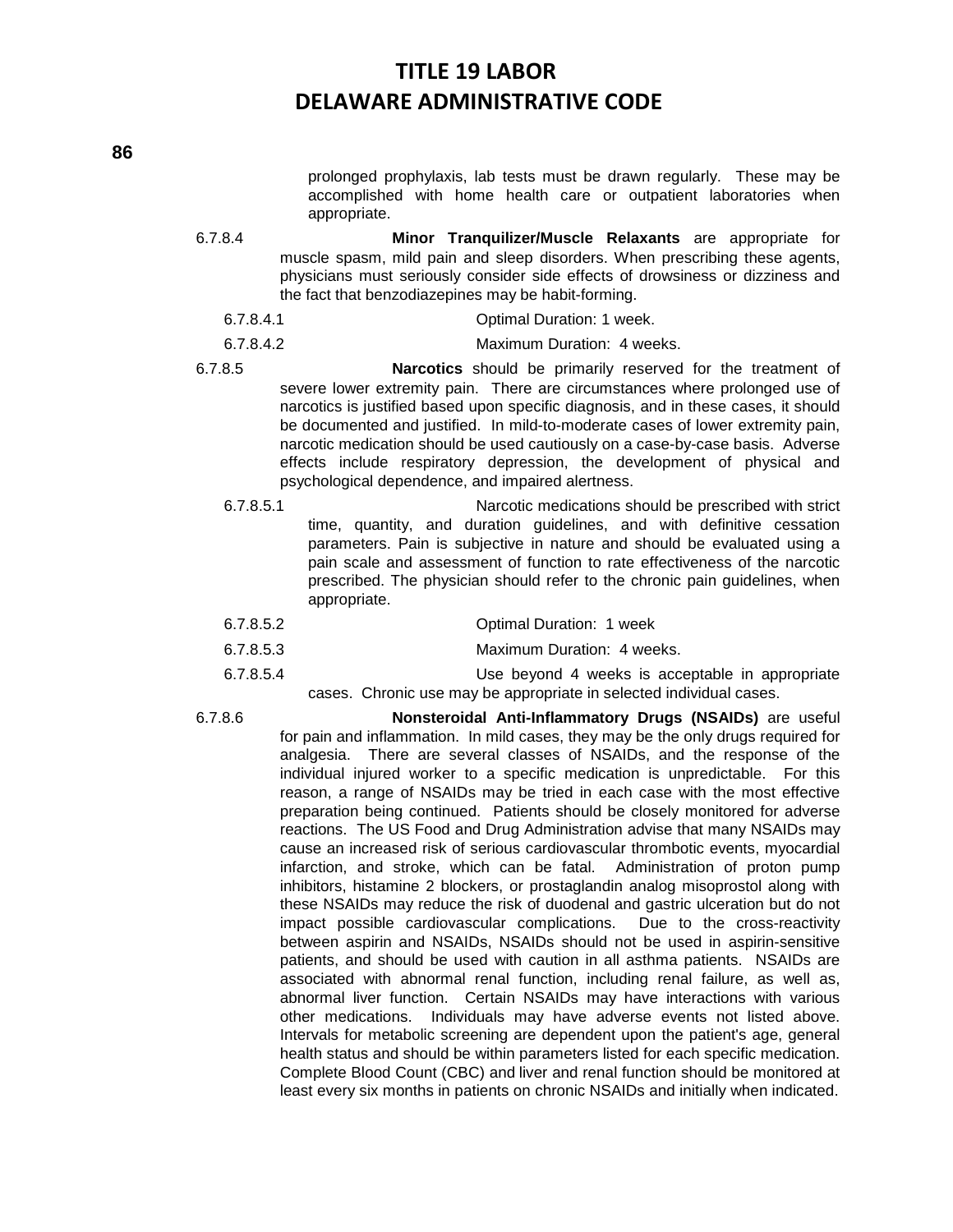prolonged prophylaxis, lab tests must be drawn regularly. These may be accomplished with home health care or outpatient laboratories when appropriate.

- 6.7.8.4 **Minor Tranquilizer/Muscle Relaxants** are appropriate for muscle spasm, mild pain and sleep disorders. When prescribing these agents, physicians must seriously consider side effects of drowsiness or dizziness and the fact that benzodiazepines may be habit-forming.
	- 6.7.8.4.1 Optimal Duration: 1 week.
	- 6.7.8.4.2 Maximum Duration: 4 weeks.
- 6.7.8.5 **Narcotics** should be primarily reserved for the treatment of severe lower extremity pain. There are circumstances where prolonged use of narcotics is justified based upon specific diagnosis, and in these cases, it should be documented and justified. In mild-to-moderate cases of lower extremity pain, narcotic medication should be used cautiously on a case-by-case basis. Adverse effects include respiratory depression, the development of physical and psychological dependence, and impaired alertness.
	- 6.7.8.5.1 Narcotic medications should be prescribed with strict time, quantity, and duration guidelines, and with definitive cessation parameters. Pain is subjective in nature and should be evaluated using a pain scale and assessment of function to rate effectiveness of the narcotic prescribed. The physician should refer to the chronic pain guidelines, when appropriate.
	- 6.7.8.5.2 Optimal Duration: 1 week
	- 6.7.8.5.3 Maximum Duration: 4 weeks.
	- 6.7.8.5.4 Use beyond 4 weeks is acceptable in appropriate cases. Chronic use may be appropriate in selected individual cases.
- 

6.7.8.6 **Nonsteroidal Anti-Inflammatory Drugs (NSAIDs)** are useful for pain and inflammation. In mild cases, they may be the only drugs required for analgesia. There are several classes of NSAIDs, and the response of the individual injured worker to a specific medication is unpredictable. For this reason, a range of NSAIDs may be tried in each case with the most effective preparation being continued. Patients should be closely monitored for adverse reactions. The US Food and Drug Administration advise that many NSAIDs may cause an increased risk of serious cardiovascular thrombotic events, myocardial infarction, and stroke, which can be fatal. Administration of proton pump inhibitors, histamine 2 blockers, or prostaglandin analog misoprostol along with these NSAIDs may reduce the risk of duodenal and gastric ulceration but do not impact possible cardiovascular complications. Due to the cross-reactivity between aspirin and NSAIDs, NSAIDs should not be used in aspirin-sensitive patients, and should be used with caution in all asthma patients. NSAIDs are associated with abnormal renal function, including renal failure, as well as, abnormal liver function. Certain NSAIDs may have interactions with various other medications. Individuals may have adverse events not listed above. Intervals for metabolic screening are dependent upon the patient's age, general health status and should be within parameters listed for each specific medication. Complete Blood Count (CBC) and liver and renal function should be monitored at least every six months in patients on chronic NSAIDs and initially when indicated.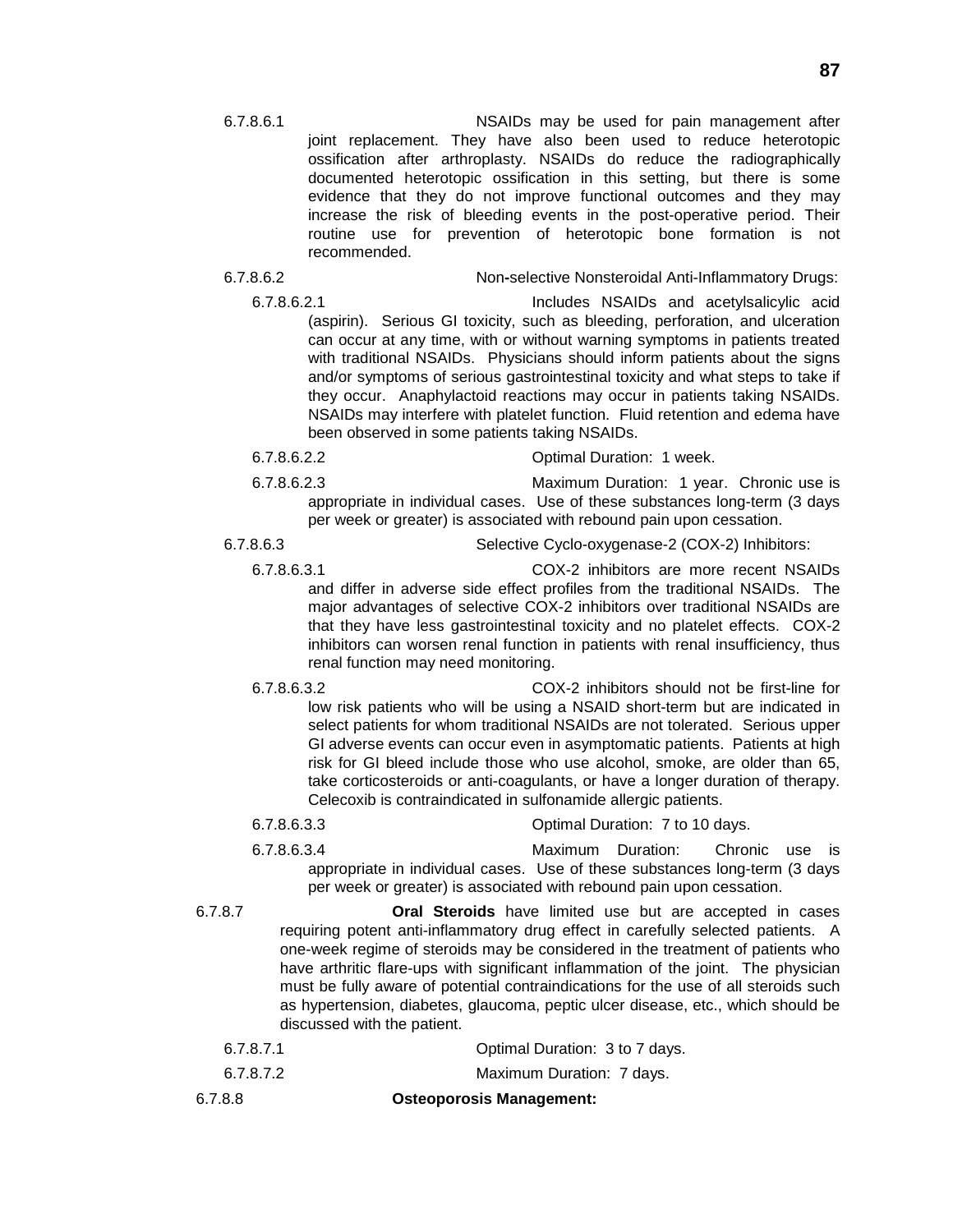6.7.8.6.1 NSAIDs may be used for pain management after joint replacement. They have also been used to reduce heterotopic ossification after arthroplasty. NSAIDs do reduce the radiographically documented heterotopic ossification in this setting, but there is some evidence that they do not improve functional outcomes and they may increase the risk of bleeding events in the post-operative period. Their routine use for prevention of heterotopic bone formation is not recommended.

6.7.8.6.2 Non**-**selective Nonsteroidal Anti-Inflammatory Drugs:

6.7.8.6.2.1 Includes NSAIDs and acetylsalicylic acid (aspirin). Serious GI toxicity, such as bleeding, perforation, and ulceration can occur at any time, with or without warning symptoms in patients treated with traditional NSAIDs. Physicians should inform patients about the signs and/or symptoms of serious gastrointestinal toxicity and what steps to take if they occur. Anaphylactoid reactions may occur in patients taking NSAIDs. NSAIDs may interfere with platelet function. Fluid retention and edema have been observed in some patients taking NSAIDs.

6.7.8.6.2.2 Optimal Duration: 1 week. 6.7.8.6.2.3 Maximum Duration: 1 year. Chronic use is

appropriate in individual cases. Use of these substances long-term (3 days per week or greater) is associated with rebound pain upon cessation.

6.7.8.6.3 Selective Cyclo-oxygenase-2 (COX-2) Inhibitors:

6.7.8.6.3.1 COX-2 inhibitors are more recent NSAIDs and differ in adverse side effect profiles from the traditional NSAIDs. The major advantages of selective COX-2 inhibitors over traditional NSAIDs are that they have less gastrointestinal toxicity and no platelet effects. COX-2 inhibitors can worsen renal function in patients with renal insufficiency, thus renal function may need monitoring.

- 6.7.8.6.3.2 COX-2 inhibitors should not be first-line for low risk patients who will be using a NSAID short-term but are indicated in select patients for whom traditional NSAIDs are not tolerated. Serious upper GI adverse events can occur even in asymptomatic patients. Patients at high risk for GI bleed include those who use alcohol, smoke, are older than 65, take corticosteroids or anti-coagulants, or have a longer duration of therapy. Celecoxib is contraindicated in sulfonamide allergic patients.
- 6.7.8.6.3.3 Optimal Duration: 7 to 10 days. 6.7.8.6.3.4 Maximum Duration: Chronic use is appropriate in individual cases. Use of these substances long-term (3 days per week or greater) is associated with rebound pain upon cessation.
- 6.7.8.7 **Oral Steroids** have limited use but are accepted in cases requiring potent anti-inflammatory drug effect in carefully selected patients. A one-week regime of steroids may be considered in the treatment of patients who have arthritic flare-ups with significant inflammation of the joint. The physician must be fully aware of potential contraindications for the use of all steroids such as hypertension, diabetes, glaucoma, peptic ulcer disease, etc., which should be discussed with the patient.
	- 6.7.8.7.1 Optimal Duration: 3 to 7 days.
	- 6.7.8.7.2 Maximum Duration: 7 days.
- 6.7.8.8 **Osteoporosis Management:**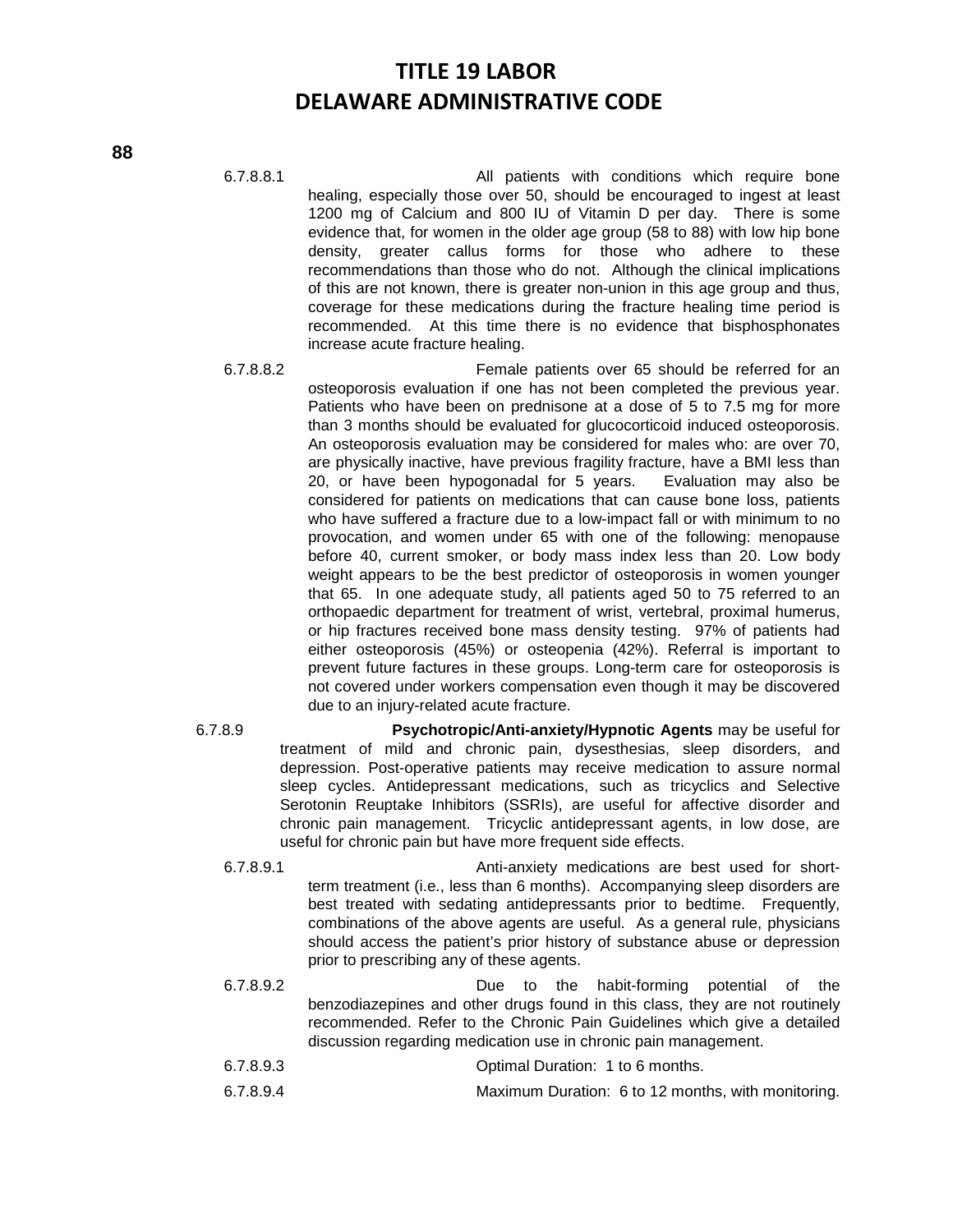- 6.7.8.8.1 All patients with conditions which require bone healing, especially those over 50, should be encouraged to ingest at least 1200 mg of Calcium and 800 IU of Vitamin D per day. There is some evidence that, for women in the older age group (58 to 88) with low hip bone density, greater callus forms for those who adhere to these recommendations than those who do not. Although the clinical implications of this are not known, there is greater non-union in this age group and thus, coverage for these medications during the fracture healing time period is recommended. At this time there is no evidence that bisphosphonates increase acute fracture healing.
- 6.7.8.8.2 Female patients over 65 should be referred for an osteoporosis evaluation if one has not been completed the previous year. Patients who have been on prednisone at a dose of 5 to 7.5 mg for more than 3 months should be evaluated for glucocorticoid induced osteoporosis. An osteoporosis evaluation may be considered for males who: are over 70, are physically inactive, have previous fragility fracture, have a BMI less than 20, or have been hypogonadal for 5 years. Evaluation may also be considered for patients on medications that can cause bone loss, patients who have suffered a fracture due to a low-impact fall or with minimum to no provocation, and women under 65 with one of the following: menopause before 40, current smoker, or body mass index less than 20. Low body weight appears to be the best predictor of osteoporosis in women younger that 65. In one adequate study, all patients aged 50 to 75 referred to an orthopaedic department for treatment of wrist, vertebral, proximal humerus, or hip fractures received bone mass density testing. 97% of patients had either osteoporosis (45%) or osteopenia (42%). Referral is important to prevent future factures in these groups. Long-term care for osteoporosis is not covered under workers compensation even though it may be discovered due to an injury-related acute fracture.
- 6.7.8.9 **Psychotropic/Anti-anxiety/Hypnotic Agents** may be useful for treatment of mild and chronic pain, dysesthesias, sleep disorders, and depression. Post-operative patients may receive medication to assure normal sleep cycles. Antidepressant medications, such as tricyclics and Selective Serotonin Reuptake Inhibitors (SSRIs), are useful for affective disorder and chronic pain management. Tricyclic antidepressant agents, in low dose, are useful for chronic pain but have more frequent side effects.
	- 6.7.8.9.1 Anti-anxiety medications are best used for shortterm treatment (i.e., less than 6 months). Accompanying sleep disorders are best treated with sedating antidepressants prior to bedtime. Frequently, combinations of the above agents are useful. As a general rule, physicians should access the patient's prior history of substance abuse or depression prior to prescribing any of these agents.
	- 6.7.8.9.2 Due to the habit-forming potential of the benzodiazepines and other drugs found in this class, they are not routinely recommended. Refer to the Chronic Pain Guidelines which give a detailed discussion regarding medication use in chronic pain management.
	- 6.7.8.9.3 Optimal Duration: 1 to 6 months.
	- 6.7.8.9.4 Maximum Duration: 6 to 12 months, with monitoring.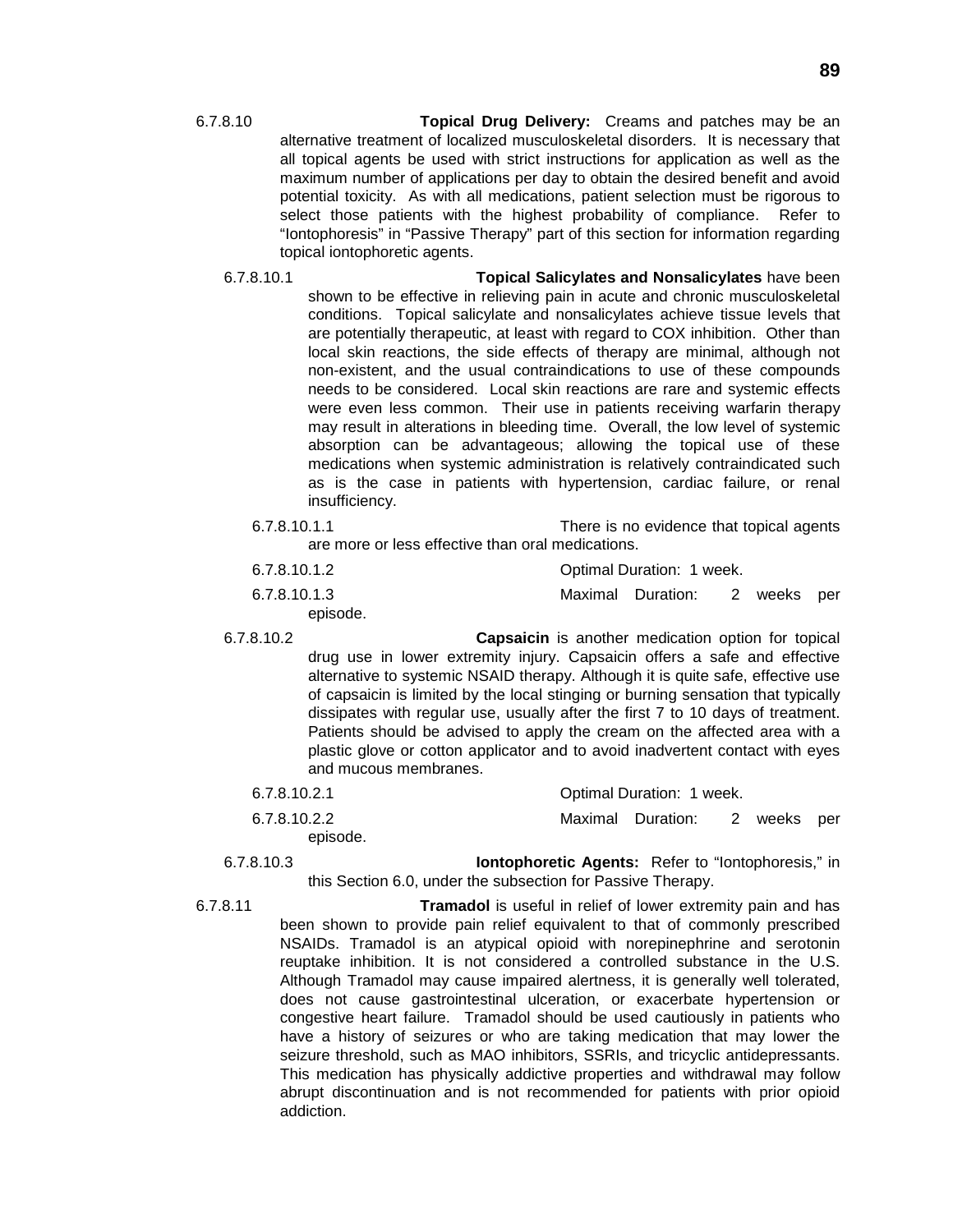- 6.7.8.10 **Topical Drug Delivery:** Creams and patches may be an alternative treatment of localized musculoskeletal disorders. It is necessary that all topical agents be used with strict instructions for application as well as the maximum number of applications per day to obtain the desired benefit and avoid potential toxicity. As with all medications, patient selection must be rigorous to select those patients with the highest probability of compliance. Refer to "Iontophoresis" in "Passive Therapy" part of this section for information regarding topical iontophoretic agents.
	- 6.7.8.10.1 **Topical Salicylates and Nonsalicylates** have been shown to be effective in relieving pain in acute and chronic musculoskeletal conditions. Topical salicylate and nonsalicylates achieve tissue levels that are potentially therapeutic, at least with regard to COX inhibition. Other than local skin reactions, the side effects of therapy are minimal, although not non-existent, and the usual contraindications to use of these compounds needs to be considered. Local skin reactions are rare and systemic effects were even less common. Their use in patients receiving warfarin therapy may result in alterations in bleeding time. Overall, the low level of systemic absorption can be advantageous; allowing the topical use of these medications when systemic administration is relatively contraindicated such as is the case in patients with hypertension, cardiac failure, or renal insufficiency.
		- 6.7.8.10.1.1 There is no evidence that topical agents are more or less effective than oral medications.

| 6.7.8.10.1.2 | Optimal Duration: 1 week. |                   |  |             |  |  |
|--------------|---------------------------|-------------------|--|-------------|--|--|
| 6.7.8.10.1.3 |                           | Maximal Duration: |  | 2 weeks per |  |  |
| episode.     |                           |                   |  |             |  |  |

6.7.8.10.2 **Capsaicin** is another medication option for topical drug use in lower extremity injury. Capsaicin offers a safe and effective alternative to systemic NSAID therapy. Although it is quite safe, effective use of capsaicin is limited by the local stinging or burning sensation that typically dissipates with regular use, usually after the first 7 to 10 days of treatment. Patients should be advised to apply the cream on the affected area with a plastic glove or cotton applicator and to avoid inadvertent contact with eyes and mucous membranes.

| 6.7.8.10.2.1 | Optimal Duration: 1 week. |                               |  |  |  |  |
|--------------|---------------------------|-------------------------------|--|--|--|--|
| 6.7.8.10.2.2 |                           | Maximal Duration: 2 weeks per |  |  |  |  |
| episode.     |                           |                               |  |  |  |  |

6.7.8.10.3 **Iontophoretic Agents:** Refer to "Iontophoresis," in this Section 6.0, under the subsection for Passive Therapy.

6.7.8.11 **Tramadol** is useful in relief of lower extremity pain and has been shown to provide pain relief equivalent to that of commonly prescribed NSAIDs. Tramadol is an atypical opioid with norepinephrine and serotonin reuptake inhibition. It is not considered a controlled substance in the U.S. Although Tramadol may cause impaired alertness, it is generally well tolerated, does not cause gastrointestinal ulceration, or exacerbate hypertension or congestive heart failure. Tramadol should be used cautiously in patients who have a history of seizures or who are taking medication that may lower the seizure threshold, such as MAO inhibitors, SSRIs, and tricyclic antidepressants. This medication has physically addictive properties and withdrawal may follow abrupt discontinuation and is not recommended for patients with prior opioid addiction.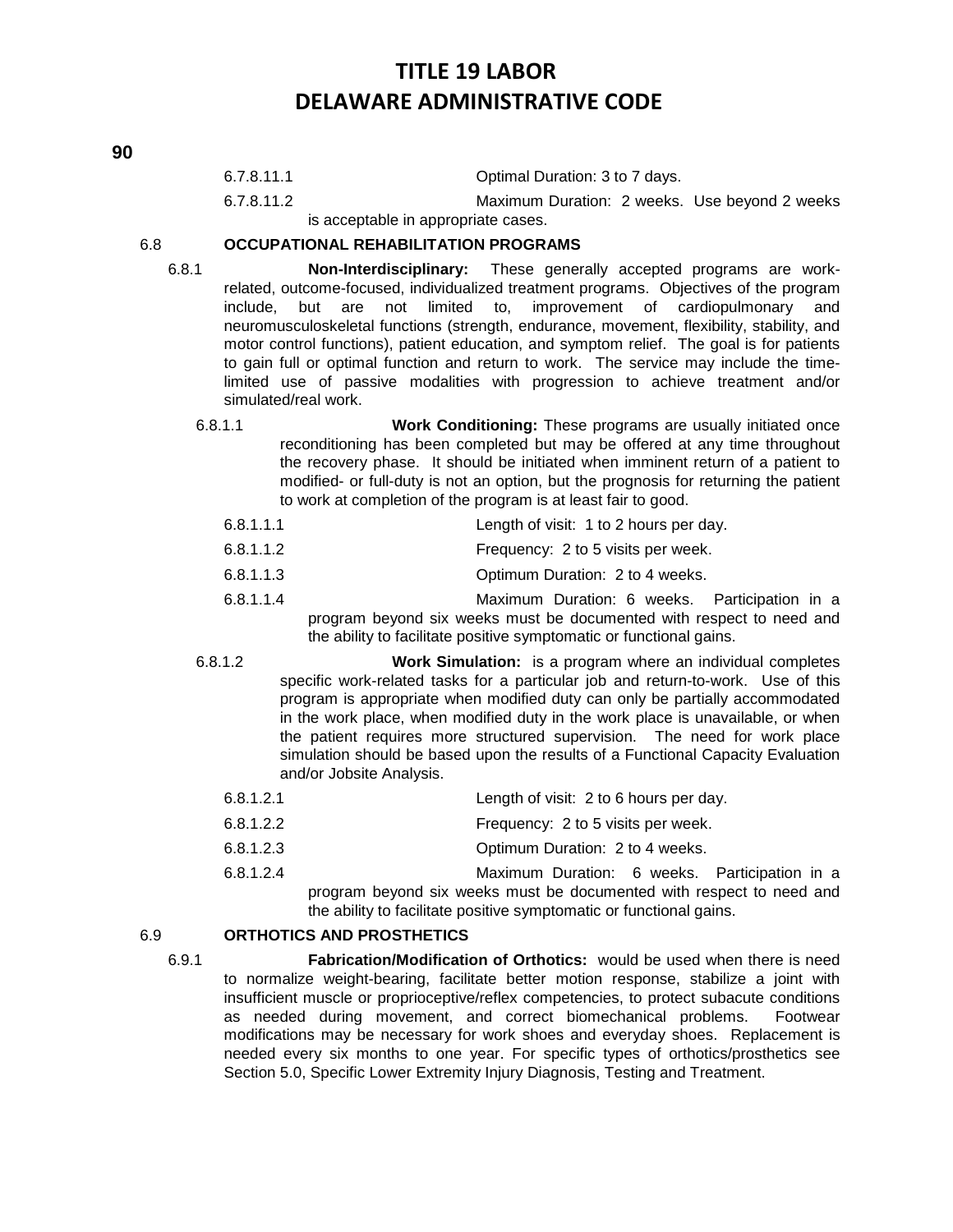| 6.7.8.11.1 | Optimal Duration: 3 to 7 days. |
|------------|--------------------------------|
|            |                                |

6.7.8.11.2 Maximum Duration: 2 weeks. Use beyond 2 weeks is acceptable in appropriate cases.

### 6.8 **OCCUPATIONAL REHABILITATION PROGRAMS**

- 6.8.1 **Non-Interdisciplinary:** These generally accepted programs are workrelated, outcome-focused, individualized treatment programs. Objectives of the program include, but are not limited to, improvement of cardiopulmonary and neuromusculoskeletal functions (strength, endurance, movement, flexibility, stability, and motor control functions), patient education, and symptom relief. The goal is for patients to gain full or optimal function and return to work. The service may include the timelimited use of passive modalities with progression to achieve treatment and/or simulated/real work.
	- 6.8.1.1 **Work Conditioning:** These programs are usually initiated once reconditioning has been completed but may be offered at any time throughout the recovery phase. It should be initiated when imminent return of a patient to modified- or full-duty is not an option, but the prognosis for returning the patient to work at completion of the program is at least fair to good.
		- 6.8.1.1.1 Length of visit: 1 to 2 hours per day.
		- 6.8.1.1.2 Frequency: 2 to 5 visits per week.
		- 6.8.1.1.3 Optimum Duration: 2 to 4 weeks.
		- 6.8.1.1.4 Maximum Duration: 6 weeks. Participation in a program beyond six weeks must be documented with respect to need and the ability to facilitate positive symptomatic or functional gains.

- 6.8.1.2 **Work Simulation:** is a program where an individual completes specific work-related tasks for a particular job and return-to-work. Use of this program is appropriate when modified duty can only be partially accommodated in the work place, when modified duty in the work place is unavailable, or when the patient requires more structured supervision. The need for work place simulation should be based upon the results of a Functional Capacity Evaluation and/or Jobsite Analysis.
	- 6.8.1.2.1 Length of visit: 2 to 6 hours per day.
	- 6.8.1.2.2 Frequency: 2 to 5 visits per week.
	- 6.8.1.2.3 Optimum Duration: 2 to 4 weeks.
	- 6.8.1.2.4 Maximum Duration: 6 weeks. Participation in a program beyond six weeks must be documented with respect to need and the ability to facilitate positive symptomatic or functional gains.

### 6.9 **ORTHOTICS AND PROSTHETICS**

6.9.1 **Fabrication/Modification of Orthotics:** would be used when there is need to normalize weight-bearing, facilitate better motion response, stabilize a joint with insufficient muscle or proprioceptive/reflex competencies, to protect subacute conditions as needed during movement, and correct biomechanical problems. Footwear modifications may be necessary for work shoes and everyday shoes. Replacement is needed every six months to one year. For specific types of orthotics/prosthetics see Section 5.0, Specific Lower Extremity Injury Diagnosis, Testing and Treatment.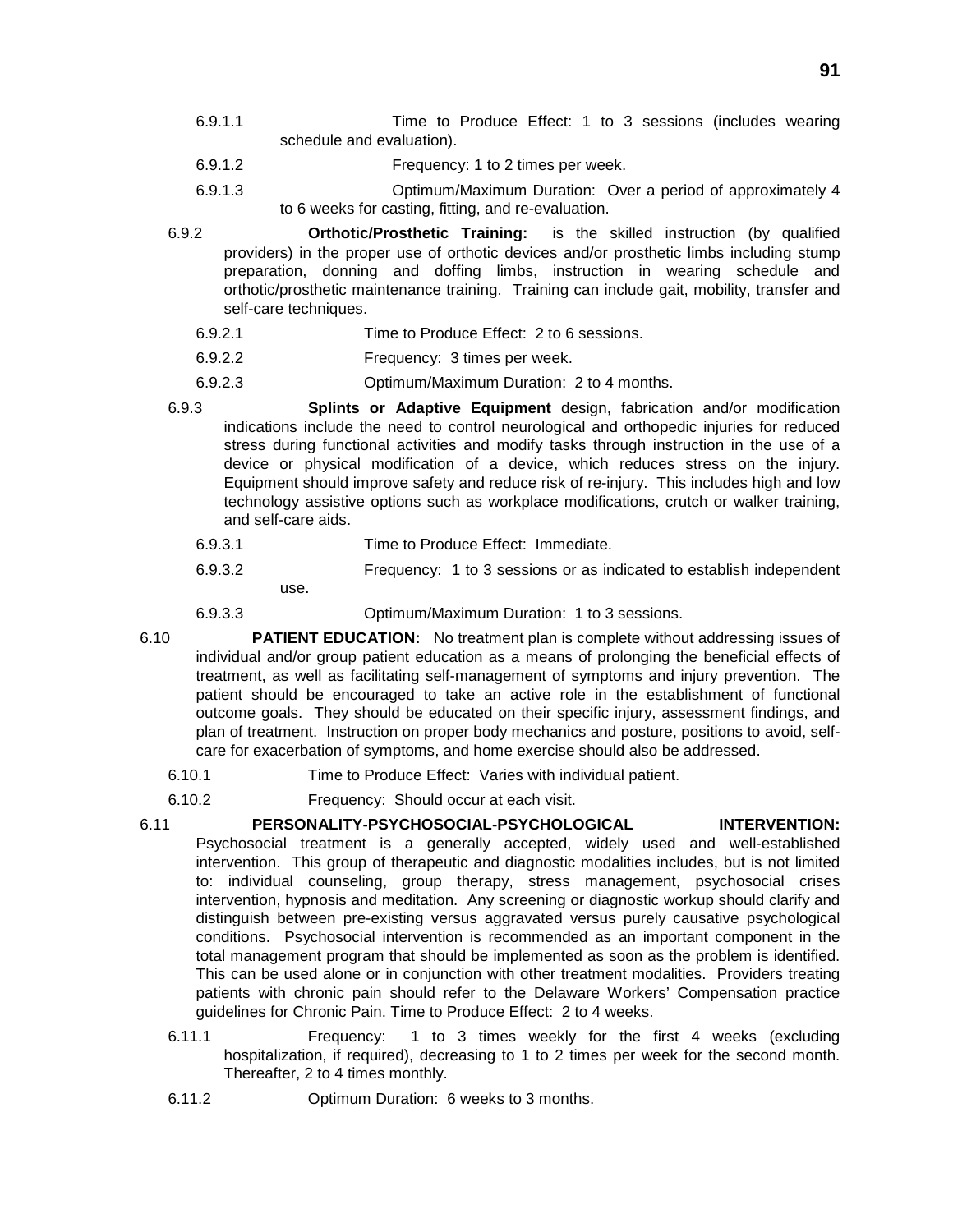- 6.9.1.1 Time to Produce Effect: 1 to 3 sessions (includes wearing schedule and evaluation).
- 6.9.1.2 Frequency: 1 to 2 times per week.
- 6.9.1.3 Optimum/Maximum Duration: Over a period of approximately 4 to 6 weeks for casting, fitting, and re-evaluation.
- 6.9.2 **Orthotic/Prosthetic Training:** is the skilled instruction (by qualified providers) in the proper use of orthotic devices and/or prosthetic limbs including stump preparation, donning and doffing limbs, instruction in wearing schedule and orthotic/prosthetic maintenance training. Training can include gait, mobility, transfer and self-care techniques.
	- 6.9.2.1 Time to Produce Effect: 2 to 6 sessions.
	- 6.9.2.2 Frequency: 3 times per week.
	- 6.9.2.3 Optimum/Maximum Duration: 2 to 4 months.
- 6.9.3 **Splints or Adaptive Equipment** design, fabrication and/or modification indications include the need to control neurological and orthopedic injuries for reduced stress during functional activities and modify tasks through instruction in the use of a device or physical modification of a device, which reduces stress on the injury. Equipment should improve safety and reduce risk of re-injury. This includes high and low technology assistive options such as workplace modifications, crutch or walker training, and self-care aids.
	- 6.9.3.1 Time to Produce Effect: Immediate.
	- 6.9.3.2 Frequency: 1 to 3 sessions or as indicated to establish independent use.
	- 6.9.3.3 Optimum/Maximum Duration: 1 to 3 sessions.
- 6.10 **PATIENT EDUCATION:** No treatment plan is complete without addressing issues of individual and/or group patient education as a means of prolonging the beneficial effects of treatment, as well as facilitating self-management of symptoms and injury prevention. The patient should be encouraged to take an active role in the establishment of functional outcome goals. They should be educated on their specific injury, assessment findings, and plan of treatment. Instruction on proper body mechanics and posture, positions to avoid, selfcare for exacerbation of symptoms, and home exercise should also be addressed.
	- 6.10.1 Time to Produce Effect: Varies with individual patient.
	- 6.10.2 Frequency: Should occur at each visit.

#### 6.11 **PERSONALITY-PSYCHOSOCIAL-PSYCHOLOGICAL INTERVENTION:**

Psychosocial treatment is a generally accepted, widely used and well-established intervention. This group of therapeutic and diagnostic modalities includes, but is not limited to: individual counseling, group therapy, stress management, psychosocial crises intervention, hypnosis and meditation. Any screening or diagnostic workup should clarify and distinguish between pre-existing versus aggravated versus purely causative psychological conditions. Psychosocial intervention is recommended as an important component in the total management program that should be implemented as soon as the problem is identified. This can be used alone or in conjunction with other treatment modalities. Providers treating patients with chronic pain should refer to the Delaware Workers' Compensation practice guidelines for Chronic Pain. Time to Produce Effect: 2 to 4 weeks.

- 6.11.1 Frequency: 1 to 3 times weekly for the first 4 weeks (excluding hospitalization, if required), decreasing to 1 to 2 times per week for the second month. Thereafter, 2 to 4 times monthly.
- 6.11.2 Optimum Duration: 6 weeks to 3 months.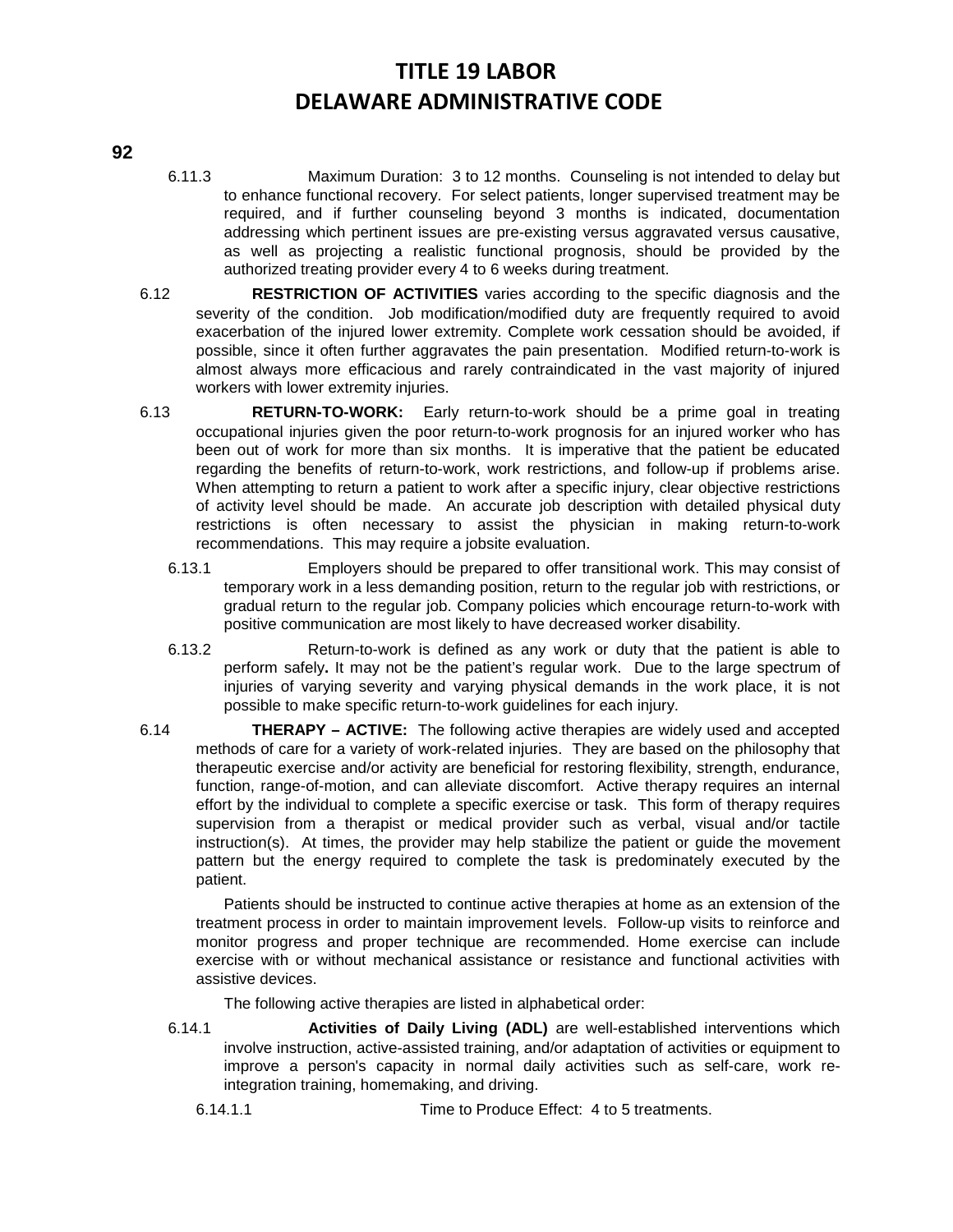### **92**

- 6.11.3 Maximum Duration: 3 to 12 months. Counseling is not intended to delay but to enhance functional recovery. For select patients, longer supervised treatment may be required, and if further counseling beyond 3 months is indicated, documentation addressing which pertinent issues are pre-existing versus aggravated versus causative, as well as projecting a realistic functional prognosis, should be provided by the authorized treating provider every 4 to 6 weeks during treatment.
- 6.12 **RESTRICTION OF ACTIVITIES** varies according to the specific diagnosis and the severity of the condition. Job modification/modified duty are frequently required to avoid exacerbation of the injured lower extremity. Complete work cessation should be avoided, if possible, since it often further aggravates the pain presentation. Modified return-to-work is almost always more efficacious and rarely contraindicated in the vast majority of injured workers with lower extremity injuries.
- 6.13 **RETURN-TO-WORK:** Early return-to-work should be a prime goal in treating occupational injuries given the poor return-to-work prognosis for an injured worker who has been out of work for more than six months. It is imperative that the patient be educated regarding the benefits of return-to-work, work restrictions, and follow-up if problems arise. When attempting to return a patient to work after a specific injury, clear objective restrictions of activity level should be made. An accurate job description with detailed physical duty restrictions is often necessary to assist the physician in making return-to-work recommendations. This may require a jobsite evaluation.
	- 6.13.1 Employers should be prepared to offer transitional work. This may consist of temporary work in a less demanding position, return to the regular job with restrictions, or gradual return to the regular job. Company policies which encourage return-to-work with positive communication are most likely to have decreased worker disability.
	- 6.13.2 Return-to-work is defined as any work or duty that the patient is able to perform safely**.** It may not be the patient's regular work. Due to the large spectrum of injuries of varying severity and varying physical demands in the work place, it is not possible to make specific return-to-work guidelines for each injury.
- 6.14 **THERAPY ACTIVE:** The following active therapies are widely used and accepted methods of care for a variety of work-related injuries. They are based on the philosophy that therapeutic exercise and/or activity are beneficial for restoring flexibility, strength, endurance, function, range-of-motion, and can alleviate discomfort. Active therapy requires an internal effort by the individual to complete a specific exercise or task. This form of therapy requires supervision from a therapist or medical provider such as verbal, visual and/or tactile instruction(s). At times, the provider may help stabilize the patient or guide the movement pattern but the energy required to complete the task is predominately executed by the patient.

Patients should be instructed to continue active therapies at home as an extension of the treatment process in order to maintain improvement levels. Follow-up visits to reinforce and monitor progress and proper technique are recommended. Home exercise can include exercise with or without mechanical assistance or resistance and functional activities with assistive devices.

The following active therapies are listed in alphabetical order:

- 6.14.1 **Activities of Daily Living (ADL)** are well-established interventions which involve instruction, active-assisted training, and/or adaptation of activities or equipment to improve a person's capacity in normal daily activities such as self-care, work reintegration training, homemaking, and driving.
	- 6.14.1.1 Time to Produce Effect: 4 to 5 treatments.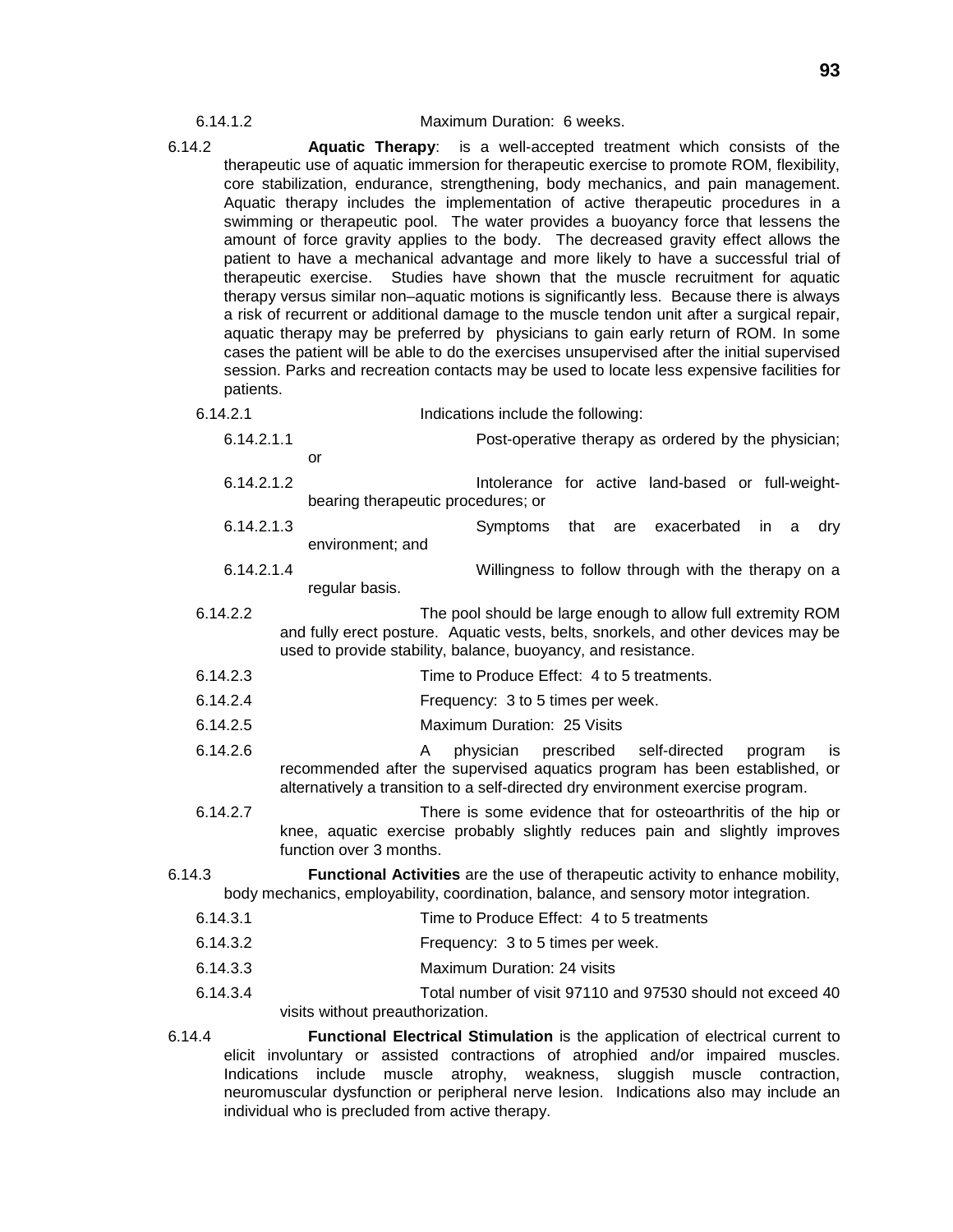#### 6.14.1.2 Maximum Duration: 6 weeks.

- 6.14.2 **Aquatic Therapy**: is a well-accepted treatment which consists of the therapeutic use of aquatic immersion for therapeutic exercise to promote ROM, flexibility, core stabilization, endurance, strengthening, body mechanics, and pain management. Aquatic therapy includes the implementation of active therapeutic procedures in a swimming or therapeutic pool. The water provides a buoyancy force that lessens the amount of force gravity applies to the body. The decreased gravity effect allows the patient to have a mechanical advantage and more likely to have a successful trial of therapeutic exercise. Studies have shown that the muscle recruitment for aquatic therapy versus similar non–aquatic motions is significantly less. Because there is always a risk of recurrent or additional damage to the muscle tendon unit after a surgical repair, aquatic therapy may be preferred by physicians to gain early return of ROM. In some cases the patient will be able to do the exercises unsupervised after the initial supervised session. Parks and recreation contacts may be used to locate less expensive facilities for patients.
	- 6.14.2.1 Indications include the following:

| 6.14.2.1.1 | Post-operative therapy as ordered by the physician;                                                                                                |
|------------|----------------------------------------------------------------------------------------------------------------------------------------------------|
|            | or                                                                                                                                                 |
| 6.14.2.1.2 | Intolerance for active land-based or full-weight-                                                                                                  |
|            | bearing therapeutic procedures; or                                                                                                                 |
| 6.14.2.1.3 | Symptoms that are exacerbated in<br>dry<br>a                                                                                                       |
|            | environment; and                                                                                                                                   |
| 6.14.2.1.4 | Willingness to follow through with the therapy on a                                                                                                |
|            | regular basis.                                                                                                                                     |
| 6.14.2.2   | The pool should be large enough to allow full extremity ROM                                                                                        |
|            | and fully erect posture. Aquatic vests, belts, snorkels, and other devices may be<br>used to provide stability, balance, buoyancy, and resistance. |
| 6.14.2.3   | Time to Produce Effect: 4 to 5 treatments.                                                                                                         |
| 6.14.2.4   | Frequency: 3 to 5 times per week.                                                                                                                  |
| 6.14.2.5   | Maximum Duration: 25 Visits                                                                                                                        |

- 6.14.2.6 A physician prescribed self-directed program is recommended after the supervised aquatics program has been established, or alternatively a transition to a self-directed dry environment exercise program.
- 6.14.2.7 There is some evidence that for osteoarthritis of the hip or knee, aquatic exercise probably slightly reduces pain and slightly improves function over 3 months.
- 6.14.3 **Functional Activities** are the use of therapeutic activity to enhance mobility, body mechanics, employability, coordination, balance, and sensory motor integration.
	- 6.14.3.1 Time to Produce Effect: 4 to 5 treatments
	- 6.14.3.2 Frequency: 3 to 5 times per week.
	- 6.14.3.3 Maximum Duration: 24 visits
	- 6.14.3.4 Total number of visit 97110 and 97530 should not exceed 40 visits without preauthorization.
- 6.14.4 **Functional Electrical Stimulation** is the application of electrical current to elicit involuntary or assisted contractions of atrophied and/or impaired muscles. Indications include muscle atrophy, weakness, sluggish muscle contraction, neuromuscular dysfunction or peripheral nerve lesion. Indications also may include an individual who is precluded from active therapy.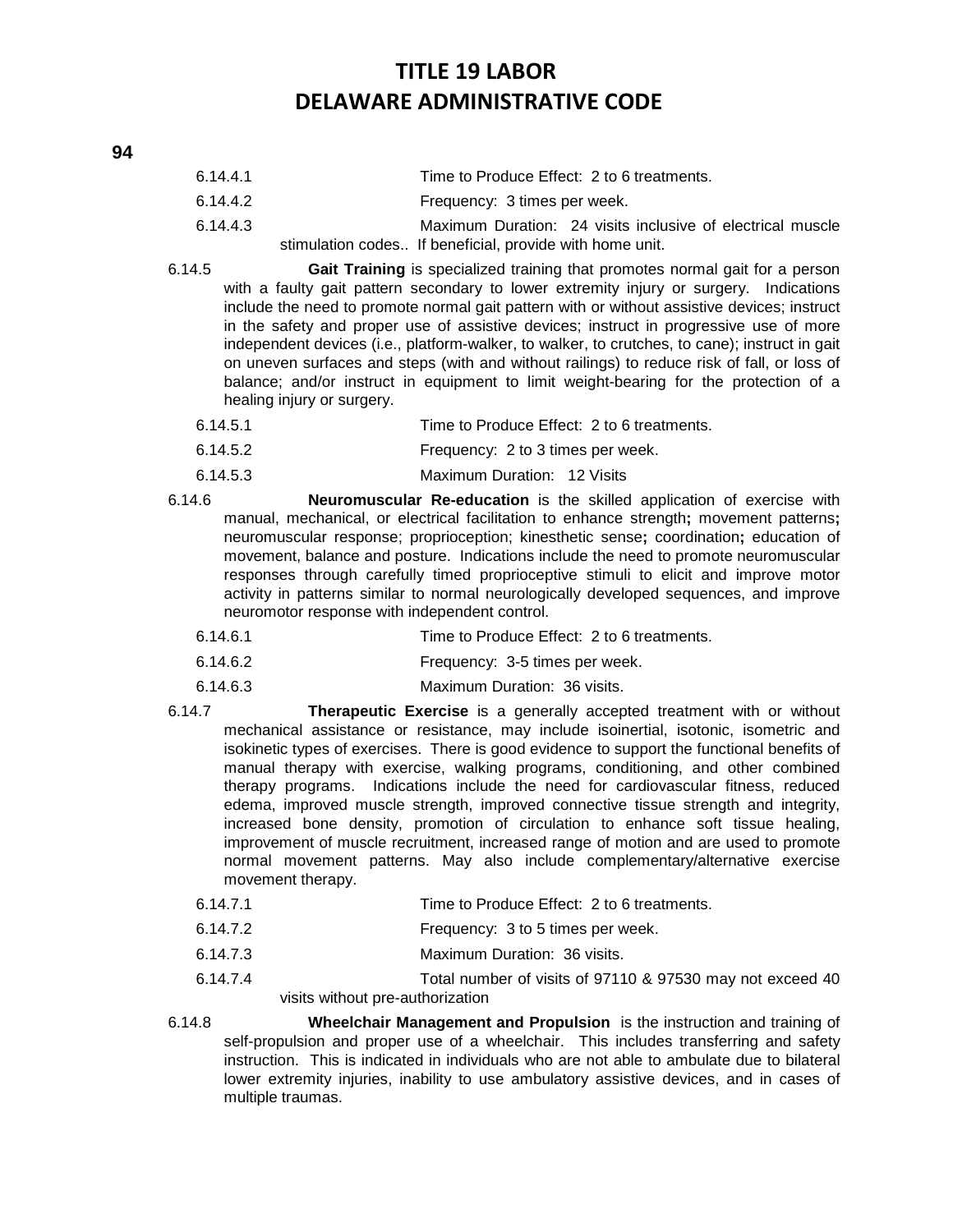- 6.14.4.1 Time to Produce Effect: 2 to 6 treatments.
- 6.14.4.2 Frequency: 3 times per week.
- 6.14.4.3 Maximum Duration: 24 visits inclusive of electrical muscle stimulation codes.. If beneficial, provide with home unit.
- 6.14.5 **Gait Training** is specialized training that promotes normal gait for a person with a faulty gait pattern secondary to lower extremity injury or surgery. Indications include the need to promote normal gait pattern with or without assistive devices; instruct in the safety and proper use of assistive devices; instruct in progressive use of more independent devices (i.e., platform-walker, to walker, to crutches, to cane); instruct in gait on uneven surfaces and steps (with and without railings) to reduce risk of fall, or loss of balance; and/or instruct in equipment to limit weight-bearing for the protection of a healing injury or surgery.
	- 6.14.5.1 Time to Produce Effect: 2 to 6 treatments.
	- 6.14.5.2 Frequency: 2 to 3 times per week.
	- 6.14.5.3 Maximum Duration: 12 Visits
- 6.14.6 **Neuromuscular Re-education** is the skilled application of exercise with manual, mechanical, or electrical facilitation to enhance strength**;** movement patterns**;** neuromuscular response; proprioception; kinesthetic sense**;** coordination**;** education of movement, balance and posture. Indications include the need to promote neuromuscular responses through carefully timed proprioceptive stimuli to elicit and improve motor activity in patterns similar to normal neurologically developed sequences, and improve neuromotor response with independent control.
	- 6.14.6.1 Time to Produce Effect: 2 to 6 treatments.
	- 6.14.6.2 Frequency: 3-5 times per week.
	- 6.14.6.3 Maximum Duration: 36 visits.
- 6.14.7 **Therapeutic Exercise** is a generally accepted treatment with or without mechanical assistance or resistance, may include isoinertial, isotonic, isometric and isokinetic types of exercises. There is good evidence to support the functional benefits of manual therapy with exercise, walking programs, conditioning, and other combined therapy programs. Indications include the need for cardiovascular fitness, reduced edema, improved muscle strength, improved connective tissue strength and integrity, increased bone density, promotion of circulation to enhance soft tissue healing, improvement of muscle recruitment, increased range of motion and are used to promote normal movement patterns. May also include complementary/alternative exercise movement therapy.
	- 6.14.7.1 Time to Produce Effect: 2 to 6 treatments.
	- 6.14.7.2 Frequency: 3 to 5 times per week.
	- 6.14.7.3 Maximum Duration: 36 visits.
	- 6.14.7.4 Total number of visits of 97110 & 97530 may not exceed 40 visits without pre-authorization
- 6.14.8 **Wheelchair Management and Propulsion** is the instruction and training of self-propulsion and proper use of a wheelchair. This includes transferring and safety instruction. This is indicated in individuals who are not able to ambulate due to bilateral lower extremity injuries, inability to use ambulatory assistive devices, and in cases of multiple traumas.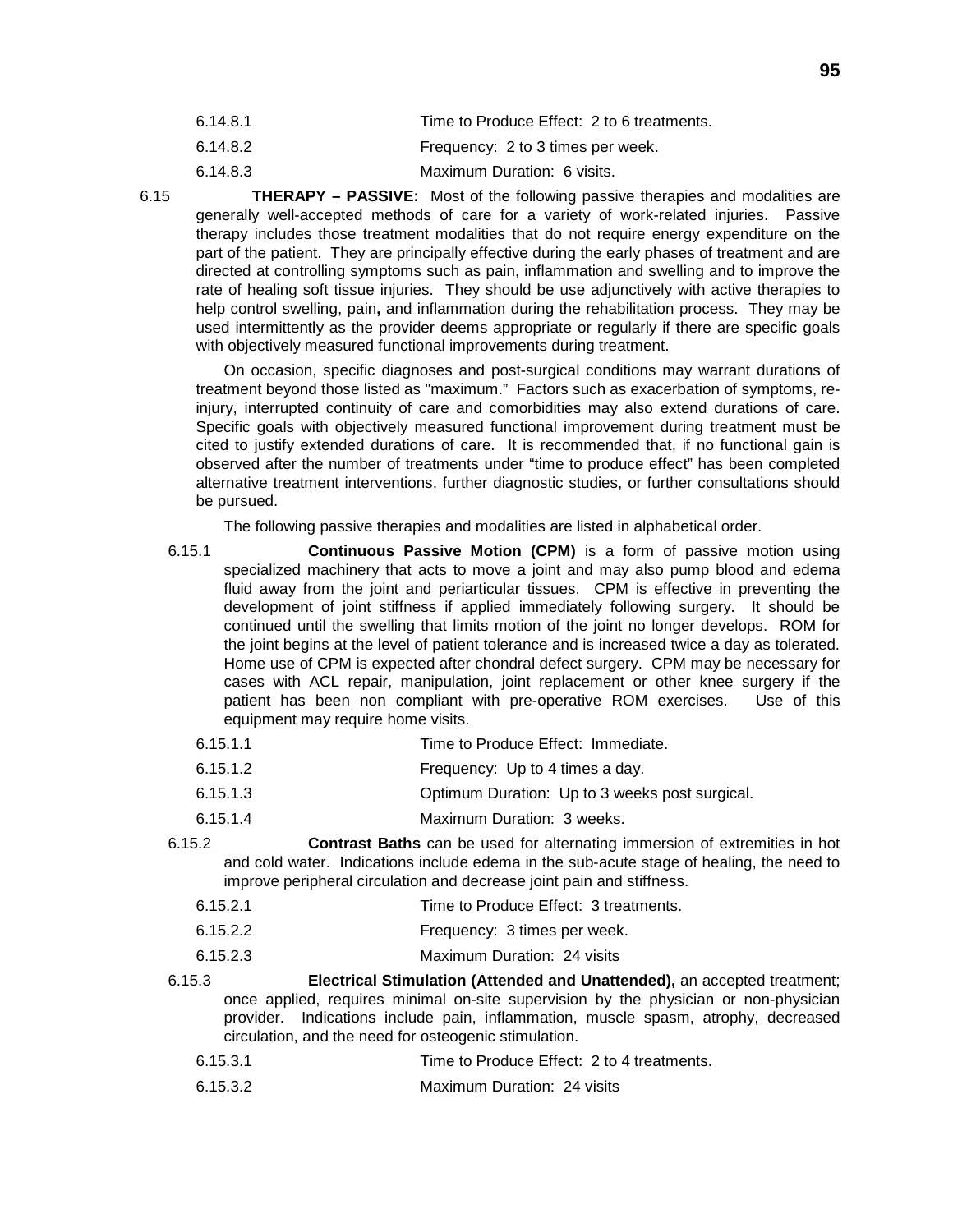| 6.14.8.1 | Time to Produce Effect: 2 to 6 treatments. |
|----------|--------------------------------------------|
| 6.14.8.2 | Frequency: 2 to 3 times per week.          |

6.14.8.3 Maximum Duration: 6 visits.

6.15 **THERAPY – PASSIVE:** Most of the following passive therapies and modalities are generally well-accepted methods of care for a variety of work-related injuries. Passive therapy includes those treatment modalities that do not require energy expenditure on the part of the patient. They are principally effective during the early phases of treatment and are directed at controlling symptoms such as pain, inflammation and swelling and to improve the rate of healing soft tissue injuries. They should be use adjunctively with active therapies to help control swelling, pain**,** and inflammation during the rehabilitation process. They may be used intermittently as the provider deems appropriate or regularly if there are specific goals with objectively measured functional improvements during treatment.

On occasion, specific diagnoses and post-surgical conditions may warrant durations of treatment beyond those listed as "maximum." Factors such as exacerbation of symptoms, reinjury, interrupted continuity of care and comorbidities may also extend durations of care. Specific goals with objectively measured functional improvement during treatment must be cited to justify extended durations of care. It is recommended that, if no functional gain is observed after the number of treatments under "time to produce effect" has been completed alternative treatment interventions, further diagnostic studies, or further consultations should be pursued.

The following passive therapies and modalities are listed in alphabetical order.

- 6.15.1 **Continuous Passive Motion (CPM)** is a form of passive motion using specialized machinery that acts to move a joint and may also pump blood and edema fluid away from the joint and periarticular tissues. CPM is effective in preventing the development of joint stiffness if applied immediately following surgery. It should be continued until the swelling that limits motion of the joint no longer develops. ROM for the joint begins at the level of patient tolerance and is increased twice a day as tolerated. Home use of CPM is expected after chondral defect surgery. CPM may be necessary for cases with ACL repair, manipulation, joint replacement or other knee surgery if the patient has been non compliant with pre-operative ROM exercises. Use of this equipment may require home visits.
	- 6.15.1.1 Time to Produce Effect: Immediate.
	- 6.15.1.2 Frequency: Up to 4 times a day.
	- 6.15.1.3 Optimum Duration: Up to 3 weeks post surgical.
	- 6.15.1.4 Maximum Duration: 3 weeks.
- 6.15.2 **Contrast Baths** can be used for alternating immersion of extremities in hot and cold water. Indications include edema in the sub-acute stage of healing, the need to improve peripheral circulation and decrease joint pain and stiffness.
	- 6.15.2.1 Time to Produce Effect: 3 treatments.
	- 6.15.2.2 Frequency: 3 times per week.
	- 6.15.2.3 Maximum Duration: 24 visits
- 6.15.3 **Electrical Stimulation (Attended and Unattended),** an accepted treatment; once applied, requires minimal on-site supervision by the physician or non-physician provider. Indications include pain, inflammation, muscle spasm, atrophy, decreased circulation, and the need for osteogenic stimulation.
	- 6.15.3.1 Time to Produce Effect: 2 to 4 treatments.
	- 6.15.3.2 Maximum Duration: 24 visits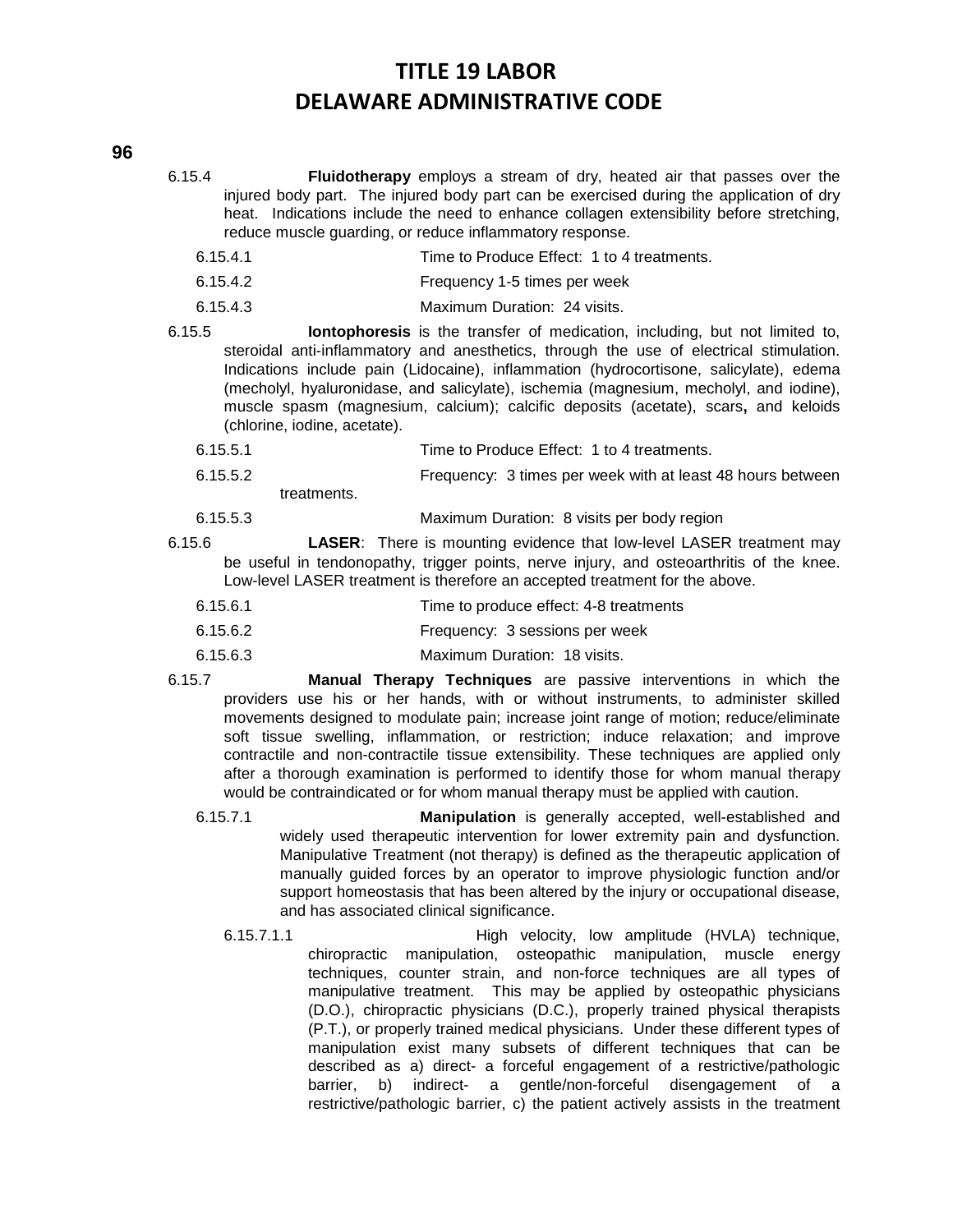- 6.15.4 **Fluidotherapy** employs a stream of dry, heated air that passes over the injured body part. The injured body part can be exercised during the application of dry heat. Indications include the need to enhance collagen extensibility before stretching, reduce muscle guarding, or reduce inflammatory response.
	- 6.15.4.1 Time to Produce Effect: 1 to 4 treatments.
	- 6.15.4.2 Frequency 1-5 times per week
	- 6.15.4.3 Maximum Duration: 24 visits.
- 6.15.5 **Iontophoresis** is the transfer of medication, including, but not limited to, steroidal anti-inflammatory and anesthetics, through the use of electrical stimulation. Indications include pain (Lidocaine), inflammation (hydrocortisone, salicylate), edema (mecholyl, hyaluronidase, and salicylate), ischemia (magnesium, mecholyl, and iodine), muscle spasm (magnesium, calcium); calcific deposits (acetate), scars**,** and keloids (chlorine, iodine, acetate).
	- 6.15.5.1 Time to Produce Effect: 1 to 4 treatments.
	- 6.15.5.2 Frequency: 3 times per week with at least 48 hours between treatments.
	- 6.15.5.3 Maximum Duration: 8 visits per body region
- 6.15.6 **LASER**: There is mounting evidence that low-level LASER treatment may be useful in tendonopathy, trigger points, nerve injury, and osteoarthritis of the knee. Low-level LASER treatment is therefore an accepted treatment for the above.
	- 6.15.6.1 Time to produce effect: 4-8 treatments
	- 6.15.6.2 Frequency: 3 sessions per week
	- 6.15.6.3 Maximum Duration: 18 visits.
- 6.15.7 **Manual Therapy Techniques** are passive interventions in which the providers use his or her hands, with or without instruments, to administer skilled movements designed to modulate pain; increase joint range of motion; reduce/eliminate soft tissue swelling, inflammation, or restriction; induce relaxation; and improve contractile and non-contractile tissue extensibility. These techniques are applied only after a thorough examination is performed to identify those for whom manual therapy would be contraindicated or for whom manual therapy must be applied with caution.
	- 6.15.7.1 **Manipulation** is generally accepted, well-established and widely used therapeutic intervention for lower extremity pain and dysfunction. Manipulative Treatment (not therapy) is defined as the therapeutic application of manually guided forces by an operator to improve physiologic function and/or support homeostasis that has been altered by the injury or occupational disease, and has associated clinical significance.
		- 6.15.7.1.1 High velocity, low amplitude (HVLA) technique, chiropractic manipulation, osteopathic manipulation, muscle energy techniques, counter strain, and non-force techniques are all types of manipulative treatment. This may be applied by osteopathic physicians (D.O.), chiropractic physicians (D.C.), properly trained physical therapists (P.T.), or properly trained medical physicians. Under these different types of manipulation exist many subsets of different techniques that can be described as a) direct- a forceful engagement of a restrictive/pathologic barrier, b) indirect- a gentle/non-forceful disengagement of a restrictive/pathologic barrier, c) the patient actively assists in the treatment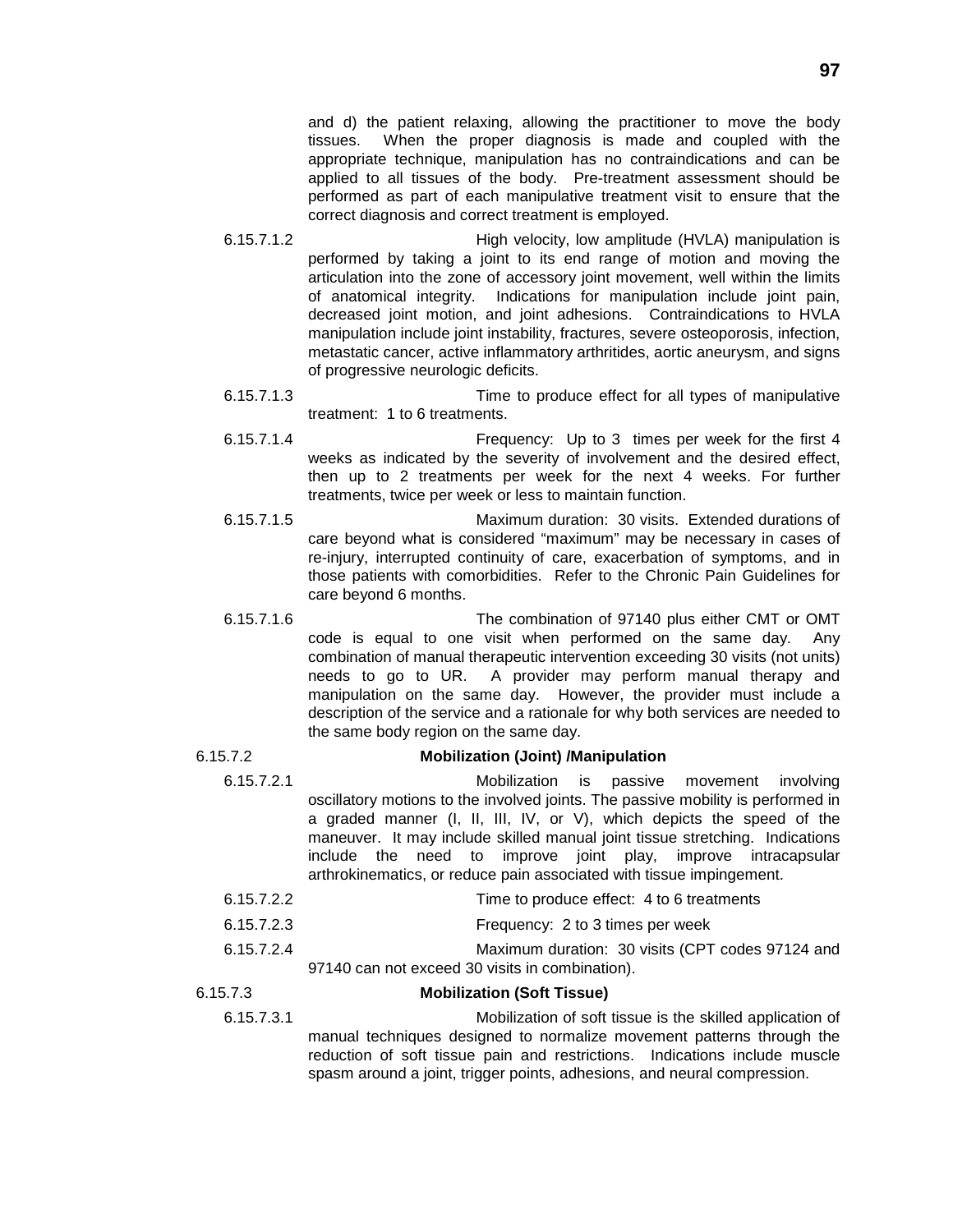and d) the patient relaxing, allowing the practitioner to move the body tissues. When the proper diagnosis is made and coupled with the appropriate technique, manipulation has no contraindications and can be applied to all tissues of the body. Pre-treatment assessment should be performed as part of each manipulative treatment visit to ensure that the correct diagnosis and correct treatment is employed.

- 6.15.7.1.2 High velocity, low amplitude (HVLA) manipulation is performed by taking a joint to its end range of motion and moving the articulation into the zone of accessory joint movement, well within the limits of anatomical integrity. Indications for manipulation include joint pain, decreased joint motion, and joint adhesions. Contraindications to HVLA manipulation include joint instability, fractures, severe osteoporosis, infection, metastatic cancer, active inflammatory arthritides, aortic aneurysm, and signs of progressive neurologic deficits.
- 6.15.7.1.3 Time to produce effect for all types of manipulative treatment: 1 to 6 treatments.
- 6.15.7.1.4 Frequency: Up to 3 times per week for the first 4 weeks as indicated by the severity of involvement and the desired effect, then up to 2 treatments per week for the next 4 weeks. For further treatments, twice per week or less to maintain function.
- 6.15.7.1.5 Maximum duration: 30 visits. Extended durations of care beyond what is considered "maximum" may be necessary in cases of re-injury, interrupted continuity of care, exacerbation of symptoms, and in those patients with comorbidities. Refer to the Chronic Pain Guidelines for care beyond 6 months.
- 6.15.7.1.6 The combination of 97140 plus either CMT or OMT code is equal to one visit when performed on the same day. Any combination of manual therapeutic intervention exceeding 30 visits (not units) needs to go to UR. A provider may perform manual therapy and manipulation on the same day. However, the provider must include a description of the service and a rationale for why both services are needed to the same body region on the same day.

#### 6.15.7.2 **Mobilization (Joint) /Manipulation**

- 6.15.7.2.1 Mobilization is passive movement involving oscillatory motions to the involved joints. The passive mobility is performed in a graded manner (I, II, III, IV, or V), which depicts the speed of the maneuver. It may include skilled manual joint tissue stretching. Indications include the need to improve joint play, improve intracapsular arthrokinematics, or reduce pain associated with tissue impingement.
- 6.15.7.2.2 Time to produce effect: 4 to 6 treatments
- 6.15.7.2.3 Frequency: 2 to 3 times per week
- 6.15.7.2.4 Maximum duration: 30 visits (CPT codes 97124 and 97140 can not exceed 30 visits in combination).
- 

#### 6.15.7.3 **Mobilization (Soft Tissue)**

6.15.7.3.1 Mobilization of soft tissue is the skilled application of manual techniques designed to normalize movement patterns through the reduction of soft tissue pain and restrictions. Indications include muscle spasm around a joint, trigger points, adhesions, and neural compression.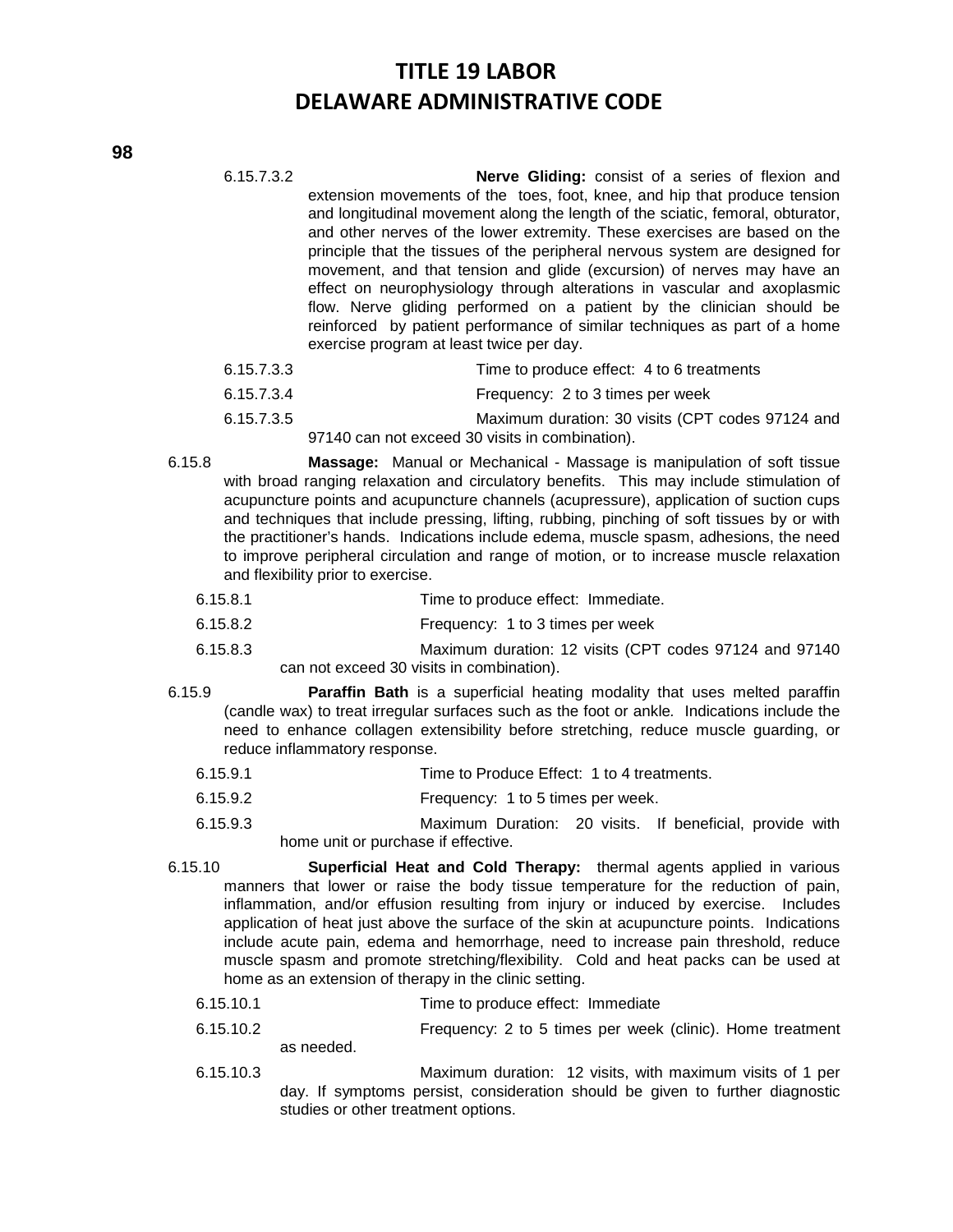- 6.15.7.3.2 **Nerve Gliding:** consist of a series of flexion and extension movements of the toes, foot, knee, and hip that produce tension and longitudinal movement along the length of the sciatic, femoral, obturator, and other nerves of the lower extremity. These exercises are based on the principle that the tissues of the peripheral nervous system are designed for movement, and that tension and glide (excursion) of nerves may have an effect on neurophysiology through alterations in vascular and axoplasmic flow. Nerve gliding performed on a patient by the clinician should be reinforced by patient performance of similar techniques as part of a home exercise program at least twice per day.
	- 6.15.7.3.3 Time to produce effect: 4 to 6 treatments
	- 6.15.7.3.4 Frequency: 2 to 3 times per week
	- 6.15.7.3.5 Maximum duration: 30 visits (CPT codes 97124 and
		- 97140 can not exceed 30 visits in combination).
- 6.15.8 **Massage:** Manual or Mechanical Massage is manipulation of soft tissue with broad ranging relaxation and circulatory benefits. This may include stimulation of acupuncture points and acupuncture channels (acupressure), application of suction cups and techniques that include pressing, lifting, rubbing, pinching of soft tissues by or with the practitioner's hands. Indications include edema, muscle spasm, adhesions, the need to improve peripheral circulation and range of motion, or to increase muscle relaxation and flexibility prior to exercise.
	- 6.15.8.1 Time to produce effect: Immediate.
	- 6.15.8.2 Frequency: 1 to 3 times per week
	- 6.15.8.3 Maximum duration: 12 visits (CPT codes 97124 and 97140 can not exceed 30 visits in combination).
- 6.15.9 **Paraffin Bath** is a superficial heating modality that uses melted paraffin (candle wax) to treat irregular surfaces such as the foot or ankle*.* Indications include the need to enhance collagen extensibility before stretching, reduce muscle guarding, or reduce inflammatory response.
	- 6.15.9.1 Time to Produce Effect: 1 to 4 treatments.
	- 6.15.9.2 Frequency: 1 to 5 times per week.
	- 6.15.9.3 Maximum Duration: 20 visits. If beneficial, provide with home unit or purchase if effective.
- 6.15.10 **Superficial Heat and Cold Therapy:** thermal agents applied in various manners that lower or raise the body tissue temperature for the reduction of pain, inflammation, and/or effusion resulting from injury or induced by exercise. Includes application of heat just above the surface of the skin at acupuncture points. Indications include acute pain, edema and hemorrhage, need to increase pain threshold, reduce muscle spasm and promote stretching/flexibility. Cold and heat packs can be used at home as an extension of therapy in the clinic setting.
	- 6.15.10.1 Time to produce effect: Immediate
	- 6.15.10.2 Frequency: 2 to 5 times per week (clinic). Home treatment as needed.
	-
	- 6.15.10.3 Maximum duration: 12 visits, with maximum visits of 1 per day. If symptoms persist, consideration should be given to further diagnostic studies or other treatment options.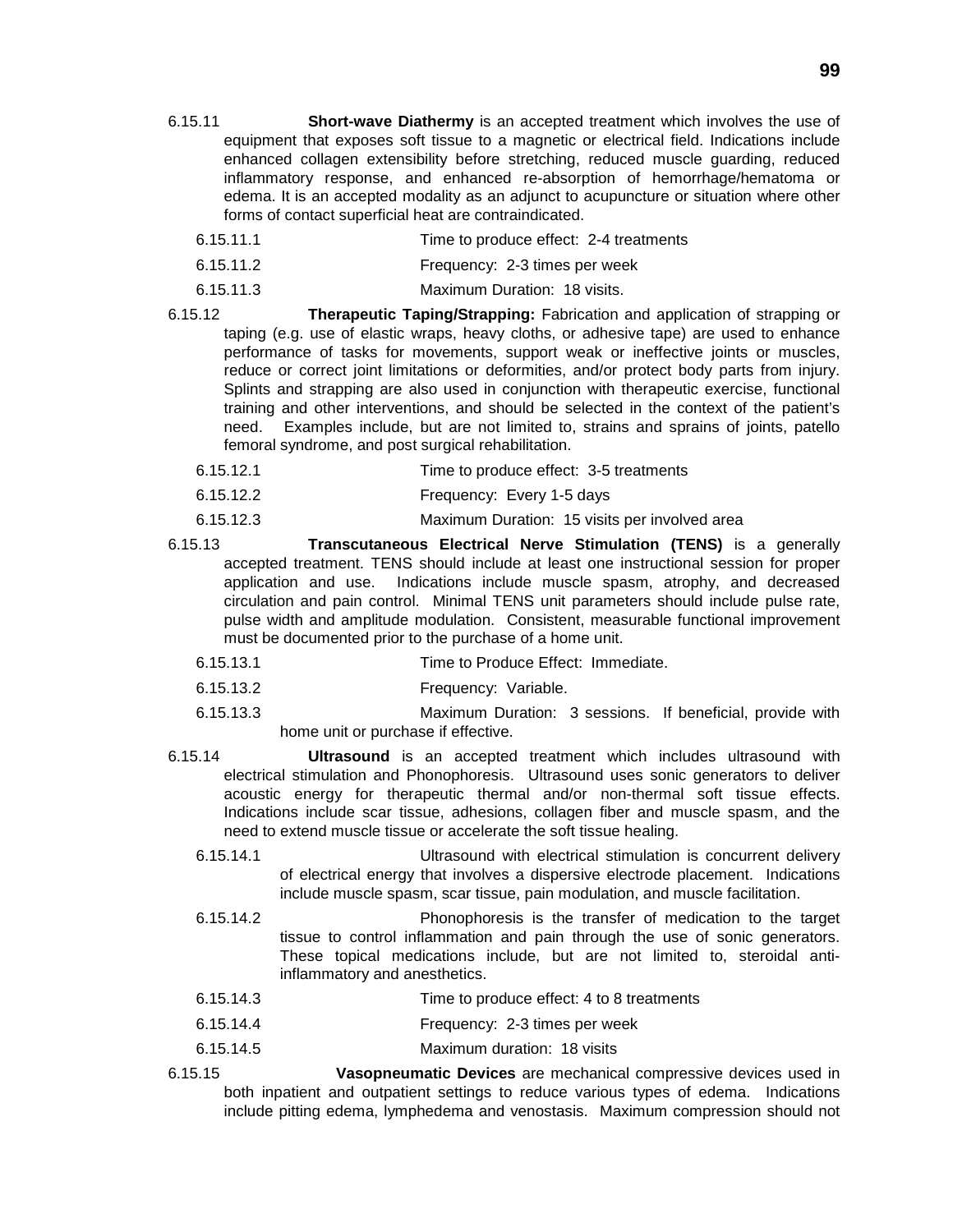- **99**
- 6.15.11 **Short-wave Diathermy** is an accepted treatment which involves the use of equipment that exposes soft tissue to a magnetic or electrical field. Indications include enhanced collagen extensibility before stretching, reduced muscle guarding, reduced inflammatory response, and enhanced re-absorption of hemorrhage/hematoma or edema. It is an accepted modality as an adjunct to acupuncture or situation where other forms of contact superficial heat are contraindicated.
	- 6.15.11.1 Time to produce effect: 2-4 treatments
	- 6.15.11.2 Frequency: 2-3 times per week
	- 6.15.11.3 Maximum Duration: 18 visits.
- 6.15.12 **Therapeutic Taping/Strapping:** Fabrication and application of strapping or taping (e.g. use of elastic wraps, heavy cloths, or adhesive tape) are used to enhance performance of tasks for movements, support weak or ineffective joints or muscles, reduce or correct joint limitations or deformities, and/or protect body parts from injury. Splints and strapping are also used in conjunction with therapeutic exercise, functional training and other interventions, and should be selected in the context of the patient's need. Examples include, but are not limited to, strains and sprains of joints, patello femoral syndrome, and post surgical rehabilitation.
	- 6.15.12.1 Time to produce effect: 3-5 treatments
	- 6.15.12.2 Frequency: Every 1-5 days
	- 6.15.12.3 Maximum Duration: 15 visits per involved area
- 6.15.13 **Transcutaneous Electrical Nerve Stimulation (TENS)** is a generally accepted treatment. TENS should include at least one instructional session for proper application and use. Indications include muscle spasm, atrophy, and decreased circulation and pain control. Minimal TENS unit parameters should include pulse rate, pulse width and amplitude modulation. Consistent, measurable functional improvement must be documented prior to the purchase of a home unit.
	- 6.15.13.1 Time to Produce Effect: Immediate.
	- 6.15.13.2 Frequency: Variable.
	- 6.15.13.3 Maximum Duration: 3 sessions. If beneficial, provide with home unit or purchase if effective.
- 6.15.14 **Ultrasound** is an accepted treatment which includes ultrasound with electrical stimulation and Phonophoresis. Ultrasound uses sonic generators to deliver acoustic energy for therapeutic thermal and/or non-thermal soft tissue effects. Indications include scar tissue, adhesions, collagen fiber and muscle spasm, and the need to extend muscle tissue or accelerate the soft tissue healing.
	- 6.15.14.1 Ultrasound with electrical stimulation is concurrent delivery of electrical energy that involves a dispersive electrode placement. Indications include muscle spasm, scar tissue, pain modulation, and muscle facilitation.
	- 6.15.14.2 Phonophoresis is the transfer of medication to the target tissue to control inflammation and pain through the use of sonic generators. These topical medications include, but are not limited to, steroidal antiinflammatory and anesthetics.
	- 6.15.14.3 Time to produce effect: 4 to 8 treatments
	- 6.15.14.4 Frequency: 2-3 times per week
	- 6.15.14.5 Maximum duration: 18 visits
- 6.15.15 **Vasopneumatic Devices** are mechanical compressive devices used in both inpatient and outpatient settings to reduce various types of edema. Indications include pitting edema, lymphedema and venostasis. Maximum compression should not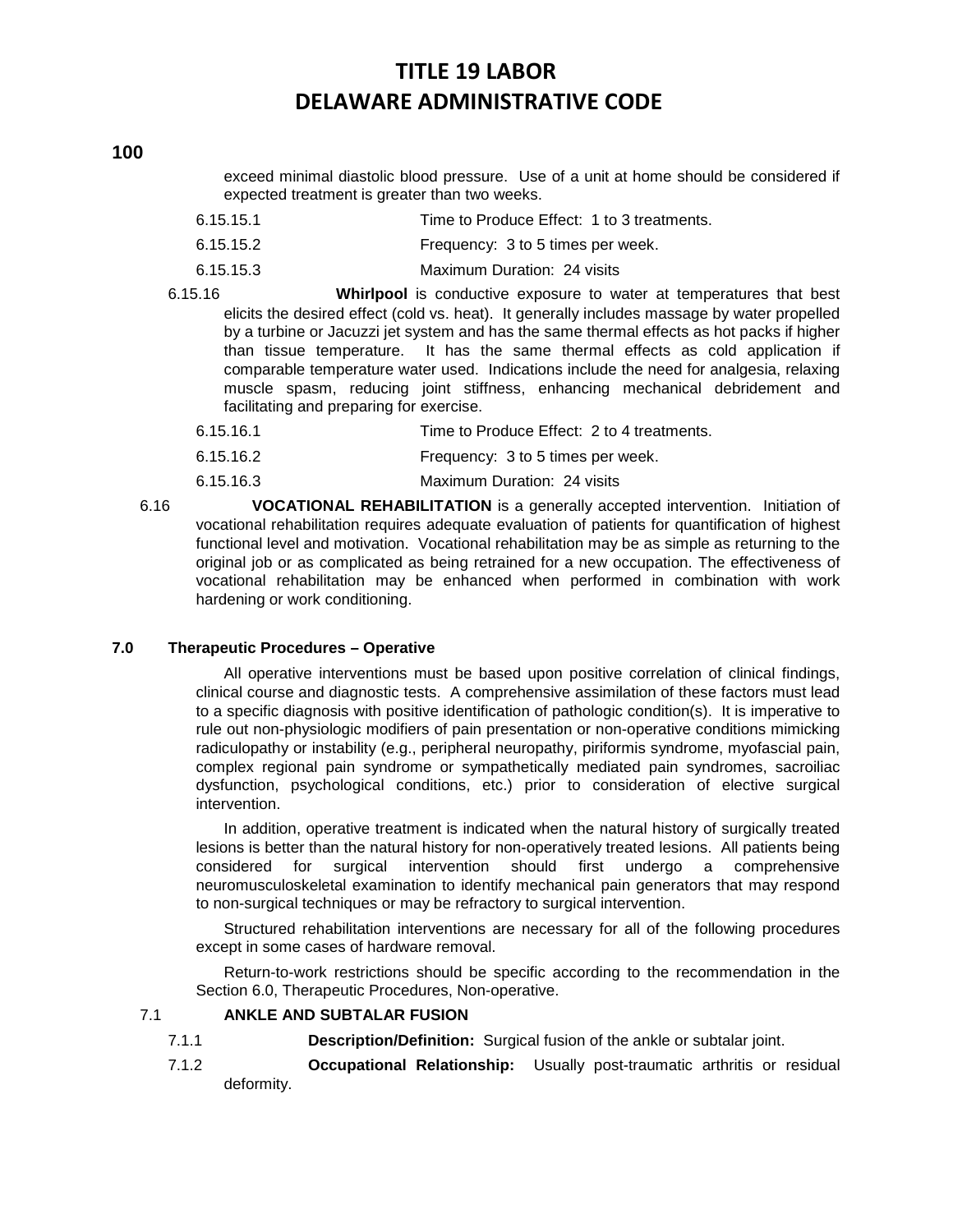exceed minimal diastolic blood pressure. Use of a unit at home should be considered if expected treatment is greater than two weeks.

- 6.15.15.1 Time to Produce Effect: 1 to 3 treatments.
- 6.15.15.2 Frequency: 3 to 5 times per week.
- 6.15.15.3 Maximum Duration: 24 visits
- 6.15.16 **Whirlpool** is conductive exposure to water at temperatures that best elicits the desired effect (cold vs. heat). It generally includes massage by water propelled by a turbine or Jacuzzi jet system and has the same thermal effects as hot packs if higher than tissue temperature. It has the same thermal effects as cold application if comparable temperature water used. Indications include the need for analgesia, relaxing muscle spasm, reducing joint stiffness, enhancing mechanical debridement and facilitating and preparing for exercise.
	- 6.15.16.1 Time to Produce Effect: 2 to 4 treatments.
	- 6.15.16.2 Frequency: 3 to 5 times per week.
	- 6.15.16.3 Maximum Duration: 24 visits
- 6.16 **VOCATIONAL REHABILITATION** is a generally accepted intervention. Initiation of vocational rehabilitation requires adequate evaluation of patients for quantification of highest functional level and motivation. Vocational rehabilitation may be as simple as returning to the original job or as complicated as being retrained for a new occupation. The effectiveness of vocational rehabilitation may be enhanced when performed in combination with work hardening or work conditioning.

#### **7.0 Therapeutic Procedures – Operative**

All operative interventions must be based upon positive correlation of clinical findings, clinical course and diagnostic tests. A comprehensive assimilation of these factors must lead to a specific diagnosis with positive identification of pathologic condition(s). It is imperative to rule out non-physiologic modifiers of pain presentation or non-operative conditions mimicking radiculopathy or instability (e.g., peripheral neuropathy, piriformis syndrome, myofascial pain, complex regional pain syndrome or sympathetically mediated pain syndromes, sacroiliac dysfunction, psychological conditions, etc.) prior to consideration of elective surgical intervention.

In addition, operative treatment is indicated when the natural history of surgically treated lesions is better than the natural history for non-operatively treated lesions. All patients being considered for surgical intervention should first undergo a comprehensive neuromusculoskeletal examination to identify mechanical pain generators that may respond to non-surgical techniques or may be refractory to surgical intervention.

Structured rehabilitation interventions are necessary for all of the following procedures except in some cases of hardware removal.

Return-to-work restrictions should be specific according to the recommendation in the Section 6.0, Therapeutic Procedures, Non-operative.

#### 7.1 **ANKLE AND SUBTALAR FUSION**

- 7.1.1 **Description/Definition:** Surgical fusion of the ankle or subtalar joint.
- 7.1.2 **Occupational Relationship:** Usually post-traumatic arthritis or residual deformity.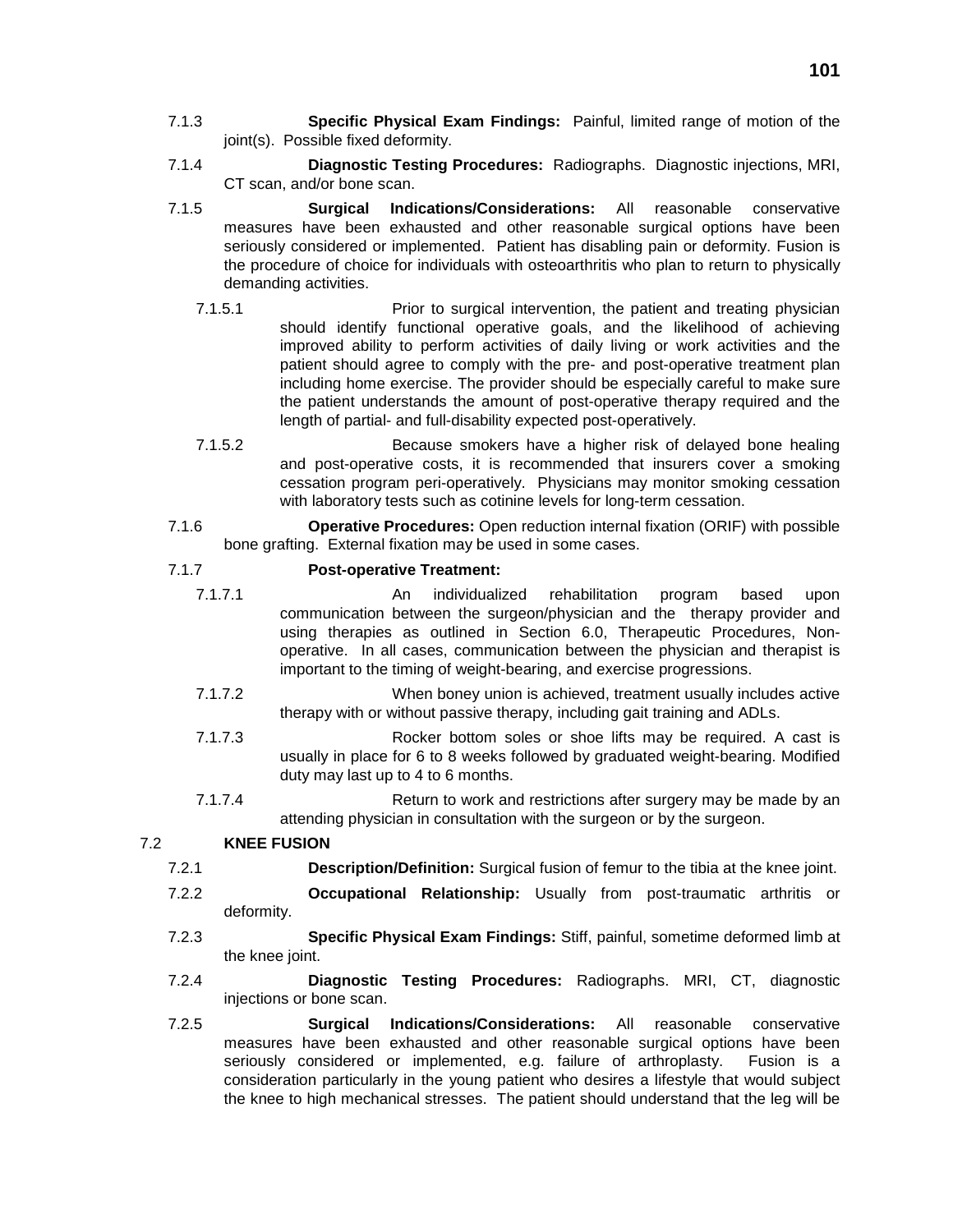- 7.1.3 **Specific Physical Exam Findings:** Painful, limited range of motion of the joint(s). Possible fixed deformity.
- 7.1.4 **Diagnostic Testing Procedures:** Radiographs. Diagnostic injections, MRI, CT scan, and/or bone scan.
- 7.1.5 **Surgical Indications/Considerations:** All reasonable conservative measures have been exhausted and other reasonable surgical options have been seriously considered or implemented. Patient has disabling pain or deformity. Fusion is the procedure of choice for individuals with osteoarthritis who plan to return to physically demanding activities.
	- 7.1.5.1 Prior to surgical intervention, the patient and treating physician should identify functional operative goals, and the likelihood of achieving improved ability to perform activities of daily living or work activities and the patient should agree to comply with the pre- and post-operative treatment plan including home exercise. The provider should be especially careful to make sure the patient understands the amount of post-operative therapy required and the length of partial- and full-disability expected post-operatively.
	- 7.1.5.2 Because smokers have a higher risk of delayed bone healing and post-operative costs, it is recommended that insurers cover a smoking cessation program peri-operatively. Physicians may monitor smoking cessation with laboratory tests such as cotinine levels for long-term cessation.
- 7.1.6 **Operative Procedures:** Open reduction internal fixation (ORIF) with possible bone grafting. External fixation may be used in some cases.

### 7.1.7 **Post-operative Treatment:**

- 7.1.7.1 An individualized rehabilitation program based upon communication between the surgeon/physician and the therapy provider and using therapies as outlined in Section 6.0, Therapeutic Procedures, Nonoperative. In all cases, communication between the physician and therapist is important to the timing of weight-bearing, and exercise progressions.
- 7.1.7.2 When boney union is achieved, treatment usually includes active therapy with or without passive therapy, including gait training and ADLs.
- 7.1.7.3 Rocker bottom soles or shoe lifts may be required. A cast is usually in place for 6 to 8 weeks followed by graduated weight-bearing. Modified duty may last up to 4 to 6 months.
- 7.1.7.4 Return to work and restrictions after surgery may be made by an attending physician in consultation with the surgeon or by the surgeon.

#### 7.2 **KNEE FUSION**

- 7.2.1 **Description/Definition:** Surgical fusion of femur to the tibia at the knee joint.
- 7.2.2 **Occupational Relationship:** Usually from post-traumatic arthritis or deformity.
- 7.2.3 **Specific Physical Exam Findings:** Stiff, painful, sometime deformed limb at the knee joint.
- 7.2.4 **Diagnostic Testing Procedures:** Radiographs. MRI, CT, diagnostic injections or bone scan.
- 7.2.5 **Surgical Indications/Considerations:** All reasonable conservative measures have been exhausted and other reasonable surgical options have been seriously considered or implemented, e.g. failure of arthroplasty. Fusion is a consideration particularly in the young patient who desires a lifestyle that would subject the knee to high mechanical stresses. The patient should understand that the leg will be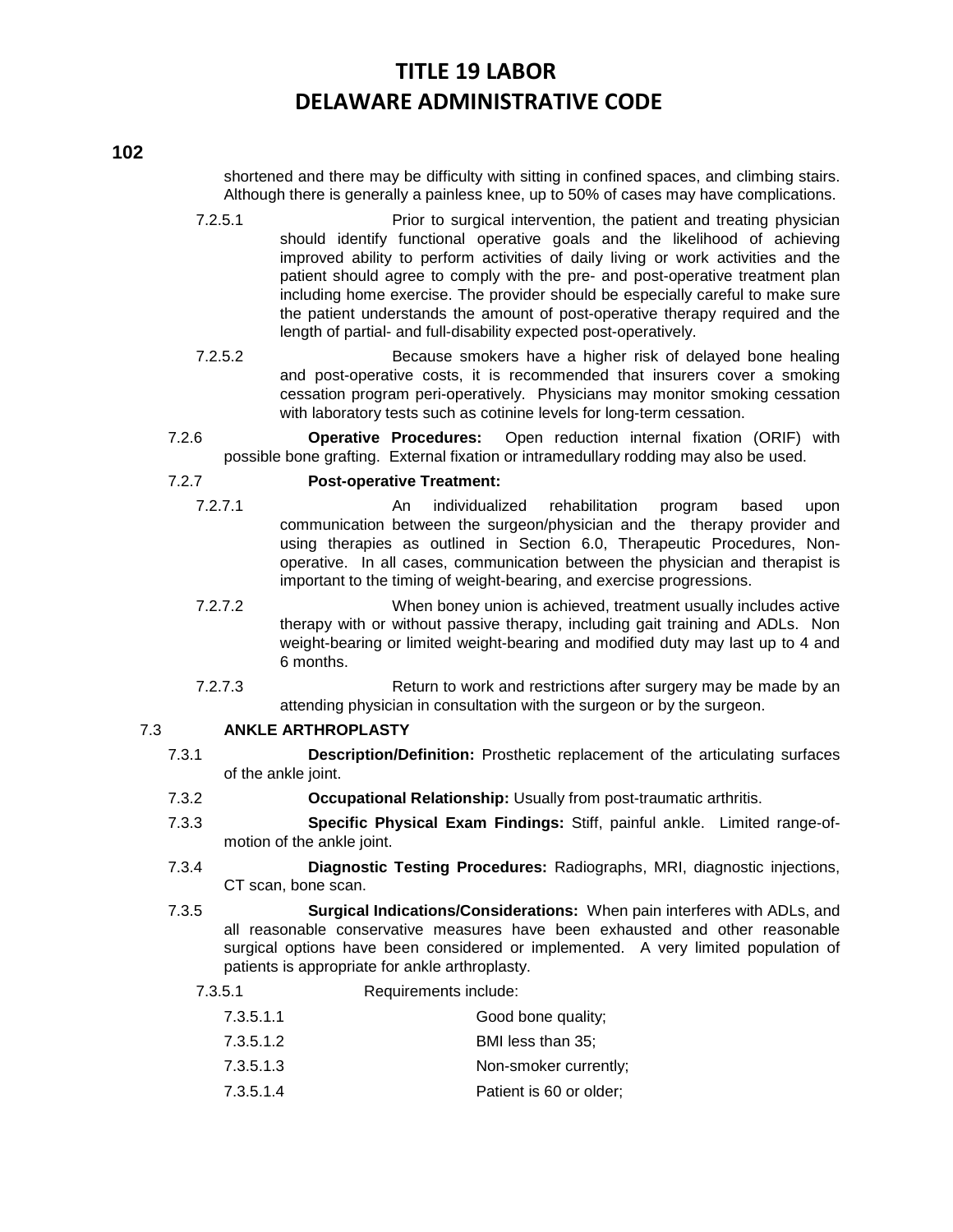shortened and there may be difficulty with sitting in confined spaces, and climbing stairs. Although there is generally a painless knee, up to 50% of cases may have complications.

- 7.2.5.1 Prior to surgical intervention, the patient and treating physician should identify functional operative goals and the likelihood of achieving improved ability to perform activities of daily living or work activities and the patient should agree to comply with the pre- and post-operative treatment plan including home exercise. The provider should be especially careful to make sure the patient understands the amount of post-operative therapy required and the length of partial- and full-disability expected post-operatively.
- 7.2.5.2 Because smokers have a higher risk of delayed bone healing and post-operative costs, it is recommended that insurers cover a smoking cessation program peri-operatively. Physicians may monitor smoking cessation with laboratory tests such as cotinine levels for long-term cessation.
- 7.2.6 **Operative Procedures:** Open reduction internal fixation (ORIF) with possible bone grafting. External fixation or intramedullary rodding may also be used.

#### 7.2.7 **Post-operative Treatment:**

- 7.2.7.1 An individualized rehabilitation program based upon communication between the surgeon/physician and the therapy provider and using therapies as outlined in Section 6.0, Therapeutic Procedures, Nonoperative. In all cases, communication between the physician and therapist is important to the timing of weight-bearing, and exercise progressions.
- 7.2.7.2 When boney union is achieved, treatment usually includes active therapy with or without passive therapy, including gait training and ADLs. Non weight-bearing or limited weight-bearing and modified duty may last up to 4 and 6 months.
- 7.2.7.3 Return to work and restrictions after surgery may be made by an attending physician in consultation with the surgeon or by the surgeon.

### 7.3 **ANKLE ARTHROPLASTY**

- 7.3.1 **Description/Definition:** Prosthetic replacement of the articulating surfaces of the ankle joint.
- 7.3.2 **Occupational Relationship:** Usually from post-traumatic arthritis.
- 7.3.3 **Specific Physical Exam Findings:** Stiff, painful ankle. Limited range-ofmotion of the ankle joint.
- 7.3.4 **Diagnostic Testing Procedures:** Radiographs, MRI, diagnostic injections, CT scan, bone scan.
- 7.3.5 **Surgical Indications/Considerations:** When pain interferes with ADLs, and all reasonable conservative measures have been exhausted and other reasonable surgical options have been considered or implemented. A very limited population of patients is appropriate for ankle arthroplasty.
	- 7.3.5.1 Requirements include:

| 7.3.5.1.1 | Good bone quality;      |
|-----------|-------------------------|
| 7.3.5.1.2 | BMI less than 35;       |
| 7.3.5.1.3 | Non-smoker currently;   |
| 7.3.5.1.4 | Patient is 60 or older; |
|           |                         |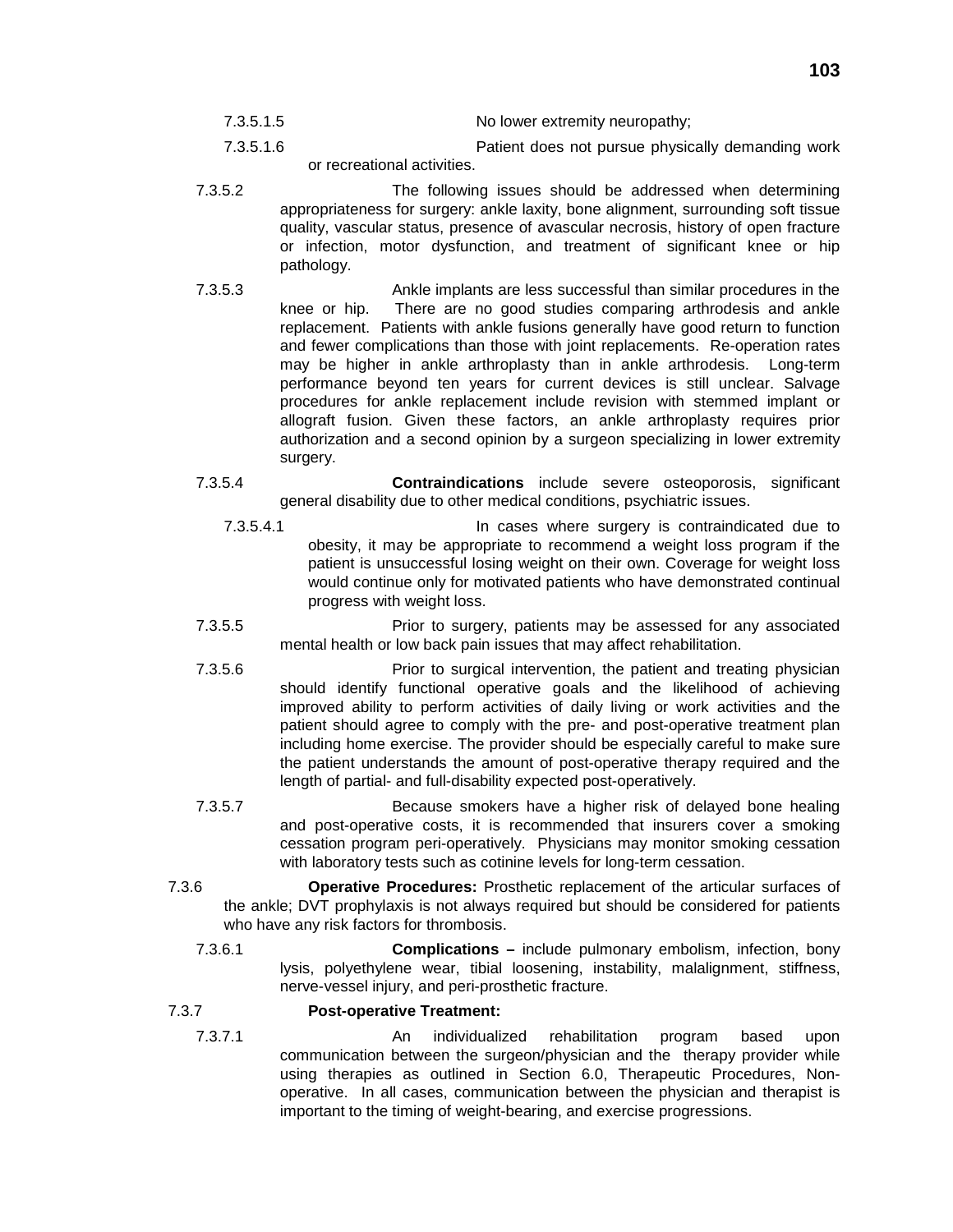| No lower extremity neuropathy;<br>7.3.5.1.5 |  |
|---------------------------------------------|--|
|---------------------------------------------|--|

- 7.3.5.1.6 Patient does not pursue physically demanding work or recreational activities.
- 7.3.5.2 The following issues should be addressed when determining appropriateness for surgery: ankle laxity, bone alignment, surrounding soft tissue quality, vascular status, presence of avascular necrosis, history of open fracture or infection, motor dysfunction, and treatment of significant knee or hip pathology.
- 7.3.5.3 Ankle implants are less successful than similar procedures in the knee or hip. There are no good studies comparing arthrodesis and ankle replacement. Patients with ankle fusions generally have good return to function and fewer complications than those with joint replacements. Re-operation rates may be higher in ankle arthroplasty than in ankle arthrodesis. Long-term performance beyond ten years for current devices is still unclear. Salvage procedures for ankle replacement include revision with stemmed implant or allograft fusion. Given these factors, an ankle arthroplasty requires prior authorization and a second opinion by a surgeon specializing in lower extremity surgery.
- 7.3.5.4 **Contraindications** include severe osteoporosis, significant general disability due to other medical conditions, psychiatric issues.
	- 7.3.5.4.1 In cases where surgery is contraindicated due to obesity, it may be appropriate to recommend a weight loss program if the patient is unsuccessful losing weight on their own. Coverage for weight loss would continue only for motivated patients who have demonstrated continual progress with weight loss.
- 7.3.5.5 Prior to surgery, patients may be assessed for any associated mental health or low back pain issues that may affect rehabilitation.
- 7.3.5.6 Prior to surgical intervention, the patient and treating physician should identify functional operative goals and the likelihood of achieving improved ability to perform activities of daily living or work activities and the patient should agree to comply with the pre- and post-operative treatment plan including home exercise. The provider should be especially careful to make sure the patient understands the amount of post-operative therapy required and the length of partial- and full-disability expected post-operatively.
- 7.3.5.7 Because smokers have a higher risk of delayed bone healing and post-operative costs, it is recommended that insurers cover a smoking cessation program peri-operatively. Physicians may monitor smoking cessation with laboratory tests such as cotinine levels for long-term cessation.
- 7.3.6 **Operative Procedures:** Prosthetic replacement of the articular surfaces of the ankle; DVT prophylaxis is not always required but should be considered for patients who have any risk factors for thrombosis.
	- 7.3.6.1 **Complications –** include pulmonary embolism, infection, bony lysis, polyethylene wear, tibial loosening, instability, malalignment, stiffness, nerve-vessel injury, and peri-prosthetic fracture.

### 7.3.7 **Post-operative Treatment:**

7.3.7.1 An individualized rehabilitation program based upon communication between the surgeon/physician and the therapy provider while using therapies as outlined in Section 6.0, Therapeutic Procedures, Nonoperative. In all cases, communication between the physician and therapist is important to the timing of weight-bearing, and exercise progressions.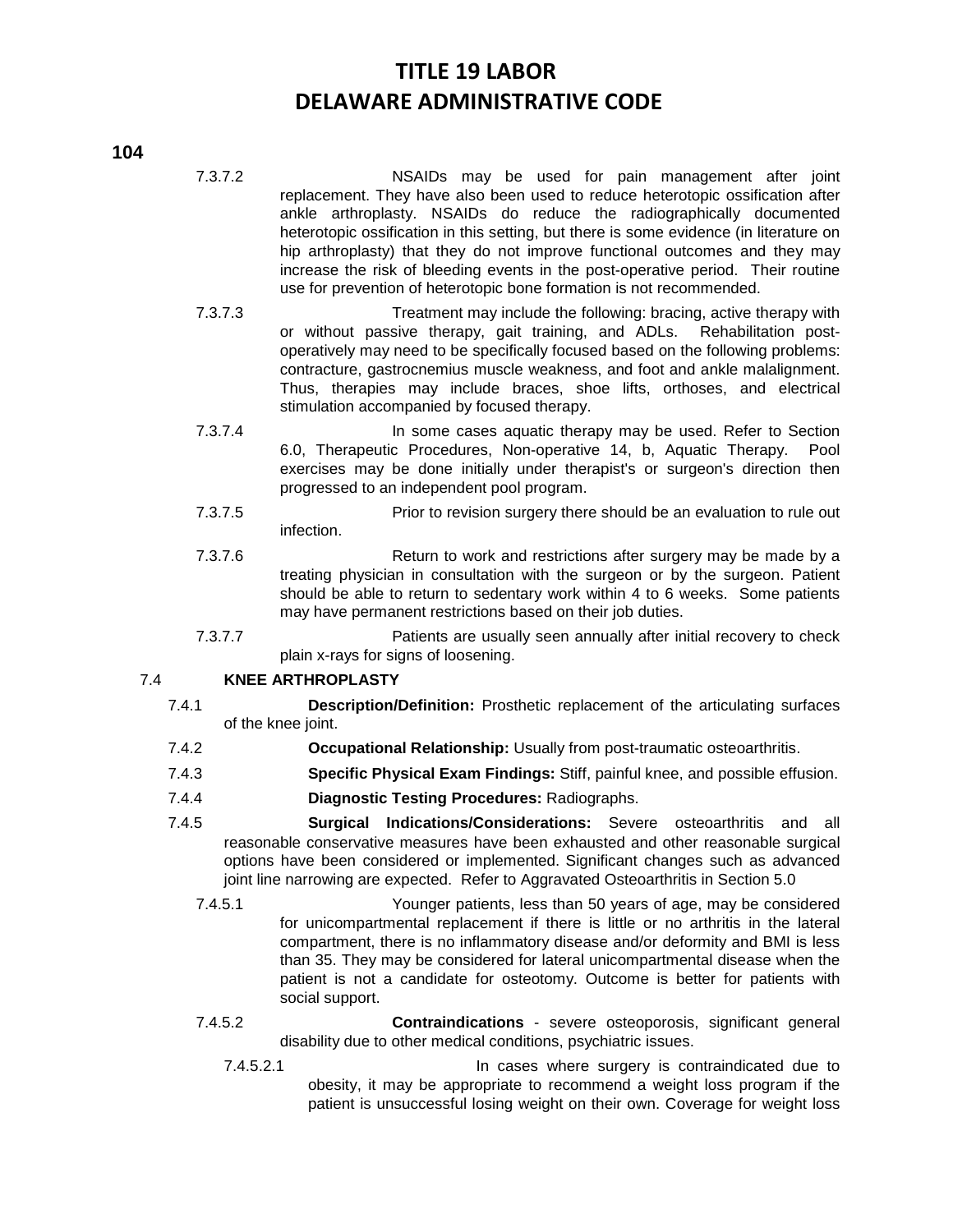- 7.3.7.2 NSAIDs may be used for pain management after joint replacement. They have also been used to reduce heterotopic ossification after ankle arthroplasty. NSAIDs do reduce the radiographically documented heterotopic ossification in this setting, but there is some evidence (in literature on hip arthroplasty) that they do not improve functional outcomes and they may increase the risk of bleeding events in the post-operative period. Their routine use for prevention of heterotopic bone formation is not recommended.
- 7.3.7.3 Treatment may include the following: bracing, active therapy with or without passive therapy, gait training, and ADLs. Rehabilitation postoperatively may need to be specifically focused based on the following problems: contracture, gastrocnemius muscle weakness, and foot and ankle malalignment. Thus, therapies may include braces, shoe lifts, orthoses, and electrical stimulation accompanied by focused therapy.
- 7.3.7.4 In some cases aquatic therapy may be used. Refer to Section 6.0, Therapeutic Procedures, Non-operative 14, b, Aquatic Therapy. Pool exercises may be done initially under therapist's or surgeon's direction then progressed to an independent pool program.
- 7.3.7.5 Prior to revision surgery there should be an evaluation to rule out infection.
- 7.3.7.6 Return to work and restrictions after surgery may be made by a treating physician in consultation with the surgeon or by the surgeon. Patient should be able to return to sedentary work within 4 to 6 weeks. Some patients may have permanent restrictions based on their job duties.
- 7.3.7.7 Patients are usually seen annually after initial recovery to check plain x-rays for signs of loosening.

### 7.4 **KNEE ARTHROPLASTY**

- 7.4.1 **Description/Definition:** Prosthetic replacement of the articulating surfaces of the knee joint.
- 7.4.2 **Occupational Relationship:** Usually from post-traumatic osteoarthritis.
- 7.4.3 **Specific Physical Exam Findings:** Stiff, painful knee, and possible effusion.
- 7.4.4 **Diagnostic Testing Procedures:** Radiographs.
- 7.4.5 **Surgical Indications/Considerations:** Severe osteoarthritis and all reasonable conservative measures have been exhausted and other reasonable surgical options have been considered or implemented. Significant changes such as advanced joint line narrowing are expected. Refer to Aggravated Osteoarthritis in Section 5.0
	- 7.4.5.1 Younger patients, less than 50 years of age, may be considered for unicompartmental replacement if there is little or no arthritis in the lateral compartment, there is no inflammatory disease and/or deformity and BMI is less than 35. They may be considered for lateral unicompartmental disease when the patient is not a candidate for osteotomy. Outcome is better for patients with social support.
	- 7.4.5.2 **Contraindications** severe osteoporosis, significant general disability due to other medical conditions, psychiatric issues.
		- 7.4.5.2.1 In cases where surgery is contraindicated due to obesity, it may be appropriate to recommend a weight loss program if the patient is unsuccessful losing weight on their own. Coverage for weight loss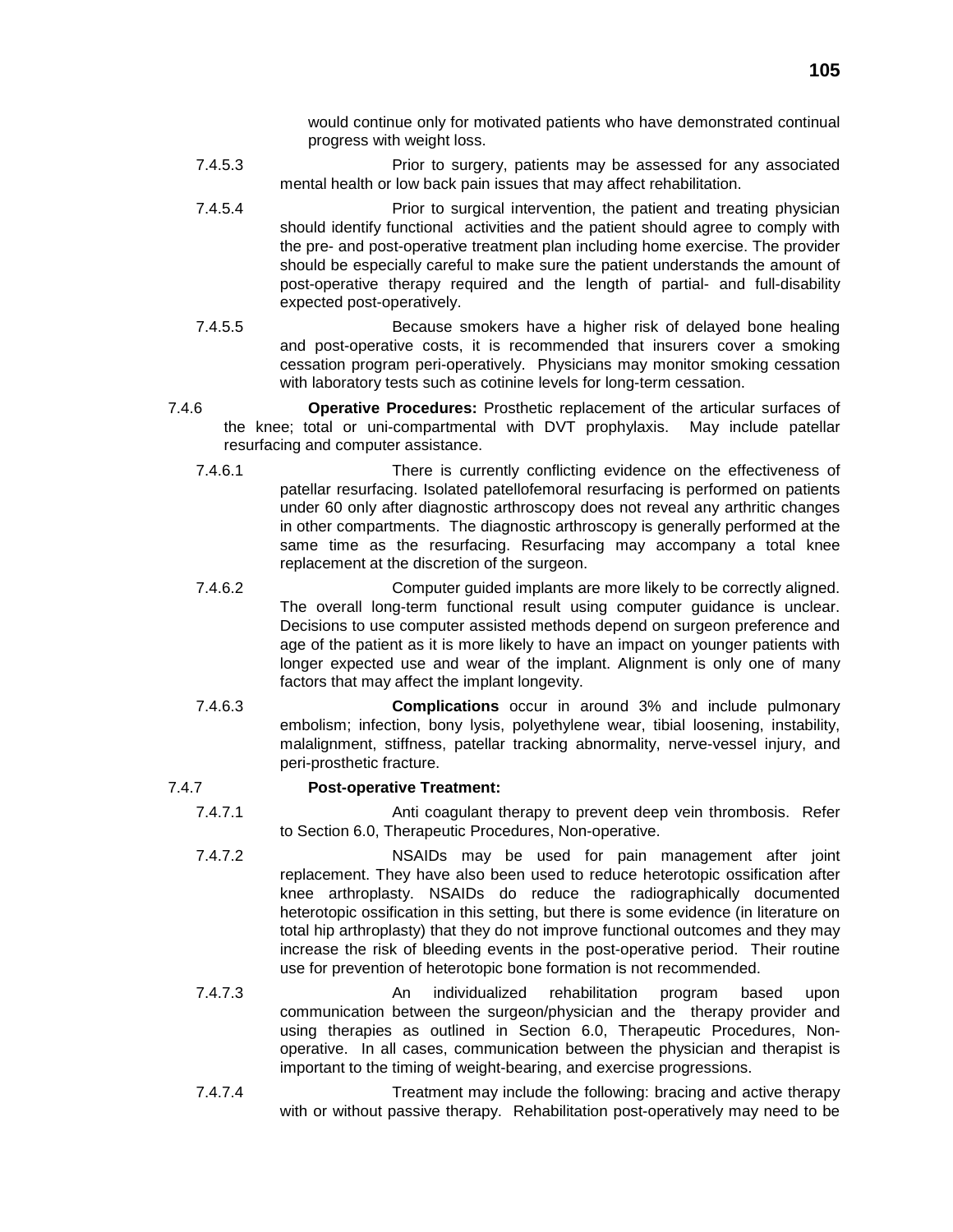would continue only for motivated patients who have demonstrated continual progress with weight loss.

- 7.4.5.3 Prior to surgery, patients may be assessed for any associated mental health or low back pain issues that may affect rehabilitation.
- 7.4.5.4 Prior to surgical intervention, the patient and treating physician should identify functional activities and the patient should agree to comply with the pre- and post-operative treatment plan including home exercise. The provider should be especially careful to make sure the patient understands the amount of post-operative therapy required and the length of partial- and full-disability expected post-operatively.
- 7.4.5.5 Because smokers have a higher risk of delayed bone healing and post-operative costs, it is recommended that insurers cover a smoking cessation program peri-operatively. Physicians may monitor smoking cessation with laboratory tests such as cotinine levels for long-term cessation.
- 7.4.6 **Operative Procedures:** Prosthetic replacement of the articular surfaces of the knee; total or uni-compartmental with DVT prophylaxis. May include patellar resurfacing and computer assistance.
	- 7.4.6.1 There is currently conflicting evidence on the effectiveness of patellar resurfacing. Isolated patellofemoral resurfacing is performed on patients under 60 only after diagnostic arthroscopy does not reveal any arthritic changes in other compartments. The diagnostic arthroscopy is generally performed at the same time as the resurfacing. Resurfacing may accompany a total knee replacement at the discretion of the surgeon.
	- 7.4.6.2 Computer guided implants are more likely to be correctly aligned. The overall long-term functional result using computer guidance is unclear. Decisions to use computer assisted methods depend on surgeon preference and age of the patient as it is more likely to have an impact on younger patients with longer expected use and wear of the implant. Alignment is only one of many factors that may affect the implant longevity.
	- 7.4.6.3 **Complications** occur in around 3% and include pulmonary embolism; infection, bony lysis, polyethylene wear, tibial loosening, instability, malalignment, stiffness, patellar tracking abnormality, nerve-vessel injury, and peri-prosthetic fracture.

#### 7.4.7 **Post-operative Treatment:**

- 7.4.7.1 Anti coagulant therapy to prevent deep vein thrombosis. Refer to Section 6.0, Therapeutic Procedures, Non-operative.
- 7.4.7.2 NSAIDs may be used for pain management after joint replacement. They have also been used to reduce heterotopic ossification after knee arthroplasty. NSAIDs do reduce the radiographically documented heterotopic ossification in this setting, but there is some evidence (in literature on total hip arthroplasty) that they do not improve functional outcomes and they may increase the risk of bleeding events in the post-operative period. Their routine use for prevention of heterotopic bone formation is not recommended.
- 7.4.7.3 An individualized rehabilitation program based upon communication between the surgeon/physician and the therapy provider and using therapies as outlined in Section 6.0, Therapeutic Procedures, Nonoperative. In all cases, communication between the physician and therapist is important to the timing of weight-bearing, and exercise progressions.
- 7.4.7.4 Treatment may include the following: bracing and active therapy with or without passive therapy. Rehabilitation post-operatively may need to be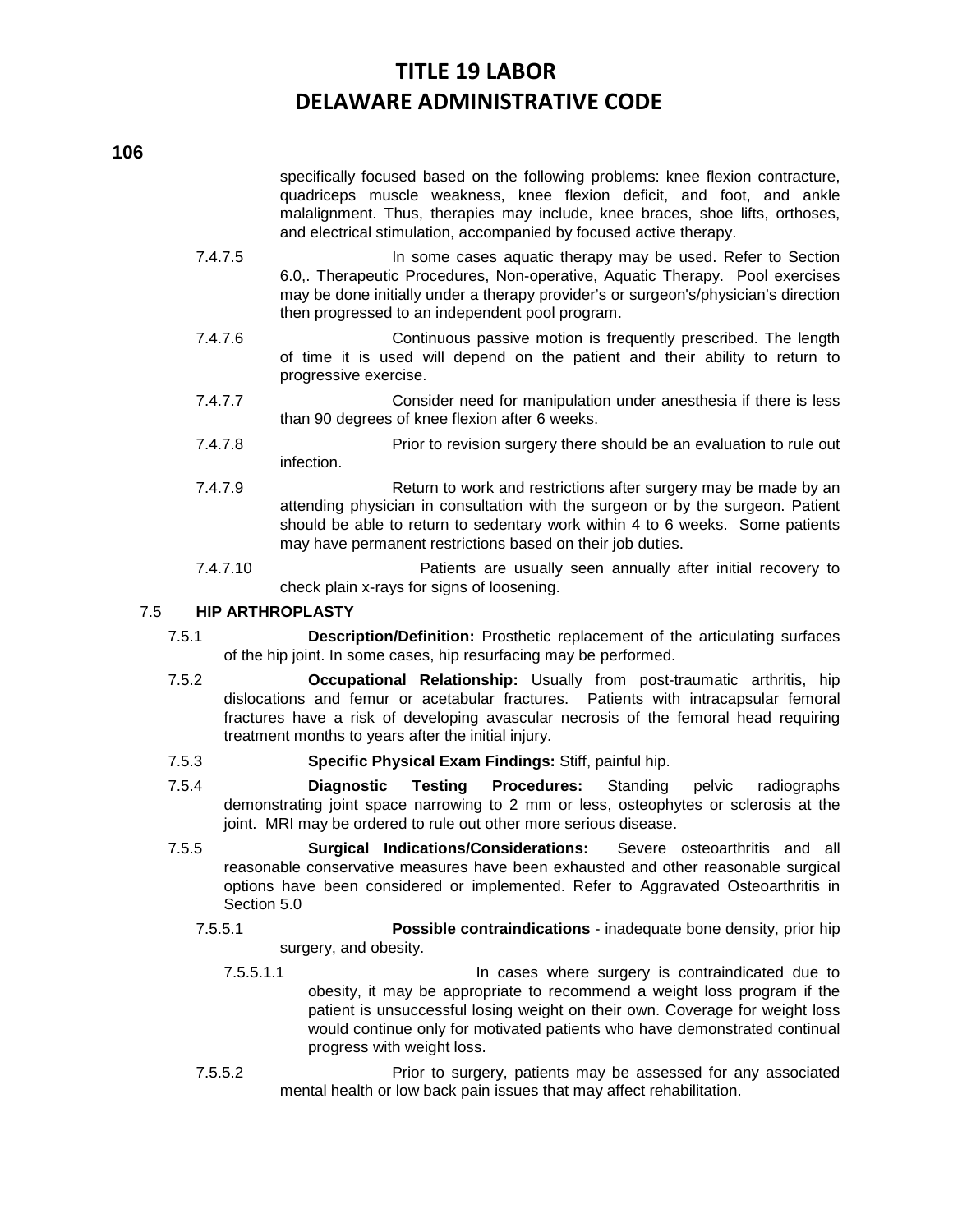specifically focused based on the following problems: knee flexion contracture, quadriceps muscle weakness, knee flexion deficit, and foot, and ankle malalignment. Thus, therapies may include, knee braces, shoe lifts, orthoses, and electrical stimulation, accompanied by focused active therapy.

- 7.4.7.5 **In some cases aquatic therapy may be used. Refer to Section** 6.0,. Therapeutic Procedures, Non-operative, Aquatic Therapy. Pool exercises may be done initially under a therapy provider's or surgeon's/physician's direction then progressed to an independent pool program.
- 7.4.7.6 Continuous passive motion is frequently prescribed. The length of time it is used will depend on the patient and their ability to return to progressive exercise.
- 7.4.7.7 Consider need for manipulation under anesthesia if there is less than 90 degrees of knee flexion after 6 weeks.
- 7.4.7.8 Prior to revision surgery there should be an evaluation to rule out infection.
- 7.4.7.9 Return to work and restrictions after surgery may be made by an attending physician in consultation with the surgeon or by the surgeon. Patient should be able to return to sedentary work within 4 to 6 weeks. Some patients may have permanent restrictions based on their job duties.
- 7.4.7.10 Patients are usually seen annually after initial recovery to check plain x-rays for signs of loosening.

### 7.5 **HIP ARTHROPLASTY**

- 7.5.1 **Description/Definition:** Prosthetic replacement of the articulating surfaces of the hip joint. In some cases, hip resurfacing may be performed.
- 7.5.2 **Occupational Relationship:** Usually from post-traumatic arthritis, hip dislocations and femur or acetabular fractures. Patients with intracapsular femoral fractures have a risk of developing avascular necrosis of the femoral head requiring treatment months to years after the initial injury.
- 7.5.3 **Specific Physical Exam Findings:** Stiff, painful hip.
- 7.5.4 **Diagnostic Testing Procedures:** Standing pelvic radiographs demonstrating joint space narrowing to 2 mm or less, osteophytes or sclerosis at the joint. MRI may be ordered to rule out other more serious disease.
- 7.5.5 **Surgical Indications/Considerations:** Severe osteoarthritis and all reasonable conservative measures have been exhausted and other reasonable surgical options have been considered or implemented. Refer to Aggravated Osteoarthritis in Section 5.0
	- 7.5.5.1 **Possible contraindications** inadequate bone density, prior hip surgery, and obesity.
		- 7.5.5.1.1 In cases where surgery is contraindicated due to obesity, it may be appropriate to recommend a weight loss program if the patient is unsuccessful losing weight on their own. Coverage for weight loss would continue only for motivated patients who have demonstrated continual progress with weight loss.
	- 7.5.5.2 Prior to surgery, patients may be assessed for any associated mental health or low back pain issues that may affect rehabilitation.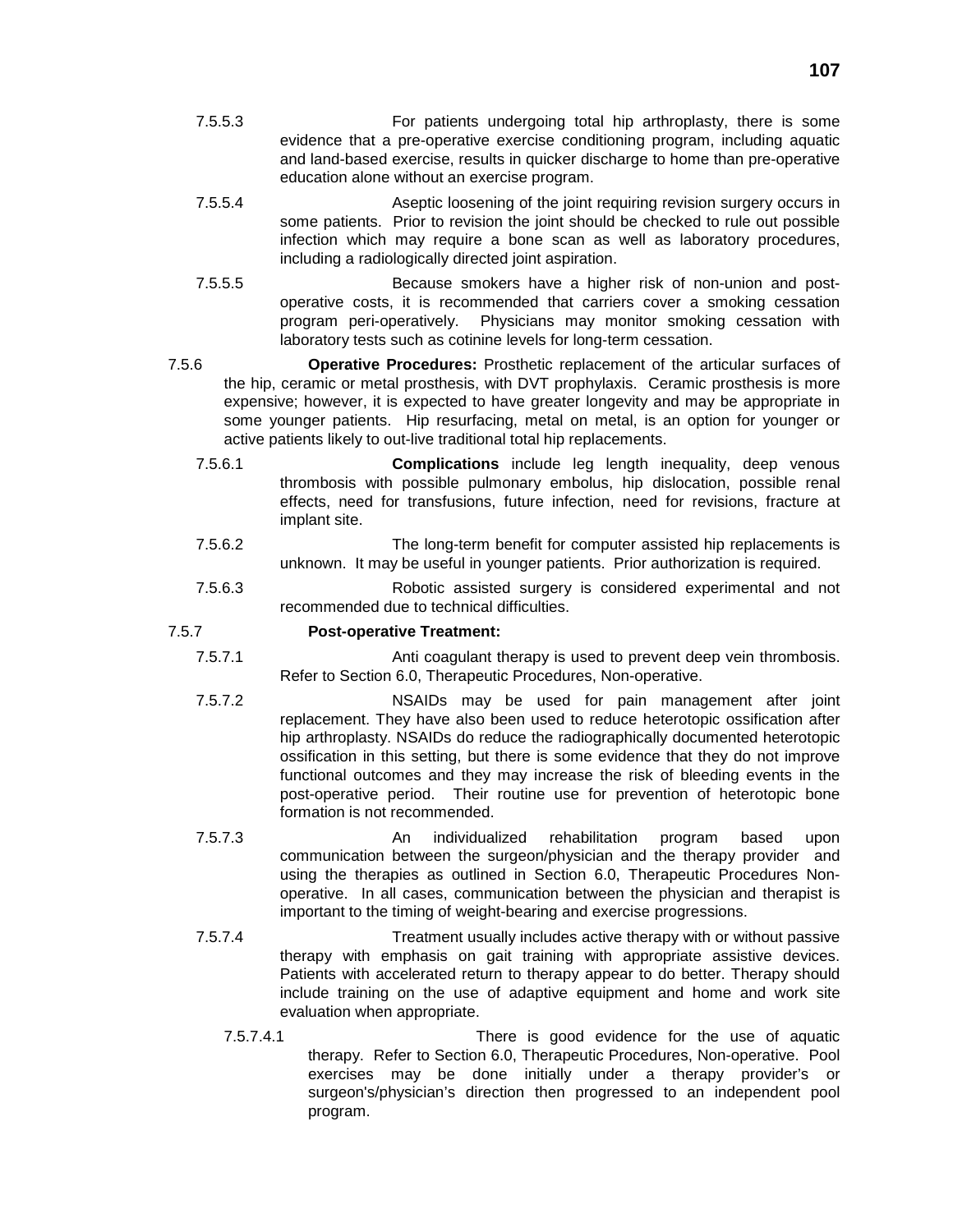- 7.5.5.3 For patients undergoing total hip arthroplasty, there is some evidence that a pre-operative exercise conditioning program, including aquatic and land-based exercise, results in quicker discharge to home than pre-operative education alone without an exercise program.
- 7.5.5.4 Aseptic loosening of the joint requiring revision surgery occurs in some patients. Prior to revision the joint should be checked to rule out possible infection which may require a bone scan as well as laboratory procedures, including a radiologically directed joint aspiration.
- 7.5.5.5 Because smokers have a higher risk of non-union and postoperative costs, it is recommended that carriers cover a smoking cessation program peri-operatively. Physicians may monitor smoking cessation with laboratory tests such as cotinine levels for long-term cessation.
- 7.5.6 **Operative Procedures:** Prosthetic replacement of the articular surfaces of the hip, ceramic or metal prosthesis, with DVT prophylaxis. Ceramic prosthesis is more expensive; however, it is expected to have greater longevity and may be appropriate in some younger patients. Hip resurfacing, metal on metal, is an option for younger or active patients likely to out-live traditional total hip replacements.
	- 7.5.6.1 **Complications** include leg length inequality, deep venous thrombosis with possible pulmonary embolus, hip dislocation, possible renal effects, need for transfusions, future infection, need for revisions, fracture at implant site.
	- 7.5.6.2 The long-term benefit for computer assisted hip replacements is unknown. It may be useful in younger patients. Prior authorization is required.
	- 7.5.6.3 Robotic assisted surgery is considered experimental and not recommended due to technical difficulties.

#### 7.5.7 **Post-operative Treatment:**

- 7.5.7.1 Anti coagulant therapy is used to prevent deep vein thrombosis. Refer to Section 6.0, Therapeutic Procedures, Non-operative.
- 7.5.7.2 NSAIDs may be used for pain management after joint replacement. They have also been used to reduce heterotopic ossification after hip arthroplasty. NSAIDs do reduce the radiographically documented heterotopic ossification in this setting, but there is some evidence that they do not improve functional outcomes and they may increase the risk of bleeding events in the post-operative period. Their routine use for prevention of heterotopic bone formation is not recommended.
- 7.5.7.3 An individualized rehabilitation program based upon communication between the surgeon/physician and the therapy provider and using the therapies as outlined in Section 6.0, Therapeutic Procedures Nonoperative. In all cases, communication between the physician and therapist is important to the timing of weight-bearing and exercise progressions.
- 7.5.7.4 Treatment usually includes active therapy with or without passive therapy with emphasis on gait training with appropriate assistive devices. Patients with accelerated return to therapy appear to do better. Therapy should include training on the use of adaptive equipment and home and work site evaluation when appropriate.
	- 7.5.7.4.1 There is good evidence for the use of aquatic therapy. Refer to Section 6.0, Therapeutic Procedures, Non-operative. Pool exercises may be done initially under a therapy provider's or surgeon's/physician's direction then progressed to an independent pool program.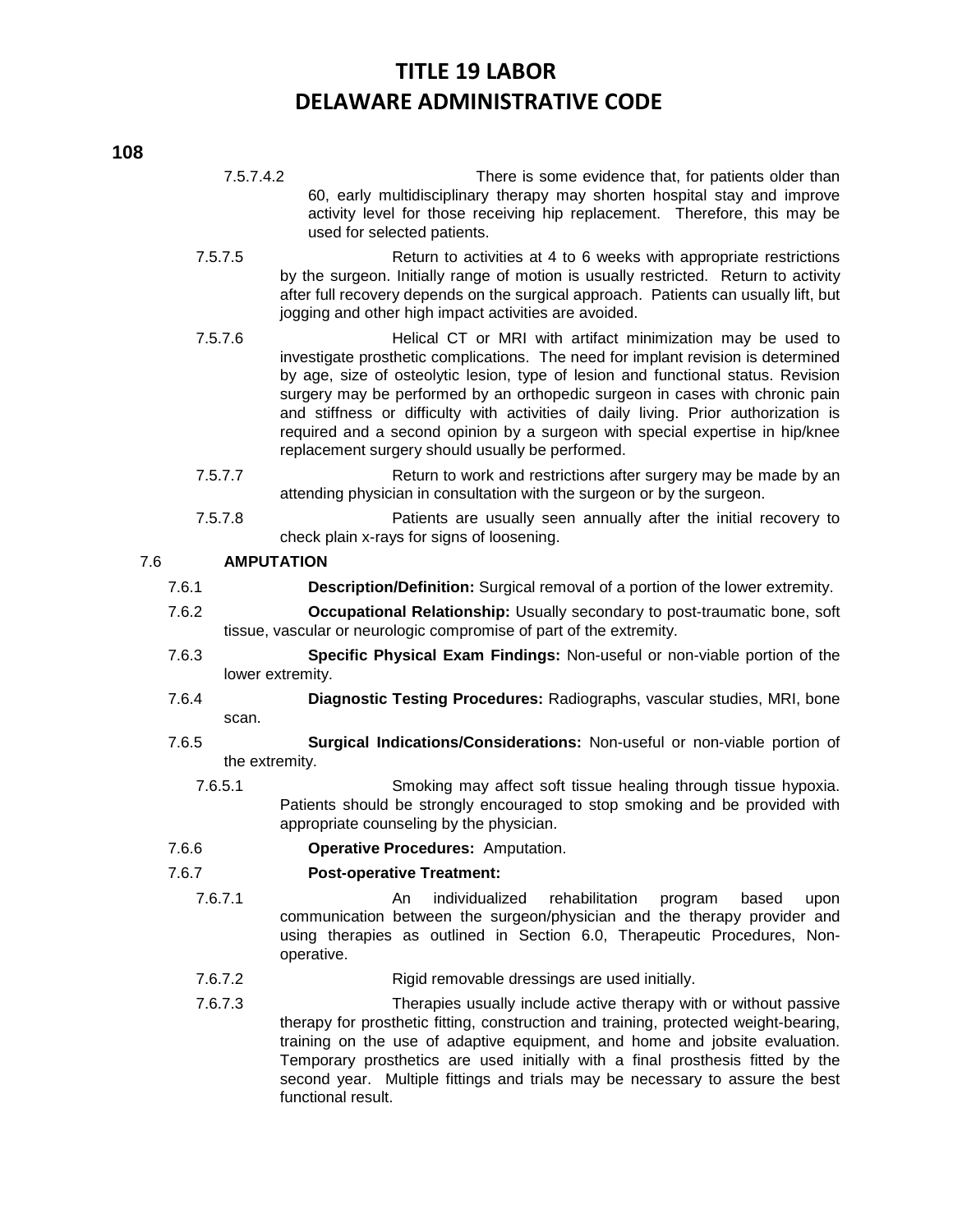7.5.7.4.2 There is some evidence that, for patients older than 60, early multidisciplinary therapy may shorten hospital stay and improve activity level for those receiving hip replacement. Therefore, this may be used for selected patients.

- 7.5.7.5 Return to activities at 4 to 6 weeks with appropriate restrictions by the surgeon. Initially range of motion is usually restricted. Return to activity after full recovery depends on the surgical approach. Patients can usually lift, but jogging and other high impact activities are avoided.
- 7.5.7.6 Helical CT or MRI with artifact minimization may be used to investigate prosthetic complications. The need for implant revision is determined by age, size of osteolytic lesion, type of lesion and functional status. Revision surgery may be performed by an orthopedic surgeon in cases with chronic pain and stiffness or difficulty with activities of daily living. Prior authorization is required and a second opinion by a surgeon with special expertise in hip/knee replacement surgery should usually be performed.
- 7.5.7.7 Return to work and restrictions after surgery may be made by an attending physician in consultation with the surgeon or by the surgeon.
- 7.5.7.8 Patients are usually seen annually after the initial recovery to check plain x-rays for signs of loosening.

#### 7.6 **AMPUTATION**

- 7.6.1 **Description/Definition:** Surgical removal of a portion of the lower extremity.
- 7.6.2 **Occupational Relationship:** Usually secondary to post-traumatic bone, soft tissue, vascular or neurologic compromise of part of the extremity.
- 7.6.3 **Specific Physical Exam Findings:** Non-useful or non-viable portion of the lower extremity.
- 7.6.4 **Diagnostic Testing Procedures:** Radiographs, vascular studies, MRI, bone scan.
- 7.6.5 **Surgical Indications/Considerations:** Non-useful or non-viable portion of the extremity.
	- 7.6.5.1 Smoking may affect soft tissue healing through tissue hypoxia. Patients should be strongly encouraged to stop smoking and be provided with appropriate counseling by the physician.
- 7.6.6 **Operative Procedures:** Amputation.
- 7.6.7 **Post-operative Treatment:**
	- 7.6.7.1 An individualized rehabilitation program based upon communication between the surgeon/physician and the therapy provider and using therapies as outlined in Section 6.0, Therapeutic Procedures, Nonoperative.
	- 7.6.7.2 Rigid removable dressings are used initially.
	- 7.6.7.3 Therapies usually include active therapy with or without passive therapy for prosthetic fitting, construction and training, protected weight-bearing, training on the use of adaptive equipment, and home and jobsite evaluation. Temporary prosthetics are used initially with a final prosthesis fitted by the second year. Multiple fittings and trials may be necessary to assure the best functional result.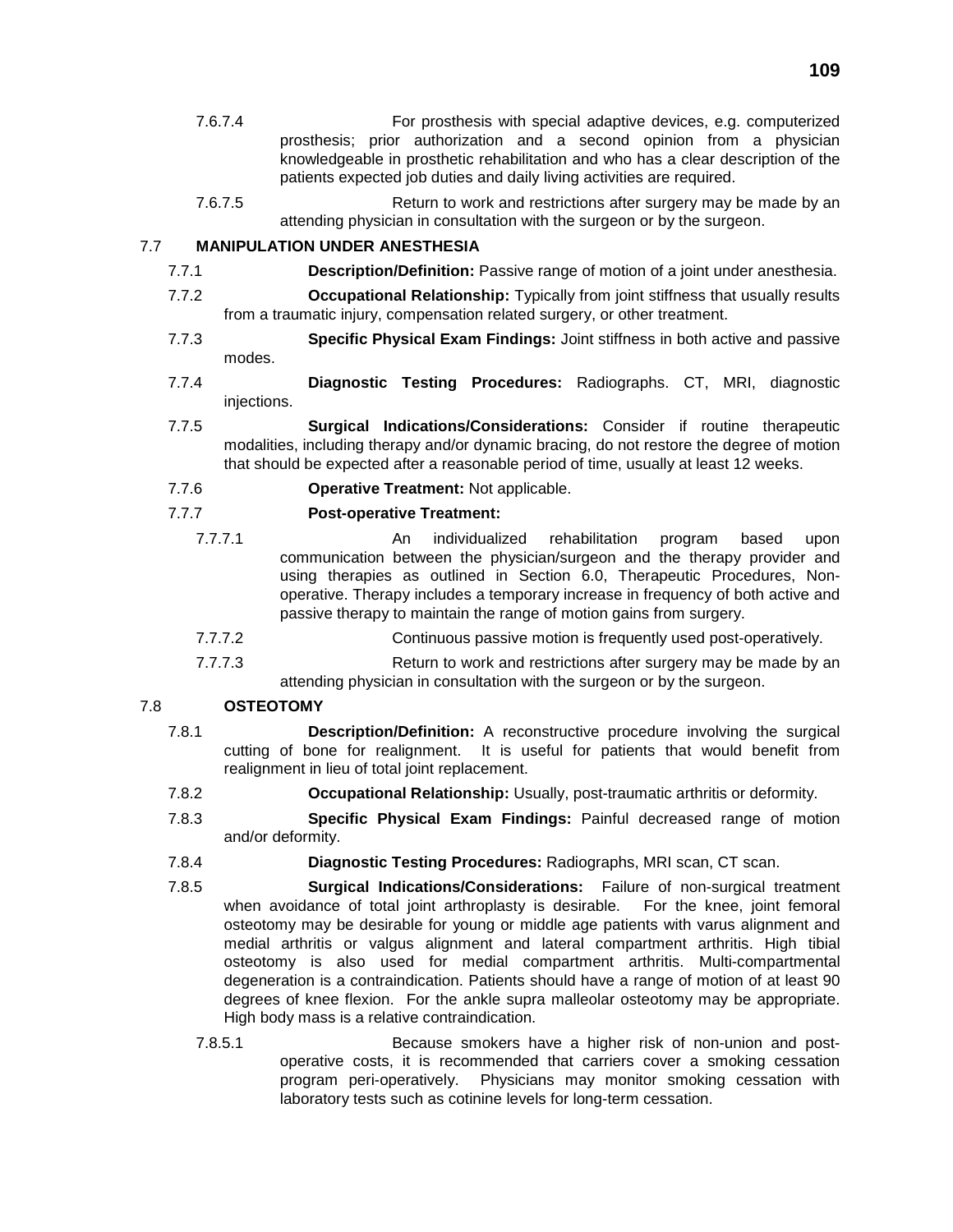- 7.6.7.4 For prosthesis with special adaptive devices, e.g. computerized prosthesis; prior authorization and a second opinion from a physician knowledgeable in prosthetic rehabilitation and who has a clear description of the patients expected job duties and daily living activities are required.
- 7.6.7.5 Return to work and restrictions after surgery may be made by an attending physician in consultation with the surgeon or by the surgeon.

## 7.7 **MANIPULATION UNDER ANESTHESIA**

- 7.7.1 **Description/Definition:** Passive range of motion of a joint under anesthesia.
- 7.7.2 **Occupational Relationship:** Typically from joint stiffness that usually results from a traumatic injury, compensation related surgery, or other treatment.
- 7.7.3 **Specific Physical Exam Findings:** Joint stiffness in both active and passive modes.
- 7.7.4 **Diagnostic Testing Procedures:** Radiographs. CT, MRI, diagnostic injections.
- 7.7.5 **Surgical Indications/Considerations:** Consider if routine therapeutic modalities, including therapy and/or dynamic bracing, do not restore the degree of motion that should be expected after a reasonable period of time, usually at least 12 weeks.
- 7.7.6 **Operative Treatment:** Not applicable.

# 7.7.7 **Post-operative Treatment:**

- 7.7.7.1 An individualized rehabilitation program based upon communication between the physician/surgeon and the therapy provider and using therapies as outlined in Section 6.0, Therapeutic Procedures, Nonoperative. Therapy includes a temporary increase in frequency of both active and passive therapy to maintain the range of motion gains from surgery.
- 7.7.7.2 Continuous passive motion is frequently used post-operatively.
- 7.7.7.3 Return to work and restrictions after surgery may be made by an attending physician in consultation with the surgeon or by the surgeon.

# 7.8 **OSTEOTOMY**

- 7.8.1 **Description/Definition:** A reconstructive procedure involving the surgical cutting of bone for realignment. It is useful for patients that would benefit from realignment in lieu of total joint replacement.
- 7.8.2 **Occupational Relationship:** Usually, post-traumatic arthritis or deformity.
- 7.8.3 **Specific Physical Exam Findings:** Painful decreased range of motion and/or deformity.
- 7.8.4 **Diagnostic Testing Procedures:** Radiographs, MRI scan, CT scan.
- 7.8.5 **Surgical Indications/Considerations:** Failure of non-surgical treatment when avoidance of total joint arthroplasty is desirable. For the knee, joint femoral osteotomy may be desirable for young or middle age patients with varus alignment and medial arthritis or valgus alignment and lateral compartment arthritis. High tibial osteotomy is also used for medial compartment arthritis. Multi-compartmental degeneration is a contraindication. Patients should have a range of motion of at least 90 degrees of knee flexion. For the ankle supra malleolar osteotomy may be appropriate. High body mass is a relative contraindication.
	- 7.8.5.1 Because smokers have a higher risk of non-union and postoperative costs, it is recommended that carriers cover a smoking cessation program peri-operatively. Physicians may monitor smoking cessation with laboratory tests such as cotinine levels for long-term cessation.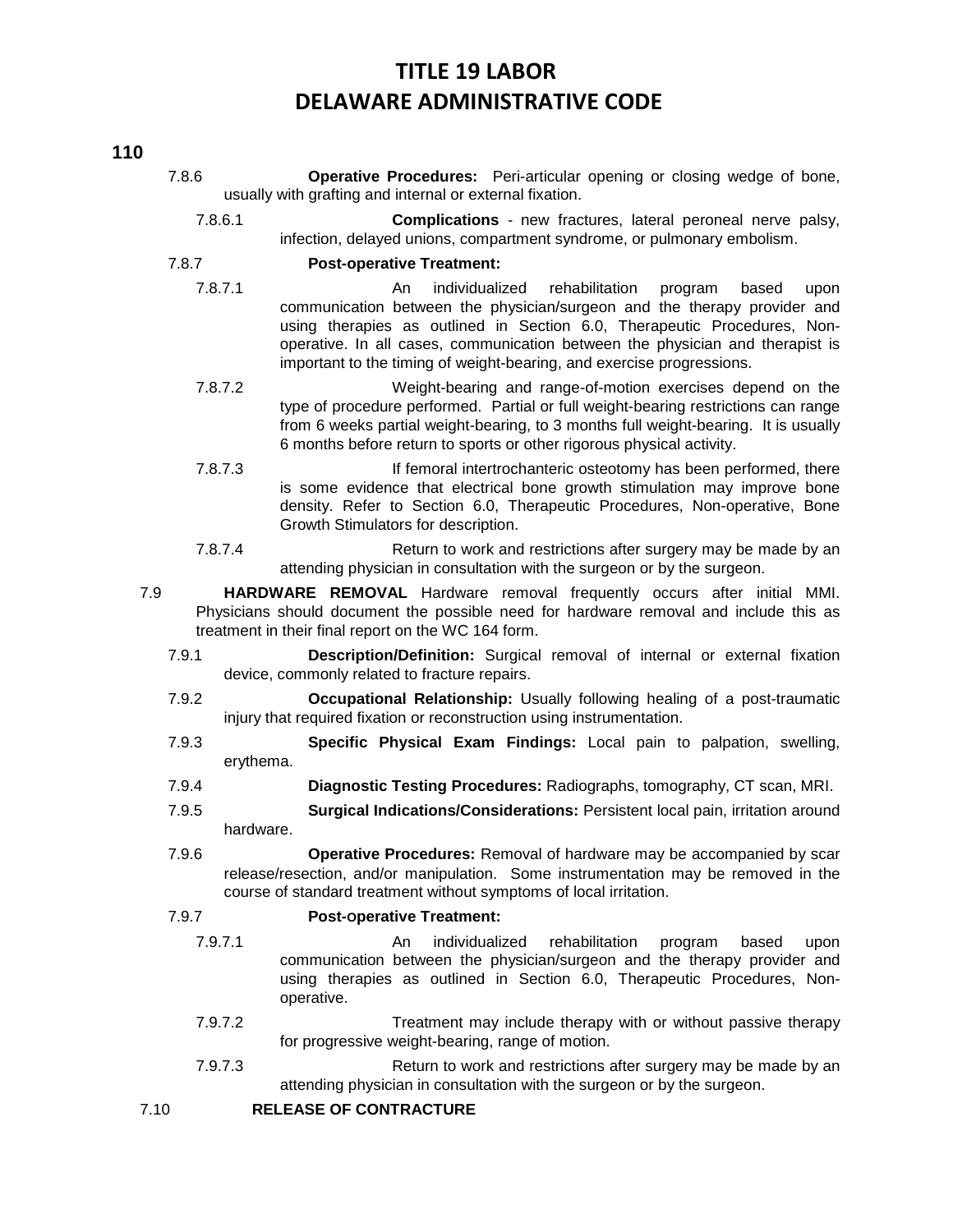# **TITLE 19 LABOR DELAWARE ADMINISTRATIVE CODE**

#### **110**

- 7.8.6 **Operative Procedures:** Peri-articular opening or closing wedge of bone, usually with grafting and internal or external fixation.
	- 7.8.6.1 **Complications** new fractures, lateral peroneal nerve palsy, infection, delayed unions, compartment syndrome, or pulmonary embolism.

### 7.8.7 **Post-operative Treatment:**

- 7.8.7.1 An individualized rehabilitation program based upon communication between the physician/surgeon and the therapy provider and using therapies as outlined in Section 6.0, Therapeutic Procedures, Nonoperative. In all cases, communication between the physician and therapist is important to the timing of weight-bearing, and exercise progressions.
- 7.8.7.2 Weight-bearing and range-of-motion exercises depend on the type of procedure performed. Partial or full weight-bearing restrictions can range from 6 weeks partial weight-bearing, to 3 months full weight-bearing. It is usually 6 months before return to sports or other rigorous physical activity.
- 7.8.7.3 If femoral intertrochanteric osteotomy has been performed, there is some evidence that electrical bone growth stimulation may improve bone density. Refer to Section 6.0, Therapeutic Procedures, Non-operative, Bone Growth Stimulators for description.
- 7.8.7.4 Return to work and restrictions after surgery may be made by an attending physician in consultation with the surgeon or by the surgeon.
- 7.9 **HARDWARE REMOVAL** Hardware removal frequently occurs after initial MMI. Physicians should document the possible need for hardware removal and include this as treatment in their final report on the WC 164 form.
	- 7.9.1 **Description/Definition:** Surgical removal of internal or external fixation device, commonly related to fracture repairs.
	- 7.9.2 **Occupational Relationship:** Usually following healing of a post-traumatic injury that required fixation or reconstruction using instrumentation.
	- 7.9.3 **Specific Physical Exam Findings:** Local pain to palpation, swelling, erythema.
	- 7.9.4 **Diagnostic Testing Procedures:** Radiographs, tomography, CT scan, MRI.
	- 7.9.5 **Surgical Indications/Considerations:** Persistent local pain, irritation around hardware.
	- 7.9.6 **Operative Procedures:** Removal of hardware may be accompanied by scar release/resection, and/or manipulation. Some instrumentation may be removed in the course of standard treatment without symptoms of local irritation.

## 7.9.7 **Post-Operative Treatment:**

- 7.9.7.1 An individualized rehabilitation program based upon communication between the physician/surgeon and the therapy provider and using therapies as outlined in Section 6.0, Therapeutic Procedures, Nonoperative.
- 7.9.7.2 Treatment may include therapy with or without passive therapy for progressive weight-bearing, range of motion.
- 7.9.7.3 Return to work and restrictions after surgery may be made by an attending physician in consultation with the surgeon or by the surgeon.

## 7.10 **RELEASE OF CONTRACTURE**